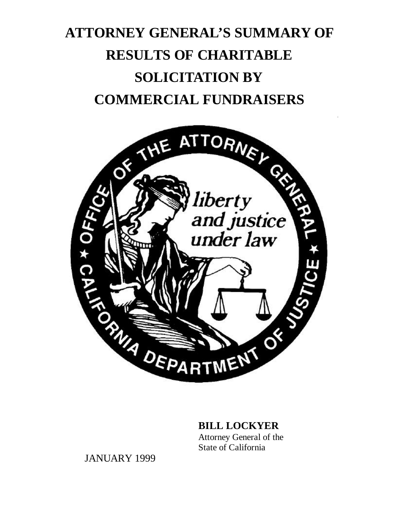# **ATTORNEY GENERAL'S SUMMARY OF RESULTS OF CHARITABLE SOLICITATION BY**



# **BILL LOCKYER**

Attorney General of the State of California

JANUARY 1999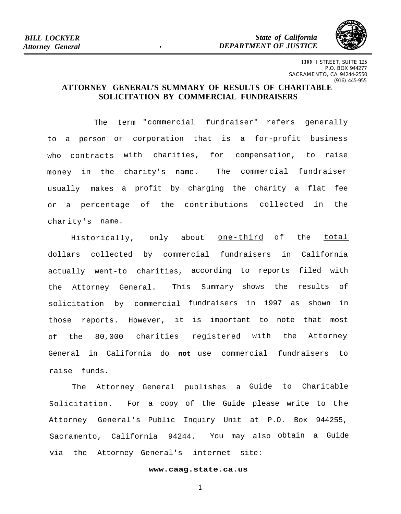*State of California DEPARTMENT OF JUSTICE* 



**1300** I STREET, SUITE 125 P.O. BOX 944277 SACRAMENTO, CA 94244-2550 (916) 445-955

# **ATTORNEY GENERAL'S SUMMARY OF RESULTS OF CHARITABLE SOLICITATION BY COMMERCIAL FUNDRAISERS**

The term "commercial fundraiser" refers generally to a person or corporation that is a for-profit business who contracts with charities, for compensation, to raise money in the charity's name. The commercial fundraiser usually makes a profit by charging the charity a flat fee or a percentage of the contributions collected in the charity's name.

Historically, only about **one-third** of the total dollars collected by commercial fundraisers in California actually went-to charities, according to reports filed with the Attorney General. This Summary shows the results of solicitation by commercial fundraisers in 1997 as shown in those reports. However, it is important to note that most of the 80,000 charities registered with the Attorney General in California do **not** use commercial fundraisers to raise funds.

The Attorney General publishes a Guide to Charitable Solicitation. For a copy of the Guide please write to the Attorney General's Public Inquiry Unit at P.O. Box 944255, Sacramento, California 94244. You may also obtain a Guide via the Attorney General's internet site:

### **[www.caag.state.ca.us](http://www.caag.state.ca.us)**

1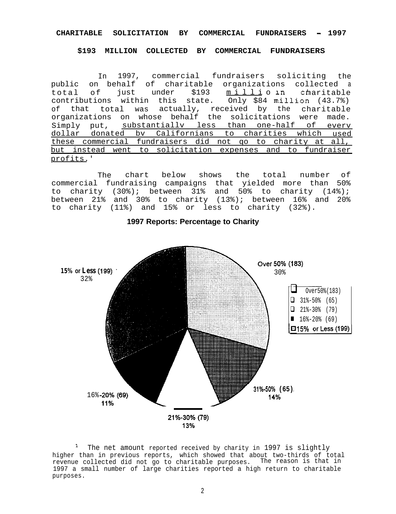### **CHARITABLE SOLICITATION BY COMMERCIAL FUNDRAISERS - 1997**

#### **\$193 MILLION COLLECTED BY COMMERCIAL FUNDRAISERS**

In 1997, commercial fundraisers soliciting the public on behalf of charitable organizations collected a total of just under \$193 millioin charitable<br>contributions within this state. Only \$84 million (43.7%) contributions within this state. of that total was actually, received by the charitable organizations on whose behalf the solicitations were made. Simply put, substantiallv less than one-half of everv dollar donated bv Californians to charities which used these commercial fundraisers did not qo to charity at all, but instead went to solicitation expenses and to fundraiser profits.'

The chart below shows the total number of commercial fundraising campaigns that yielded more than 50% to charity (30%); between 31% and 50% to charity (14%); between 21% and 30% to charity (13%); between 16% and 20% to charity (11%) and 15% or less to charity (32%).



### **1997 Reports: Percentage to Charity**

<sup>1</sup> The net amount reported received by charity in 1997 is slightly higher than in previous reports, which showed that about two-thirds of total revenue collected did not go to charitable purposes. The reason is that in 1997 a small number of large charities reported a high return to charitable purposes.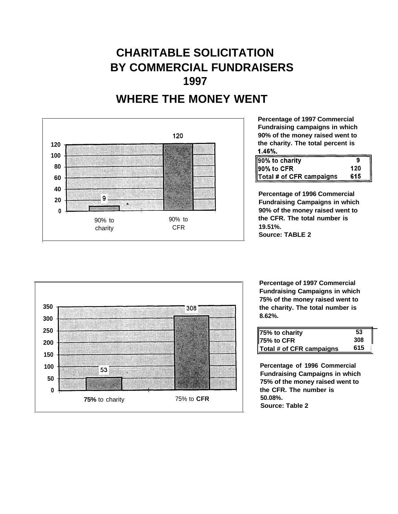# **CHARITABLE SOLICITATION BY COMMERCIAL FUNDRAISERS 1997**





**Percentage of 1997 Commercial Fundraising campaigns in which 90% of the money raised went to the charity. The total percent is 1.46%.** -

| 90% to charity           |     |
|--------------------------|-----|
| ll90% to CFR             | 120 |
| Total # of CFR campaigns | 615 |

**Percentage of 1996 Commercial Fundraising Campaigns in which 90% of the money raised went to the CFR. The total number is 19.51%. Source: TABLE 2**



**Percentage of 1997 Commercial Fundraising Campaigns in which 75% of the money raised went to the charity. The total number is 8.62%.** 

| 75% to charity           | 53  |  |
|--------------------------|-----|--|
| 75% to CFR               | 308 |  |
| Total # of CFR campaigns | 615 |  |

**Percentage of 1996 Commercial Fundraising Campaigns in which 75% of the money raised went to the CFR. The number is 50.08%. Source: Table 2**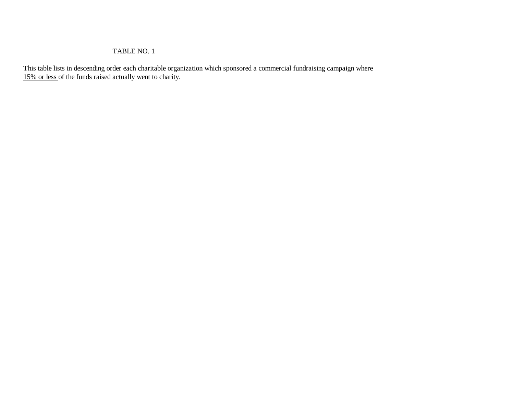# TABLE NO. 1

This table lists in descending order each charitable organization which sponsored a commercial fundraising campaign where 15% or less of the funds raised actually went to charity.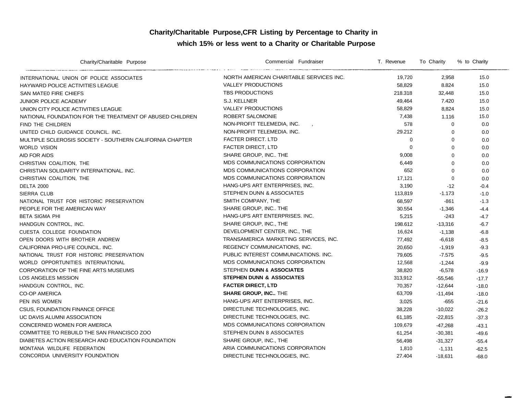# **Charity/Charitable Purpose,CFR Listing by Percentage to Charity in which 15% or less went to a Charity or Charitable Purpose**

| Charity/Charitable Purpose                               | Commercial Fundraiser                   | T. Revenue | To Charity  | % to Charity |
|----------------------------------------------------------|-----------------------------------------|------------|-------------|--------------|
| INTERNATIONAL UNION OF POLICE ASSOCIATES                 | NORTH AMERICAN CHARITABLE SERVICES INC. | 19,720     | 2,958       | 15.0         |
| HAYWARD POLICE ACTIVITIES LEAGUE                         | <b>VALLEY PRODUCTIONS</b>               | 58,829     | 8.824       | 15.0         |
| SAN MATEO FIRE CHIEFS                                    | <b>TBS PRODUCTIONS</b>                  | 218.318    | 32,448      | 15.0         |
| <b>JUNIOR POLICE ACADEMY</b>                             | S.J. KELLNER                            | 49,464     | 7.420       | 15.0         |
| UNION CITY POLICE ACTIVITIES LEAGUE                      | <b>VALLEY PRODUCTIONS</b>               | 58,829     | 8,824       | 15.0         |
| NATIONAL FOUNDATION FOR THE TREATMENT OF ABUSED CHILDREN | ROBERT SALOMONIE                        | 7,438      | 1.116       | 15.0         |
| FIND THE CHILDREN                                        | NON-PROFIT TELEMEDIA, INC.              | 578        | $\Omega$    | 0.0          |
| UNITED CHILD GUIDANCE COUNCIL. INC.                      | NON-PROFIT TELEMEDIA. INC.              | 29.212     | $\Omega$    | 0.0          |
| MULTIPLE SCLEROSIS SOCIETY - SOUTHERN CALIFORNIA CHAPTER | <b>FACTER DIRECT, LTD</b>               | $\Omega$   | $\Omega$    | 0.0          |
| <b>WORLD VISION</b>                                      | <b>FACTER DIRECT, LTD</b>               | $\Omega$   | $\Omega$    | 0.0          |
| <b>AID FOR AIDS</b>                                      | SHARE GROUP, INC THE                    | 9,008      | $\mathbf 0$ | 0.0          |
| CHRISTIAN COALITION, THE                                 | MDS COMMUNICATIONS CORPORATION          | 6,449      | $\mathbf 0$ | 0.0          |
| CHRISTIAN SOLIDARITY INTERNATIONAL. INC.                 | MDS COMMUNICATIONS CORPORATION          | 652        | $\Omega$    | 0.0          |
| CHRISTIAN COALITION, THE                                 | MDS COMMUNICATIONS CORPORATION          | 17,121     | $\mathbf 0$ | 0.0          |
| <b>DELTA 2000</b>                                        | HANG-UPS ART ENTERPRISES, INC.          | 3,190      | $-12$       | $-0.4$       |
| SIERRA CLUB                                              | STEPHEN DUNN & ASSOCIATES               | 113,819    | $-1.173$    | $-1.0$       |
| NATIONAL TRUST FOR HISTORIC PRESERVATION                 | SMITH COMPANY, THE                      | 68,597     | $-861$      | $-1.3$       |
| PEOPLE FOR THE AMERICAN WAY                              | SHARE GROUP, INC THE                    | 30.554     | $-1,346$    | $-4.4$       |
| <b>BETA SIGMA PHI</b>                                    | HANG-UPS ART ENTERPRISES. INC.          | 5,215      | -243        | $-4.7$       |
| HANDGUN CONTROL, INC.                                    | SHARE GROUP, INC., THE                  | 198.612    | $-13,316$   | $-6.7$       |
| CUESTA COLLEGE FOUNDATION                                | DEVELOPMENT CENTER, INC., THE           | 16,624     | $-1,138$    | $-6.8$       |
| OPEN DOORS WITH BROTHER ANDREW                           | TRANSAMERICA MARKETING SERVICES, INC.   | 77,492     | $-6,618$    | $-8.5$       |
| CALIFORNIA PRO-LIFE COUNCIL. INC.                        | REGENCY COMMUNICATIONS, INC.            | 20,650     | $-1,919$    | $-9.3$       |
| NATIONAL TRUST FOR HISTORIC PRESERVATION                 | PUBLIC INTEREST COMMUNICATIONS. INC.    | 79,605     | $-7.575$    | $-9.5$       |
| WORLD OPPORTUNITIES INTERNATIONAL                        | MDS COMMUNICATIONS CORPORATION          | 12,568     | $-1,244$    | $-9.9$       |
| CORPORATION OF THE FINE ARTS MUSEUMS                     | STEPHEN DUNN & ASSOCIATES               | 38,820     | $-6,578$    | $-16.9$      |
| LOS ANGELES MISSION                                      | <b>STEPHEN DUNN &amp; ASSOCIATES</b>    | 313,912    | $-55,546$   | $-17.7$      |
| HANDGUN CONTROL, INC.                                    | <b>FACTER DIRECT, LTD</b>               | 70,357     | $-12,644$   | $-18.0$      |
| <b>CO-OP AMERICA</b>                                     | <b>SHARE GROUP, INC THE</b>             | 63,709     | $-11,494$   | $-18.0$      |
| PEN INS WOMEN                                            | HANG-UPS ART ENTERPRISES, INC.          | 3,025      | $-655$      | $-21.6$      |
| <b>CSUS, FOUNDATION FINANCE OFFICE</b>                   | DIRECTLINE TECHNOLOGIES, INC.           | 38,228     | $-10,022$   | $-26.2$      |
| UC DAVIS ALUMNI ASSOCIATION                              | DIRECTLINE TECHNOLOGIES, INC.           | 61,185     | $-22,815$   | $-37.3$      |
| CONCERNED WOMEN FOR AMERICA                              | MDS COMMUNICATIONS CORPORATION          | 109,679    | $-47,268$   | $-43.1$      |
| COMMITTEE TO REBUILD THE SAN FRANCISCO ZOO               | STEPHEN DUNN 8 ASSOCIATES               | 61,254     | $-30,381$   | $-49.6$      |
| DIABETES ACTION RESEARCH AND EDUCATION FOUNDATION        | SHARE GROUP, INC., THE                  | 56,498     | $-31,327$   | $-55.4$      |
| MONTANA WILDLIFE FEDERATION                              | ARIA COMMUNICATIONS CORPORATION         | 1,810      | $-1,131$    | $-62.5$      |
| CONCORDIA UNIVERSITY FOUNDATION                          | DIRECTLINE TECHNOLOGIES. INC.           | 27.404     | $-18,631$   | $-68.0$      |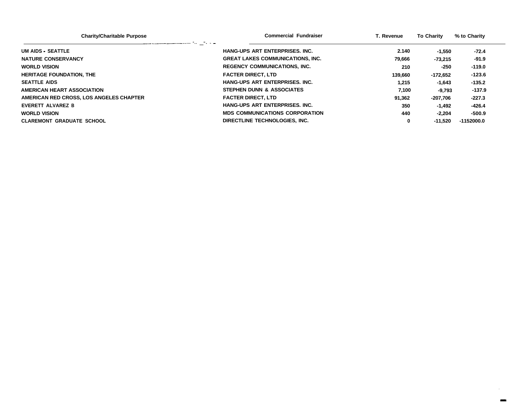| <b>Charity/Charitable Purpose</b>                                                                                                          | <b>Commercial Fundraiser</b>            | T. Revenue | <b>To Charity</b> | % to Charity |  |
|--------------------------------------------------------------------------------------------------------------------------------------------|-----------------------------------------|------------|-------------------|--------------|--|
| and a second complete second the contract of the second second second the contract of the second second second<br><b>UM AIDS - SEATTLE</b> | HANG-UPS ART ENTERPRISES. INC.          | 2.140      | -1.550            | -72.4        |  |
| <b>NATURE CONSERVANCY</b>                                                                                                                  | <b>GREAT LAKES COMMUNICATIONS, INC.</b> | 79,666     | $-73.215$         | $-91.9$      |  |
| <b>WORLD VISION</b>                                                                                                                        | <b>REGENCY COMMUNICATIONS, INC.</b>     | 210        | -250              | $-119.0$     |  |
| <b>HERITAGE FOUNDATION. THE</b>                                                                                                            | <b>FACTER DIRECT. LTD</b>               | 139.660    | -172.652          | $-123.6$     |  |
| <b>SEATTLE AIDS</b>                                                                                                                        | HANG-UPS ART ENTERPRISES. INC.          | 1.215      | $-1,643$          | $-135.2$     |  |
| <b>AMERICAN HEART ASSOCIATION</b>                                                                                                          | STEPHEN DUNN & ASSOCIATES               | 7.100      | $-9.793$          | $-137.9$     |  |
| AMERICAN RED CROSS, LOS ANGELES CHAPTER                                                                                                    | <b>FACTER DIRECT, LTD</b>               | 91.362     | -207.706          | $-227.3$     |  |
| EVERETT ALVAREZ B                                                                                                                          | <b>HANG-UPS ART ENTERPRISES. INC.</b>   | 350        | -1.492            | $-426.4$     |  |
| <b>WORLD VISION</b>                                                                                                                        | <b>MDS COMMUNICATIONS CORPORATION</b>   | 440        | $-2,204$          | $-500.9$     |  |
| <b>CLAREMONT GRADUATE SCHOOL</b>                                                                                                           | DIRECTLINE TECHNOLOGIES. INC.           | 0          | $-11.520$         | $-1152000.0$ |  |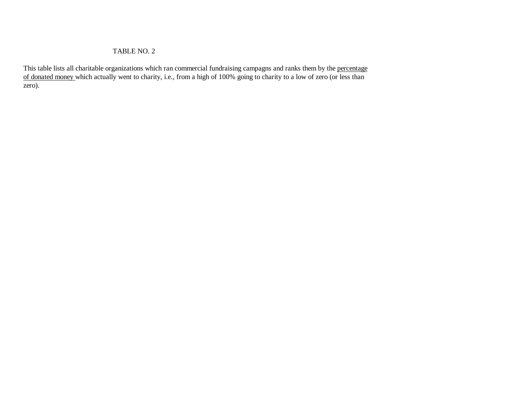### TABLE NO. 2

This table lists all charitable organizations which ran commercial fundraising campagns and ranks them by the percentage of donated money which actually went to charity, i.e., from a high of 100% going to charity to a low of zero (or less than zero).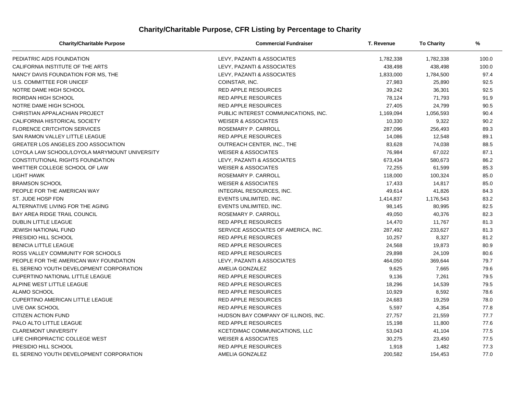# **Charity/Charitable Purpose, CFR Listing by Percentage to Charity**

| <b>Charity/Charitable Purpose</b>             | <b>Commercial Fundraiser</b>         | T. Revenue | <b>To Charity</b> | %     |
|-----------------------------------------------|--------------------------------------|------------|-------------------|-------|
| PEDIATRIC AIDS FOUNDATION                     | LEVY, PAZANTI & ASSOCIATES           | 1,782,338  | 1,782,338         | 100.0 |
| CALIFORNIA INSTITUTE OF THE ARTS              | LEVY, PAZANTI & ASSOCIATES           | 438,498    | 438,498           | 100.0 |
| NANCY DAVIS FOUNDATION FOR MS, THE            | LEVY, PAZANTI & ASSOCIATES           | 1,833,000  | 1,784,500         | 97.4  |
| U.S. COMMITTEE FOR UNICEF                     | COINSTAR, INC.                       | 27,983     | 25,890            | 92.5  |
| NOTRE DAME HIGH SCHOOL                        | <b>RED APPLE RESOURCES</b>           | 39,242     | 36,301            | 92.5  |
| <b>RIORDAN HIGH SCHOOL</b>                    | <b>RED APPLE RESOURCES</b>           | 78,124     | 71,793            | 91.9  |
| NOTRE DAME HIGH SCHOOL                        | <b>RED APPLE RESOURCES</b>           | 27,405     | 24,799            | 90.5  |
| CHRISTIAN APPALACHIAN PROJECT                 | PUBLIC INTEREST COMMUNICATIONS, INC. | 1,169,094  | 1,056,593         | 90.4  |
| CALIFORNIA HISTORICAL SOCIETY                 | <b>WEISER &amp; ASSOCIATES</b>       | 10,330     | 9,322             | 90.2  |
| <b>FLORENCE CRITCHTON SERVICES</b>            | ROSEMARY P. CARROLL                  | 287,096    | 256,493           | 89.3  |
| SAN RAMON VALLEY LITTLE LEAGUE                | <b>RED APPLE RESOURCES</b>           | 14,086     | 12,548            | 89.1  |
| <b>GREATER LOS ANGELES ZOO ASSOCIATION</b>    | OUTREACH CENTER, INC., THE           | 83,628     | 74,038            | 88.5  |
| LOYOLA LAW SCHOOL/LOYOLA MARYMOUNT UNIVERSITY | <b>WEISER &amp; ASSOCIATES</b>       | 76,984     | 67,022            | 87.1  |
| CONSTITUTIONAL RIGHTS FOUNDATION              | LEVY, PAZANTI & ASSOCIATES           | 673,434    | 580,673           | 86.2  |
| WHITTIER COLLEGE SCHOOL OF LAW                | <b>WEISER &amp; ASSOCIATES</b>       | 72,255     | 61,599            | 85.3  |
| LIGHT HAWK                                    | ROSEMARY P. CARROLL                  | 118,000    | 100,324           | 85.0  |
| <b>BRAMSON SCHOOL</b>                         | <b>WEISER &amp; ASSOCIATES</b>       | 17,433     | 14,817            | 85.0  |
| PEOPLE FOR THE AMERICAN WAY                   | INTEGRAL RESOURCES, INC.             | 49,614     | 41,826            | 84.3  |
| ST. JUDE HOSP FDN                             | EVENTS UNLIMITED, INC.               | 1,414,837  | 1,176,543         | 83.2  |
| ALTERNATIVE LIVING FOR THE AGING              | EVENTS UNLIMITED, INC.               | 98,145     | 80,995            | 82.5  |
| BAY AREA RIDGE TRAIL COUNCIL                  | ROSEMARY P. CARROLL                  | 49,050     | 40,376            | 82.3  |
| DUBLIN LITTLE LEAGUE                          | <b>RED APPLE RESOURCES</b>           | 14,470     | 11,767            | 81.3  |
| <b>JEWISH NATIONAL FUND</b>                   | SERVICE ASSOCIATES OF AMERICA, INC.  | 287,492    | 233,627           | 81.3  |
| PRESIDIO HILL SCHOOL                          | <b>RED APPLE RESOURCES</b>           | 10,257     | 8,327             | 81.2  |
| <b>BENICIA LITTLE LEAGUE</b>                  | <b>RED APPLE RESOURCES</b>           | 24,568     | 19,873            | 80.9  |
| ROSS VALLEY COMMUNITY FOR SCHOOLS             | <b>RED APPLE RESOURCES</b>           | 29,898     | 24,109            | 80.6  |
| PEOPLE FOR THE AMERICAN WAY FOUNDATION        | LEVY, PAZANTI & ASSOCIATES           | 464,050    | 369,644           | 79.7  |
| EL SERENO YOUTH DEVELOPMENT CORPORATION       | AMELIA GONZALEZ                      | 9,625      | 7,665             | 79.6  |
| <b>CUPERTINO NATIONAL LITTLE LEAGUE</b>       | <b>RED APPLE RESOURCES</b>           | 9,136      | 7,261             | 79.5  |
| ALPINE WEST LITTLE LEAGUE                     | <b>RED APPLE RESOURCES</b>           | 18,296     | 14,539            | 79.5  |
| ALAMO SCHOOL                                  | <b>RED APPLE RESOURCES</b>           | 10,929     | 8,592             | 78.6  |
| <b>CUPERTINO AMERICAN LITTLE LEAGUE</b>       | <b>RED APPLE RESOURCES</b>           | 24,683     | 19,259            | 78.0  |
| LIVE OAK SCHOOL                               | <b>RED APPLE RESOURCES</b>           | 5,597      | 4,354             | 77.8  |
| <b>CITIZEN ACTION FUND</b>                    | HUDSON BAY COMPANY OF ILLINOIS, INC. | 27,757     | 21,559            | 77.7  |
| PALO ALTO LITTLE LEAGUE                       | <b>RED APPLE RESOURCES</b>           | 15,198     | 11,800            | 77.6  |
| <b>CLAREMONT UNIVERSITY</b>                   | KCET/DIMAC COMMUNICATIONS, LLC       | 53,043     | 41,104            | 77.5  |
| LIFE CHIROPRACTIC COLLEGE WEST                | <b>WEISER &amp; ASSOCIATES</b>       | 30,275     | 23,450            | 77.5  |
| PRESIDIO HILL SCHOOL                          | <b>RED APPLE RESOURCES</b>           | 1,918      | 1,482             | 77.3  |
| EL SERENO YOUTH DEVELOPMENT CORPORATION       | AMELIA GONZALEZ                      | 200,582    | 154,453           | 77.0  |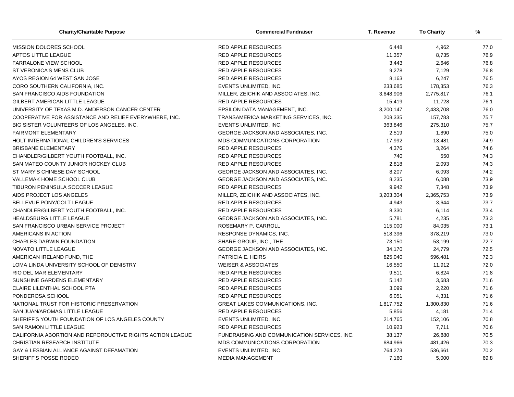| <b>Charity/Charitable Purpose</b>                         | <b>Commercial Fundraiser</b>                 | T. Revenue | <b>To Charity</b> | %    |
|-----------------------------------------------------------|----------------------------------------------|------------|-------------------|------|
| MISSION DOLORES SCHOOL                                    | <b>RED APPLE RESOURCES</b>                   | 6,448      | 4,962             | 77.0 |
| <b>APTOS LITTLE LEAGUE</b>                                | <b>RED APPLE RESOURCES</b>                   | 11,357     | 8,735             | 76.9 |
| <b>FARRALONE VIEW SCHOOL</b>                              | <b>RED APPLE RESOURCES</b>                   | 3,443      | 2,646             | 76.8 |
| ST VERONICA'S MENS CLUB                                   | <b>RED APPLE RESOURCES</b>                   | 9,278      | 7,129             | 76.8 |
| AYOS REGION 64 WEST SAN JOSE                              | RED APPLE RESOURCES                          | 8,163      | 6,247             | 76.5 |
| CORO SOUTHERN CALIFORNIA, INC.                            | EVENTS UNLIMITED, INC.                       | 233,685    | 178,353           | 76.3 |
| SAN FRANCISCO AIDS FOUNDATION                             | MILLER, ZEICHIK AND ASSOCIATES, INC.         | 3,648,906  | 2,775,817         | 76.1 |
| GILBERT AMERICAN LITTLE LEAGUE                            | <b>RED APPLE RESOURCES</b>                   | 15,419     | 11,728            | 76.1 |
| UNIVERSITY OF TEXAS M.D. AMDERSON CANCER CENTER           | EPSILON DATA MANAGEMENT, INC.                | 3,200,147  | 2,433,708         | 76.0 |
| COOPERATIVE FOR ASSISTANCE AND RELIEF EVERYWHERE, INC.    | TRANSAMERICA MARKETING SERVICES, INC.        | 208,335    | 157,783           | 75.7 |
| BIG SISTER VOLUNTEERS OF LOS ANGELES, INC.                | EVENTS UNLIMITED, INC.                       | 363,846    | 275,310           | 75.7 |
| <b>FAIRMONT ELEMENTARY</b>                                | GEORGE JACKSON AND ASSOCIATES, INC.          | 2,519      | 1,890             | 75.0 |
| HOLT INTERNATIONAL CHILDREN'S SERVICES                    | MDS COMMUNICATIONS CORPORATION               | 17,992     | 13,481            | 74.9 |
| <b>BRISBANE ELEMENTARY</b>                                | <b>RED APPLE RESOURCES</b>                   | 4,376      | 3,264             | 74.6 |
| CHANDLER/GILBERT YOUTH FOOTBALL, INC.                     | <b>RED APPLE RESOURCES</b>                   | 740        | 550               | 74.3 |
| SAN MATEO COUNTY JUNIOR HOCKEY CLUB                       | <b>RED APPLE RESOURCES</b>                   | 2,818      | 2,093             | 74.3 |
| ST MARY'S CHINESE DAY SCHOOL                              | GEORGE JACKSON AND ASSOCIATES, INC.          | 8,207      | 6,093             | 74.2 |
| VALLEMAK HOME SCHOOL CLUB                                 | GEORGE JACKSON AND ASSOCIATES, INC.          | 8,235      | 6,088             | 73.9 |
| TIBURON PENINSULA SOCCER LEAGUE                           | <b>RED APPLE RESOURCES</b>                   | 9,942      | 7,348             | 73.9 |
| AIDS PROJECT LOS ANGELES                                  | MILLER, ZEICHIK AND ASSOCIATES, INC.         | 3,203,304  | 2,365,753         | 73.9 |
| BELLEVUE PONY/COLT LEAGUE                                 | <b>RED APPLE RESOURCES</b>                   | 4,943      | 3,644             | 73.7 |
| CHANDLER/GILBERT YOUTH FOOTBALL, INC.                     | <b>RED APPLE RESOURCES</b>                   | 8,330      | 6,114             | 73.4 |
| <b>HEALDSBURG LITTLE LEAGUE</b>                           | GEORGE JACKSON AND ASSOCIATES, INC.          | 5,781      | 4,235             | 73.3 |
| SAN FRANCISCO URBAN SERVICE PROJECT                       | ROSEMARY P. CARROLL                          | 115,000    | 84,035            | 73.1 |
| AMERICANS IN ACTION                                       | RESPONSE DYNAMICS, INC.                      | 518,396    | 378,219           | 73.0 |
| <b>CHARLES DARWIN FOUNDATION</b>                          | SHARE GROUP, INC., THE                       | 73,150     | 53,199            | 72.7 |
| <b>NOVATO LITTLE LEAGUE</b>                               | <b>GEORGE JACKSON AND ASSOCIATES. INC.</b>   | 34,170     | 24.779            | 72.5 |
| AMERICAN IRELAND FUND, THE                                | PATRICIA E. HEIRS                            | 825,040    | 596,481           | 72.3 |
| LOMA LINDA UNIVERSITY SCHOOL OF DENISTRY                  | <b>WEISER &amp; ASSOCIATES</b>               | 16,550     | 11,912            | 72.0 |
| RIO DEL MAR ELEMENTARY                                    | <b>RED APPLE RESOURCES</b>                   | 9,511      | 6,824             | 71.8 |
| SUNSHINE GARDENS ELEMENTARY                               | <b>RED APPLE RESOURCES</b>                   | 5,142      | 3,683             | 71.6 |
| CLAIRE LILENTHAL SCHOOL PTA                               | RED APPLE RESOURCES                          | 3,099      | 2,220             | 71.6 |
| PONDEROSA SCHOOL                                          | <b>RED APPLE RESOURCES</b>                   | 6,051      | 4,331             | 71.6 |
| NATIONAL TRUST FOR HISTORIC PRESERVATION                  | <b>GREAT LAKES COMMUNICATIONS, INC.</b>      | 1,817,752  | 1,300,830         | 71.6 |
| SAN JUAN/AROMAS LITTLE LEAGUE                             | <b>RED APPLE RESOURCES</b>                   | 5,856      | 4,181             | 71.4 |
| SHERIFF'S YOUTH FOUNDATION OF LOS ANGELES COUNTY          | EVENTS UNLIMITED, INC.                       | 214,765    | 152,106           | 70.8 |
| <b>SAN RAMON LITTLE LEAGUE</b>                            | <b>RED APPLE RESOURCES</b>                   | 10,923     | 7,711             | 70.6 |
| CALIFORNIA ABORTION AND REPORDUCTIVE RIGHTS ACTION LEAGUE | FUNDRAISING AND COMMUNICATION SERVICES, INC. | 38,137     | 26,880            | 70.5 |
| CHRISTIAN RESEARCH INSTITUTE                              | MDS COMMUNICATIONS CORPORATION               | 684,966    | 481,426           | 70.3 |
| GAY & LESBIAN ALLIANCE AGAINST DEFAMATION                 | EVENTS UNLIMITED, INC.                       | 764,273    | 536,661           | 70.2 |
| SHERIFF'S POSSE RODEO                                     | <b>MEDIA MANAGEMENT</b>                      | 7,160      | 5,000             | 69.8 |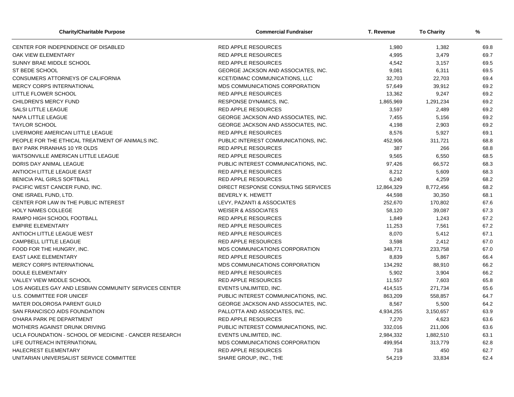| <b>Charity/Charitable Purpose</b>                      | <b>Commercial Fundraiser</b>         | T. Revenue | <b>To Charity</b> | %    |
|--------------------------------------------------------|--------------------------------------|------------|-------------------|------|
| CENTER FOR INDEPENDENCE OF DISABLED                    | <b>RED APPLE RESOURCES</b>           | 1,980      | 1,382             | 69.8 |
| OAK VIEW ELEMENTARY                                    | <b>RED APPLE RESOURCES</b>           | 4,995      | 3,479             | 69.7 |
| SUNNY BRAE MIDDLE SCHOOL                               | <b>RED APPLE RESOURCES</b>           | 4,542      | 3,157             | 69.5 |
| ST BEDE SCHOOL                                         | GEORGE JACKSON AND ASSOCIATES, INC.  | 9,081      | 6,311             | 69.5 |
| CONSUMERS ATTORNEYS OF CALIFORNIA                      | KCET/DIMAC COMMUNICATIONS, LLC       | 32,703     | 22,703            | 69.4 |
| <b>MERCY CORPS INTERNATIONAL</b>                       | MDS COMMUNICATIONS CORPORATION       | 57,649     | 39,912            | 69.2 |
| LITTLE FLOWER SCHOOL                                   | <b>RED APPLE RESOURCES</b>           | 13,362     | 9,247             | 69.2 |
| <b>CHILDREN'S MERCY FUND</b>                           | RESPONSE DYNAMICS, INC.              | 1,865,969  | 1,291,234         | 69.2 |
| <b>SALSI LITTLE LEAGUE</b>                             | <b>RED APPLE RESOURCES</b>           | 3,597      | 2,489             | 69.2 |
| NAPA LITTLE LEAGUE                                     | GEORGE JACKSON AND ASSOCIATES, INC.  | 7,455      | 5,156             | 69.2 |
| <b>TAYLOR SCHOOL</b>                                   | GEORGE JACKSON AND ASSOCIATES, INC.  | 4,198      | 2,903             | 69.2 |
| LIVERMORE AMERICAN LITTLE LEAGUE                       | <b>RED APPLE RESOURCES</b>           | 8,576      | 5,927             | 69.1 |
| PEOPLE FOR THE ETHICAL TREATMENT OF ANIMALS INC.       | PUBLIC INTEREST COMMUNICATIONS, INC. | 452,906    | 311,721           | 68.8 |
| BAY PARK PIRANHAS 10 YR OLDS                           | <b>RED APPLE RESOURCES</b>           | 387        | 266               | 68.8 |
| WATSONVILLE AMERICAN LITTLE LEAGUE                     | <b>RED APPLE RESOURCES</b>           | 9,565      | 6,550             | 68.5 |
| DORIS DAY ANIMAL LEAGUE                                | PUBLIC INTEREST COMMUNICATIONS. INC. | 97,426     | 66,572            | 68.3 |
| ANTIOCH LITTLE LEAGUE EAST                             | <b>RED APPLE RESOURCES</b>           | 8,212      | 5,609             | 68.3 |
| BENICIA PAL GIRLS SOFTBALL                             | <b>RED APPLE RESOURCES</b>           | 6,240      | 4,259             | 68.2 |
| PACIFIC WEST CANCER FUND, INC.                         | DIRECT RESPONSE CONSULTING SERVICES  | 12,864,329 | 8,772,456         | 68.2 |
| ONE ISRAEL FUND, LTD.                                  | <b>BEVERLY K. HEWETT</b>             | 44,598     | 30,350            | 68.1 |
| CENTER FOR LAW IN THE PUBLIC INTEREST                  | LEVY, PAZANTI & ASSOCIATES           | 252,670    | 170,802           | 67.6 |
| <b>HOLY NAMES COLLEGE</b>                              | <b>WEISER &amp; ASSOCIATES</b>       | 58,120     | 39,087            | 67.3 |
| RAMPO HIGH SCHOOL FOOTBALL                             | <b>RED APPLE RESOURCES</b>           | 1,849      | 1,243             | 67.2 |
| <b>EMPIRE ELEMENTARY</b>                               | <b>RED APPLE RESOURCES</b>           | 11,253     | 7,561             | 67.2 |
| ANTIOCH LITTLE LEAGUE WEST                             | <b>RED APPLE RESOURCES</b>           | 8,070      | 5,412             | 67.1 |
| CAMPBELL LITTLE LEAGUE                                 | <b>RED APPLE RESOURCES</b>           | 3,598      | 2,412             | 67.0 |
| FOOD FOR THE HUNGRY, INC.                              | MDS COMMUNICATIONS CORPORATION       | 348,771    | 233,758           | 67.0 |
| <b>EAST LAKE ELEMENTARY</b>                            | <b>RED APPLE RESOURCES</b>           | 8,839      | 5,867             | 66.4 |
| MERCY CORPS INTERNATIONAL                              | MDS COMMUNICATIONS CORPORATION       | 134,292    | 88,910            | 66.2 |
| <b>DOULE ELEMENTARY</b>                                | <b>RED APPLE RESOURCES</b>           | 5,902      | 3,904             | 66.2 |
| VALLEY VIEW MIDDLE SCHOOL                              | <b>RED APPLE RESOURCES</b>           | 11,557     | 7,603             | 65.8 |
| LOS ANGELES GAY AND LESBIAN COMMUNITY SERVICES CENTER  | EVENTS UNLIMITED, INC.               | 414,515    | 271,734           | 65.6 |
| <b>U.S. COMMITTEE FOR UNICEF</b>                       | PUBLIC INTEREST COMMUNICATIONS, INC. | 863,209    | 558,857           | 64.7 |
| MATER DOLOROSA PARENT GUILD                            | GEORGE JACKSON AND ASSOCIATES, INC.  | 8,567      | 5,500             | 64.2 |
| SAN FRANCISCO AIDS FOUNDATION                          | PALLOTTA AND ASSOCIATES, INC.        | 4,934,255  | 3,150,657         | 63.9 |
| O'HARA PARK PE DEPARTMENT                              | <b>RED APPLE RESOURCES</b>           | 7,270      | 4,623             | 63.6 |
| MOTHERS AGAINST DRUNK DRIVING                          | PUBLIC INTEREST COMMUNICATIONS, INC. | 332,016    | 211,006           | 63.6 |
| UCLA FOUNDATION - SCHOOL OF MEDICINE - CANCER RESEARCH | EVENTS UNLIMITED, INC.               | 2,984,332  | 1,882,510         | 63.1 |
| LIFE OUTREACH INTERNATIONAL                            | MDS COMMUNICATIONS CORPORATION       | 499,954    | 313,779           | 62.8 |
| HALECREST ELEMENTARY                                   | <b>RED APPLE RESOURCES</b>           | 718        | 450               | 62.7 |
| UNITARIAN UNIVERSALIST SERVICE COMMITTEE               | SHARE GROUP, INC., THE               | 54,219     | 33,834            | 62.4 |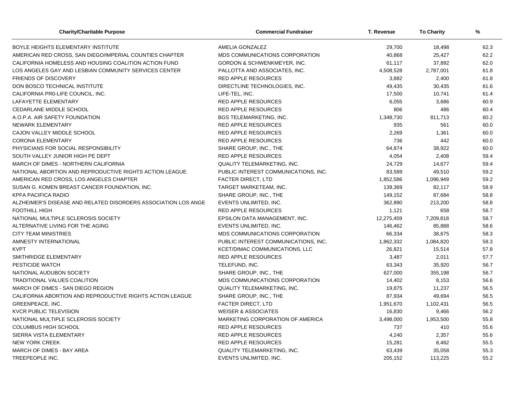| <b>Charity/Charitable Purpose</b>                              | <b>Commercial Fundraiser</b>           | T. Revenue | <b>To Charity</b> | %    |
|----------------------------------------------------------------|----------------------------------------|------------|-------------------|------|
| BOYLE HEIGHTS ELEMENTARY INSTITUTE                             | AMELIA GONZALEZ                        | 29,700     | 18,498            | 62.3 |
| AMERICAN RED CROSS, SAN DIEGO/IMPERIAL COUNTIES CHAPTER        | MDS COMMUNICATIONS CORPORATION         | 40,868     | 25,427            | 62.2 |
| CALIFORNIA HOMELESS AND HOUSING COALITION ACTION FUND          | <b>GORDON &amp; SCHWENKMEYER, INC.</b> | 61,117     | 37,892            | 62.0 |
| LOS ANGELES GAY AND LESBIAN COMMUNITY SERVICES CENTER          | PALLOTTA AND ASSOCIATES, INC.          | 4,508,528  | 2,787,001         | 61.8 |
| <b>FRIENDS OF DISCOVERY</b>                                    | <b>RED APPLE RESOURCES</b>             | 3,882      | 2,400             | 61.8 |
| DON BOSCO TECHNICAL INSTITUTE                                  | DIRECTLINE TECHNOLOGIES, INC.          | 49,435     | 30,435            | 61.6 |
| CALIFORNIA PRO-LIFE COUNCIL, INC.                              | LIFE-TEL, INC.                         | 17,500     | 10,741            | 61.4 |
| LAFAYETTE ELEMENTARY                                           | RED APPLE RESOURCES                    | 6,055      | 3,686             | 60.9 |
| <b>CEDARLANE MIDDLE SCHOOL</b>                                 | <b>RED APPLE RESOURCES</b>             | 806        | 486               | 60.4 |
| A.O.P.A. AIR SAFETY FOUNDATION                                 | <b>BGS TELEMARKETING, INC.</b>         | 1,348,730  | 811,713           | 60.2 |
| NEWARK ELEMENTARY                                              | <b>RED APPLE RESOURCES</b>             | 935        | 561               | 60.0 |
| CAJON VALLEY MIDDLE SCHOOL                                     | <b>RED APPLE RESOURCES</b>             | 2,269      | 1,361             | 60.0 |
| <b>CORONA ELEMENTARY</b>                                       | <b>RED APPLE RESOURCES</b>             | 736        | 442               | 60.0 |
| PHYSICIANS FOR SOCIAL RESPONSIBILITY                           | SHARE GROUP, INC., THE                 | 64,874     | 38,922            | 60.0 |
| SOUTH VALLEY JUNIOR HIGH PE DEPT                               | <b>RED APPLE RESOURCES</b>             | 4,054      | 2,408             | 59.4 |
| MARCH OF DIMES - NORTHERN CALIFORNIA                           | <b>QUALITY TELEMARKETING, INC.</b>     | 24,729     | 14,677            | 59.4 |
| NATIONAL ABORTION AND REPRODUCTIVE RIGHTS ACTION LEAGUE        | PUBLIC INTEREST COMMUNICATIONS, INC.   | 83,589     | 49,510            | 59.2 |
| AMERICAN RED CROSS, LOS ANGELES CHAPTER                        | <b>FACTER DIRECT, LTD</b>              | 1,852,586  | 1,096,949         | 59.2 |
| SUSAN G. KOMEN BREAST CANCER FOUNDATION, INC.                  | TARGET MARKETEAM, INC.                 | 139,369    | 82,117            | 58.9 |
| <b>KPFA PACIFICA RADIO</b>                                     | SHARE GROUP, INC., THE                 | 149,152    | 87,684            | 58.8 |
| ALZHEIMER'S DISEASE AND RELATED DISORDERS ASSOCIATION LOS ANGE | EVENTS UNLIMITED, INC.                 | 362,890    | 213,200           | 58.8 |
| <b>FOOTHILL HIGH</b>                                           | <b>RED APPLE RESOURCES</b>             | 1,121      | 658               | 58.7 |
| NATIONAL MULTIPLE SCLEROSIS SOCIETY                            | EPSILON DATA MANAGEMENT, INC.          | 12,275,459 | 7,209,818         | 58.7 |
| ALTERNATIVE LIVING FOR THE AGING                               | EVENTS UNLIMITED, INC.                 | 146,462    | 85,888            | 58.6 |
| <b>CITY TEAM MINISTRIES</b>                                    | MDS COMMUNICATIONS CORPORATION         | 66,334     | 38,675            | 58.3 |
| AMNESTY INTERNATIONAL                                          | PUBLIC INTEREST COMMUNICATIONS, INC.   | 1,862,332  | 1,084,820         | 58.3 |
| <b>KVPT</b>                                                    | <b>KCET/DIMAC COMMUNICATIONS, LLC</b>  | 26,821     | 15,514            | 57.8 |
| SMITHRIDGE ELEMENTARY                                          | <b>RED APPLE RESOURCES</b>             | 3,487      | 2,011             | 57.7 |
| PESTICIDE WATCH                                                | TELEFUND, INC.                         | 63,343     | 35,920            | 56.7 |
| NATIONAL AUDUBON SOCIETY                                       | SHARE GROUP, INC., THE                 | 627,000    | 355,198           | 56.7 |
| TRADITIONAL VALUES COALITION                                   | MDS COMMUNICATIONS CORPORATION         | 14,402     | 8,153             | 56.6 |
| MARCH OF DIMES - SAN DIEGO REGION                              | <b>QUALITY TELEMARKETING, INC.</b>     | 19,875     | 11,237            | 56.5 |
| CALIFORNIA ABORTION AND REPRODUCTIVE RIGHTS ACTION LEAGUE      | SHARE GROUP, INC., THE                 | 87,934     | 49,694            | 56.5 |
| GREENPEACE, INC.                                               | FACTER DIRECT, LTD                     | 1,951,670  | 1,102,431         | 56.5 |
| <b>KVCR PUBLIC TELEVISION</b>                                  | <b>WEISER &amp; ASSOCIATES</b>         | 16,830     | 9,466             | 56.2 |
| NATIONAL MULTIPLE SCLEROSIS SOCIETY                            | MARKETING CORPORATION OF AMERICA       | 3,498,000  | 1,953,500         | 55.8 |
| <b>COLUMBUS HIGH SCHOOL</b>                                    | <b>RED APPLE RESOURCES</b>             | 737        | 410               | 55.6 |
| SIERRA VISTA ELEMENTARY                                        | <b>RED APPLE RESOURCES</b>             | 4,240      | 2,357             | 55.6 |
| <b>NEW YORK CREEK</b>                                          | <b>RED APPLE RESOURCES</b>             | 15,281     | 8,482             | 55.5 |
| MARCH OF DIMES - BAY AREA                                      | QUALITY TELEMARKETING, INC.            | 63,439     | 35,058            | 55.3 |
| TREEPEOPLE INC.                                                | EVENTS UNLIMITED, INC.                 | 205,152    | 113,225           | 55.2 |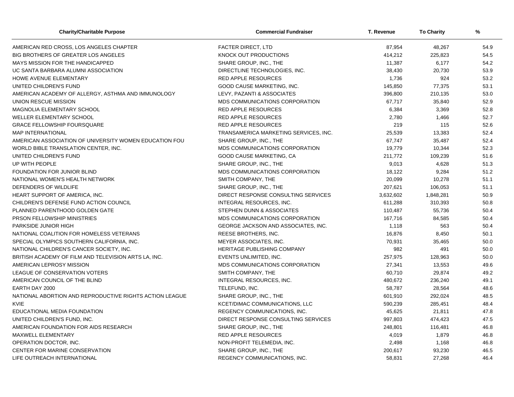| <b>Charity/Charitable Purpose</b>                       | <b>Commercial Fundraiser</b>          | T. Revenue | <b>To Charity</b> | %    |
|---------------------------------------------------------|---------------------------------------|------------|-------------------|------|
| AMERICAN RED CROSS, LOS ANGELES CHAPTER                 | <b>FACTER DIRECT, LTD</b>             | 87,954     | 48,267            | 54.9 |
| BIG BROTHERS OF GREATER LOS ANGELES                     | KNOCK OUT PRODUCTIONS                 | 414,212    | 225,823           | 54.5 |
| MAYS MISSION FOR THE HANDICAPPED                        | SHARE GROUP, INC., THE                | 11,387     | 6,177             | 54.2 |
| UC SANTA BARBARA ALUMNI ASSOCIATION                     | DIRECTLINE TECHNOLOGIES, INC.         | 38,430     | 20,730            | 53.9 |
| <b>HOWE AVENUE ELEMENTARY</b>                           | <b>RED APPLE RESOURCES</b>            | 1,736      | 924               | 53.2 |
| UNITED CHILDREN'S FUND                                  | GOOD CAUSE MARKETING, INC.            | 145,850    | 77,375            | 53.1 |
| AMERICAN ACADEMY OF ALLERGY, ASTHMA AND IMMUNOLOGY      | LEVY, PAZANTI & ASSOCIATES            | 396,800    | 210,135           | 53.0 |
| UNION RESCUE MISSION                                    | MDS COMMUNICATIONS CORPORATION        | 67,717     | 35,840            | 52.9 |
| MAGNOLIA ELEMENTARY SCHOOL                              | <b>RED APPLE RESOURCES</b>            | 6,384      | 3,369             | 52.8 |
| WELLER ELEMENTARY SCHOOL                                | RED APPLE RESOURCES                   | 2,780      | 1,466             | 52.7 |
| <b>GRACE FELLOWSHIP FOURSQUARE</b>                      | <b>RED APPLE RESOURCES</b>            | 219        | 115               | 52.6 |
| <b>MAP INTERNATIONAL</b>                                | TRANSAMERICA MARKETING SERVICES, INC. | 25,539     | 13,383            | 52.4 |
| AMERICAN ASSOCIATION OF UNIVERSITY WOMEN EDUCATION FOU  | SHARE GROUP, INC., THE                | 67,747     | 35,487            | 52.4 |
| WORLD BIBLE TRANSLATION CENTER, INC.                    | MDS COMMUNICATIONS CORPORATION        | 19,779     | 10,344            | 52.3 |
| UNITED CHILDREN'S FUND                                  | GOOD CAUSE MARKETING, CA              | 211,772    | 109,239           | 51.6 |
| UP WITH PEOPLE                                          | SHARE GROUP, INC., THE                | 9,013      | 4,628             | 51.3 |
| FOUNDATION FOR JUNIOR BLIND                             | MDS COMMUNICATIONS CORPORATION        | 18,122     | 9,284             | 51.2 |
| NATIONAL WOMEN'S HEALTH NETWORK                         | SMITH COMPANY, THE                    | 20,099     | 10,278            | 51.1 |
| DEFENDERS OF WILDLIFE                                   | SHARE GROUP, INC., THE                | 207,621    | 106,053           | 51.1 |
| HEART SUPPORT OF AMERICA, INC.                          | DIRECT RESPONSE CONSULTING SERVICES   | 3,632,602  | 1,848,281         | 50.9 |
| CHILDREN'S DEFENSE FUND ACTION COUNCIL                  | INTEGRAL RESOURCES, INC.              | 611,288    | 310,393           | 50.8 |
| PLANNED PARENTHOOD GOLDEN GATE                          | STEPHEN DUNN & ASSOCIATES             | 110,487    | 55,736            | 50.4 |
| PRSON FELLOWSHIP MINISTRIES                             | MDS COMMUNICATIONS CORPORATION        | 167,716    | 84,585            | 50.4 |
| PARKSIDE JUNIOR HIGH                                    | GEORGE JACKSON AND ASSOCIATES, INC.   | 1,118      | 563               | 50.4 |
| NATIONAL COALITION FOR HOMELESS VETERANS                | REESE BROTHERS, INC.                  | 16,876     | 8,450             | 50.1 |
| SPECIAL OLYMPICS SOUTHERN CALIFORNIA, INC.              | MEYER ASSOCIATES, INC.                | 70,931     | 35,465            | 50.0 |
| NATIONAL CHILDREN'S CANCER SOCIETY, INC.                | <b>HERITAGE PUBLISHING COMPANY</b>    | 982        | 491               | 50.0 |
| BRITISH ACADEMY OF FILM AND TELEVISION ARTS LA, INC.    | EVENTS UNLIMITED, INC.                | 257,975    | 128,963           | 50.0 |
| AMERICAN LEPROSY MISSION                                | MDS COMMUNICATIONS CORPORATION        | 27,341     | 13,553            | 49.6 |
| LEAGUE OF CONSERVATION VOTERS                           | SMITH COMPANY, THE                    | 60,710     | 29,874            | 49.2 |
| AMERICAN COUNCIL OF THE BLIND                           | INTEGRAL RESOURCES, INC.              | 480,672    | 236,240           | 49.1 |
| EARTH DAY 2000                                          | TELEFUND, INC.                        | 58,787     | 28,564            | 48.6 |
| NATIONAL ABORTION AND REPRODUCTIVE RIGHTS ACTION LEAGUE | SHARE GROUP, INC., THE                | 601,910    | 292,024           | 48.5 |
| <b>KVIE</b>                                             | KCET/DIMAC COMMUNICATIONS, LLC        | 590,239    | 285,451           | 48.4 |
| EDUCATIONAL MEDIA FOUNDATION                            | <b>REGENCY COMMUNICATIONS, INC.</b>   | 45,625     | 21,811            | 47.8 |
| UNITED CHILDREN'S FUND, INC.                            | DIRECT RESPONSE CONSULTING SERVICES   | 997,803    | 474,423           | 47.5 |
| AMERICAN FOUNDATION FOR AIDS RESEARCH                   | SHARE GROUP, INC., THE                | 248,801    | 116,481           | 46.8 |
| MAXWELL ELEMENTARY                                      | <b>RED APPLE RESOURCES</b>            | 4,019      | 1,879             | 46.8 |
| OPERATION DOCTOR, INC.                                  | NON-PROFIT TELEMEDIA, INC.            | 2,498      | 1,168             | 46.8 |
| CENTER FOR MARINE CONSERVATION                          | SHARE GROUP, INC., THE                | 200,617    | 93,230            | 46.5 |
| LIFE OUTREACH INTERNATIONAL                             | REGENCY COMMUNICATIONS, INC.          | 58,831     | 27,268            | 46.4 |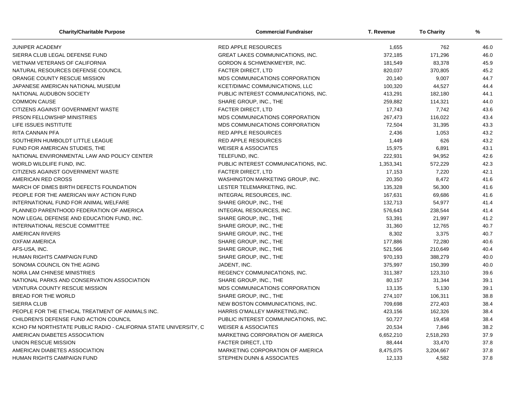| <b>Charity/Charitable Purpose</b>                                | <b>Commercial Fundraiser</b>           | T. Revenue | <b>To Charity</b> | %    |
|------------------------------------------------------------------|----------------------------------------|------------|-------------------|------|
| JUNIPER ACADEMY                                                  | <b>RED APPLE RESOURCES</b>             | 1,655      | 762               | 46.0 |
| SIERRA CLUB LEGAL DEFENSE FUND                                   | GREAT LAKES COMMUNICATIONS, INC.       | 372,185    | 171,296           | 46.0 |
| <b>VIETNAM VETERANS OF CALIFORNIA</b>                            | <b>GORDON &amp; SCHWENKMEYER, INC.</b> | 181,549    | 83,378            | 45.9 |
| NATURAL RESOURCES DEFENSE COUNCIL                                | FACTER DIRECT, LTD                     | 820,037    | 370,805           | 45.2 |
| ORANGE COUNTY RESCUE MISSION                                     | MDS COMMUNICATIONS CORPORATION         | 20,140     | 9,007             | 44.7 |
| JAPANESE AMERICAN NATIONAL MUSEUM                                | KCET/DIMAC COMMUNICATIONS, LLC         | 100,320    | 44,527            | 44.4 |
| NATIONAL AUDUBON SOCIETY                                         | PUBLIC INTEREST COMMUNICATIONS, INC.   | 413,291    | 182,180           | 44.1 |
| <b>COMMON CAUSE</b>                                              | SHARE GROUP, INC., THE                 | 259,882    | 114,321           | 44.0 |
| CITIZENS AGAINST GOVERNMENT WASTE                                | <b>FACTER DIRECT, LTD</b>              | 17,743     | 7,742             | 43.6 |
| PRSON FELLOWSHIP MINISTRIES                                      | MDS COMMUNICATIONS CORPORATION         | 267,473    | 116,022           | 43.4 |
| LIFE ISSUES INSTITUTE                                            | MDS COMMUNICATIONS CORPORATION         | 72,504     | 31,395            | 43.3 |
| RITA CANNAN PFA                                                  | <b>RED APPLE RESOURCES</b>             | 2,436      | 1,053             | 43.2 |
| SOUTHERN HUMBOLDT LITTLE LEAGUE                                  | <b>RED APPLE RESOURCES</b>             | 1,449      | 626               | 43.2 |
| FUND FOR AMERICAN STUDIES, THE                                   | <b>WEISER &amp; ASSOCIATES</b>         | 15,975     | 6,891             | 43.1 |
| NATIONAL ENVIRONMENTAL LAW AND POLICY CENTER                     | TELEFUND, INC.                         | 222,931    | 94,952            | 42.6 |
| WORLD WILDLIFE FUND, INC.                                        | PUBLIC INTEREST COMMUNICATIONS, INC.   | 1,353,341  | 572,229           | 42.3 |
| CITIZENS AGAINST GOVERNMENT WASTE                                | FACTER DIRECT, LTD                     | 17,153     | 7,220             | 42.1 |
| AMERICAN RED CROSS                                               | WASHINGTON MARKETING GROUP, INC.       | 20,350     | 8,472             | 41.6 |
| MARCH OF DIMES BIRTH DEFECTS FOUNDATION                          | LESTER TELEMARKETING, INC.             | 135,328    | 56,300            | 41.6 |
| PEOPLE FOR THE AMERICAN WAY ACTION FUND                          | INTEGRAL RESOURCES, INC.               | 167,631    | 69,686            | 41.6 |
| INTERNATIONAL FUND FOR ANIMAL WELFARE                            | SHARE GROUP, INC., THE                 | 132,713    | 54,977            | 41.4 |
| PLANNED PARENTHOOD FEDERATION OF AMERICA                         | INTEGRAL RESOURCES, INC.               | 576,643    | 238,544           | 41.4 |
| NOW LEGAL DEFENSE AND EDUCATION FUND. INC.                       | SHARE GROUP, INC., THE                 | 53,391     | 21,997            | 41.2 |
| INTERNATIONAL RESCUE COMMITTEE                                   | SHARE GROUP, INC., THE                 | 31,360     | 12,765            | 40.7 |
| <b>AMERICAN RIVERS</b>                                           | SHARE GROUP, INC., THE                 | 8,302      | 3,375             | 40.7 |
| <b>OXFAM AMERICA</b>                                             | SHARE GROUP, INC., THE                 | 177,886    | 72,280            | 40.6 |
| AFS-USA, INC.                                                    | SHARE GROUP, INC., THE                 | 521,566    | 210,649           | 40.4 |
| HUMAN RIGHTS CAMPAIGN FUND                                       | SHARE GROUP, INC., THE                 | 970,193    | 388,279           | 40.0 |
| SONOMA COUNCIL ON THE AGING                                      | JADENT, INC.                           | 375,997    | 150,399           | 40.0 |
| NORA LAM CHINESE MINISTRIES                                      | REGENCY COMMUNICATIONS, INC.           | 311,387    | 123,310           | 39.6 |
| NATIONAL PARKS AND CONSERVATION ASSOCIATION                      | SHARE GROUP, INC., THE                 | 80,157     | 31,344            | 39.1 |
| <b>VENTURA COUNTY RESCUE MISSION</b>                             | MDS COMMUNICATIONS CORPORATION         | 13,135     | 5,130             | 39.1 |
| BREAD FOR THE WORLD                                              | SHARE GROUP, INC., THE                 | 274,107    | 106,311           | 38.8 |
| <b>SIERRA CLUB</b>                                               | NEW BOSTON COMMUNICATIONS, INC.        | 709,698    | 272,403           | 38.4 |
| PEOPLE FOR THE ETHICAL TREATMENT OF ANIMALS INC.                 | HARRIS O'MALLEY MARKETING, INC.        | 423,156    | 162,326           | 38.4 |
| CHILDREN'S DEFENSE FUND ACTION COUNCIL                           | PUBLIC INTEREST COMMUNICATIONS, INC.   | 50,727     | 19,458            | 38.4 |
| KCHO FM NORTHSTATE PUBLIC RADIO - CALIFORNIA STATE UNIVERSITY, C | <b>WEISER &amp; ASSOCIATES</b>         | 20,534     | 7,846             | 38.2 |
| AMERICAN DIABETES ASSOCIATION                                    | MARKETING CORPORATION OF AMERICA       | 6,652,210  | 2,518,293         | 37.9 |
| UNION RESCUE MISSION                                             | <b>FACTER DIRECT, LTD</b>              | 88,444     | 33,470            | 37.8 |
| AMERICAN DIABETES ASSOCIATION                                    | MARKETING CORPORATION OF AMERICA       | 8,475,075  | 3,204,667         | 37.8 |
| <b>HUMAN RIGHTS CAMPAIGN FUND</b>                                | STEPHEN DUNN & ASSOCIATES              | 12,133     | 4,582             | 37.8 |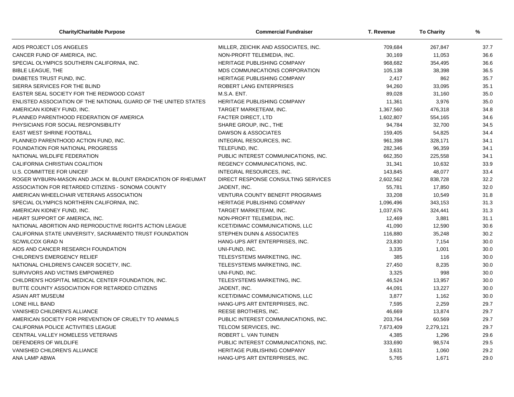| <b>Charity/Charitable Purpose</b>                               | <b>Commercial Fundraiser</b>           | T. Revenue | <b>To Charity</b> | %    |
|-----------------------------------------------------------------|----------------------------------------|------------|-------------------|------|
| AIDS PROJECT LOS ANGELES                                        | MILLER, ZEICHIK AND ASSOCIATES, INC.   | 709,684    | 267,847           | 37.7 |
| CANCER FUND OF AMERICA, INC.                                    | NON-PROFIT TELEMEDIA, INC.             | 30,169     | 11,053            | 36.6 |
| SPECIAL OLYMPICS SOUTHERN CALIFORNIA, INC.                      | HERITAGE PUBLISHING COMPANY            | 968,682    | 354,495           | 36.6 |
| <b>BIBLE LEAGUE, THE</b>                                        | MDS COMMUNICATIONS CORPORATION         | 105,138    | 38,398            | 36.5 |
| DIABETES TRUST FUND, INC.                                       | <b>HERITAGE PUBLISHING COMPANY</b>     | 2,417      | 862               | 35.7 |
| SIERRA SERVICES FOR THE BLIND                                   | ROBERT LANG ENTERPRISES                | 94,260     | 33,095            | 35.1 |
| EASTER SEAL SOCIETY FOR THE REDWOOD COAST                       | M.S.A. ENT.                            | 89,028     | 31,160            | 35.0 |
| ENLISTED ASSOCIATION OF THE NATIONAL GUARD OF THE UNITED STATES | HERITAGE PUBLISHING COMPANY            | 11,361     | 3,976             | 35.0 |
| AMERICAN KIDNEY FUND, INC.                                      | TARGET MARKETEAM, INC.                 | 1,367,560  | 476,318           | 34.8 |
| PLANNED PARENTHOOD FEDERATION OF AMERICA                        | <b>FACTER DIRECT, LTD</b>              | 1,602,807  | 554,165           | 34.6 |
| PHYSICIANS FOR SOCIAL RESPONSIBILITY                            | SHARE GROUP, INC., THE                 | 94,784     | 32,700            | 34.5 |
| <b>EAST WEST SHRINE FOOTBALL</b>                                | DAWSON & ASSOCIATES                    | 159,405    | 54,825            | 34.4 |
| PLANNED PARENTHOOD ACTION FUND, INC.                            | INTEGRAL RESOURCES, INC.               | 961,398    | 328,171           | 34.1 |
| FOUNDATION FOR NATIONAL PROGRESS                                | TELEFUND, INC.                         | 282,346    | 96,359            | 34.1 |
| NATIONAL WILDLIFE FEDERATION                                    | PUBLIC INTEREST COMMUNICATIONS, INC.   | 662,350    | 225,558           | 34.1 |
| CALIFORNIA CHRISTIAN COALITION                                  | REGENCY COMMUNICATIONS, INC.           | 31,341     | 10,632            | 33.9 |
| U.S. COMMITTEE FOR UNICEF                                       | INTEGRAL RESOURCES, INC.               | 143,845    | 48,077            | 33.4 |
| ROGER WYBURN-MASON AND JACK M. BLOUNT ERADICATION OF RHEUMAT    | DIRECT RESPONSE CONSULTING SERVICES    | 2,602,562  | 838,728           | 32.2 |
| ASSOCIATION FOR RETARDED CITIZENS - SONOMA COUNTY               | JADENT, INC.                           | 55,781     | 17,850            | 32.0 |
| AMERICAN WHEELCHAIR VETERANS ASSOCIATION                        | <b>VENTURA COUNTY BENEFIT PROGRAMS</b> | 33,208     | 10,549            | 31.8 |
| SPECIAL OLYMPICS NORTHERN CALIFORNIA, INC.                      | HERITAGE PUBLISHING COMPANY            | 1,096,496  | 343,153           | 31.3 |
| AMERICAN KIDNEY FUND, INC.                                      | TARGET MARKETEAM, INC.                 | 1,037,676  | 324,441           | 31.3 |
| HEART SUPPORT OF AMERICA, INC.                                  | NON-PROFIT TELEMEDIA, INC.             | 12,469     | 3,881             | 31.1 |
| NATIONAL ABORTION AND REPRODUCTIVE RIGHTS ACTION LEAGUE         | KCET/DIMAC COMMUNICATIONS, LLC         | 41,090     | 12,590            | 30.6 |
| CALIFORNIA STATE UNIVERSITY, SACRAMENTO TRUST FOUNDATION        | STEPHEN DUNN & ASSOCIATES              | 116,880    | 35,248            | 30.2 |
| <b>SC/WILCOX GRAD N</b>                                         | HANG-UPS ART ENTERPRISES, INC.         | 23,830     | 7,154             | 30.0 |
| AIDS AND CANCER RESEARCH FOUNDATION                             | UNI-FUND, INC.                         | 3,335      | 1,001             | 30.0 |
| CHILDREN'S EMERGENCY RELIEF                                     | TELESYSTEMS MARKETING, INC.            | 385        | 116               | 30.0 |
| NATIONAL CHILDREN'S CANCER SOCIETY, INC.                        | TELESYSTEMS MARKETING, INC.            | 27,450     | 8,235             | 30.0 |
| SURVIVORS AND VICTIMS EMPOWERED                                 | UNI-FUND. INC.                         | 3,325      | 998               | 30.0 |
| CHILDREN'S HOSPITAL MEDICAL CENTER FOUNDATION, INC.             | TELESYSTEMS MARKETING, INC.            | 46,524     | 13,957            | 30.0 |
| BUTTE COUNTY ASSOCIATION FOR RETARDED CITIZENS                  | JADENT, INC.                           | 44,091     | 13,227            | 30.0 |
| <b>ASIAN ART MUSEUM</b>                                         | KCET/DIMAC COMMUNICATIONS, LLC         | 3,877      | 1,162             | 30.0 |
| LONE HILL BAND                                                  | HANG-UPS ART ENTERPRISES, INC.         | 7,595      | 2,259             | 29.7 |
| VANISHED CHILDREN'S ALLIANCE                                    | REESE BROTHERS, INC.                   | 46,669     | 13,874            | 29.7 |
| AMERICAN SOCIETY FOR PREVENTION OF CRUELTY TO ANIMALS           | PUBLIC INTEREST COMMUNICATIONS, INC.   | 203,764    | 60,569            | 29.7 |
| CALIFORNIA POLICE ACTIVITIES LEAGUE                             | TELCOM SERVICES, INC.                  | 7,673,409  | 2,279,121         | 29.7 |
| CENTRAL VALLEY HOMELESS VETERANS                                | ROBERT L. VAN TUINEN                   | 4,385      | 1,296             | 29.6 |
| DEFENDERS OF WILDLIFE                                           | PUBLIC INTEREST COMMUNICATIONS, INC.   | 333,690    | 98,574            | 29.5 |
| VANISHED CHILDREN'S ALLIANCE                                    | HERITAGE PUBLISHING COMPANY            | 3,631      | 1,060             | 29.2 |
| ANA LAMP ABWA                                                   | HANG-UPS ART ENTERPRISES. INC.         | 5,765      | 1,671             | 29.0 |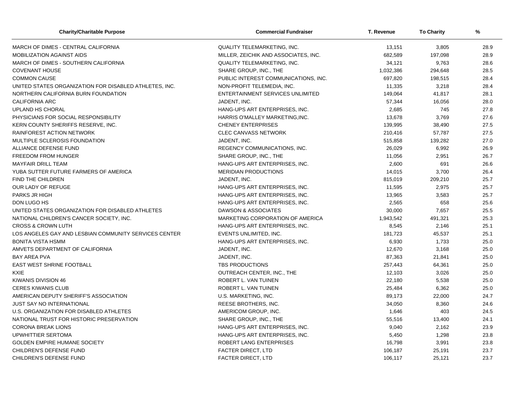| <b>Charity/Charitable Purpose</b>                      | <b>Commercial Fundraiser</b>         | T. Revenue | <b>To Charity</b> | %    |
|--------------------------------------------------------|--------------------------------------|------------|-------------------|------|
| MARCH OF DIMES - CENTRAL CALIFORNIA                    | QUALITY TELEMARKETING, INC.          | 13,151     | 3,805             | 28.9 |
| <b>MOBILIZATION AGAINST AIDS</b>                       | MILLER, ZEICHIK AND ASSOCIATES, INC. | 682,589    | 197,098           | 28.9 |
| MARCH OF DIMES - SOUTHERN CALIFORNIA                   | <b>QUALITY TELEMARKETING, INC.</b>   | 34,121     | 9,763             | 28.6 |
| <b>COVENANT HOUSE</b>                                  | SHARE GROUP, INC., THE               | 1,032,386  | 294,648           | 28.5 |
| <b>COMMON CAUSE</b>                                    | PUBLIC INTEREST COMMUNICATIONS, INC. | 697,820    | 198,515           | 28.4 |
| UNITED STATES ORGANIZATION FOR DISABLED ATHLETES, INC. | NON-PROFIT TELEMEDIA, INC.           | 11,335     | 3,218             | 28.4 |
| NORTHERN CALIFORNIA BURN FOUNDATION                    | ENTERTAINMENT SERVICES UNLIMITED     | 149,064    | 41,817            | 28.1 |
| <b>CALIFORNIA ARC</b>                                  | JADENT, INC.                         | 57,344     | 16,056            | 28.0 |
| UPLAND HS CHORAL                                       | HANG-UPS ART ENTERPRISES, INC.       | 2,685      | 745               | 27.8 |
| PHYSICIANS FOR SOCIAL RESPONSIBILITY                   | HARRIS O'MALLEY MARKETING, INC.      | 13,678     | 3,769             | 27.6 |
| KERN COUNTY SHERIFFS RESERVE, INC.                     | <b>CHENEY ENTERPRISES</b>            | 139,995    | 38,490            | 27.5 |
| RAINFOREST ACTION NETWORK                              | <b>CLEC CANVASS NETWORK</b>          | 210,416    | 57,787            | 27.5 |
| MULTIPLE SCLEROSIS FOUNDATION                          | JADENT, INC.                         | 515,858    | 139,282           | 27.0 |
| ALLIANCE DEFENSE FUND                                  | REGENCY COMMUNICATIONS, INC.         | 26,029     | 6,992             | 26.9 |
| <b>FREEDOM FROM HUNGER</b>                             | SHARE GROUP, INC., THE               | 11,056     | 2,951             | 26.7 |
| <b>MAYFAIR DRILL TEAM</b>                              | HANG-UPS ART ENTERPRISES. INC.       | 2,600      | 691               | 26.6 |
| YUBA SUTTER FUTURE FARMERS OF AMERICA                  | <b>MERIDIAN PRODUCTIONS</b>          | 14,015     | 3,700             | 26.4 |
| FIND THE CHILDREN                                      | JADENT, INC.                         | 815,019    | 209,210           | 25.7 |
| OUR LADY OF REFUGE                                     | HANG-UPS ART ENTERPRISES, INC.       | 11,595     | 2,975             | 25.7 |
| PARKS JR HIGH                                          | HANG-UPS ART ENTERPRISES, INC.       | 13,965     | 3,583             | 25.7 |
| DON LUGO HS                                            | HANG-UPS ART ENTERPRISES, INC.       | 2,565      | 658               | 25.6 |
| UNITED STATES ORGANIZATION FOR DISABLED ATHLETES       | DAWSON & ASSOCIATES                  | 30,000     | 7,657             | 25.5 |
| NATIONAL CHILDREN'S CANCER SOCIETY, INC.               | MARKETING CORPORATION OF AMERICA     | 1,943,542  | 491,321           | 25.3 |
| <b>CROSS &amp; CROWN LUTH</b>                          | HANG-UPS ART ENTERPRISES, INC.       | 8,545      | 2,146             | 25.1 |
| LOS ANGELES GAY AND LESBIAN COMMUNITY SERVICES CENTER  | EVENTS UNLIMITED, INC.               | 181,723    | 45,537            | 25.1 |
| <b>BONITA VISTA HSMM</b>                               | HANG-UPS ART ENTERPRISES, INC.       | 6,930      | 1,733             | 25.0 |
| AMVETS DEPARTMENT OF CALIFORNIA                        | JADENT, INC.                         | 12,670     | 3,168             | 25.0 |
| <b>BAY AREA PVA</b>                                    | JADENT, INC.                         | 87,363     | 21,841            | 25.0 |
| <b>EAST WEST SHRINE FOOTBALL</b>                       | TBS PRODUCTIONS                      | 257,443    | 64,361            | 25.0 |
| <b>KXIE</b>                                            | OUTREACH CENTER, INC., THE           | 12,103     | 3,026             | 25.0 |
| KIWANIS DIVISION 46                                    | ROBERT L. VAN TUINEN                 | 22,180     | 5,538             | 25.0 |
| <b>CERES KIWANIS CLUB</b>                              | ROBERT L. VAN TUINEN                 | 25,484     | 6,362             | 25.0 |
| AMERICAN DEPUTY SHERIFF'S ASSOCIATION                  | U.S. MARKETING, INC.                 | 89,173     | 22,000            | 24.7 |
| <b>JUST SAY NO INTERNATIONAL</b>                       | REESE BROTHERS, INC.                 | 34,050     | 8,360             | 24.6 |
| U.S. ORGANIZATION FOR DISABLED ATHLETES                | AMERICOM GROUP, INC.                 | 1,646      | 403               | 24.5 |
| NATIONAL TRUST FOR HISTORIC PRESERVATION               | SHARE GROUP, INC., THE               | 55,516     | 13,400            | 24.1 |
| <b>CORONA BREAK LIONS</b>                              | HANG-UPS ART ENTERPRISES, INC.       | 9,040      | 2,162             | 23.9 |
| UPWHITTIER SERTOMA                                     | HANG-UPS ART ENTERPRISES, INC.       | 5,450      | 1,298             | 23.8 |
| <b>GOLDEN EMPIRE HUMANE SOCIETY</b>                    | ROBERT LANG ENTERPRISES              | 16,798     | 3,991             | 23.8 |
| CHILDREN'S DEFENSE FUND                                | FACTER DIRECT, LTD                   | 106,187    | 25,191            | 23.7 |
| CHILDREN'S DEFENSE FUND                                | <b>FACTER DIRECT, LTD</b>            | 106,117    | 25,121            | 23.7 |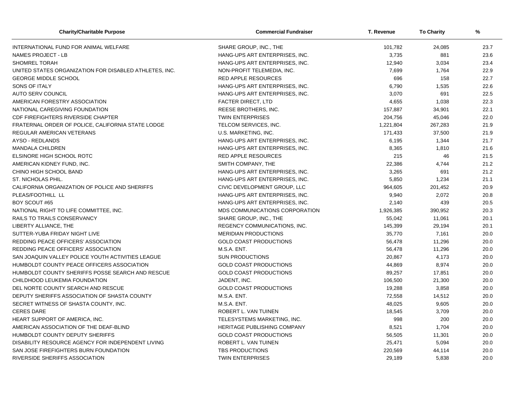| <b>Charity/Charitable Purpose</b>                      | <b>Commercial Fundraiser</b>   | T. Revenue | <b>To Charity</b> | %    |
|--------------------------------------------------------|--------------------------------|------------|-------------------|------|
| INTERNATIONAL FUND FOR ANIMAL WELFARE                  | SHARE GROUP, INC., THE         | 101,782    | 24.085            | 23.7 |
| <b>NAMES PROJECT - LB</b>                              | HANG-UPS ART ENTERPRISES, INC. | 3,735      | 881               | 23.6 |
| <b>SHOMREL TORAH</b>                                   | HANG-UPS ART ENTERPRISES, INC. | 12,940     | 3,034             | 23.4 |
| UNITED STATES ORGANIZATION FOR DISABLED ATHLETES, INC. | NON-PROFIT TELEMEDIA, INC.     | 7,699      | 1,764             | 22.9 |
| <b>GEORGE MIDDLE SCHOOL</b>                            | <b>RED APPLE RESOURCES</b>     | 696        | 158               | 22.7 |
| SONS OF ITALY                                          | HANG-UPS ART ENTERPRISES, INC. | 6,790      | 1,535             | 22.6 |
| <b>AUTO SERV COUNCIL</b>                               | HANG-UPS ART ENTERPRISES, INC. | 3,070      | 691               | 22.5 |
| AMERICAN FORESTRY ASSOCIATION                          | <b>FACTER DIRECT, LTD</b>      | 4,655      | 1,038             | 22.3 |
| NATIONAL CAREGIVING FOUNDATION                         | REESE BROTHERS, INC.           | 157,887    | 34,901            | 22.1 |
| CDF FIREFIGHTERS RIVERSIDE CHAPTER                     | <b>TWIN ENTERPRISES</b>        | 204,756    | 45,046            | 22.0 |
| FRATERNAL ORDER OF POLICE, CALIFORNIA STATE LODGE      | TELCOM SERVICES, INC.          | 1,221,804  | 267,283           | 21.9 |
| REGULAR AMERICAN VETERANS                              | U.S. MARKETING, INC.           | 171,433    | 37,500            | 21.9 |
| AYSO - REDLANDS                                        | HANG-UPS ART ENTERPRISES, INC. | 6,195      | 1,344             | 21.7 |
| <b>MANDALA CHILDREN</b>                                | HANG-UPS ART ENTERPRISES, INC. | 8,365      | 1,810             | 21.6 |
| ELSINORE HIGH SCHOOL ROTC                              | <b>RED APPLE RESOURCES</b>     | 215        | 46                | 21.5 |
| AMERICAN KIDNEY FUND. INC.                             | SMITH COMPANY, THE             | 22,386     | 4,744             | 21.2 |
| CHINO HIGH SCHOOL BAND                                 | HANG-UPS ART ENTERPRISES, INC. | 3,265      | 691               | 21.2 |
| ST. NICHOLAS PHIL.                                     | HANG-UPS ART ENTERPRISES, INC. | 5,850      | 1,234             | 21.1 |
| CALIFORNIA ORGANIZATION OF POLICE AND SHERIFFS         | CIVIC DEVELOPMENT GROUP, LLC   | 964,605    | 201,452           | 20.9 |
| PLEAS/FOOTHILL LL                                      | HANG-UPS ART ENTERPRISES, INC. | 9,940      | 2,072             | 20.8 |
| BOY SCOUT #65                                          | HANG-UPS ART ENTERPRISES, INC. | 2,140      | 439               | 20.5 |
| NATIONAL RIGHT TO LIFE COMMITTEE, INC.                 | MDS COMMUNICATIONS CORPORATION | 1,926,385  | 390,952           | 20.3 |
| RAILS TO TRAILS CONSERVANCY                            | SHARE GROUP, INC., THE         | 55,042     | 11,061            | 20.1 |
| LIBERTY ALLIANCE, THE                                  | REGENCY COMMUNICATIONS, INC.   | 145,399    | 29,194            | 20.1 |
| SUTTER-YUBA FRIDAY NIGHT LIVE                          | <b>MERIDIAN PRODUCTIONS</b>    | 35,770     | 7,161             | 20.0 |
| REDDING PEACE OFFICERS' ASSOCIATION                    | <b>GOLD COAST PRODUCTIONS</b>  | 56,478     | 11,296            | 20.0 |
| <b>REDDING PEACE OFFICERS' ASSOCIATION</b>             | M.S.A. ENT.                    | 56,478     | 11,296            | 20.0 |
| SAN JOAQUIN VALLEY POLICE YOUTH ACTIVITIES LEAGUE      | <b>SUN PRODUCTIONS</b>         | 20,867     | 4,173             | 20.0 |
| HUMBOLDT COUNTY PEACE OFFICERS ASSOCIATION             | <b>GOLD COAST PRODUCTIONS</b>  | 44,869     | 8,974             | 20.0 |
| HUMBOLDT COUNTY SHERIFFS POSSE SEARCH AND RESCUE       | <b>GOLD COAST PRODUCTIONS</b>  | 89,257     | 17,851            | 20.0 |
| CHILDHOOD LEUKEMIA FOUNDATION                          | JADENT, INC.                   | 106,500    | 21,300            | 20.0 |
| DEL NORTE COUNTY SEARCH AND RESCUE                     | <b>GOLD COAST PRODUCTIONS</b>  | 19,288     | 3,858             | 20.0 |
| DEPUTY SHERIFFS ASSOCIATION OF SHASTA COUNTY           | M.S.A. ENT.                    | 72,558     | 14,512            | 20.0 |
| SECRET WITNESS OF SHASTA COUNTY, INC.                  | M.S.A. ENT.                    | 48,025     | 9,605             | 20.0 |
| <b>CERES DARE</b>                                      | ROBERT L. VAN TUINEN           | 18,545     | 3,709             | 20.0 |
| HEART SUPPORT OF AMERICA, INC.                         | TELESYSTEMS MARKETING, INC.    | 998        | 200               | 20.0 |
| AMERICAN ASSOCIATION OF THE DEAF-BLIND                 | HERITAGE PUBLISHING COMPANY    | 8,521      | 1,704             | 20.0 |
| HUMBOLDT COUNTY DEPUTY SHERIFFS                        | <b>GOLD COAST PRODUCTIONS</b>  | 56,505     | 11,301            | 20.0 |
| DISABILITY RESOURCE AGENCY FOR INDEPENDENT LIVING      | ROBERT L. VAN TUINEN           | 25,471     | 5,094             | 20.0 |
| SAN JOSE FIREFIGHTERS BURN FOUNDATION                  | <b>TBS PRODUCTIONS</b>         | 220,569    | 44,114            | 20.0 |
| <b>RIVERSIDE SHERIFFS ASSOCIATION</b>                  | <b>TWIN ENTERPRISES</b>        | 29,189     | 5,838             | 20.0 |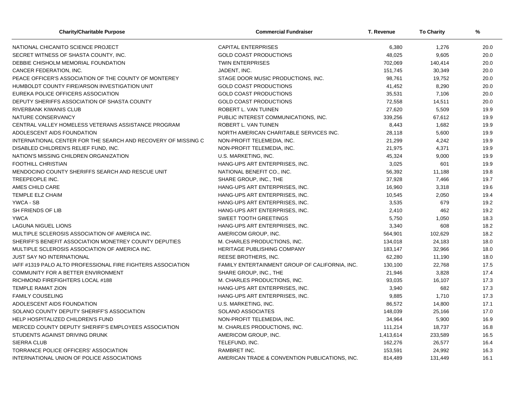| <b>Charity/Charitable Purpose</b>                             | <b>Commercial Fundraiser</b>                   | T. Revenue | <b>To Charity</b> | %    |
|---------------------------------------------------------------|------------------------------------------------|------------|-------------------|------|
| NATIONAL CHICANITO SCIENCE PROJECT                            | <b>CAPITAL ENTERPRISES</b>                     | 6,380      | 1,276             | 20.0 |
| SECRET WITNESS OF SHASTA COUNTY, INC.                         | <b>GOLD COAST PRODUCTIONS</b>                  | 48,025     | 9,605             | 20.0 |
| DEBBIE CHISHOLM MEMORIAL FOUNDATION                           | <b>TWIN ENTERPRISES</b>                        | 702,069    | 140,414           | 20.0 |
| CANCER FEDERATION, INC.                                       | JADENT, INC.                                   | 151,745    | 30,349            | 20.0 |
| PEACE OFFICER'S ASSOCIATION OF THE COUNTY OF MONTEREY         | STAGE DOOR MUSIC PRODUCTIONS, INC.             | 98,761     | 19,752            | 20.0 |
| HUMBOLDT COUNTY FIRE/ARSON INVESTIGATION UNIT                 | <b>GOLD COAST PRODUCTIONS</b>                  | 41,452     | 8,290             | 20.0 |
| EUREKA POLICE OFFICERS ASSOCIATION                            | <b>GOLD COAST PRODUCTIONS</b>                  | 35,531     | 7,106             | 20.0 |
| DEPUTY SHERIFFS ASSOCIATION OF SHASTA COUNTY                  | <b>GOLD COAST PRODUCTIONS</b>                  | 72,558     | 14,511            | 20.0 |
| <b>RIVERBANK KIWANIS CLUB</b>                                 | ROBERT L. VAN TUINEN                           | 27,620     | 5,509             | 19.9 |
| NATURE CONSERVANCY                                            | PUBLIC INTEREST COMMUNICATIONS, INC.           | 339,256    | 67,612            | 19.9 |
| CENTRAL VALLEY HOMELESS VETERANS ASSISTANCE PROGRAM           | ROBERT L. VAN TUINEN                           | 8,443      | 1,682             | 19.9 |
| ADOLESCENT AIDS FOUNDATION                                    | NORTH AMERICAN CHARITABLE SERVICES INC.        | 28,118     | 5,600             | 19.9 |
| INTERNATIONAL CENTER FOR THE SEARCH AND RECOVERY OF MISSING C | NON-PROFIT TELEMEDIA, INC.                     | 21,299     | 4,242             | 19.9 |
| DISABLED CHILDREN'S RELIEF FUND, INC.                         | NON-PROFIT TELEMEDIA, INC.                     | 21,975     | 4,371             | 19.9 |
| NATION'S MISSING CHILDREN ORGANIZATION                        | U.S. MARKETING, INC.                           | 45,324     | 9,000             | 19.9 |
| <b>FOOTHILL CHRISTIAN</b>                                     | HANG-UPS ART ENTERPRISES, INC.                 | 3,025      | 601               | 19.9 |
| MENDOCINO COUNTY SHERIFFS SEARCH AND RESCUE UNIT              | NATIONAL BENEFIT CO., INC.                     | 56,392     | 11,188            | 19.8 |
| TREEPEOPLE INC.                                               | SHARE GROUP, INC., THE                         | 37,928     | 7,466             | 19.7 |
| AMES CHILD CARE                                               | HANG-UPS ART ENTERPRISES, INC.                 | 16,960     | 3,318             | 19.6 |
| <b>TEMPLE ELZ CHAIM</b>                                       | HANG-UPS ART ENTERPRISES, INC.                 | 10,545     | 2,050             | 19.4 |
| YWCA - SB                                                     | HANG-UPS ART ENTERPRISES, INC.                 | 3,535      | 679               | 19.2 |
| SH FRIENDS OF LIB                                             | HANG-UPS ART ENTERPRISES, INC.                 | 2,410      | 462               | 19.2 |
| <b>YWCA</b>                                                   | <b>SWEET TOOTH GREETINGS</b>                   | 5,750      | 1,050             | 18.3 |
| <b>LAGUNA NIGUEL LIONS</b>                                    | HANG-UPS ART ENTERPRISES, INC.                 | 3,340      | 608               | 18.2 |
| MULTIPLE SCLEROSIS ASSOCIATION OF AMERICA INC.                | AMERICOM GROUP, INC.                           | 564,901    | 102,629           | 18.2 |
| SHERIFF'S BENEFIT ASSOCIATION MONETREY COUNTY DEPUTIES        | M. CHARLES PRODUCTIONS, INC.                   | 134,018    | 24,183            | 18.0 |
| MULTIPLE SCLEROSIS ASSOCIATION OF AMERICA INC.                | <b>HERITAGE PUBLISHING COMPANY</b>             | 183,147    | 32,966            | 18.0 |
| JUST SAY NO INTERNATIONAL                                     | REESE BROTHERS, INC.                           | 62,280     | 11,190            | 18.0 |
| IAFF #1319 PALO ALTO PROFESSIONAL FIRE FIGHTERS ASSOCIATION   | FAMILY ENTERTAINMENT GROUP OF CALIFORNIA, INC. | 130,100    | 22,768            | 17.5 |
| COMMUNITY FOR A BETTER ENVIRONMENT                            | SHARE GROUP, INC., THE                         | 21,946     | 3,828             | 17.4 |
| RICHMOND FIREFIGHTERS LOCAL #188                              | M. CHARLES PRODUCTIONS, INC.                   | 93,035     | 16,107            | 17.3 |
| <b>TEMPLE RAMAT ZION</b>                                      | HANG-UPS ART ENTERPRISES, INC.                 | 3,940      | 682               | 17.3 |
| <b>FAMILY COUSELING</b>                                       | HANG-UPS ART ENTERPRISES, INC.                 | 9,885      | 1,710             | 17.3 |
| ADOLESCENT AIDS FOUNDATION                                    | U.S. MARKETING, INC.                           | 86,572     | 14,800            | 17.1 |
| SOLANO COUNTY DEPUTY SHERIFF'S ASSOCIATION                    | SOLANO ASSOCIATES                              | 148,039    | 25,166            | 17.0 |
| HELP HOSPITALIZED CHILDREN'S FUND                             | NON-PROFIT TELEMEDIA, INC.                     | 34,964     | 5,900             | 16.9 |
| MERCED COUNTY DEPUTY SHERIFF'S EMPLOYEES ASSOCIATION          | M. CHARLES PRODUCTIONS, INC.                   | 111,214    | 18,737            | 16.8 |
| STUDENTS AGAINST DRIVING DRUNK                                | AMERICOM GROUP, INC.                           | 1,413,614  | 233,589           | 16.5 |
| <b>SIERRA CLUB</b>                                            | TELEFUND, INC.                                 | 162,276    | 26,577            | 16.4 |
| TORRANCE POLICE OFFICERS' ASSOCIATION                         | RAMBRET INC.                                   | 153,591    | 24,992            | 16.3 |
| INTERNATIONAL UNION OF POLICE ASSOCIATIONS                    | AMERICAN TRADE & CONVENTION PUBLICATIONS. INC. | 814,489    | 131,449           | 16.1 |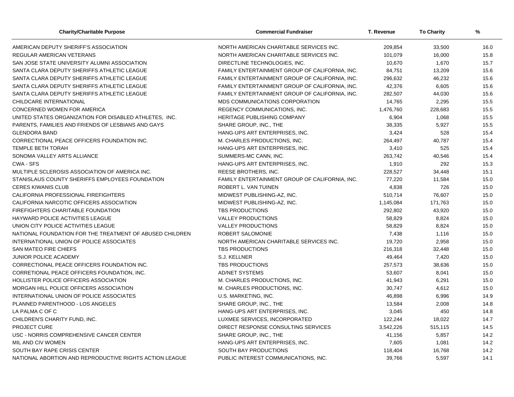| <b>Charity/Charitable Purpose</b>                        | <b>Commercial Fundraiser</b>                   | T. Revenue | <b>To Charity</b> | %    |
|----------------------------------------------------------|------------------------------------------------|------------|-------------------|------|
| AMERICAN DEPUTY SHERIFF'S ASSOCIATION                    | NORTH AMERICAN CHARITABLE SERVICES INC.        | 209,854    | 33,500            | 16.0 |
| REGULAR AMERICAN VETERANS                                | NORTH AMERICAN CHARITABLE SERVICES INC.        | 101,079    | 16,000            | 15.8 |
| SAN JOSE STATE UNIVERSITY ALUMNI ASSOCIATION             | DIRECTLINE TECHNOLOGIES, INC.                  | 10,670     | 1,670             | 15.7 |
| SANTA CLARA DEPUTY SHERIFFS ATHLETIC LEAGUE              | FAMILY ENTERTAINMENT GROUP OF CALIFORNIA, INC. | 84,751     | 13,209            | 15.6 |
| SANTA CLARA DEPUTY SHERIFFS ATHLETIC LEAGUE              | FAMILY ENTERTAINMENT GROUP OF CALIFORNIA, INC. | 296,632    | 46,232            | 15.6 |
| SANTA CLARA DEPUTY SHERIFFS ATHLETIC LEAGUE              | FAMILY ENTERTAINMENT GROUP OF CALIFORNIA, INC. | 42,376     | 6,605             | 15.6 |
| SANTA CLARA DEPUTY SHERIFFS ATHLETIC LEAGUE              | FAMILY ENTERTAINMENT GROUP OF CALIFORNIA. INC. | 282,507    | 44,030            | 15.6 |
| CHILDCARE INTERNATIONAL                                  | MDS COMMUNICATIONS CORPORATION                 | 14,765     | 2,295             | 15.5 |
| CONCERNED WOMEN FOR AMERICA                              | REGENCY COMMUNICATIONS, INC.                   | 1,476,760  | 228,683           | 15.5 |
| UNITED STATES ORGANIZATION FOR DISABLED ATHLETES, INC.   | HERITAGE PUBLISHING COMPANY                    | 6,904      | 1,068             | 15.5 |
| PARENTS, FAMILIES AND FRIENDS OF LESBIANS AND GAYS       | SHARE GROUP, INC., THE                         | 38,335     | 5,927             | 15.5 |
| <b>GLENDORA BAND</b>                                     | HANG-UPS ART ENTERPRISES, INC.                 | 3,424      | 528               | 15.4 |
| CORRECTIONAL PEACE OFFICERS FOUNDATION INC.              | M. CHARLES PRODUCTIONS, INC.                   | 264,497    | 40,787            | 15.4 |
| TEMPLE BETH TORAH                                        | HANG-UPS ART ENTERPRISES, INC.                 | 3,410      | 525               | 15.4 |
| SONOMA VALLEY ARTS ALLIANCE                              | SUMMERS-MC CANN, INC.                          | 263,742    | 40,546            | 15.4 |
| CWA - SFS                                                | HANG-UPS ART ENTERPRISES. INC.                 | 1,910      | 292               | 15.3 |
| MULTIPLE SCLEROSIS ASSOCIATION OF AMERICA INC.           | REESE BROTHERS, INC.                           | 228,527    | 34,448            | 15.1 |
| STANISLAUS COUNTY SHERIFFS EMPLOYEES FOUNDATION          | FAMILY ENTERTAINMENT GROUP OF CALIFORNIA, INC. | 77,220     | 11,584            | 15.0 |
| <b>CERES KIWANIS CLUB</b>                                | ROBERT L. VAN TUINEN                           | 4,838      | 726               | 15.0 |
| CALIFORNIA PROFESSIONAL FIREFIGHTERS                     | MIDWEST PUBLISHING-AZ, INC.                    | 510,714    | 76,607            | 15.0 |
| CALIFORNIA NARCOTIC OFFICERS ASSOCIATION                 | MIDWEST PUBLISHING-AZ, INC.                    | 1,145,084  | 171,763           | 15.0 |
| <b>FIREFIGHTERS CHARITABLE FOUNDATION</b>                | <b>TBS PRODUCTIONS</b>                         | 292,802    | 43,920            | 15.0 |
| HAYWARD POLICE ACTIVITIES LEAGUE                         | <b>VALLEY PRODUCTIONS</b>                      | 58,829     | 8,824             | 15.0 |
| UNION CITY POLICE ACTIVITIES LEAGUE                      | <b>VALLEY PRODUCTIONS</b>                      | 58,829     | 8,824             | 15.0 |
| NATIONAL FOUNDATION FOR THE TREATMENT OF ABUSED CHILDREN | ROBERT SALOMONIE                               | 7,438      | 1,116             | 15.0 |
| INTERNATIONAL UNION OF POLICE ASSOCIATES                 | NORTH AMERICAN CHARITABLE SERVICES INC.        | 19,720     | 2,958             | 15.0 |
| SAN MATEO FIRE CHIEFS                                    | <b>TBS PRODUCTIONS</b>                         | 216,318    | 32,448            | 15.0 |
| JUNIOR POLICE ACADEMY                                    | S.J. KELLNER                                   | 49,464     | 7,420             | 15.0 |
| CORRECTIONAL PEACE OFFICERS FOUNDATION INC.              | <b>TBS PRODUCTIONS</b>                         | 257,573    | 38,636            | 15.0 |
| CORRETIONAL PEACE OFFICERS FOUNDATION, INC.              | <b>AD/NET SYSTEMS</b>                          | 53,607     | 8,041             | 15.0 |
| <b>HOLLISTER POLICE OFFICERS ASSOCIATION</b>             | M. CHARLES PRODUCTIONS, INC.                   | 41,943     | 6,291             | 15.0 |
| MORGAN HILL POLICE OFFICERS ASSOCIATION                  | M. CHARLES PRODUCTIONS, INC.                   | 30,747     | 4,612             | 15.0 |
| INTERNATIONAL UNION OF POLICE ASSOCIATES                 | U.S. MARKETING, INC.                           | 46,898     | 6,996             | 14.9 |
| PLANNED PARENTHOOD - LOS ANGELES                         | SHARE GROUP, INC., THE                         | 13,584     | 2,008             | 14.8 |
| LA PALMA C OF C                                          | HANG-UPS ART ENTERPRISES, INC.                 | 3,045      | 450               | 14.8 |
| CHILDREN'S CHARITY FUND, INC.                            | LUXMEE SERVICES, INCORPORATED                  | 122,244    | 18,022            | 14.7 |
| PROJECT CURE                                             | DIRECT RESPONSE CONSULTING SERVICES            | 3,542,226  | 515,115           | 14.5 |
| USC - NORRIS COMPREHENSIVE CANCER CENTER                 | SHARE GROUP, INC., THE                         | 41,156     | 5,857             | 14.2 |
| MIL AND CIV WOMEN                                        | HANG-UPS ART ENTERPRISES, INC.                 | 7,605      | 1,081             | 14.2 |
| SOUTH BAY RAPE CRISIS CENTER                             | SOUTH BAY PRODUCTIONS                          | 118,404    | 16,768            | 14.2 |
| NATIONAL ABORTION AND REPRODUCTIVE RIGHTS ACTION LEAGUE  | PUBLIC INTEREST COMMUNICATIONS. INC.           | 39,766     | 5,597             | 14.1 |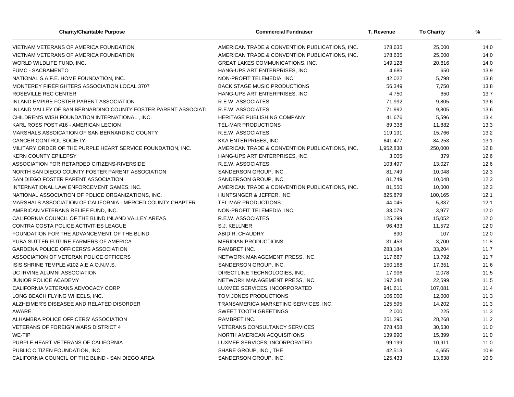| <b>Charity/Charitable Purpose</b>                              | <b>Commercial Fundraiser</b>                   | T. Revenue | <b>To Charity</b> | %    |  |
|----------------------------------------------------------------|------------------------------------------------|------------|-------------------|------|--|
| VIETNAM VETERANS OF AMERICA FOUNDATION                         | AMERICAN TRADE & CONVENTION PUBLICATIONS, INC. | 178,635    | 25,000            | 14.0 |  |
| VIETNAM VETERANS OF AMERICA FOUNDATION                         | AMERICAN TRADE & CONVENTION PUBLICATIONS, INC. | 178,635    | 25,000            | 14.0 |  |
| WORLD WILDLIFE FUND, INC.                                      | GREAT LAKES COMMUNICATIONS, INC.               | 149,128    | 20,816            | 14.0 |  |
| <b>FUMC - SACRAMENTO</b>                                       | HANG-UPS ART ENTERPRISES, INC.                 | 4,685      | 650               | 13.9 |  |
| NATIONAL S.A.F.E. HOME FOUNDATION, INC.                        | NON-PROFIT TELEMEDIA, INC.                     | 42,022     | 5,798             | 13.8 |  |
| MONTEREY FIREFIGHTERS ASSOCIATION LOCAL 3707                   | <b>BACK STAGE MUSIC PRODUCTIONS</b>            | 56,349     | 7,750             | 13.8 |  |
| <b>ROSEVILLE REC CENTER</b>                                    | HANG-UPS ART ENTERPRISES, INC.                 | 4,750      | 650               | 13.7 |  |
| INLAND EMPIRE FOSTER PARENT ASSOCIATION                        | R.E.W. ASSOCIATES                              | 71,992     | 9,805             | 13.6 |  |
| INLAND VALLEY OF SAN BERNARDINO COUNTY FOSTER PARENT ASSOCIATI | R.E.W. ASSOCIATES                              | 71,992     | 9,805             | 13.6 |  |
| CHILDREN'S WISH FOUNDATION INTERNATIONAL, INC.                 | HERITAGE PUBLISHING COMPANY                    | 41,676     | 5,596             | 13.4 |  |
| KARL ROSS POST #16 - AMERICAN LEGION                           | TEL-MAR PRODUCTIONS                            | 89,338     | 11,882            | 13.3 |  |
| MARSHALS ASSOICATION OF SAN BERNARDINO COUNTY                  | R.E.W. ASSOCIATES                              | 119,191    | 15,766            | 13.2 |  |
| CANCER CONTROL SOCIETY                                         | KKA ENTERPRISES, INC.                          | 641,477    | 84,253            | 13.1 |  |
| MILITARY ORDER OF THE PURPLE HEART SERVICE FOUNDATION, INC.    | AMERICAN TRADE & CONVENTION PUBLICATIONS, INC. | 1,952,838  | 250,000           | 12.8 |  |
| <b>KERN COUNTY EPILEPSY</b>                                    | HANG-UPS ART ENTERPRISES, INC.                 | 3,005      | 379               | 12.6 |  |
| ASSOCIATION FOR RETARDED CITIZENS-RIVERSIDE                    | R.E.W. ASSOCIATES                              | 103,497    | 13,027            | 12.6 |  |
| NORTH SAN DIEGO COUNTY FOSTER PARENT ASSOCIATION               | SANDERSON GROUP, INC.                          | 81,749     | 10,048            | 12.3 |  |
| SAN DIEGO FOSTER PARENT ASSOCIATION                            | SANDERSON GROUP, INC.                          | 81,749     | 10,048            | 12.3 |  |
| INTERNATIONAL LAW ENFORCEMENT GAMES, INC.                      | AMERICAN TRADE & CONVENTION PUBLICATIONS, INC. | 81,550     | 10,000            | 12.3 |  |
| NATIONAL ASSOCIATION OF POLICE ORGANIZATIONS, INC.             | HUNTSINGER & JEFFER, INC.                      | 825,879    | 100,165           | 12.1 |  |
| MARSHALS ASSOCIATION OF CALIFORNIA - MERCED COUNTY CHAPTER     | <b>TEL-MAR PRODUCTIONS</b>                     | 44,045     | 5,337             | 12.1 |  |
| AMERICAN VETERANS RELIEF FUND, INC.                            | NON-PROFIT TELEMEDIA, INC.                     | 33,079     | 3,977             | 12.0 |  |
| CALIFORNIA COUNCIL OF THE BLIND INLAND VALLEY AREAS            | R.E.W. ASSOCIATES                              | 125,299    | 15,052            | 12.0 |  |
| CONTRA COSTA POLICE ACTIVITIES LEAGUE                          | S.J. KELLNER                                   | 96,433     | 11,572            | 12.0 |  |
| FOUNDATION FOR THE ADVANCEMENT OF THE BLIND                    | ABID R. CHAUDRY                                | 890        | 107               | 12.0 |  |
| YUBA SUTTER FUTURE FARMERS OF AMERICA                          | <b>MERIDIAN PRODUCTIONS</b>                    | 31,453     | 3,700             | 11.8 |  |
| <b>GARDENA POLICE OFFICERS'S ASSOCIATION</b>                   | RAMBRET INC.                                   | 283,184    | 33,204            | 11.7 |  |
| ASSOCIATION OF VETERAN POLICE OFFICERS                         | NETWORK MANAGEMENT PRESS, INC.                 | 117,667    | 13,792            | 11.7 |  |
| ISIS SHRINE TEMPLE #102 A.E.A.O.N.M.S.                         | SANDERSON GROUP, INC.                          | 150,168    | 17,351            | 11.6 |  |
| UC IRVINE ALUMNI ASSOCIATION                                   | DIRECTLINE TECHNOLOGIES. INC.                  | 17,996     | 2,078             | 11.5 |  |
| JUNIOR POLICE ACADEMY                                          | NETWORK MANAGEMENT PRESS, INC.                 | 197,348    | 22,599            | 11.5 |  |
| CALIFORNIA VETERANS ADVOCACY CORP                              | LUXMEE SERVICES, INCORPORATED                  | 941,611    | 107,081           | 11.4 |  |
| LONG BEACH FLYING WHEELS, INC.                                 | TOM JONES PRODUCTIONS                          | 106,000    | 12,000            | 11.3 |  |
| ALZHEIMER'S DISEASEE AND RELATED DISORDER                      | TRANSAMERICA MARKETING SERVICES, INC.          | 125,595    | 14,202            | 11.3 |  |
| AWARE                                                          | <b>SWEET TOOTH GREETINGS</b>                   | 2,000      | 225               | 11.3 |  |
| ALHAMBRA POLICE OFFICERS' ASSOCIATION                          | RAMBRET INC.                                   | 251,295    | 28,268            | 11.2 |  |
| <b>VETERANS OF FOREIGN WARS DISTRICT 4</b>                     | VETERANS CONSULTANCY SERVICES                  | 278,458    | 30,630            | 11.0 |  |
| WE-TIP                                                         | NORTH AMERICAN ACQUISITIONS                    | 139,990    | 15,399            | 11.0 |  |
| PURPLE HEART VETERANS OF CALIFORNIA                            | LUXMEE SERVICES, INCORPORATED                  | 99,199     | 10,911            | 11.0 |  |
| PUBLIC CITIZEN FOUNDATION, INC.                                | SHARE GROUP, INC., THE                         | 42,513     | 4,655             | 10.9 |  |
| CALIFORNIA COUNCIL OF THE BLIND - SAN DIEGO AREA               | SANDERSON GROUP, INC.                          | 125,433    | 13,638            | 10.9 |  |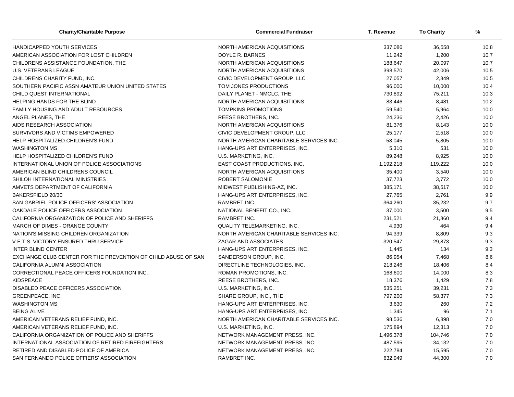| <b>Charity/Charitable Purpose</b>                             | <b>Commercial Fundraiser</b>            | T. Revenue | <b>To Charity</b> | %    |
|---------------------------------------------------------------|-----------------------------------------|------------|-------------------|------|
| HANDICAPPED YOUTH SERVICES                                    | NORTH AMERICAN ACQUISITIONS             | 337,086    | 36,558            | 10.8 |
| AMERICAN ASSOCIATION FOR LOST CHILDREN                        | DOYLE R. BARNES                         | 11,242     | 1,200             | 10.7 |
| CHILDRENS ASSISTANCE FOUNDATION, THE                          | NORTH AMERICAN ACQUISITIONS             | 188,647    | 20,097            | 10.7 |
| <b>U.S. VETERANS LEAGUE</b>                                   | NORTH AMERICAN ACQUISITIONS             | 398,570    | 42,006            | 10.5 |
| CHILDRENS CHARITY FUND, INC.                                  | CIVIC DEVELOPMENT GROUP, LLC            | 27,057     | 2,849             | 10.5 |
| SOUTHERN PACIFIC ASSN AMATEUR UNION UNITED STATES             | TOM JONES PRODUCTIONS                   | 96,000     | 10,000            | 10.4 |
| CHILD QUEST INTERNATIONAL                                     | DAILY PLANET - NMCLC, THE               | 730,892    | 75,211            | 10.3 |
| HELPING HANDS FOR THE BLIND                                   | NORTH AMERICAN ACQUISITIONS             | 83,446     | 8,481             | 10.2 |
| FAMILY HOUSING AND ADULT RESOURCES                            | <b>TOMPKINS PROMOTIONS</b>              | 59,540     | 5,964             | 10.0 |
| ANGEL PLANES, THE                                             | REESE BROTHERS, INC.                    | 24,236     | 2,426             | 10.0 |
| AIDS RESEARCH ASSOCIATION                                     | NORTH AMERICAN ACQUISITIONS             | 81,376     | 8,143             | 10.0 |
| SURVIVORS AND VICTIMS EMPOWERED                               | CIVIC DEVELOPMENT GROUP, LLC            | 25,177     | 2,518             | 10.0 |
| HELP HOSPITALIZED CHILDREN'S FUND                             | NORTH AMERICAN CHARITABLE SERVICES INC. | 58,045     | 5,805             | 10.0 |
| <b>WASHINGTON MS</b>                                          | HANG-UPS ART ENTERPRISES, INC.          | 5,310      | 531               | 10.0 |
| HELP HOSPITALIZED CHILDREN'S FUND                             | U.S. MARKETING, INC.                    | 89,248     | 8,925             | 10.0 |
| INTERNATIONAL UNION OF POLICE ASSOCIATIONS                    | EAST COAST PRODUCTIONS, INC.            | 1,192,218  | 119,222           | 10.0 |
| AMERICAN BLIND CHILDRENS COUNCIL                              | NORTH AMERICAN ACQUISITIONS             | 35,400     | 3,540             | 10.0 |
| SHILOH INTERNATIONAL MINISTRIES                               | ROBERT SALOMONIE                        | 37,723     | 3,772             | 10.0 |
| AMVETS DEPARTMENT OF CALIFORNIA                               | MIDWEST PUBLISHING-AZ, INC.             | 385,171    | 38,517            | 10.0 |
| BAKERSFIELD 20/30                                             | HANG-UPS ART ENTERPRISES, INC.          | 27,765     | 2,761             | 9.9  |
| SAN GABRIEL POLICE OFFICERS' ASSOCIATION                      | RAMBRET INC.                            | 364,260    | 35,232            | 9.7  |
| OAKDALE POLICE OFFICERS ASSOCIATION                           | NATIONAL BENEFIT CO., INC.              | 37,000     | 3,500             | 9.5  |
| CALIFORNIA ORGANIZATION OF POLICE AND SHERIFFS                | <b>RAMBRET INC.</b>                     | 231,521    | 21,860            | 9.4  |
| MARCH OF DIMES - ORANGE COUNTY                                | QUALITY TELEMARKETING, INC.             | 4,930      | 464               | 9.4  |
| NATION'S MISSING CHILDREN ORGANIZATION                        | NORTH AMERICAN CHARITABLE SERVICES INC. | 94,339     | 8,809             | 9.3  |
| V.E.T.S. VICTORY ENSURED THRU SERVICE                         | ZAGAR AND ASSOCIATES                    | 320,547    | 29,873            | 9.3  |
| <b>INTER BLIND CENTER</b>                                     | HANG-UPS ART ENTERPRISES, INC.          | 1,445      | 134               | 9.3  |
| EXCHANGE CLUB CENTER FOR THE PREVENTION OF CHILD ABUSE OF SAN | SANDERSON GROUP, INC.                   | 86,954     | 7,468             | 8.6  |
| CALIFORNIA ALUMNI ASSOCIATION                                 | DIRECTLINE TECHNOLOGIES, INC.           | 218,246    | 18,406            | 8.4  |
| CORRECTIONAL PEACE OFFICERS FOUNDATION INC.                   | ROMAN PROMOTIONS, INC.                  | 168,600    | 14,000            | 8.3  |
| <b>KIDSPEACE</b>                                              | REESE BROTHERS, INC.                    | 18,376     | 1,429             | 7.8  |
| DISABLED PEACE OFFICERS ASSOCIATION                           | U.S. MARKETING, INC.                    | 535,251    | 39,231            | 7.3  |
| GREENPEACE, INC.                                              | SHARE GROUP, INC., THE                  | 797,200    | 58,377            | 7.3  |
| <b>WASHINGTON MS</b>                                          | HANG-UPS ART ENTERPRISES, INC.          | 3,630      | 260               | 7.2  |
| <b>BEING ALIVE</b>                                            | HANG-UPS ART ENTERPRISES, INC.          | 1,345      | 96                | 7.1  |
| AMERICAN VETERANS RELIEF FUND, INC.                           | NORTH AMERICAN CHARITABLE SERVICES INC. | 98,536     | 6,898             | 7.0  |
| AMERICAN VETERANS RELIEF FUND, INC.                           | U.S. MARKETING, INC.                    | 175,894    | 12,313            | 7.0  |
| CALIFORNIA ORGANIZATION OF POLICE AND SHERIFFS                | NETWORK MANAGEMENT PRESS, INC.          | 1,496,378  | 104,746           | 7.0  |
| INTERNATIONAL ASSOCIATION OF RETIRED FIREFIGHTERS             | NETWORK MANAGEMENT PRESS, INC.          | 487,595    | 34,132            | 7.0  |
| RETIRED AND DISABLED POLICE OF AMERICA                        | NETWORK MANAGEMENT PRESS, INC.          | 222,784    | 15,595            | 7.0  |
| SAN FERNANDO POLICE OFFIERS' ASSOCIATION                      | <b>RAMBRET INC.</b>                     | 632,949    | 44,300            | 7.0  |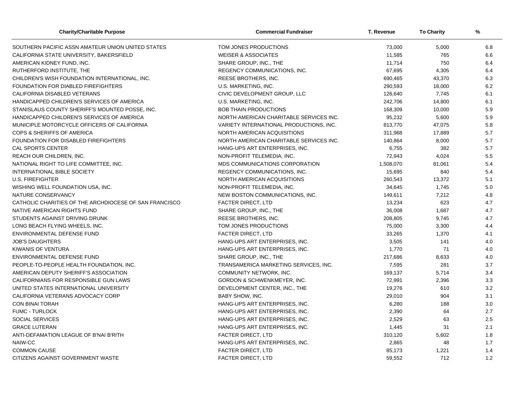| <b>Charity/Charitable Purpose</b>                      | <b>Commercial Fundraiser</b>            | T. Revenue | <b>To Charity</b> | %   |  |
|--------------------------------------------------------|-----------------------------------------|------------|-------------------|-----|--|
| SOUTHERN PACIFIC ASSN AMATEUR UNION UNITED STATES      | TOM JONES PRODUCTIONS                   | 73,000     | 5,000             | 6.8 |  |
| CALIFORNIA STATE UNIVERSITY, BAKERSFIELD               | <b>WEISER &amp; ASSOCIATES</b>          | 11,585     | 765               | 6.6 |  |
| AMERICAN KIDNEY FUND, INC.                             | SHARE GROUP, INC., THE                  | 11,714     | 750               | 6.4 |  |
| RUTHERFORD INSTITUTE, THE                              | REGENCY COMMUNICATIONS, INC.            | 67,695     | 4,305             | 6.4 |  |
| CHILDREN'S WISH FOUNDATION INTERNATIONAL, INC.         | REESE BROTHERS, INC.                    | 690,465    | 43,370            | 6.3 |  |
| FOUNDATION FOR DIABLED FIREFIGHTERS                    | U.S. MARKETING, INC.                    | 290,593    | 18,000            | 6.2 |  |
| CALIFORNIA DISABLED VETERANS                           | CIVIC DEVELOPMENT GROUP, LLC            | 126,640    | 7,745             | 6.1 |  |
| HANDICAPPED CHILDREN'S SERVICES OF AMERICA             | U.S. MARKETING, INC.                    | 242,706    | 14,800            | 6.1 |  |
| STANISLAUS COUNTY SHERIFF'S MOUNTED POSSE, INC.        | <b>BOB THAIN PRODUCTIONS</b>            | 168,309    | 10,000            | 5.9 |  |
| HANDICAPPED CHILDREN'S SERVICES OF AMERICA             | NORTH AMERICAN CHARITABLE SERVICES INC. | 95,232     | 5,600             | 5.9 |  |
| MUNICIPLE MOTORCYCLE OFFICERS OF CALIFORNIA            | VARIETY INTERNATIONAL PRODUCTIONS, INC. | 813,770    | 47,075            | 5.8 |  |
| COPS & SHERIFFS OF AMERICA                             | NORTH AMERICAN ACQUISITIONS             | 311,968    | 17,889            | 5.7 |  |
| <b>FOUNDATION FOR DISABLED FIREFIGHTERS</b>            | NORTH AMERICAN CHARITABLE SERVICES INC. | 140,864    | 8,000             | 5.7 |  |
| <b>CAL SPORTS CENTER</b>                               | HANG-UPS ART ENTERPRISES. INC.          | 6,755      | 382               | 5.7 |  |
| <b>REACH OUR CHILDREN, INC.</b>                        | NON-PROFIT TELEMEDIA, INC.              | 72,943     | 4,024             | 5.5 |  |
| NATIONAL RIGHT TO LIFE COMMITTEE, INC.                 | MDS COMMUNICATIONS CORPORATION          | 1,508,070  | 81,061            | 5.4 |  |
| <b>INTERNATIONAL BIBLE SOCIETY</b>                     | REGENCY COMMUNICATIONS, INC.            | 15,695     | 840               | 5.4 |  |
| <b>U.S. FIREFIGHTER</b>                                | NORTH AMERICAN ACQUISITIONS             | 260,543    | 13,372            | 5.1 |  |
| WISHING WELL FOUNDATION USA, INC.                      | NON-PROFIT TELEMEDIA, INC.              | 34,645     | 1,745             | 5.0 |  |
| NATURE CONSERVANCY                                     | NEW BOSTON COMMUNICATIONS, INC.         | 149,611    | 7,212             | 4.8 |  |
| CATHOLIC CHARITIES OF THE ARCHDIOCESE OF SAN FRANCISCO | <b>FACTER DIRECT, LTD</b>               | 13,234     | 623               | 4.7 |  |
| NATIVE AMERICAN RIGHTS FUND                            | SHARE GROUP, INC., THE                  | 36,008     | 1,687             | 4.7 |  |
| STUDENTS AGAINST DRIVING DRUNK                         | REESE BROTHERS, INC.                    | 208,805    | 9,745             | 4.7 |  |
| LONG BEACH FLYING WHEELS, INC.                         | TOM JONES PRODUCTIONS                   | 75,000     | 3,300             | 4.4 |  |
| <b>ENVIRONMENTAL DEFENSE FUND</b>                      | <b>FACTER DIRECT, LTD</b>               | 33,265     | 1,370             | 4.1 |  |
| <b>JOB'S DAUGHTERS</b>                                 | HANG-UPS ART ENTERPRISES, INC.          | 3,505      | 141               | 4.0 |  |
| <b>KIWANIS OF VENTURA</b>                              | HANG-UPS ART ENTERPRISES, INC.          | 1,770      | 71                | 4.0 |  |
| ENVIRONMENTAL DEFENSE FUND                             | SHARE GROUP, INC., THE                  | 217,686    | 8,633             | 4.0 |  |
| PEOPLE-TO-PEOPLE HEALTH FOUNDATION, INC.               | TRANSAMERICA MARKETING SERVICES, INC.   | 7,595      | 281               | 3.7 |  |
| AMERICAN DEPUTY SHERIFF'S ASSOCIATION                  | COMMUNITY NETWORK, INC.                 | 169,137    | 5,714             | 3.4 |  |
| CALIFORNIANS FOR RESPONSIBLE GUN LAWS                  | GORDON & SCHWENKMEYER, INC.             | 72,991     | 2,396             | 3.3 |  |
| UNITED STATES INTERNATIONAL UNIVERSITY                 | DEVELOPMENT CENTER, INC., THE           | 19,276     | 610               | 3.2 |  |
| CALIFORNIA VETERANS ADVOCACY CORP                      | <b>BABY SHOW, INC.</b>                  | 29,010     | 904               | 3.1 |  |
| <b>CON BINAI TORAH</b>                                 | HANG-UPS ART ENTERPRISES, INC.          | 6,280      | 188               | 3.0 |  |
| <b>FUMC - TURLOCK</b>                                  | HANG-UPS ART ENTERPRISES, INC.          | 2,390      | 64                | 2.7 |  |
| <b>SOCIAL SERVICES</b>                                 | HANG-UPS ART ENTERPRISES, INC.          | 2,529      | 63                | 2.5 |  |
| <b>GRACE LUTERAN</b>                                   | HANG-UPS ART ENTERPRISES, INC.          | 1,445      | 31                | 2.1 |  |
| ANTI-DEFAMATION LEAGUE OF B'NAI B'RITH                 | FACTER DIRECT, LTD                      | 310,120    | 5,602             | 1.8 |  |
| NAIW-CC                                                | HANG-UPS ART ENTERPRISES, INC.          | 2,865      | 48                | 1.7 |  |
| <b>COMMON CAUSE</b>                                    | <b>FACTER DIRECT, LTD</b>               | 85,173     | 1,221             | 1.4 |  |
| CITIZENS AGAINST GOVERNMENT WASTE                      | <b>FACTER DIRECT, LTD</b>               | 59,552     | 712               | 1.2 |  |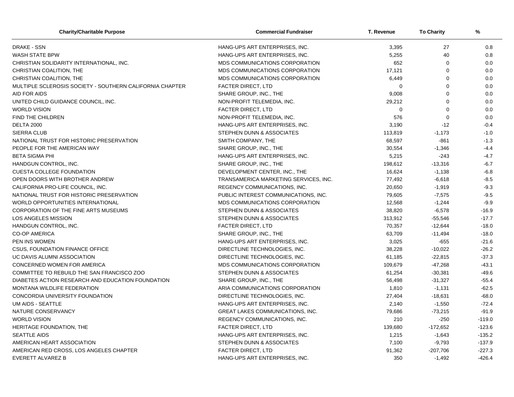| <b>Charity/Charitable Purpose</b>                        | <b>Commercial Fundraiser</b>            | T. Revenue  | <b>To Charity</b> | %        |
|----------------------------------------------------------|-----------------------------------------|-------------|-------------------|----------|
| <b>DRAKE - SSN</b>                                       | HANG-UPS ART ENTERPRISES, INC.          | 3,395       | 27                | 0.8      |
| <b>WASH STATE BPW</b>                                    | HANG-UPS ART ENTERPRISES, INC.          | 5,255       | 40                | 0.8      |
| CHRISTIAN SOLIDARITY INTERNATIONAL, INC.                 | MDS COMMUNICATIONS CORPORATION          | 652         | $\mathbf 0$       | 0.0      |
| CHRISTIAN COALITION, THE                                 | MDS COMMUNICATIONS CORPORATION          | 17,121      | $\Omega$          | 0.0      |
| CHRISTIAN COALITION, THE                                 | MDS COMMUNICATIONS CORPORATION          | 6,449       | $\Omega$          | 0.0      |
| MULTIPLE SCLEROSIS SOCIETY - SOUTHERN CALIFORNIA CHAPTER | <b>FACTER DIRECT, LTD</b>               | 0           | $\mathbf 0$       | 0.0      |
| AID FOR AIDS                                             | SHARE GROUP, INC., THE                  | 9,008       | $\mathbf 0$       | 0.0      |
| UNITED CHILD GUIDANCE COUNCIL, INC.                      | NON-PROFIT TELEMEDIA, INC.              | 29,212      | $\Omega$          | 0.0      |
| <b>WORLD VISION</b>                                      | FACTER DIRECT, LTD                      | $\mathbf 0$ | $\Omega$          | 0.0      |
| <b>FIND THE CHILDREN</b>                                 | NON-PROFIT TELEMEDIA, INC.              | 576         | $\mathbf 0$       | 0.0      |
| <b>DELTA 2000</b>                                        | HANG-UPS ART ENTERPRISES, INC.          | 3,190       | $-12$             | $-0.4$   |
| <b>SIERRA CLUB</b>                                       | STEPHEN DUNN & ASSOCIATES               | 113,819     | $-1,173$          | $-1.0$   |
| NATIONAL TRUST FOR HISTORIC PRESERVATION                 | SMITH COMPANY, THE                      | 68,597      | -861              | $-1.3$   |
| PEOPLE FOR THE AMERICAN WAY                              | SHARE GROUP, INC., THE                  | 30,554      | $-1,346$          | $-4.4$   |
| <b>BETA SIGMA PHI</b>                                    | HANG-UPS ART ENTERPRISES, INC.          | 5,215       | $-243$            | $-4.7$   |
| HANDGUN CONTROL, INC.                                    | SHARE GROUP, INC., THE                  | 198,612     | $-13,316$         | $-6.7$   |
| <b>CUESTA COLLEGE FOUNDATION</b>                         | DEVELOPMENT CENTER, INC., THE           | 16,624      | $-1,138$          | $-6.8$   |
| OPEN DOORS WITH BROTHER ANDREW                           | TRANSAMERICA MARKETING SERVICES, INC.   | 77,492      | $-6,618$          | $-8.5$   |
| CALIFORNIA PRO-LIFE COUNCIL, INC.                        | REGENCY COMMUNICATIONS, INC.            | 20,650      | $-1,919$          | $-9.3$   |
| NATIONAL TRUST FOR HISTORIC PRESERVATION                 | PUBLIC INTEREST COMMUNICATIONS, INC.    | 79,605      | $-7,575$          | $-9.5$   |
| <b>WORLD OPPORTUNITIES INTERNATIONAL</b>                 | MDS COMMUNICATIONS CORPORATION          | 12,568      | $-1,244$          | $-9.9$   |
| CORPORATION OF THE FINE ARTS MUSEUMS                     | STEPHEN DUNN & ASSOCIATES               | 38,820      | $-6,578$          | $-16.9$  |
| <b>LOS ANGELES MISSION</b>                               | STEPHEN DUNN & ASSOCIATES               | 313,912     | $-55,546$         | $-17.7$  |
| HANDGUN CONTROL, INC.                                    | FACTER DIRECT, LTD                      | 70,357      | $-12,644$         | $-18.0$  |
| <b>CO-OP AMERICA</b>                                     | SHARE GROUP, INC., THE                  | 63,709      | $-11,494$         | $-18.0$  |
| PEN INS WOMEN                                            | HANG-UPS ART ENTERPRISES, INC.          | 3,025       | $-655$            | $-21.6$  |
| <b>CSUS, FOUNDATION FINANCE OFFICE</b>                   | DIRECTLINE TECHNOLOGIES, INC.           | 38,228      | $-10,022$         | $-26.2$  |
| UC DAVIS ALUMNI ASSOCIATION                              | DIRECTLINE TECHNOLOGIES, INC.           | 61,185      | $-22,815$         | $-37.3$  |
| CONCERNED WOMEN FOR AMERICA                              | MDS COMMUNICATIONS CORPORATION          | 109,679     | $-47,268$         | $-43.1$  |
| COMMITTEE TO REBUILD THE SAN FRANCISCO ZOO               | STEPHEN DUNN & ASSOCIATES               | 61,254      | $-30,381$         | $-49.6$  |
| DIABETES ACTION RESEARCH AND EDUCATION FOUNDATION        | SHARE GROUP, INC., THE                  | 56,498      | $-31,327$         | $-55.4$  |
| MONTANA WILDLIFE FEDERATION                              | ARIA COMMUNICATIONS CORPORATION         | 1,810       | $-1,131$          | $-62.5$  |
| CONCORDIA UNIVERSITY FOUNDATION                          | DIRECTLINE TECHNOLOGIES, INC.           | 27,404      | $-18,631$         | $-68.0$  |
| UM AIDS - SEATTLE                                        | HANG-UPS ART ENTERPRISES, INC.          | 2,140       | $-1,550$          | $-72.4$  |
| NATURE CONSERVANCY                                       | <b>GREAT LAKES COMMUNICATIONS, INC.</b> | 79,686      | $-73,215$         | $-91.9$  |
| <b>WORLD VISION</b>                                      | REGENCY COMMUNICATIONS, INC.            | 210         | $-250$            | $-119.0$ |
| HERITAGE FOUNDATION, THE                                 | FACTER DIRECT, LTD                      | 139,680     | $-172,652$        | $-123.6$ |
| <b>SEATTLE AIDS</b>                                      | HANG-UPS ART ENTERPRISES, INC.          | 1,215       | $-1,643$          | $-135.2$ |
| AMERICAN HEART ASSOCIATION                               | STEPHEN DUNN & ASSOCIATES               | 7,100       | $-9,793$          | $-137.9$ |
| AMERICAN RED CROSS, LOS ANGELES CHAPTER                  | <b>FACTER DIRECT, LTD</b>               | 91,362      | $-207,706$        | $-227.3$ |
| EVERETT ALVAREZ B                                        | HANG-UPS ART ENTERPRISES, INC.          | 350         | $-1,492$          | $-426.4$ |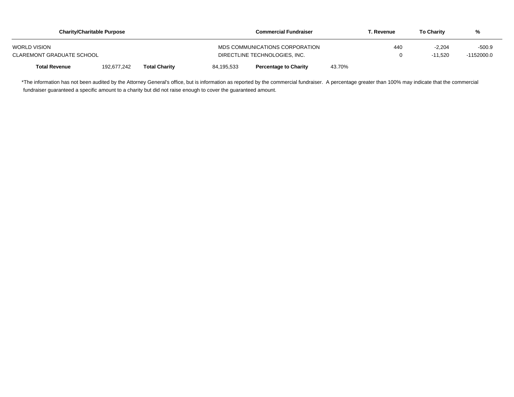|                                  | <b>Charity/Charitable Purpose</b> |                      | <b>Commercial Fundraiser</b>  | Г. Revenue                     | <b>To Charity</b> | %        |           |            |
|----------------------------------|-----------------------------------|----------------------|-------------------------------|--------------------------------|-------------------|----------|-----------|------------|
| <b>WORLD VISION</b>              |                                   |                      |                               | MDS COMMUNICATIONS CORPORATION | 440               | $-2.204$ | -500.9    |            |
| <b>CLAREMONT GRADUATE SCHOOL</b> |                                   |                      | DIRECTLINE TECHNOLOGIES. INC. |                                |                   |          | $-11.520$ | -1152000.0 |
| <b>Total Revenue</b>             | 192.677.242                       | <b>Total Charity</b> | 84.195.533                    | <b>Percentage to Charity</b>   | 43.70%            |          |           |            |

\*The information has not been audited by the Attorney General's office, but is information as reported by the commercial fundraiser. A percentage greater than 100% may indicate that the commercial fundraiser guaranteed a specific amount to a charity but did not raise enough to cover the guaranteed amount.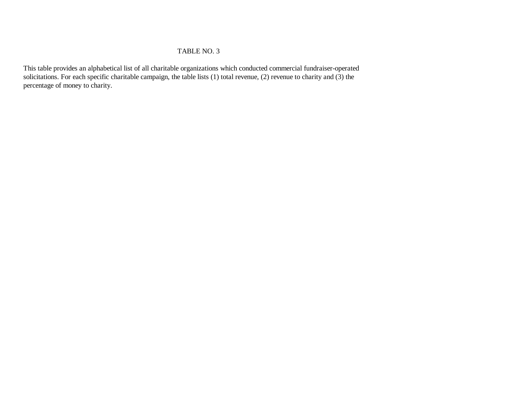## TABLE NO. 3

This table provides an alphabetical list of all charitable organizations which conducted commercial fundraiser-operated solicitations. For each specific charitable campaign, the table lists  $(1)$  total revenue,  $(2)$  revenue to charity and  $(3)$  the percentage of money to charity.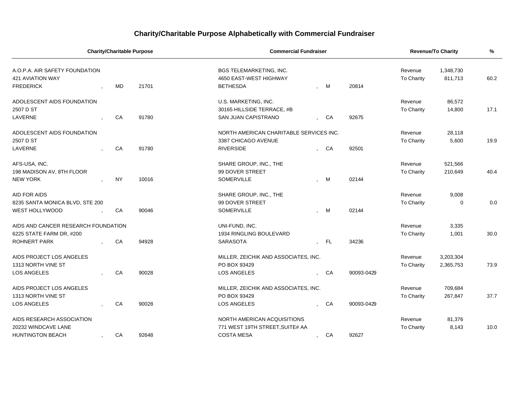# **Charity/Charitable Purpose Alphabetically with Commercial Fundraiser**

| <b>Charity/Charitable Purpose</b>   |  |           |       | <b>Commercial Fundraiser</b>            |    | <b>Revenue/To Charity</b> |                   | %         |      |
|-------------------------------------|--|-----------|-------|-----------------------------------------|----|---------------------------|-------------------|-----------|------|
| A.O.P.A. AIR SAFETY FOUNDATION      |  |           |       | <b>BGS TELEMARKETING, INC.</b>          |    |                           | Revenue           | 1,348,730 |      |
| <b>421 AVIATION WAY</b>             |  |           |       | 4650 EAST-WEST HIGHWAY                  |    |                           | To Charity        | 811,713   | 60.2 |
| <b>FREDERICK</b>                    |  | <b>MD</b> | 21701 | <b>BETHESDA</b>                         | M  | 20814                     |                   |           |      |
| ADOLESCENT AIDS FOUNDATION          |  |           |       | U.S. MARKETING, INC.                    |    |                           | Revenue           | 86,572    |      |
| 2507 D ST                           |  |           |       | 30165 HILLSIDE TERRACE, #B              |    |                           | To Charity        | 14,800    | 17.1 |
| LAVERNE                             |  | CA        | 91780 | <b>SAN JUAN CAPISTRANO</b>              | CA | 92675                     |                   |           |      |
| ADOLESCENT AIDS FOUNDATION          |  |           |       | NORTH AMERICAN CHARITABLE SERVICES INC. |    |                           | Revenue           | 28,118    |      |
| 2507 D ST                           |  |           |       | 3387 CHICAGO AVENUE                     |    |                           | To Charity        | 5,600     | 19.9 |
| LAVERNE                             |  | CA        | 91780 | <b>RIVERSIDE</b>                        | CA | 92501                     |                   |           |      |
| AFS-USA, INC.                       |  |           |       | SHARE GROUP, INC., THE                  |    |                           | Revenue           | 521,566   |      |
| 198 MADISON AV, 8TH FLOOR           |  |           |       | 99 DOVER STREET                         |    |                           | To Charity        | 210,649   | 40.4 |
| <b>NEW YORK</b>                     |  | <b>NY</b> | 10016 | SOMERVILLE                              | M  | 02144                     |                   |           |      |
| AID FOR AIDS                        |  |           |       | SHARE GROUP, INC., THE                  |    |                           | Revenue           | 9,008     |      |
| 8235 SANTA MONICA BLVD, STE 200     |  |           |       | 99 DOVER STREET                         |    |                           | To Charity        | 0         | 0.0  |
| WEST HOLLYWOOD                      |  | CA        | 90046 | SOMERVILLE                              | M  | 02144                     |                   |           |      |
| AIDS AND CANCER RESEARCH FOUNDATION |  |           |       | UNI-FUND, INC.                          |    |                           | Revenue           | 3,335     |      |
| 6225 STATE FARM DR, #200            |  |           |       | 1934 RINGLING BOULEVARD                 |    |                           | To Charity        | 1,001     | 30.0 |
| ROHNERT PARK                        |  | CA        | 94928 | SARASOTA                                | FL | 34236                     |                   |           |      |
| AIDS PROJECT LOS ANGELES            |  |           |       | MILLER, ZEICHIK AND ASSOCIATES, INC.    |    |                           | Revenue           | 3,203,304 |      |
| 1313 NORTH VINE ST                  |  |           |       | PO BOX 93429                            |    |                           | <b>To Charity</b> | 2,365,753 | 73.9 |
| <b>LOS ANGELES</b>                  |  | CA        | 90028 | <b>LOS ANGELES</b>                      | CA | 90093-0429                |                   |           |      |
| AIDS PROJECT LOS ANGELES            |  |           |       | MILLER, ZEICHIK AND ASSOCIATES, INC.    |    |                           | Revenue           | 709,684   |      |
| 1313 NORTH VINE ST                  |  |           |       | PO BOX 93429                            |    |                           | To Charity        | 267,847   | 37.7 |
| <b>LOS ANGELES</b>                  |  | CA        | 90028 | <b>LOS ANGELES</b>                      | CA | 90093-0429                |                   |           |      |
| AIDS RESEARCH ASSOCIATION           |  |           |       | NORTH AMERICAN ACQUISITIONS             |    |                           | Revenue           | 81,376    |      |
| 20232 WINDCAVE LANE                 |  |           |       | 771 WEST 19TH STREET, SUITE# AA         |    |                           | To Charity        | 8,143     | 10.0 |
| <b>HUNTINGTON BEACH</b>             |  | CA        | 92648 | <b>COSTA MESA</b>                       | CA | 92627                     |                   |           |      |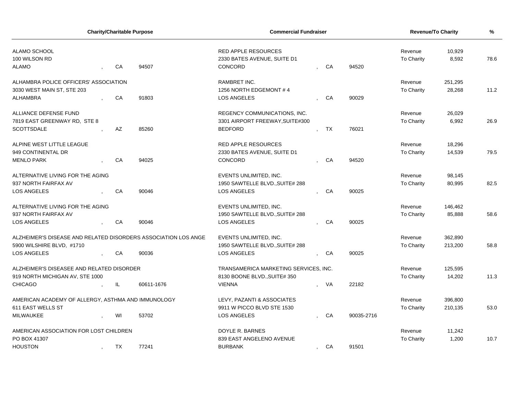| <b>Charity/Charitable Purpose</b>                              |  | <b>Commercial Fundraiser</b> |            |                                       |  | <b>Revenue/To Charity</b> |            | $\%$              |         |      |
|----------------------------------------------------------------|--|------------------------------|------------|---------------------------------------|--|---------------------------|------------|-------------------|---------|------|
| ALAMO SCHOOL                                                   |  |                              |            | <b>RED APPLE RESOURCES</b>            |  |                           |            | Revenue           | 10,929  |      |
| 100 WILSON RD                                                  |  |                              |            | 2330 BATES AVENUE, SUITE D1           |  |                           |            | To Charity        | 8,592   | 78.6 |
| <b>ALAMO</b>                                                   |  | CA                           | 94507      | CONCORD                               |  | CA                        | 94520      |                   |         |      |
| ALHAMBRA POLICE OFFICERS' ASSOCIATION                          |  |                              |            | <b>RAMBRET INC.</b>                   |  |                           |            | Revenue           | 251,295 |      |
| 3030 WEST MAIN ST, STE 203                                     |  |                              |            | 1256 NORTH EDGEMONT #4                |  |                           |            | To Charity        | 28,268  | 11.2 |
| <b>ALHAMBRA</b>                                                |  | CA                           | 91803      | <b>LOS ANGELES</b>                    |  | CA                        | 90029      |                   |         |      |
| ALLIANCE DEFENSE FUND                                          |  |                              |            | REGENCY COMMUNICATIONS, INC.          |  |                           |            | Revenue           | 26,029  |      |
| 7819 EAST GREENWAY RD, STE 8                                   |  |                              |            | 3301 AIRPORT FREEWAY, SUITE#300       |  |                           |            | To Charity        | 6,992   | 26.9 |
| <b>SCOTTSDALE</b>                                              |  | <b>AZ</b>                    | 85260      | <b>BEDFORD</b>                        |  | <b>TX</b>                 | 76021      |                   |         |      |
| ALPINE WEST LITTLE LEAGUE                                      |  |                              |            | <b>RED APPLE RESOURCES</b>            |  |                           |            | Revenue           | 18,296  |      |
| 949 CONTINENTAL DR                                             |  |                              |            | 2330 BATES AVENUE, SUITE D1           |  |                           |            | <b>To Charity</b> | 14,539  | 79.5 |
| <b>MENLO PARK</b>                                              |  | CA                           | 94025      | CONCORD                               |  | CA                        | 94520      |                   |         |      |
| ALTERNATIVE LIVING FOR THE AGING                               |  |                              |            | EVENTS UNLIMITED, INC.                |  |                           |            | Revenue           | 98,145  |      |
| 937 NORTH FAIRFAX AV                                           |  |                              |            | 1950 SAWTELLE BLVD., SUITE# 288       |  |                           |            | <b>To Charity</b> | 80,995  | 82.5 |
| LOS ANGELES                                                    |  | CA                           | 90046      | LOS ANGELES                           |  | CA                        | 90025      |                   |         |      |
| ALTERNATIVE LIVING FOR THE AGING                               |  |                              |            | EVENTS UNLIMITED, INC.                |  |                           |            | Revenue           | 146,462 |      |
| 937 NORTH FAIRFAX AV                                           |  |                              |            | 1950 SAWTELLE BLVD., SUITE# 288       |  |                           |            | <b>To Charity</b> | 85,888  | 58.6 |
| LOS ANGELES                                                    |  | CA                           | 90046      | LOS ANGELES                           |  | CA                        | 90025      |                   |         |      |
| ALZHEIMER'S DISEASE AND RELATED DISORDERS ASSOCIATION LOS ANGE |  |                              |            | EVENTS UNLIMITED, INC.                |  |                           |            | Revenue           | 362,890 |      |
| 5900 WILSHIRE BLVD, #1710                                      |  |                              |            | 1950 SAWTELLE BLVD., SUITE# 288       |  |                           |            | To Charity        | 213,200 | 58.8 |
| LOS ANGELES                                                    |  | CA                           | 90036      | LOS ANGELES                           |  | CA                        | 90025      |                   |         |      |
| ALZHEIMER'S DISEASEE AND RELATED DISORDER                      |  |                              |            | TRANSAMERICA MARKETING SERVICES, INC. |  |                           |            | Revenue           | 125,595 |      |
| 919 NORTH MICHIGAN AV, STE 1000                                |  |                              |            | 8130 BOONE BLVD., SUITE# 350          |  |                           |            | To Charity        | 14,202  | 11.3 |
| <b>CHICAGO</b>                                                 |  | IL.                          | 60611-1676 | <b>VIENNA</b>                         |  | - VA                      | 22182      |                   |         |      |
| AMERICAN ACADEMY OF ALLERGY, ASTHMA AND IMMUNOLOGY             |  |                              |            | LEVY, PAZANTI & ASSOCIATES            |  |                           |            | Revenue           | 396,800 |      |
| 611 EAST WELLS ST                                              |  |                              |            | 9911 W PICCO BLVD STE 1530            |  |                           |            | To Charity        | 210,135 | 53.0 |
| MILWAUKEE                                                      |  | WI                           | 53702      | LOS ANGELES                           |  | CA                        | 90035-2716 |                   |         |      |
| AMERICAN ASSOCIATION FOR LOST CHILDREN                         |  |                              |            | DOYLE R. BARNES                       |  |                           |            | Revenue           | 11,242  |      |
| PO BOX 41307                                                   |  |                              |            | 839 EAST ANGELENO AVENUE              |  |                           |            | <b>To Charity</b> | 1,200   | 10.7 |
| <b>HOUSTON</b>                                                 |  | TX                           | 77241      | <b>BURBANK</b>                        |  | CA                        | 91501      |                   |         |      |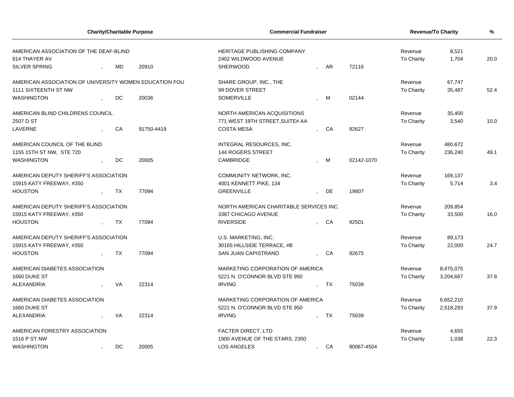| <b>Charity/Charitable Purpose</b>                      |              |           |            | <b>Commercial Fundraiser</b>            | <b>Revenue/To Charity</b> |           | $\frac{9}{6}$ |                   |           |      |
|--------------------------------------------------------|--------------|-----------|------------|-----------------------------------------|---------------------------|-----------|---------------|-------------------|-----------|------|
| AMERICAN ASSOCIATION OF THE DEAF-BLIND                 |              |           |            | <b>HERITAGE PUBLISHING COMPANY</b>      |                           |           |               | Revenue           | 8,521     |      |
| 814 THAYER AV                                          |              |           |            | 2402 WILDWOOD AVENUE                    |                           |           |               | <b>To Charity</b> | 1,704     | 20.0 |
| <b>SILVER SPRING</b>                                   |              | <b>MD</b> | 20910      | <b>SHERWOOD</b>                         |                           | AR        | 72116         |                   |           |      |
| AMERICAN ASSOCIATION OF UNIVERSITY WOMEN EDUCATION FOU |              |           |            | SHARE GROUP, INC., THE                  |                           |           |               | Revenue           | 67,747    |      |
| <b>1111 SIXTEENTH ST NW</b>                            |              |           |            | 99 DOVER STREET                         |                           |           |               | <b>To Charity</b> | 35,487    | 52.4 |
| <b>WASHINGTON</b>                                      |              | DC        | 20036      | SOMERVILLE                              |                           | M         | 02144         |                   |           |      |
| AMERICAN BLIND CHILDRENS COUNCIL                       |              |           |            | NORTH AMERICAN ACQUISITIONS             |                           |           |               | Revenue           | 35,400    |      |
| 2507 D ST                                              |              |           |            | 771 WEST 19TH STREET, SUITE# AA         |                           |           |               | To Charity        | 3,540     | 10.0 |
| LAVERNE                                                |              | CA        | 91750-4419 | <b>COSTA MESA</b>                       |                           | CA        | 92627         |                   |           |      |
| AMERICAN COUNCIL OF THE BLIND                          |              |           |            | INTEGRAL RESOURCES, INC.                |                           |           |               | Revenue           | 480,672   |      |
| 1155 15TH ST NW, STE 720                               |              |           |            | <b>144 ROGERS STREET</b>                |                           |           |               | To Charity        | 236,240   | 49.1 |
| <b>WASHINGTON</b>                                      |              | DC.       | 20005      | CAMBRIDGE                               |                           | M         | 02142-1070    |                   |           |      |
| AMERICAN DEPUTY SHERIFF'S ASSOCIATION                  |              |           |            | COMMUNITY NETWORK, INC.                 |                           |           |               | Revenue           | 169,137   |      |
| 15915 KATY FREEWAY, #350                               |              |           |            | 4001 KENNETT PIKE, 134                  |                           |           |               | <b>To Charity</b> | 5,714     | 3.4  |
| <b>HOUSTON</b>                                         | $\mathbf{r}$ | TX        | 77094      | <b>GREENVILLE</b>                       |                           | DE        | 19807         |                   |           |      |
| AMERICAN DEPUTY SHERIFF'S ASSOCIATION                  |              |           |            | NORTH AMERICAN CHARITABLE SERVICES INC. |                           | Revenue   | 209,854       |                   |           |      |
| 15915 KATY FREEWAY, #350                               |              |           |            | 3387 CHICAGO AVENUE                     |                           |           |               | To Charity        | 33,500    | 16.0 |
| <b>HOUSTON</b>                                         |              | <b>TX</b> | 77094      | <b>RIVERSIDE</b>                        |                           | - CA      | 92501         |                   |           |      |
| AMERICAN DEPUTY SHERIFF'S ASSOCIATION                  |              |           |            | U.S. MARKETING, INC.                    |                           |           | Revenue       | 89,173            |           |      |
| 15915 KATY FREEWAY, #350                               |              |           |            | 30165 HILLSIDE TERRACE, #B              |                           |           |               | To Charity        | 22,000    | 24.7 |
| <b>HOUSTON</b>                                         |              | <b>TX</b> | 77094      | SAN JUAN CAPISTRANO                     |                           | CA        | 92675         |                   |           |      |
| AMERICAN DIABETES ASSOCIATION                          |              |           |            | MARKETING CORPORATION OF AMERICA        |                           |           |               | Revenue           | 8,475,075 |      |
| 1660 DUKE ST                                           |              |           |            | 5221 N. O'CONNOR BLVD STE 950           |                           |           |               | <b>To Charity</b> | 3,204,667 | 37.8 |
| <b>ALEXANDRIA</b>                                      |              | VA        | 22314      | <b>IRVING</b>                           |                           | TX        | 75039         |                   |           |      |
| AMERICAN DIABETES ASSOCIATION                          |              |           |            | MARKETING CORPORATION OF AMERICA        |                           |           |               | Revenue           | 6,652,210 |      |
| 1660 DUKE ST                                           |              |           |            | 5221 N. O'CONNOR BLVD STE 950           |                           |           |               | To Charity        | 2,518,293 | 37.9 |
| ALEXANDRIA                                             |              | <b>VA</b> | 22314      | <b>IRVING</b>                           |                           | <b>TX</b> | 75039         |                   |           |      |
| AMERICAN FORESTRY ASSOCIATION                          |              |           |            | FACTER DIRECT, LTD                      |                           |           |               | Revenue           | 4,655     |      |
| 1516 P ST NW                                           |              |           |            | 1900 AVENUE OF THE STARS, 2350          |                           |           |               | <b>To Charity</b> | 1,038     | 22.3 |
| <b>WASHINGTON</b>                                      |              | DC.       | 20005      | <b>LOS ANGELES</b>                      | $\mathbf{r}$              | CA        | 90067-4504    |                   |           |      |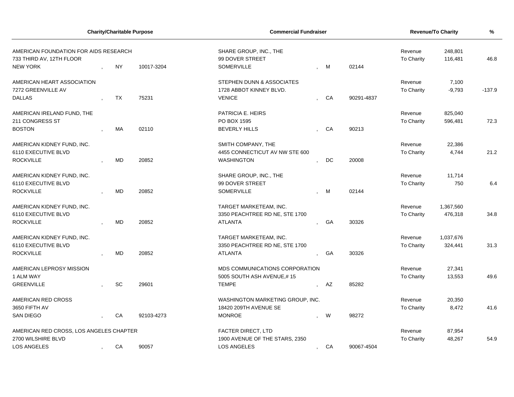| <b>Charity/Charitable Purpose</b><br>AMERICAN FOUNDATION FOR AIDS RESEARCH<br>733 THIRD AV, 12TH FLOOR<br><b>NEW YORK</b><br><b>NY</b><br>10017-3204 |           |            | <b>Commercial Fundraiser</b>                                          | Revenue/To Charity   |            | %                            |                    |          |
|------------------------------------------------------------------------------------------------------------------------------------------------------|-----------|------------|-----------------------------------------------------------------------|----------------------|------------|------------------------------|--------------------|----------|
|                                                                                                                                                      |           |            | SHARE GROUP, INC., THE<br>99 DOVER STREET<br>SOMERVILLE<br>02144<br>M |                      |            | Revenue<br>To Charity        | 248,801<br>116,481 | 46.8     |
|                                                                                                                                                      |           |            |                                                                       |                      |            |                              |                    |          |
| AMERICAN HEART ASSOCIATION<br>7272 GREENVILLE AV                                                                                                     |           |            | STEPHEN DUNN & ASSOCIATES<br>1728 ABBOT KINNEY BLVD.                  |                      |            | Revenue<br><b>To Charity</b> | 7,100<br>$-9,793$  | $-137.9$ |
| <b>DALLAS</b>                                                                                                                                        | TX        | 75231      | <b>VENICE</b>                                                         | CA                   | 90291-4837 |                              |                    |          |
| AMERICAN IRELAND FUND, THE                                                                                                                           |           |            | PATRICIA E. HEIRS                                                     |                      |            | Revenue                      | 825,040            |          |
| 211 CONGRESS ST<br><b>BOSTON</b>                                                                                                                     | МA        | 02110      | PO BOX 1595<br><b>BEVERLY HILLS</b>                                   | CA                   | 90213      | To Charity                   | 596,481            | 72.3     |
| AMERICAN KIDNEY FUND, INC.                                                                                                                           |           |            | SMITH COMPANY, THE                                                    |                      |            | Revenue                      | 22,386             |          |
| 6110 EXECUTIVE BLVD<br><b>ROCKVILLE</b>                                                                                                              | <b>MD</b> | 20852      | 4455 CONNECTICUT AV NW STE 600<br><b>WASHINGTON</b>                   | DC                   | 20008      | To Charity                   | 4,744              | 21.2     |
| AMERICAN KIDNEY FUND, INC.                                                                                                                           |           |            | SHARE GROUP, INC., THE                                                |                      |            | Revenue                      | 11,714             |          |
| 6110 EXECUTIVE BLVD<br><b>ROCKVILLE</b>                                                                                                              | <b>MD</b> | 20852      | 99 DOVER STREET<br>SOMERVILLE                                         | M                    | 02144      | To Charity                   | 750                | 6.4      |
| AMERICAN KIDNEY FUND, INC.                                                                                                                           |           |            | TARGET MARKETEAM, INC.                                                |                      |            | Revenue                      | 1,367,560          |          |
| 6110 EXECUTIVE BLVD<br><b>ROCKVILLE</b>                                                                                                              | <b>MD</b> | 20852      | 3350 PEACHTREE RD NE, STE 1700<br><b>ATLANTA</b>                      | GA                   | 30326      | To Charity                   | 476,318            | 34.8     |
| AMERICAN KIDNEY FUND, INC.<br>6110 EXECUTIVE BLVD                                                                                                    |           |            | TARGET MARKETEAM, INC.<br>3350 PEACHTREE RD NE, STE 1700              |                      |            | Revenue                      | 1,037,676          | 31.3     |
| <b>ROCKVILLE</b>                                                                                                                                     | <b>MD</b> | 20852      | <b>ATLANTA</b>                                                        | GA                   | 30326      | To Charity                   | 324,441            |          |
| AMERICAN LEPROSY MISSION<br>1 ALM WAY                                                                                                                |           |            | MDS COMMUNICATIONS CORPORATION<br>5005 SOUTH ASH AVENUE,#15           |                      |            | Revenue<br>To Charity        | 27,341<br>13,553   | 49.6     |
| <b>GREENVILLE</b>                                                                                                                                    | <b>SC</b> | 29601      | <b>TEMPE</b>                                                          | AZ                   | 85282      |                              |                    |          |
| AMERICAN RED CROSS<br>3650 FIFTH AV                                                                                                                  |           |            | WASHINGTON MARKETING GROUP, INC.<br>18420 209TH AVENUE SE             |                      |            | Revenue<br><b>To Charity</b> | 20,350<br>8,472    | 41.6     |
| <b>SAN DIEGO</b>                                                                                                                                     | CA        | 92103-4273 | <b>MONROE</b>                                                         | W                    | 98272      |                              |                    |          |
| AMERICAN RED CROSS, LOS ANGELES CHAPTER                                                                                                              |           |            | <b>FACTER DIRECT, LTD</b>                                             |                      |            | Revenue                      | 87,954             |          |
| 2700 WILSHIRE BLVD<br>LOS ANGELES                                                                                                                    | CA        | 90057      | 1900 AVENUE OF THE STARS, 2350<br><b>LOS ANGELES</b>                  | CA<br>$\overline{ }$ | 90067-4504 | To Charity                   | 48,267             | 54.9     |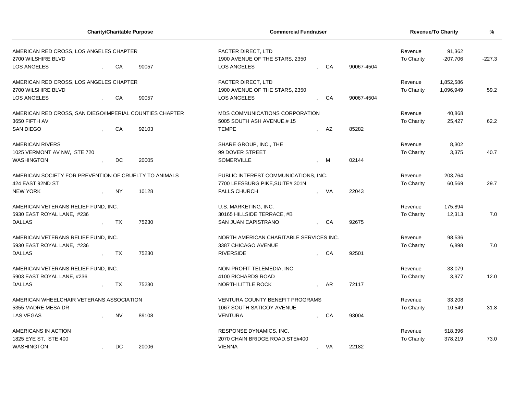| <b>Charity/Charitable Purpose</b>                             |           |                                      | <b>Commercial Fundraiser</b>                                | <b>Revenue/To Charity</b> | $\frac{9}{6}$        |                   |           |      |
|---------------------------------------------------------------|-----------|--------------------------------------|-------------------------------------------------------------|---------------------------|----------------------|-------------------|-----------|------|
| AMERICAN RED CROSS, LOS ANGELES CHAPTER<br>2700 WILSHIRE BLVD |           |                                      | <b>FACTER DIRECT, LTD</b><br>1900 AVENUE OF THE STARS, 2350 | Revenue<br>To Charity     | 91,362<br>$-207,706$ | $-227.3$          |           |      |
| LOS ANGELES                                                   | CA        | 90057                                | <b>LOS ANGELES</b>                                          | CA                        | 90067-4504           |                   |           |      |
| AMERICAN RED CROSS, LOS ANGELES CHAPTER                       |           |                                      | <b>FACTER DIRECT, LTD</b>                                   |                           |                      | Revenue           | 1,852,586 |      |
| 2700 WILSHIRE BLVD                                            |           |                                      | 1900 AVENUE OF THE STARS, 2350                              |                           |                      | To Charity        | 1,096,949 | 59.2 |
| <b>LOS ANGELES</b>                                            | CA        | 90057                                | <b>LOS ANGELES</b>                                          | CA                        | 90067-4504           |                   |           |      |
| AMERICAN RED CROSS, SAN DIEGO/IMPERIAL COUNTIES CHAPTER       |           |                                      | MDS COMMUNICATIONS CORPORATION                              |                           |                      | Revenue           | 40,868    |      |
| 3650 FIFTH AV                                                 |           |                                      | 5005 SOUTH ASH AVENUE,#15                                   |                           |                      | <b>To Charity</b> | 25,427    | 62.2 |
| <b>SAN DIEGO</b>                                              | CA        | 92103                                | <b>TEMPE</b>                                                | AZ                        | 85282                |                   |           |      |
| <b>AMERICAN RIVERS</b>                                        |           |                                      | SHARE GROUP, INC., THE                                      |                           |                      | Revenue           | 8,302     |      |
| 1025 VERMONT AV NW, STE 720                                   |           |                                      | 99 DOVER STREET                                             |                           |                      | To Charity        | 3,375     | 40.7 |
| <b>WASHINGTON</b>                                             | DC.       | 20005                                | <b>SOMERVILLE</b>                                           | M                         | 02144                |                   |           |      |
| AMERICAN SOCIETY FOR PREVENTION OF CRUELTY TO ANIMALS         |           | PUBLIC INTEREST COMMUNICATIONS, INC. |                                                             |                           | Revenue              | 203,764           |           |      |
| 424 EAST 92ND ST                                              |           |                                      | 7700 LEESBURG PIKE, SUITE# 301N                             |                           |                      | <b>To Charity</b> | 60,569    | 29.7 |
| <b>NEW YORK</b>                                               | <b>NY</b> | 10128                                | <b>FALLS CHURCH</b>                                         | - VA                      | 22043                |                   |           |      |
| AMERICAN VETERANS RELIEF FUND, INC.                           |           |                                      | U.S. MARKETING, INC.                                        |                           |                      | Revenue           | 175,894   |      |
| 5930 EAST ROYAL LANE, #236                                    |           |                                      | 30165 HILLSIDE TERRACE, #B                                  |                           |                      | To Charity        | 12,313    | 7.0  |
| <b>DALLAS</b>                                                 | TX        | 75230                                | SAN JUAN CAPISTRANO                                         | CA                        | 92675                |                   |           |      |
| AMERICAN VETERANS RELIEF FUND, INC.                           |           |                                      | NORTH AMERICAN CHARITABLE SERVICES INC.                     |                           |                      | Revenue           | 98,536    |      |
| 5930 EAST ROYAL LANE, #236                                    |           |                                      | 3387 CHICAGO AVENUE                                         |                           |                      | To Charity        | 6,898     | 7.0  |
| <b>DALLAS</b>                                                 | <b>TX</b> | 75230                                | <b>RIVERSIDE</b>                                            | CA                        | 92501                |                   |           |      |
| AMERICAN VETERANS RELIEF FUND, INC.                           |           |                                      | NON-PROFIT TELEMEDIA, INC.                                  |                           |                      | Revenue           | 33,079    |      |
| 5903 EAST ROYAL LANE, #236                                    |           |                                      | 4100 RICHARDS ROAD                                          |                           |                      | <b>To Charity</b> | 3,977     | 12.0 |
| <b>DALLAS</b>                                                 | TX        | 75230                                | NORTH LITTLE ROCK                                           | <b>AR</b>                 | 72117                |                   |           |      |
| AMERICAN WHEELCHAIR VETERANS ASSOCIATION                      |           |                                      | <b>VENTURA COUNTY BENEFIT PROGRAMS</b>                      |                           |                      | Revenue           | 33,208    |      |
| 5355 MADRE MESA DR                                            |           |                                      | 1067 SOUTH SATICOY AVENUE                                   |                           |                      | To Charity        | 10,549    | 31.8 |
| <b>LAS VEGAS</b>                                              | <b>NV</b> | 89108                                | <b>VENTURA</b>                                              | CA                        | 93004                |                   |           |      |
| AMERICANS IN ACTION                                           |           |                                      | RESPONSE DYNAMICS, INC.                                     |                           |                      | Revenue           | 518,396   |      |
| 1825 EYE ST, STE 400                                          |           |                                      | 2070 CHAIN BRIDGE ROAD, STE#400                             |                           |                      | To Charity        | 378,219   | 73.0 |
| <b>WASHINGTON</b>                                             | <b>DC</b> | 20006                                | <b>VIENNA</b>                                               | VA<br>$\cdot$             | 22182                |                   |           |      |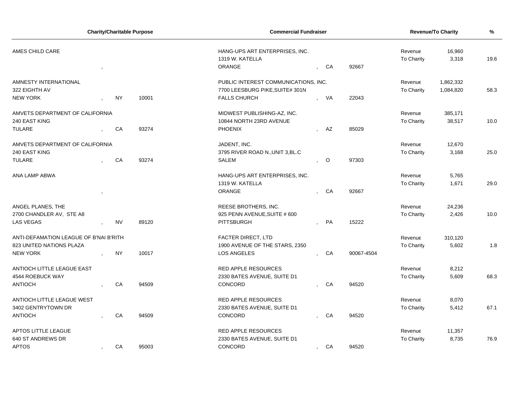| <b>Charity/Charitable Purpose</b>      |  |           | <b>Commercial Fundraiser</b> | <b>Revenue/To Charity</b>                              | %              |         |            |                       |                 |      |
|----------------------------------------|--|-----------|------------------------------|--------------------------------------------------------|----------------|---------|------------|-----------------------|-----------------|------|
| AMES CHILD CARE                        |  |           |                              | HANG-UPS ART ENTERPRISES, INC.<br>1319 W. KATELLA      |                |         |            | Revenue<br>To Charity | 16,960<br>3,318 | 19.6 |
|                                        |  |           |                              | ORANGE                                                 | $\mathbf{r}$   | CA      | 92667      |                       |                 |      |
| AMNESTY INTERNATIONAL                  |  |           |                              | PUBLIC INTEREST COMMUNICATIONS, INC.                   |                |         |            | Revenue               | 1,862,332       |      |
| 322 EIGHTH AV<br><b>NEW YORK</b>       |  | <b>NY</b> | 10001                        | 7700 LEESBURG PIKE, SUITE# 301N<br><b>FALLS CHURCH</b> |                | VA      | 22043      | To Charity            | 1,084,820       | 58.3 |
|                                        |  |           |                              |                                                        |                |         |            |                       |                 |      |
| AMVETS DEPARTMENT OF CALIFORNIA        |  |           |                              | MIDWEST PUBLISHING-AZ, INC.                            |                |         |            | Revenue               | 385,171         |      |
| 240 EAST KING                          |  |           |                              | 10844 NORTH 23RD AVENUE                                |                |         |            | To Charity            | 38,517          | 10.0 |
| <b>TULARE</b>                          |  | CA        | 93274                        | <b>PHOENIX</b>                                         |                | AZ      | 85029      |                       |                 |      |
| AMVETS DEPARTMENT OF CALIFORNIA        |  |           |                              | JADENT, INC.                                           |                |         |            | Revenue               | 12,670          |      |
| 240 EAST KING                          |  |           |                              | 3795 RIVER ROAD N., UNIT 3, BL.C                       |                |         |            | To Charity            | 3,168           | 25.0 |
| <b>TULARE</b>                          |  | CA        | 93274                        | SALEM                                                  | $\overline{ }$ | $\circ$ | 97303      |                       |                 |      |
|                                        |  |           |                              |                                                        |                |         |            |                       |                 |      |
| ANA LAMP ABWA                          |  |           |                              | HANG-UPS ART ENTERPRISES, INC.                         |                |         |            | Revenue               | 5,765           |      |
|                                        |  |           |                              | 1319 W. KATELLA                                        |                |         |            | To Charity            | 1,671           | 29.0 |
|                                        |  |           |                              | ORANGE                                                 |                | CA      | 92667      |                       |                 |      |
| ANGEL PLANES, THE                      |  |           |                              | REESE BROTHERS, INC.                                   |                |         |            | Revenue               | 24,236          |      |
| 2700 CHANDLER AV, STE A8               |  |           |                              | 925 PENN AVENUE, SUITE # 600                           |                |         |            | To Charity            | 2,426           | 10.0 |
| <b>LAS VEGAS</b>                       |  | <b>NV</b> | 89120                        | PITTSBURGH                                             |                | PA      | 15222      |                       |                 |      |
|                                        |  |           |                              |                                                        |                |         |            |                       |                 |      |
| ANTI-DEFAMATION LEAGUE OF B'NAI B'RITH |  |           |                              | <b>FACTER DIRECT, LTD</b>                              |                |         |            | Revenue               | 310,120         |      |
| 823 UNITED NATIONS PLAZA               |  |           |                              | 1900 AVENUE OF THE STARS, 2350                         |                |         |            | To Charity            | 5,602           | 1.8  |
| <b>NEW YORK</b>                        |  | NY        | 10017                        | <b>LOS ANGELES</b>                                     |                | CA      | 90067-4504 |                       |                 |      |
| ANTIOCH LITTLE LEAGUE EAST             |  |           |                              | <b>RED APPLE RESOURCES</b>                             |                |         |            | Revenue               | 8,212           |      |
| 4544 ROEBUCK WAY                       |  |           |                              | 2330 BATES AVENUE, SUITE D1                            |                |         |            | To Charity            | 5,609           | 68.3 |
| <b>ANTIOCH</b>                         |  | CA        | 94509                        | CONCORD                                                |                | CA      | 94520      |                       |                 |      |
|                                        |  |           |                              |                                                        |                |         |            |                       |                 |      |
| ANTIOCH LITTLE LEAGUE WEST             |  |           |                              | <b>RED APPLE RESOURCES</b>                             |                |         |            | Revenue               | 8,070           |      |
| 3402 GENTRYTOWN DR                     |  |           |                              | 2330 BATES AVENUE, SUITE D1                            |                |         |            | To Charity            | 5,412           | 67.1 |
| <b>ANTIOCH</b>                         |  | CA        | 94509                        | CONCORD                                                |                | CA      | 94520      |                       |                 |      |
| APTOS LITTLE LEAGUE                    |  |           |                              | RED APPLE RESOURCES                                    |                |         |            | Revenue               | 11,357          |      |
| 640 ST ANDREWS DR                      |  |           |                              | 2330 BATES AVENUE, SUITE D1                            |                |         |            | To Charity            | 8,735           | 76.9 |
| <b>APTOS</b>                           |  | CA        | 95003                        | CONCORD                                                | $\mathbf{r}$   | CA      | 94520      |                       |                 |      |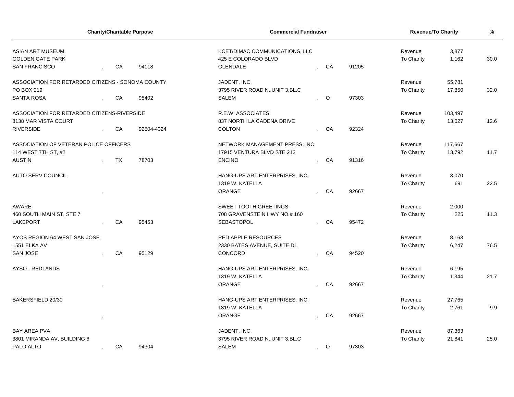| <b>Charity/Charitable Purpose</b>                  |           |            | <b>Commercial Fundraiser</b>                          | Revenue/To Charity      | %     |                       |                |      |
|----------------------------------------------------|-----------|------------|-------------------------------------------------------|-------------------------|-------|-----------------------|----------------|------|
| <b>ASIAN ART MUSEUM</b><br><b>GOLDEN GATE PARK</b> |           |            | KCET/DIMAC COMMUNICATIONS, LLC<br>425 E COLORADO BLVD |                         |       | Revenue<br>To Charity | 3,877<br>1,162 | 30.0 |
| <b>SAN FRANCISCO</b>                               | CA        | 94118      | <b>GLENDALE</b>                                       | CA                      | 91205 |                       |                |      |
| ASSOCIATION FOR RETARDED CITIZENS - SONOMA COUNTY  |           |            | JADENT, INC.                                          |                         |       | Revenue               | 55,781         |      |
| PO BOX 219                                         |           |            | 3795 RIVER ROAD N., UNIT 3, BL.C                      |                         |       | To Charity            | 17,850         | 32.0 |
| <b>SANTA ROSA</b>                                  | CA        | 95402      | <b>SALEM</b>                                          | $\circ$                 | 97303 |                       |                |      |
| ASSOCIATION FOR RETARDED CITIZENS-RIVERSIDE        |           |            | R.E.W. ASSOCIATES                                     |                         |       | Revenue               | 103,497        |      |
| 8138 MAR VISTA COURT                               |           |            | 837 NORTH LA CADENA DRIVE                             |                         |       | To Charity            | 13,027         | 12.6 |
| <b>RIVERSIDE</b>                                   | CA        | 92504-4324 | <b>COLTON</b>                                         | CA                      | 92324 |                       |                |      |
| ASSOCIATION OF VETERAN POLICE OFFICERS             |           |            | NETWORK MANAGEMENT PRESS, INC.                        |                         |       | Revenue               | 117,667        |      |
| 114 WEST 7TH ST, #2                                |           |            | 17915 VENTURA BLVD STE 212                            |                         |       | To Charity            | 13,792         | 11.7 |
| <b>AUSTIN</b>                                      | <b>TX</b> | 78703      | <b>ENCINO</b>                                         | CA                      | 91316 |                       |                |      |
| <b>AUTO SERV COUNCIL</b>                           |           |            | HANG-UPS ART ENTERPRISES, INC.                        |                         |       | Revenue               | 3,070          |      |
|                                                    |           |            | 1319 W. KATELLA                                       |                         |       | To Charity            | 691            | 22.5 |
|                                                    |           |            | ORANGE                                                | CA                      | 92667 |                       |                |      |
| <b>AWARE</b>                                       |           |            | <b>SWEET TOOTH GREETINGS</b>                          |                         |       | Revenue               | 2,000          |      |
| 460 SOUTH MAIN ST, STE 7                           |           |            | 708 GRAVENSTEIN HWY NO.# 160                          |                         |       | To Charity            | 225            | 11.3 |
| <b>LAKEPORT</b>                                    | CA        | 95453      | SEBASTOPOL                                            | CA                      | 95472 |                       |                |      |
| AYOS REGION 64 WEST SAN JOSE                       |           |            | <b>RED APPLE RESOURCES</b>                            |                         |       | Revenue               | 8,163          |      |
| 1551 ELKA AV                                       |           |            | 2330 BATES AVENUE, SUITE D1                           |                         |       | To Charity            | 6,247          | 76.5 |
| <b>SAN JOSE</b>                                    | CA        | 95129      | CONCORD                                               | CA                      | 94520 |                       |                |      |
| AYSO - REDLANDS                                    |           |            | HANG-UPS ART ENTERPRISES, INC.                        |                         |       | Revenue               | 6,195          |      |
|                                                    |           |            | 1319 W. KATELLA                                       |                         |       | To Charity            | 1,344          | 21.7 |
|                                                    |           |            | <b>ORANGE</b>                                         | CA                      | 92667 |                       |                |      |
| BAKERSFIELD 20/30                                  |           |            | HANG-UPS ART ENTERPRISES, INC.                        |                         |       | Revenue               | 27,765         |      |
|                                                    |           |            | 1319 W. KATELLA                                       |                         |       | To Charity            | 2,761          | 9.9  |
|                                                    |           |            | ORANGE                                                | CA                      | 92667 |                       |                |      |
| <b>BAY AREA PVA</b>                                |           |            | JADENT, INC.                                          |                         |       | Revenue               | 87,363         |      |
| 3801 MIRANDA AV, BUILDING 6                        |           |            | 3795 RIVER ROAD N., UNIT 3, BL.C                      |                         |       | To Charity            | 21,841         | 25.0 |
| PALO ALTO                                          | CA        | 94304      | <b>SALEM</b>                                          | $\circ$<br>$\mathbf{r}$ | 97303 |                       |                |      |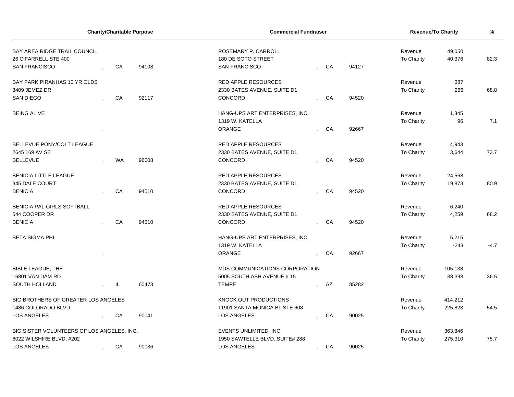| <b>Charity/Charitable Purpose</b>          |  |           | <b>Commercial Fundraiser</b> | <b>Revenue/To Charity</b>       | %              |      |       |            |                  |        |
|--------------------------------------------|--|-----------|------------------------------|---------------------------------|----------------|------|-------|------------|------------------|--------|
| <b>BAY AREA RIDGE TRAIL COUNCIL</b>        |  |           |                              | ROSEMARY P. CARROLL             | Revenue        |      |       |            |                  |        |
| 26 O'FARRELL STE 400                       |  |           |                              | 180 DE SOTO STREET              |                |      |       | To Charity | 49,050<br>40,376 | 82.3   |
| <b>SAN FRANCISCO</b>                       |  | CA        | 94108                        | <b>SAN FRANCISCO</b>            |                | CA   | 94127 |            |                  |        |
| BAY PARK PIRANHAS 10 YR OLDS               |  |           |                              | <b>RED APPLE RESOURCES</b>      |                |      |       | Revenue    | 387              |        |
| 3409 JEMEZ DR                              |  |           |                              | 2330 BATES AVENUE, SUITE D1     |                |      |       | To Charity | 266              | 68.8   |
| <b>SAN DIEGO</b>                           |  | CA        | 92117                        | CONCORD                         |                | CA   | 94520 |            |                  |        |
| <b>BEING ALIVE</b>                         |  |           |                              | HANG-UPS ART ENTERPRISES, INC.  |                |      |       | Revenue    | 1,345            |        |
|                                            |  |           |                              | 1319 W. KATELLA                 |                |      |       | To Charity | 96               | 7.1    |
|                                            |  |           |                              | <b>ORANGE</b>                   |                | CA   | 92667 |            |                  |        |
| BELLEVUE PONY/COLT LEAGUE                  |  |           |                              | RED APPLE RESOURCES             |                |      |       | Revenue    | 4,943            |        |
| 2645 169 AV SE                             |  |           |                              | 2330 BATES AVENUE, SUITE D1     |                |      |       | To Charity | 3,644            | 73.7   |
| <b>BELLEVUE</b>                            |  | <b>WA</b> | 96008                        | CONCORD                         |                | CA   | 94520 |            |                  |        |
| <b>BENICIA LITTLE LEAGUE</b>               |  |           |                              | <b>RED APPLE RESOURCES</b>      |                |      |       | Revenue    | 24,568           |        |
| 345 DALE COURT                             |  |           |                              | 2330 BATES AVENUE, SUITE D1     |                |      |       | To Charity | 19,873           | 80.9   |
| <b>BENICIA</b>                             |  | CA        | 94510                        | <b>CONCORD</b>                  |                | CA   | 94520 |            |                  |        |
| BENICIA PAL GIRLS SOFTBALL                 |  |           |                              | <b>RED APPLE RESOURCES</b>      |                |      |       | Revenue    | 6,240            |        |
| 544 COOPER DR                              |  |           |                              | 2330 BATES AVENUE, SUITE D1     |                |      |       | To Charity | 4,259            | 68.2   |
| <b>BENICIA</b>                             |  | CA        | 94510                        | CONCORD                         |                | CA   | 94520 |            |                  |        |
| <b>BETA SIGMA PHI</b>                      |  |           |                              | HANG-UPS ART ENTERPRISES, INC.  |                |      |       | Revenue    | 5,215            |        |
|                                            |  |           |                              | 1319 W. KATELLA                 |                |      |       | To Charity | $-243$           | $-4.7$ |
|                                            |  |           |                              | ORANGE                          |                | CA   | 92667 |            |                  |        |
| <b>BIBLE LEAGUE, THE</b>                   |  |           |                              | MDS COMMUNICATIONS CORPORATION  |                |      |       | Revenue    | 105,138          |        |
| 16801 VAN DAM RD                           |  |           |                              | 5005 SOUTH ASH AVENUE,#15       |                |      |       | To Charity | 38,398           | 36.5   |
| <b>SOUTH HOLLAND</b>                       |  | IL.       | 60473                        | <b>TEMPE</b>                    |                | , AZ | 85282 |            |                  |        |
| BIG BROTHERS OF GREATER LOS ANGELES        |  |           |                              | <b>KNOCK OUT PRODUCTIONS</b>    |                |      |       | Revenue    | 414,212          |        |
| 1486 COLORADO BLVD                         |  |           |                              | 11901 SANTA MONICA BL STE 608   |                |      |       | To Charity | 225,823          | 54.5   |
| <b>LOS ANGELES</b>                         |  | CA        | 90041                        | <b>LOS ANGELES</b>              |                | CA   | 90025 |            |                  |        |
| BIG SISTER VOLUNTEERS OF LOS ANGELES, INC. |  |           |                              | EVENTS UNLIMITED, INC.          |                |      |       | Revenue    | 363,846          |        |
| 6022 WILSHIRE BLVD, #202                   |  |           |                              | 1950 SAWTELLE BLVD., SUITE# 288 |                |      |       | To Charity | 275,310          | 75.7   |
| <b>LOS ANGELES</b>                         |  | CA        | 90036                        | <b>LOS ANGELES</b>              | $\overline{1}$ | CA   | 90025 |            |                  |        |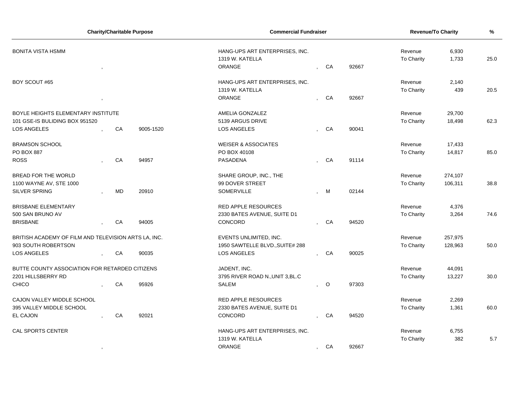| <b>Charity/Charitable Purpose</b>                    |         |           | <b>Commercial Fundraiser</b> | <b>Revenue/To Charity</b>        | %       |       |            |         |      |
|------------------------------------------------------|---------|-----------|------------------------------|----------------------------------|---------|-------|------------|---------|------|
| <b>BONITA VISTA HSMM</b>                             |         |           |                              | HANG-UPS ART ENTERPRISES, INC.   | Revenue | 6,930 |            |         |      |
|                                                      |         |           |                              | 1319 W. KATELLA                  |         |       | To Charity | 1,733   | 25.0 |
|                                                      |         |           |                              | ORANGE                           | CA      | 92667 |            |         |      |
| BOY SCOUT #65                                        |         |           |                              | HANG-UPS ART ENTERPRISES, INC.   |         |       | Revenue    | 2,140   |      |
|                                                      |         |           |                              | 1319 W. KATELLA                  |         |       | To Charity | 439     | 20.5 |
|                                                      |         |           |                              | ORANGE                           | CA      | 92667 |            |         |      |
| BOYLE HEIGHTS ELEMENTARY INSTITUTE                   |         |           |                              | AMELIA GONZALEZ                  |         |       | Revenue    | 29,700  |      |
| 101 GSE-IS BULIDING BOX 951520                       |         |           |                              | 5139 ARGUS DRIVE                 |         |       | To Charity | 18,498  | 62.3 |
| <b>LOS ANGELES</b>                                   |         | CA        | 9005-1520                    | LOS ANGELES                      | CA      | 90041 |            |         |      |
| <b>BRAMSON SCHOOL</b>                                |         |           |                              | <b>WEISER &amp; ASSOCIATES</b>   |         |       | Revenue    | 17,433  |      |
| <b>PO BOX 887</b>                                    |         |           |                              | PO BOX 40108                     |         |       | To Charity | 14,817  | 85.0 |
| <b>ROSS</b>                                          |         | CA        | 94957                        | PASADENA                         | CA      | 91114 |            |         |      |
| <b>BREAD FOR THE WORLD</b>                           |         |           |                              | SHARE GROUP, INC., THE           |         |       | Revenue    | 274,107 |      |
| 1100 WAYNE AV, STE 1000                              |         |           |                              | 99 DOVER STREET                  |         |       | To Charity | 106,311 | 38.8 |
| <b>SILVER SPRING</b>                                 |         | <b>MD</b> | 20910                        | <b>SOMERVILLE</b>                | M       | 02144 |            |         |      |
| <b>BRISBANE ELEMENTARY</b>                           |         |           |                              | <b>RED APPLE RESOURCES</b>       |         |       | Revenue    | 4,376   |      |
| 500 SAN BRUNO AV                                     |         |           |                              | 2330 BATES AVENUE, SUITE D1      |         |       | To Charity | 3,264   | 74.6 |
| <b>BRISBANE</b>                                      |         | CA        | 94005                        | CONCORD                          | CA      | 94520 |            |         |      |
| BRITISH ACADEMY OF FILM AND TELEVISION ARTS LA, INC. |         |           |                              | EVENTS UNLIMITED, INC.           |         |       | Revenue    | 257,975 |      |
| 903 SOUTH ROBERTSON                                  |         |           |                              | 1950 SAWTELLE BLVD., SUITE# 288  |         |       | To Charity | 128,963 | 50.0 |
| <b>LOS ANGELES</b>                                   |         | CA        | 90035                        | <b>LOS ANGELES</b>               | CA      | 90025 |            |         |      |
| BUTTE COUNTY ASSOCIATION FOR RETARDED CITIZENS       |         |           |                              | JADENT, INC.                     |         |       | Revenue    | 44,091  |      |
| 2201 HILLSBERRY RD                                   |         |           |                              | 3795 RIVER ROAD N., UNIT 3, BL.C |         |       | To Charity | 13,227  | 30.0 |
| <b>CHICO</b>                                         |         | CA        | 95926                        | SALEM                            | $\circ$ | 97303 |            |         |      |
| CAJON VALLEY MIDDLE SCHOOL                           |         |           |                              | <b>RED APPLE RESOURCES</b>       |         |       | Revenue    | 2,269   |      |
| 395 VALLEY MIDDLE SCHOOL                             |         |           |                              | 2330 BATES AVENUE, SUITE D1      |         |       | To Charity | 1,361   | 60.0 |
| <b>EL CAJON</b>                                      |         | CA        | 92021                        | CONCORD                          | CA      | 94520 |            |         |      |
| <b>CAL SPORTS CENTER</b>                             |         |           |                              | HANG-UPS ART ENTERPRISES, INC.   |         |       | Revenue    | 6,755   |      |
|                                                      |         |           |                              | 1319 W. KATELLA                  |         |       | To Charity | 382     | 5.7  |
|                                                      | $\cdot$ |           |                              | ORANGE                           | CA      | 92667 |            |         |      |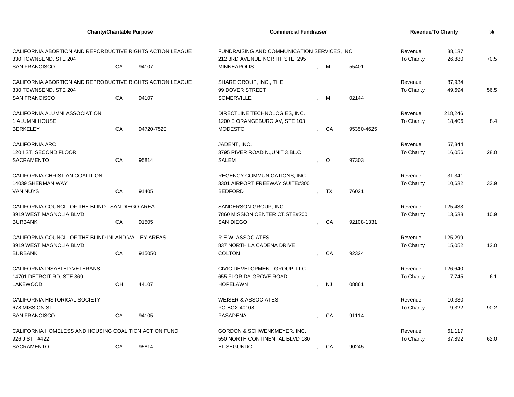| <b>Charity/Charitable Purpose</b>                                                  |  |    |            | <b>Commercial Fundraiser</b>                                                   | <b>Revenue/To Charity</b> | %                |            |            |         |      |
|------------------------------------------------------------------------------------|--|----|------------|--------------------------------------------------------------------------------|---------------------------|------------------|------------|------------|---------|------|
| CALIFORNIA ABORTION AND REPORDUCTIVE RIGHTS ACTION LEAGUE<br>330 TOWNSEND, STE 204 |  |    |            | FUNDRAISING AND COMMUNICATION SERVICES, INC.<br>212 3RD AVENUE NORTH, STE. 295 | Revenue<br>To Charity     | 38,137<br>26,880 | 70.5       |            |         |      |
| <b>SAN FRANCISCO</b>                                                               |  | CA | 94107      | <b>MINNEAPOLIS</b>                                                             |                           | - M              | 55401      |            |         |      |
| CALIFORNIA ABORTION AND REPRODUCTIVE RIGHTS ACTION LEAGUE                          |  |    |            | SHARE GROUP, INC., THE                                                         |                           |                  |            | Revenue    | 87,934  |      |
| 330 TOWNSEND, STE 204                                                              |  |    |            | 99 DOVER STREET                                                                |                           |                  |            | To Charity | 49,694  | 56.5 |
| <b>SAN FRANCISCO</b>                                                               |  | CA | 94107      | <b>SOMERVILLE</b>                                                              |                           | M                | 02144      |            |         |      |
| CALIFORNIA ALUMNI ASSOCIATION                                                      |  |    |            | DIRECTLINE TECHNOLOGIES, INC.                                                  |                           |                  |            | Revenue    | 218,246 |      |
| 1 ALUMNI HOUSE                                                                     |  |    |            | 1200 E ORANGEBURG AV, STE 103                                                  |                           |                  |            | To Charity | 18,406  | 8.4  |
| <b>BERKELEY</b>                                                                    |  | CA | 94720-7520 | <b>MODESTO</b>                                                                 |                           | CA               | 95350-4625 |            |         |      |
| <b>CALIFORNIA ARC</b>                                                              |  |    |            | JADENT, INC.                                                                   |                           |                  |            | Revenue    | 57,344  |      |
| 120 I ST, SECOND FLOOR                                                             |  |    |            | 3795 RIVER ROAD N., UNIT 3, BL.C                                               |                           |                  |            | To Charity | 16,056  | 28.0 |
| <b>SACRAMENTO</b>                                                                  |  | CA | 95814      | <b>SALEM</b>                                                                   |                           | $\circ$          | 97303      |            |         |      |
| CALIFORNIA CHRISTIAN COALITION                                                     |  |    |            | REGENCY COMMUNICATIONS, INC.                                                   |                           |                  |            | Revenue    | 31,341  |      |
| 14039 SHERMAN WAY                                                                  |  |    |            | 3301 AIRPORT FREEWAY, SUITE#300                                                |                           |                  |            | To Charity | 10,632  | 33.9 |
| <b>VAN NUYS</b>                                                                    |  | CA | 91405      | <b>BEDFORD</b>                                                                 |                           | TX               | 76021      |            |         |      |
| CALIFORNIA COUNCIL OF THE BLIND - SAN DIEGO AREA                                   |  |    |            | SANDERSON GROUP, INC.                                                          |                           |                  |            | Revenue    | 125,433 |      |
| 3919 WEST MAGNOLIA BLVD                                                            |  |    |            | 7860 MISSION CENTER CT.STE#200                                                 |                           |                  |            | To Charity | 13,638  | 10.9 |
| <b>BURBANK</b>                                                                     |  | CA | 91505      | <b>SAN DIEGO</b>                                                               |                           | CA               | 92108-1331 |            |         |      |
| CALIFORNIA COUNCIL OF THE BLIND INLAND VALLEY AREAS                                |  |    |            | R.E.W. ASSOCIATES                                                              |                           |                  |            | Revenue    | 125,299 |      |
| 3919 WEST MAGNOLIA BLVD                                                            |  |    |            | 837 NORTH LA CADENA DRIVE                                                      |                           |                  |            | To Charity | 15,052  | 12.0 |
| <b>BURBANK</b>                                                                     |  | CA | 915050     | <b>COLTON</b>                                                                  |                           | CA               | 92324      |            |         |      |
| CALIFORNIA DISABLED VETERANS                                                       |  |    |            | CIVIC DEVELOPMENT GROUP, LLC                                                   |                           |                  |            | Revenue    | 126,640 |      |
| 14701 DETROIT RD, STE 369                                                          |  |    |            | 655 FLORIDA GROVE ROAD                                                         |                           |                  |            | To Charity | 7,745   | 6.1  |
| LAKEWOOD                                                                           |  | OH | 44107      | <b>HOPELAWN</b>                                                                |                           | <b>NJ</b>        | 08861      |            |         |      |
| CALIFORNIA HISTORICAL SOCIETY                                                      |  |    |            | <b>WEISER &amp; ASSOCIATES</b>                                                 |                           |                  |            | Revenue    | 10,330  |      |
| 678 MISSION ST                                                                     |  |    |            | PO BOX 40108                                                                   |                           |                  |            | To Charity | 9,322   | 90.2 |
| <b>SAN FRANCISCO</b>                                                               |  | CA | 94105      | <b>PASADENA</b>                                                                |                           | CA               | 91114      |            |         |      |
| CALIFORNIA HOMELESS AND HOUSING COALITION ACTION FUND                              |  |    |            | GORDON & SCHWENKMEYER, INC.                                                    |                           |                  |            | Revenue    | 61,117  |      |
| 926 J ST, #422                                                                     |  |    |            | 550 NORTH CONTINENTAL BLVD 180                                                 |                           |                  |            | To Charity | 37,892  | 62.0 |
| <b>SACRAMENTO</b>                                                                  |  | CA | 95814      | EL SEGUNDO                                                                     | $\overline{ }$            | CA               | 90245      |            |         |      |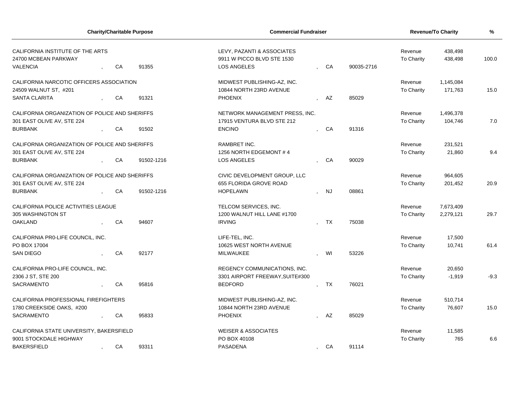| <b>Charity/Charitable Purpose</b>              |  |            |                              | <b>Commercial Fundraiser</b>    | <b>Revenue/To Charity</b> | %         |            |            |           |        |
|------------------------------------------------|--|------------|------------------------------|---------------------------------|---------------------------|-----------|------------|------------|-----------|--------|
| CALIFORNIA INSTITUTE OF THE ARTS               |  |            |                              | LEVY, PAZANTI & ASSOCIATES      |                           |           |            | Revenue    | 438,498   |        |
| 24700 MCBEAN PARKWAY                           |  |            |                              | 9911 W PICCO BLVD STE 1530      |                           |           |            | To Charity | 438,498   | 100.0  |
| <b>VALENCIA</b>                                |  | CA         | 91355                        | LOS ANGELES                     |                           | CA        | 90035-2716 |            |           |        |
| CALIFORNIA NARCOTIC OFFICERS ASSOCIATION       |  |            |                              | MIDWEST PUBLISHING-AZ, INC.     |                           |           |            | Revenue    | 1,145,084 |        |
| 24509 WALNUT ST, #201                          |  |            |                              | 10844 NORTH 23RD AVENUE         |                           |           |            | To Charity | 171,763   | 15.0   |
| <b>SANTA CLARITA</b>                           |  | CA         | 91321                        | <b>PHOENIX</b>                  |                           | AZ        | 85029      |            |           |        |
| CALIFORNIA ORGANIZATION OF POLICE AND SHERIFFS |  |            |                              | NETWORK MANAGEMENT PRESS, INC.  |                           |           |            | Revenue    | 1,496,378 |        |
| 301 EAST OLIVE AV, STE 224                     |  |            |                              | 17915 VENTURA BLVD STE 212      |                           |           |            | To Charity | 104,746   | 7.0    |
| <b>BURBANK</b>                                 |  | CA         | 91502                        | <b>ENCINO</b>                   |                           | CA        | 91316      |            |           |        |
| CALIFORNIA ORGANIZATION OF POLICE AND SHERIFFS |  |            |                              | RAMBRET INC.                    |                           |           |            | Revenue    | 231,521   |        |
| 301 EAST OLIVE AV, STE 224                     |  |            |                              | 1256 NORTH EDGEMONT #4          |                           |           |            | To Charity | 21,860    | 9.4    |
| <b>BURBANK</b>                                 |  | CA         | 91502-1216                   | <b>LOS ANGELES</b>              |                           | CA        | 90029      |            |           |        |
| CALIFORNIA ORGANIZATION OF POLICE AND SHERIFFS |  |            | CIVIC DEVELOPMENT GROUP, LLC |                                 |                           |           | Revenue    | 964,605    |           |        |
| 301 EAST OLIVE AV, STE 224                     |  |            |                              | 655 FLORIDA GROVE ROAD          |                           |           |            | To Charity | 201,452   | 20.9   |
| <b>BURBANK</b>                                 |  | CA         | 91502-1216                   | <b>HOPELAWN</b>                 |                           | <b>NJ</b> | 08861      |            |           |        |
| CALIFORNIA POLICE ACTIVITIES LEAGUE            |  |            |                              | TELCOM SERVICES, INC.           |                           |           |            | Revenue    | 7,673,409 |        |
| 305 WASHINGTON ST                              |  |            |                              | 1200 WALNUT HILL LANE #1700     |                           |           |            | To Charity | 2,279,121 | 29.7   |
| <b>OAKLAND</b>                                 |  | CA         | 94607                        | <b>IRVING</b>                   |                           | TX        | 75038      |            |           |        |
| CALIFORNIA PRO-LIFE COUNCIL, INC.              |  |            |                              | LIFE-TEL. INC.                  |                           |           |            | Revenue    | 17,500    |        |
| PO BOX 17004                                   |  |            |                              | 10625 WEST NORTH AVENUE         |                           |           |            | To Charity | 10,741    | 61.4   |
| <b>SAN DIEGO</b>                               |  | CA         | 92177                        | MILWAUKEE                       |                           | WI        | 53226      |            |           |        |
| CALIFORNIA PRO-LIFE COUNCIL, INC.              |  |            |                              | REGENCY COMMUNICATIONS, INC.    |                           |           |            | Revenue    | 20,650    |        |
| 2306 J ST, STE 200                             |  |            |                              | 3301 AIRPORT FREEWAY, SUITE#300 |                           |           |            | To Charity | $-1,919$  | $-9.3$ |
| <b>SACRAMENTO</b>                              |  | CA         | 95816                        | <b>BEDFORD</b>                  |                           | <b>TX</b> | 76021      |            |           |        |
| CALIFORNIA PROFESSIONAL FIREFIGHTERS           |  |            |                              | MIDWEST PUBLISHING-AZ, INC.     |                           |           |            | Revenue    | 510,714   |        |
| 1780 CREEKSIDE OAKS, #200                      |  |            |                              | 10844 NORTH 23RD AVENUE         |                           |           |            | To Charity | 76,607    | 15.0   |
| <b>SACRAMENTO</b>                              |  | ${\sf CA}$ | 95833                        | <b>PHOENIX</b>                  |                           | AZ        | 85029      |            |           |        |
| CALIFORNIA STATE UNIVERSITY, BAKERSFIELD       |  |            |                              | <b>WEISER &amp; ASSOCIATES</b>  |                           |           |            | Revenue    | 11,585    |        |
| 9001 STOCKDALE HIGHWAY                         |  |            |                              | PO BOX 40108                    |                           |           |            | To Charity | 765       | 6.6    |
| <b>BAKERSFIELD</b>                             |  | CA         | 93311                        | <b>PASADENA</b>                 |                           | CA        | 91114      |            |           |        |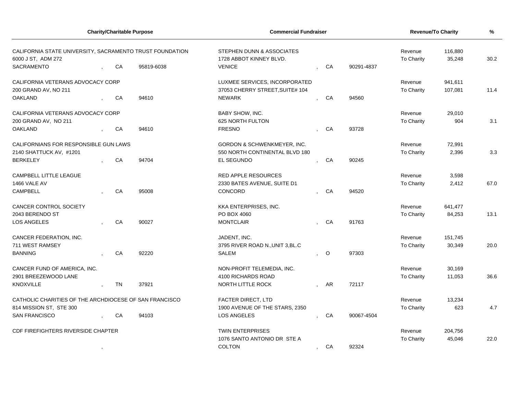|                                                                                |  | <b>Charity/Charitable Purpose</b> |               | <b>Commercial Fundraiser</b>                         |    |           |            | Revenue/To Charity    | %                 |      |
|--------------------------------------------------------------------------------|--|-----------------------------------|---------------|------------------------------------------------------|----|-----------|------------|-----------------------|-------------------|------|
| CALIFORNIA STATE UNIVERSITY, SACRAMENTO TRUST FOUNDATION<br>6000 J ST, ADM 272 |  |                                   |               | STEPHEN DUNN & ASSOCIATES<br>1728 ABBOT KINNEY BLVD. |    |           |            | Revenue<br>To Charity | 116,880<br>35,248 | 30.2 |
| SACRAMENTO                                                                     |  | CA                                | 95819-6038    | <b>VENICE</b>                                        |    | CA        | 90291-4837 |                       |                   |      |
| CALIFORNIA VETERANS ADVOCACY CORP                                              |  |                                   |               | LUXMEE SERVICES, INCORPORATED                        |    |           |            | Revenue               | 941,611           |      |
| 200 GRAND AV, NO 211                                                           |  |                                   |               | 37053 CHERRY STREET, SUITE# 104                      |    |           |            | To Charity            | 107,081           | 11.4 |
| <b>OAKLAND</b>                                                                 |  | CA                                | 94610         | <b>NEWARK</b>                                        |    | CA        | 94560      |                       |                   |      |
| CALIFORNIA VETERANS ADVOCACY CORP                                              |  |                                   |               | <b>BABY SHOW, INC.</b>                               |    |           |            | Revenue               | 29,010            |      |
| 200 GRAND AV, NO 211                                                           |  |                                   |               | 625 NORTH FULTON                                     |    |           |            | To Charity            | 904               | 3.1  |
| <b>OAKLAND</b>                                                                 |  | CA                                | 94610         | <b>FRESNO</b>                                        |    | CA        | 93728      |                       |                   |      |
| CALIFORNIANS FOR RESPONSIBLE GUN LAWS                                          |  |                                   |               | <b>GORDON &amp; SCHWENKMEYER, INC.</b>               |    |           |            | Revenue               | 72,991            |      |
| 2140 SHATTUCK AV, #1201                                                        |  |                                   |               | 550 NORTH CONTINENTAL BLVD 180                       |    |           |            | To Charity            | 2,396             | 3.3  |
| <b>BERKELEY</b>                                                                |  | CA                                | 94704         | EL SEGUNDO                                           |    | CA        | 90245      |                       |                   |      |
| <b>CAMPBELL LITTLE LEAGUE</b>                                                  |  |                                   |               | <b>RED APPLE RESOURCES</b>                           |    |           |            | Revenue               | 3,598             |      |
| 1466 VALE AV                                                                   |  |                                   |               | 2330 BATES AVENUE, SUITE D1                          |    |           |            | To Charity            | 2,412             | 67.0 |
| <b>CAMPBELL</b>                                                                |  | CA                                | 95008         | CONCORD                                              |    | CA        | 94520      |                       |                   |      |
| CANCER CONTROL SOCIETY                                                         |  |                                   |               | KKA ENTERPRISES, INC.                                |    |           |            | Revenue               | 641,477           |      |
| 2043 BERENDO ST                                                                |  |                                   |               | PO BOX 4060                                          |    |           |            | To Charity            | 84,253            | 13.1 |
| LOS ANGELES                                                                    |  | CA                                | 90027         | <b>MONTCLAIR</b>                                     |    | CA        | 91763      |                       |                   |      |
| CANCER FEDERATION, INC.                                                        |  |                                   |               | JADENT, INC.                                         |    |           |            | Revenue               | 151,745           |      |
| 711 WEST RAMSEY                                                                |  |                                   |               | 3795 RIVER ROAD N., UNIT 3, BL.C                     |    |           |            | <b>To Charity</b>     | 30,349            | 20.0 |
| <b>BANNING</b>                                                                 |  | CA                                | 92220         | <b>SALEM</b>                                         |    | $\circ$   | 97303      |                       |                   |      |
| CANCER FUND OF AMERICA, INC.                                                   |  |                                   |               | NON-PROFIT TELEMEDIA, INC.                           |    |           |            | Revenue               | 30,169            |      |
| 2901 BREEZEWOOD LANE                                                           |  |                                   |               | 4100 RICHARDS ROAD                                   |    |           |            | To Charity            | 11,053            | 36.6 |
| <b>KNOXVILLE</b>                                                               |  | <b>TN</b>                         | 37921         | <b>NORTH LITTLE ROCK</b>                             |    | <b>AR</b> | 72117      |                       |                   |      |
| CATHOLIC CHARITIES OF THE ARCHDIOCESE OF SAN FRANCISCO                         |  |                                   |               | <b>FACTER DIRECT, LTD</b>                            |    |           |            | Revenue               | 13,234            |      |
| 814 MISSION ST. STE 300                                                        |  |                                   |               | 1900 AVENUE OF THE STARS, 2350                       |    |           |            | To Charity            | 623               | 4.7  |
| <b>SAN FRANCISCO</b>                                                           |  | CA                                | 94103         | LOS ANGELES                                          |    | CA        | 90067-4504 |                       |                   |      |
| CDF FIREFIGHTERS RIVERSIDE CHAPTER                                             |  |                                   |               | <b>TWIN ENTERPRISES</b>                              |    |           |            | Revenue               | 204,756           |      |
|                                                                                |  |                                   |               | 1076 SANTO ANTONIO DR STE A                          |    |           |            | To Charity            | 45,046            | 22.0 |
|                                                                                |  |                                   | <b>COLTON</b> | $\cdot$                                              | CA | 92324     |            |                       |                   |      |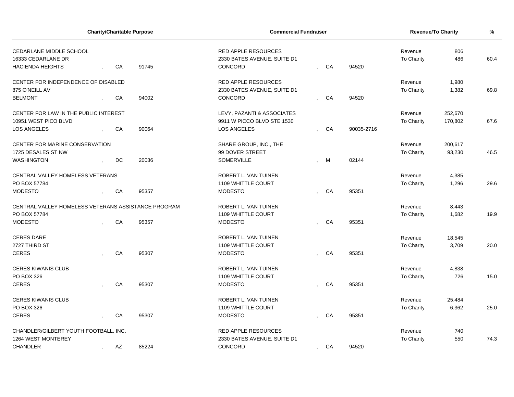| <b>Charity/Charitable Purpose</b>                   |  |    |       | <b>Commercial Fundraiser</b> |                |    |            | <b>Revenue/To Charity</b> | %       |      |
|-----------------------------------------------------|--|----|-------|------------------------------|----------------|----|------------|---------------------------|---------|------|
| CEDARLANE MIDDLE SCHOOL                             |  |    |       | <b>RED APPLE RESOURCES</b>   |                |    |            | Revenue                   | 806     |      |
| 16333 CEDARLANE DR                                  |  |    |       | 2330 BATES AVENUE, SUITE D1  |                |    |            | To Charity                | 486     | 60.4 |
| <b>HACIENDA HEIGHTS</b>                             |  | CA | 91745 | CONCORD                      |                | CA | 94520      |                           |         |      |
| CENTER FOR INDEPENDENCE OF DISABLED                 |  |    |       | <b>RED APPLE RESOURCES</b>   |                |    |            | Revenue                   | 1,980   |      |
| 875 O'NEILL AV                                      |  |    |       | 2330 BATES AVENUE, SUITE D1  |                |    |            | To Charity                | 1,382   | 69.8 |
| <b>BELMONT</b>                                      |  | CA | 94002 | CONCORD                      |                | CA | 94520      |                           |         |      |
| CENTER FOR LAW IN THE PUBLIC INTEREST               |  |    |       | LEVY, PAZANTI & ASSOCIATES   |                |    |            | Revenue                   | 252,670 |      |
| 10951 WEST PICO BLVD                                |  |    |       | 9911 W PICCO BLVD STE 1530   |                |    |            | To Charity                | 170,802 | 67.6 |
| <b>LOS ANGELES</b>                                  |  | CA | 90064 | <b>LOS ANGELES</b>           |                | CA | 90035-2716 |                           |         |      |
| CENTER FOR MARINE CONSERVATION                      |  |    |       | SHARE GROUP, INC., THE       |                |    |            | Revenue                   | 200,617 |      |
| 1725 DESALES ST NW                                  |  |    |       | 99 DOVER STREET              |                |    |            | To Charity                | 93,230  | 46.5 |
| <b>WASHINGTON</b>                                   |  | DC | 20036 | SOMERVILLE                   |                | M  | 02144      |                           |         |      |
| CENTRAL VALLEY HOMELESS VETERANS                    |  |    |       | ROBERT L. VAN TUINEN         |                |    |            | Revenue                   | 4,385   |      |
| PO BOX 57784                                        |  |    |       | 1109 WHITTLE COURT           |                |    |            | To Charity                | 1,296   | 29.6 |
| <b>MODESTO</b>                                      |  | CA | 95357 | <b>MODESTO</b>               |                | CA | 95351      |                           |         |      |
| CENTRAL VALLEY HOMELESS VETERANS ASSISTANCE PROGRAM |  |    |       | ROBERT L. VAN TUINEN         |                |    |            | Revenue                   | 8,443   |      |
| PO BOX 57784                                        |  |    |       | <b>1109 WHITTLE COURT</b>    |                |    |            | To Charity                | 1,682   | 19.9 |
| <b>MODESTO</b>                                      |  | CA | 95357 | <b>MODESTO</b>               |                | CA | 95351      |                           |         |      |
| <b>CERES DARE</b>                                   |  |    |       | ROBERT L. VAN TUINEN         |                |    |            | Revenue                   | 18,545  |      |
| 2727 THIRD ST                                       |  |    |       | 1109 WHITTLE COURT           |                |    |            | To Charity                | 3,709   | 20.0 |
| <b>CERES</b>                                        |  | CA | 95307 | <b>MODESTO</b>               |                | CA | 95351      |                           |         |      |
| <b>CERES KIWANIS CLUB</b>                           |  |    |       | ROBERT L. VAN TUINEN         |                |    |            | Revenue                   | 4,838   |      |
| PO BOX 326                                          |  |    |       | 1109 WHITTLE COURT           |                |    |            | To Charity                | 726     | 15.0 |
| <b>CERES</b>                                        |  | CA | 95307 | <b>MODESTO</b>               |                | CA | 95351      |                           |         |      |
| <b>CERES KIWANIS CLUB</b>                           |  |    |       | ROBERT L. VAN TUINEN         |                |    |            | Revenue                   | 25,484  |      |
| PO BOX 326                                          |  |    |       | 1109 WHITTLE COURT           |                |    |            | <b>To Charity</b>         | 6,362   | 25.0 |
| <b>CERES</b>                                        |  | CA | 95307 | <b>MODESTO</b>               |                | CA | 95351      |                           |         |      |
| CHANDLER/GILBERT YOUTH FOOTBALL, INC.               |  |    |       | <b>RED APPLE RESOURCES</b>   |                |    |            | Revenue                   | 740     |      |
| 1264 WEST MONTEREY                                  |  |    |       | 2330 BATES AVENUE, SUITE D1  |                |    |            | To Charity                | 550     | 74.3 |
| <b>CHANDLER</b>                                     |  | AZ | 85224 | <b>CONCORD</b>               | $\overline{ }$ | CA | 94520      |                           |         |      |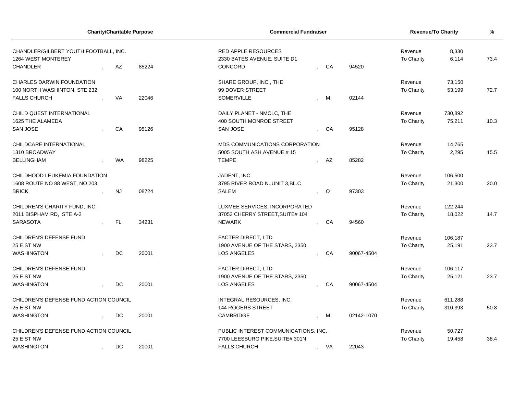| <b>Charity/Charitable Purpose</b>                           |  |           | <b>Commercial Fundraiser</b> |                                                           |  |         | <b>Revenue/To Charity</b> | %                     |                |      |
|-------------------------------------------------------------|--|-----------|------------------------------|-----------------------------------------------------------|--|---------|---------------------------|-----------------------|----------------|------|
| CHANDLER/GILBERT YOUTH FOOTBALL, INC.<br>1264 WEST MONTEREY |  |           |                              | <b>RED APPLE RESOURCES</b><br>2330 BATES AVENUE, SUITE D1 |  |         |                           | Revenue<br>To Charity | 8,330<br>6,114 | 73.4 |
| <b>CHANDLER</b>                                             |  | AZ        | 85224                        | CONCORD                                                   |  | CA      | 94520                     |                       |                |      |
| <b>CHARLES DARWIN FOUNDATION</b>                            |  |           |                              | SHARE GROUP, INC., THE                                    |  |         |                           | Revenue               | 73,150         |      |
| 100 NORTH WASHINTON, STE 232                                |  |           |                              | 99 DOVER STREET                                           |  |         |                           | To Charity            | 53,199         | 72.7 |
| <b>FALLS CHURCH</b>                                         |  | <b>VA</b> | 22046                        | <b>SOMERVILLE</b>                                         |  | M       | 02144                     |                       |                |      |
| CHILD QUEST INTERNATIONAL                                   |  |           |                              | DAILY PLANET - NMCLC, THE                                 |  |         |                           | Revenue               | 730,892        |      |
| 1625 THE ALAMEDA                                            |  |           |                              | 400 SOUTH MONROE STREET                                   |  |         |                           | To Charity            | 75,211         | 10.3 |
| <b>SAN JOSE</b>                                             |  | CA        | 95126                        | <b>SAN JOSE</b>                                           |  | CA      | 95128                     |                       |                |      |
| CHILDCARE INTERNATIONAL                                     |  |           |                              | MDS COMMUNICATIONS CORPORATION                            |  |         |                           | Revenue               | 14,765         |      |
| 1310 BROADWAY                                               |  |           |                              | 5005 SOUTH ASH AVENUE,#15                                 |  |         |                           | To Charity            | 2,295          | 15.5 |
| <b>BELLINGHAM</b>                                           |  | <b>WA</b> | 98225                        | <b>TEMPE</b>                                              |  | AZ      | 85282                     |                       |                |      |
| CHILDHOOD LEUKEMIA FOUNDATION                               |  |           |                              | JADENT, INC.                                              |  |         |                           | Revenue               | 106,500        |      |
| 1608 ROUTE NO 88 WEST, NO 203                               |  |           |                              | 3795 RIVER ROAD N., UNIT 3, BL.C                          |  |         |                           | To Charity            | 21,300         | 20.0 |
| <b>BRICK</b>                                                |  | <b>NJ</b> | 08724                        | <b>SALEM</b>                                              |  | $\circ$ | 97303                     |                       |                |      |
| CHILDREN'S CHARITY FUND, INC.                               |  |           |                              | LUXMEE SERVICES, INCORPORATED                             |  |         |                           | Revenue               | 122,244        |      |
| 2011 BISPHAM RD, STE A-2                                    |  |           |                              | 37053 CHERRY STREET, SUITE# 104                           |  |         |                           | To Charity            | 18,022         | 14.7 |
| <b>SARASOTA</b>                                             |  | <b>FL</b> | 34231                        | <b>NEWARK</b>                                             |  | CA      | 94560                     |                       |                |      |
| CHILDREN'S DEFENSE FUND                                     |  |           |                              | FACTER DIRECT, LTD                                        |  |         |                           | Revenue               | 106,187        |      |
| <b>25 E ST NW</b>                                           |  |           |                              | 1900 AVENUE OF THE STARS, 2350                            |  |         |                           | To Charity            | 25,191         | 23.7 |
| <b>WASHINGTON</b>                                           |  | DC        | 20001                        | <b>LOS ANGELES</b>                                        |  | CA      | 90067-4504                |                       |                |      |
| CHILDREN'S DEFENSE FUND                                     |  |           |                              | FACTER DIRECT, LTD                                        |  |         |                           | Revenue               | 106,117        |      |
| <b>25 E ST NW</b>                                           |  |           |                              | 1900 AVENUE OF THE STARS, 2350                            |  |         |                           | To Charity            | 25,121         | 23.7 |
| <b>WASHINGTON</b>                                           |  | DC        | 20001                        | LOS ANGELES                                               |  | CA      | 90067-4504                |                       |                |      |
| CHILDREN'S DEFENSE FUND ACTION COUNCIL                      |  |           |                              | INTEGRAL RESOURCES, INC.                                  |  |         |                           | Revenue               | 611,288        |      |
| <b>25 E ST NW</b>                                           |  |           |                              | <b>144 ROGERS STREET</b>                                  |  |         |                           | To Charity            | 310,393        | 50.8 |
| <b>WASHINGTON</b>                                           |  | DC        | 20001                        | CAMBRIDGE                                                 |  | M       | 02142-1070                |                       |                |      |
| CHILDREN'S DEFENSE FUND ACTION COUNCIL                      |  |           |                              | PUBLIC INTEREST COMMUNICATIONS, INC.                      |  |         |                           | Revenue               | 50,727         |      |
| <b>25 E ST NW</b>                                           |  |           |                              | 7700 LEESBURG PIKE, SUITE# 301N                           |  |         |                           | To Charity            | 19,458         | 38.4 |
| <b>WASHINGTON</b>                                           |  | DC        | 20001                        | <b>FALLS CHURCH</b>                                       |  | VA      | 22043                     |                       |                |      |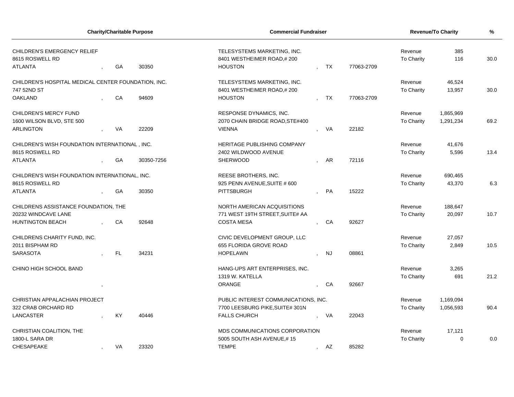| <b>Charity/Charitable Purpose</b>                   |  |     | <b>Commercial Fundraiser</b> |                                      |              |           | <b>Revenue/To Charity</b> | %                 |           |      |
|-----------------------------------------------------|--|-----|------------------------------|--------------------------------------|--------------|-----------|---------------------------|-------------------|-----------|------|
| CHILDREN'S EMERGENCY RELIEF                         |  |     |                              | TELESYSTEMS MARKETING, INC.          |              |           |                           | Revenue           | 385       |      |
| 8615 ROSWELL RD                                     |  |     |                              | 8401 WESTHEIMER ROAD,#200            |              |           |                           | To Charity        | 116       | 30.0 |
| <b>ATLANTA</b>                                      |  | GA  | 30350                        | <b>HOUSTON</b>                       |              | <b>TX</b> | 77063-2709                |                   |           |      |
| CHILDREN'S HOSPITAL MEDICAL CENTER FOUNDATION, INC. |  |     |                              | TELESYSTEMS MARKETING, INC.          |              |           |                           | Revenue           | 46,524    |      |
| 747 52ND ST                                         |  |     |                              | 8401 WESTHEIMER ROAD,#200            |              |           |                           | <b>To Charity</b> | 13,957    | 30.0 |
| <b>OAKLAND</b>                                      |  | CA  | 94609                        | <b>HOUSTON</b>                       |              | TX        | 77063-2709                |                   |           |      |
| <b>CHILDREN'S MERCY FUND</b>                        |  |     |                              | RESPONSE DYNAMICS, INC.              |              |           |                           | Revenue           | 1,865,969 |      |
| 1600 WILSON BLVD, STE 500                           |  |     |                              | 2070 CHAIN BRIDGE ROAD, STE#400      |              |           |                           | To Charity        | 1,291,234 | 69.2 |
| <b>ARLINGTON</b>                                    |  | VA  | 22209                        | <b>VIENNA</b>                        |              | <b>VA</b> | 22182                     |                   |           |      |
| CHILDREN'S WISH FOUNDATION INTERNATIONAL, INC.      |  |     |                              | HERITAGE PUBLISHING COMPANY          |              |           |                           | Revenue           | 41,676    |      |
| 8615 ROSWELL RD                                     |  |     |                              | 2402 WILDWOOD AVENUE                 |              |           |                           | To Charity        | 5,596     | 13.4 |
| <b>ATLANTA</b>                                      |  | GA  | 30350-7256                   | <b>SHERWOOD</b>                      |              | AR        | 72116                     |                   |           |      |
| CHILDREN'S WISH FOUNDATION INTERNATIONAL, INC.      |  |     |                              | REESE BROTHERS, INC.                 |              |           |                           | Revenue           | 690,465   |      |
| 8615 ROSWELL RD                                     |  |     |                              | 925 PENN AVENUE, SUITE # 600         |              |           |                           | To Charity        | 43,370    | 6.3  |
| <b>ATLANTA</b>                                      |  | GA  | 30350                        | <b>PITTSBURGH</b>                    |              | PA        | 15222                     |                   |           |      |
| CHILDRENS ASSISTANCE FOUNDATION, THE                |  |     |                              | NORTH AMERICAN ACQUISITIONS          |              |           |                           | Revenue           | 188,647   |      |
| 20232 WINDCAVE LANE                                 |  |     |                              | 771 WEST 19TH STREET, SUITE# AA      |              |           |                           | To Charity        | 20,097    | 10.7 |
| <b>HUNTINGTON BEACH</b>                             |  | CA  | 92648                        | <b>COSTA MESA</b>                    |              | CA        | 92627                     |                   |           |      |
| CHILDRENS CHARITY FUND, INC.                        |  |     |                              | CIVIC DEVELOPMENT GROUP, LLC         |              |           |                           | Revenue           | 27,057    |      |
| 2011 BISPHAM RD                                     |  |     |                              | 655 FLORIDA GROVE ROAD               |              |           |                           | To Charity        | 2,849     | 10.5 |
| <b>SARASOTA</b>                                     |  | FL. | 34231                        | <b>HOPELAWN</b>                      |              | <b>NJ</b> | 08861                     |                   |           |      |
| CHINO HIGH SCHOOL BAND                              |  |     |                              | HANG-UPS ART ENTERPRISES, INC.       |              |           |                           | Revenue           | 3,265     |      |
|                                                     |  |     |                              | 1319 W. KATELLA                      |              |           |                           | To Charity        | 691       | 21.2 |
|                                                     |  |     |                              | ORANGE                               |              | CA        | 92667                     |                   |           |      |
| CHRISTIAN APPALACHIAN PROJECT                       |  |     |                              | PUBLIC INTEREST COMMUNICATIONS, INC. |              |           |                           | Revenue           | 1,169,094 |      |
| 322 CRAB ORCHARD RD                                 |  |     |                              | 7700 LEESBURG PIKE, SUITE# 301N      |              |           |                           | To Charity        | 1,056,593 | 90.4 |
| <b>LANCASTER</b>                                    |  | KY  | 40446                        | <b>FALLS CHURCH</b>                  |              | VA        | 22043                     |                   |           |      |
| CHRISTIAN COALITION, THE                            |  |     |                              | MDS COMMUNICATIONS CORPORATION       |              |           |                           | Revenue           | 17,121    |      |
| 1800-L SARA DR                                      |  |     |                              | 5005 SOUTH ASH AVENUE,#15            |              |           |                           | To Charity        | $\Omega$  | 0.0  |
| <b>CHESAPEAKE</b>                                   |  | VA  | 23320                        | <b>TEMPE</b>                         | $\mathbf{r}$ | AZ        | 85282                     |                   |           |      |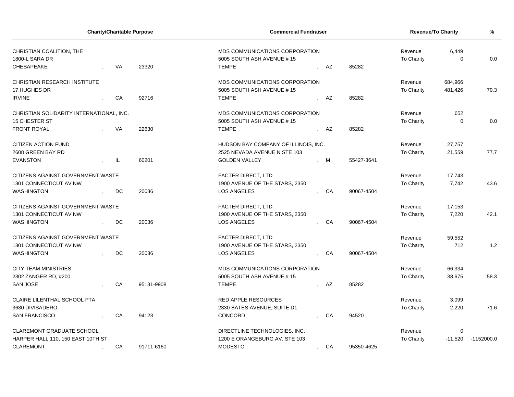| <b>Charity/Charitable Purpose</b>                               |  |           | <b>Commercial Fundraiser</b> |                                                                             |         |    | <b>Revenue/To Charity</b> | %                     |                   |              |
|-----------------------------------------------------------------|--|-----------|------------------------------|-----------------------------------------------------------------------------|---------|----|---------------------------|-----------------------|-------------------|--------------|
| CHRISTIAN COALITION, THE<br>1800-L SARA DR<br><b>CHESAPEAKE</b> |  | <b>VA</b> | 23320                        | MDS COMMUNICATIONS CORPORATION<br>5005 SOUTH ASH AVENUE,#15<br><b>TEMPE</b> |         | AZ | 85282                     | Revenue<br>To Charity | 6,449<br>$\Omega$ | 0.0          |
|                                                                 |  |           |                              |                                                                             |         |    |                           |                       |                   |              |
| <b>CHRISTIAN RESEARCH INSTITUTE</b>                             |  |           |                              | MDS COMMUNICATIONS CORPORATION                                              |         |    |                           | Revenue               | 684,966           |              |
| 17 HUGHES DR                                                    |  |           |                              | 5005 SOUTH ASH AVENUE.#15                                                   |         |    |                           | To Charity            | 481,426           | 70.3         |
| <b>IRVINE</b>                                                   |  | CA        | 92716                        | <b>TEMPE</b>                                                                |         | AZ | 85282                     |                       |                   |              |
| CHRISTIAN SOLIDARITY INTERNATIONAL, INC.                        |  |           |                              | MDS COMMUNICATIONS CORPORATION                                              |         |    |                           | Revenue               | 652               |              |
| 15 CHESTER ST                                                   |  |           |                              | 5005 SOUTH ASH AVENUE,#15                                                   |         |    |                           | To Charity            | $\mathbf 0$       | 0.0          |
| <b>FRONT ROYAL</b>                                              |  | VA        | 22630                        | <b>TEMPE</b>                                                                |         | AZ | 85282                     |                       |                   |              |
| <b>CITIZEN ACTION FUND</b>                                      |  |           |                              | HUDSON BAY COMPANY OF ILLINOIS, INC.                                        |         |    |                           | Revenue               | 27,757            |              |
| 2608 GREEN BAY RD                                               |  |           |                              | 2525 NEVADA AVENUE N STE 103                                                |         |    |                           | To Charity            | 21,559            | 77.7         |
| <b>EVANSTON</b>                                                 |  | IL        | 60201                        | <b>GOLDEN VALLEY</b>                                                        |         | М  | 55427-3641                |                       |                   |              |
| CITIZENS AGAINST GOVERNMENT WASTE                               |  |           |                              | <b>FACTER DIRECT, LTD</b>                                                   |         |    |                           | Revenue               | 17,743            |              |
| 1301 CONNECTICUT AV NW                                          |  |           |                              | 1900 AVENUE OF THE STARS, 2350                                              |         |    |                           | To Charity            | 7,742             | 43.6         |
| <b>WASHINGTON</b>                                               |  | DC        | 20036                        | <b>LOS ANGELES</b>                                                          |         | CA | 90067-4504                |                       |                   |              |
| CITIZENS AGAINST GOVERNMENT WASTE                               |  |           |                              | <b>FACTER DIRECT, LTD</b>                                                   |         |    |                           | Revenue               | 17,153            |              |
| 1301 CONNECTICUT AV NW                                          |  |           |                              | 1900 AVENUE OF THE STARS, 2350                                              |         |    |                           | To Charity            | 7,220             | 42.1         |
| <b>WASHINGTON</b>                                               |  | DC        | 20036                        | LOS ANGELES                                                                 |         | CA | 90067-4504                |                       |                   |              |
| CITIZENS AGAINST GOVERNMENT WASTE                               |  |           |                              | <b>FACTER DIRECT, LTD</b>                                                   |         |    |                           | Revenue               | 59,552            |              |
| 1301 CONNECTICUT AV NW                                          |  |           |                              | 1900 AVENUE OF THE STARS, 2350                                              |         |    |                           | To Charity            | 712               | 1.2          |
| <b>WASHINGTON</b>                                               |  | DC        | 20036                        | LOS ANGELES                                                                 |         | CA | 90067-4504                |                       |                   |              |
| <b>CITY TEAM MINISTRIES</b>                                     |  |           |                              | MDS COMMUNICATIONS CORPORATION                                              |         |    |                           | Revenue               | 66,334            |              |
| 2302 ZANGER RD, #200                                            |  |           |                              | 5005 SOUTH ASH AVENUE,#15                                                   |         |    |                           | To Charity            | 38,675            | 58.3         |
| <b>SAN JOSE</b>                                                 |  | CA        | 95131-9908                   | <b>TEMPE</b>                                                                |         | AZ | 85282                     |                       |                   |              |
| <b>CLAIRE LILENTHAL SCHOOL PTA</b>                              |  |           |                              | <b>RED APPLE RESOURCES</b>                                                  |         |    |                           | Revenue               | 3,099             |              |
| 3630 DIVISADERO                                                 |  |           |                              | 2330 BATES AVENUE, SUITE D1                                                 |         |    |                           | To Charity            | 2,220             | 71.6         |
| <b>SAN FRANCISCO</b>                                            |  | CA        | 94123                        | CONCORD                                                                     |         | CA | 94520                     |                       |                   |              |
| <b>CLAREMONT GRADUATE SCHOOL</b>                                |  |           |                              | DIRECTLINE TECHNOLOGIES, INC.                                               |         |    |                           | Revenue               | 0                 |              |
| HARPER HALL 110, 150 EAST 10TH ST                               |  |           |                              | 1200 E ORANGEBURG AV, STE 103                                               |         |    |                           | <b>To Charity</b>     | $-11,520$         | $-1152000.0$ |
| <b>CLAREMONT</b>                                                |  | CA        | 91711-6160                   | <b>MODESTO</b>                                                              | $\cdot$ | CA | 95350-4625                |                       |                   |              |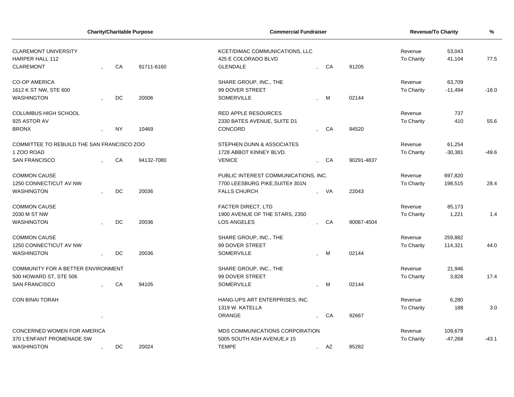| <b>Charity/Charitable Purpose</b>                                         |  |           |            | <b>Commercial Fundraiser</b>                                             |                                                          | Revenue/To Charity | %          |           |         |  |
|---------------------------------------------------------------------------|--|-----------|------------|--------------------------------------------------------------------------|----------------------------------------------------------|--------------------|------------|-----------|---------|--|
| <b>CLAREMONT UNIVERSITY</b><br><b>HARPER HALL 112</b><br><b>CLAREMONT</b> |  | CA        | 91711-6160 | KCET/DIMAC COMMUNICATIONS, LLC<br>425 E COLORADO BLVD<br><b>GLENDALE</b> | Revenue<br>53,043<br>To Charity<br>41,104<br>CA<br>91205 |                    |            |           |         |  |
| <b>CO-OP AMERICA</b>                                                      |  |           |            | SHARE GROUP, INC., THE                                                   |                                                          |                    | Revenue    | 63,709    |         |  |
| 1612 K ST NW, STE 600                                                     |  |           |            | 99 DOVER STREET                                                          |                                                          |                    | To Charity | $-11,494$ | $-18.0$ |  |
| <b>WASHINGTON</b>                                                         |  | DC        | 20006      | <b>SOMERVILLE</b>                                                        | M                                                        | 02144              |            |           |         |  |
| COLUMBUS HIGH SCHOOL                                                      |  |           |            | <b>RED APPLE RESOURCES</b>                                               |                                                          |                    | Revenue    | 737       |         |  |
| 925 ASTOR AV                                                              |  |           |            | 2330 BATES AVENUE, SUITE D1                                              |                                                          |                    | To Charity | 410       | 55.6    |  |
| <b>BRONX</b>                                                              |  | <b>NY</b> | 10469      | CONCORD                                                                  | CA                                                       | 94520              |            |           |         |  |
| COMMITTEE TO REBUILD THE SAN FRANCISCO ZOO                                |  |           |            | STEPHEN DUNN & ASSOCIATES                                                |                                                          |                    | Revenue    | 61,254    |         |  |
| 1 ZOO ROAD                                                                |  |           |            | 1728 ABBOT KINNEY BLVD.                                                  |                                                          |                    | To Charity | $-30,381$ | $-49.6$ |  |
| <b>SAN FRANCISCO</b>                                                      |  | CA        | 94132-7080 | <b>VENICE</b>                                                            | CA                                                       | 90291-4837         |            |           |         |  |
| <b>COMMON CAUSE</b>                                                       |  |           |            | PUBLIC INTEREST COMMUNICATIONS, INC.                                     |                                                          |                    | Revenue    | 697,820   |         |  |
| 1250 CONNECTICUT AV NW                                                    |  |           |            | 7700 LEESBURG PIKE, SUITE# 301N                                          |                                                          |                    | To Charity | 198,515   | 28.4    |  |
| <b>WASHINGTON</b>                                                         |  | DC        | 20036      | <b>FALLS CHURCH</b>                                                      | VA                                                       | 22043              |            |           |         |  |
| <b>COMMON CAUSE</b>                                                       |  |           |            | FACTER DIRECT, LTD                                                       |                                                          |                    | Revenue    | 85,173    |         |  |
| 2030 M ST NW                                                              |  |           |            | 1900 AVENUE OF THE STARS, 2350                                           |                                                          |                    | To Charity | 1,221     | 1.4     |  |
| <b>WASHINGTON</b>                                                         |  | DC        | 20036      | LOS ANGELES                                                              | CA                                                       | 90067-4504         |            |           |         |  |
| <b>COMMON CAUSE</b>                                                       |  |           |            | SHARE GROUP, INC., THE                                                   |                                                          |                    | Revenue    | 259,882   |         |  |
| 1250 CONNECTICUT AV NW                                                    |  |           |            | 99 DOVER STREET                                                          |                                                          |                    | To Charity | 114,321   | 44.0    |  |
| <b>WASHINGTON</b>                                                         |  | DC        | 20036      | <b>SOMERVILLE</b>                                                        | M                                                        | 02144              |            |           |         |  |
| COMMUNITY FOR A BETTER ENVIRONMENT                                        |  |           |            | SHARE GROUP, INC., THE                                                   |                                                          |                    | Revenue    | 21,946    |         |  |
| 500 HOWARD ST, STE 506                                                    |  |           |            | 99 DOVER STREET                                                          |                                                          |                    | To Charity | 3,828     | 17.4    |  |
| <b>SAN FRANCISCO</b>                                                      |  | CA        | 94105      | <b>SOMERVILLE</b>                                                        | M                                                        | 02144              |            |           |         |  |
| <b>CON BINAI TORAH</b>                                                    |  |           |            | HANG-UPS ART ENTERPRISES, INC.                                           |                                                          |                    | Revenue    | 6,280     |         |  |
|                                                                           |  |           |            | 1319 W. KATELLA                                                          |                                                          |                    | To Charity | 188       | 3.0     |  |
|                                                                           |  |           |            | ORANGE                                                                   | CA                                                       | 92667              |            |           |         |  |
| CONCERNED WOMEN FOR AMERICA                                               |  |           |            | MDS COMMUNICATIONS CORPORATION                                           |                                                          |                    | Revenue    | 109,679   |         |  |
| 370 L'ENFANT PROMENADE SW                                                 |  |           |            | 5005 SOUTH ASH AVENUE,#15                                                |                                                          |                    | To Charity | $-47,268$ | $-43.1$ |  |
| <b>WASHINGTON</b>                                                         |  | DC        | 20024      | <b>TEMPE</b>                                                             | , AZ                                                     | 85282              |            |           |         |  |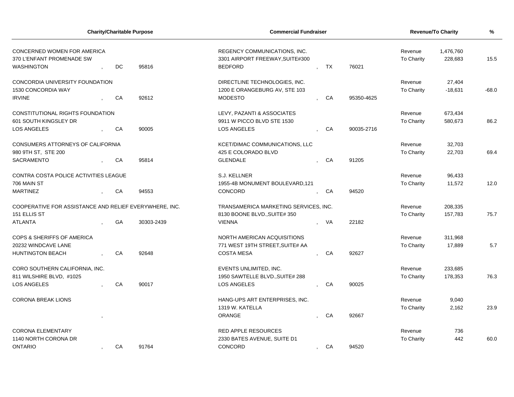| <b>Charity/Charitable Purpose</b>                                             |  |    | <b>Commercial Fundraiser</b> | Revenue/To Charity                                                                | $\frac{9}{6}$         |                      |                   |           |         |
|-------------------------------------------------------------------------------|--|----|------------------------------|-----------------------------------------------------------------------------------|-----------------------|----------------------|-------------------|-----------|---------|
| CONCERNED WOMEN FOR AMERICA<br>370 L'ENFANT PROMENADE SW<br><b>WASHINGTON</b> |  | DC | 95816                        | REGENCY COMMUNICATIONS, INC.<br>3301 AIRPORT FREEWAY, SUITE#300<br><b>BEDFORD</b> | Revenue<br>To Charity | 1,476,760<br>228,683 | 15.5              |           |         |
| CONCORDIA UNIVERSITY FOUNDATION                                               |  |    |                              | DIRECTLINE TECHNOLOGIES, INC.                                                     |                       |                      | Revenue           | 27,404    |         |
| 1530 CONCORDIA WAY                                                            |  |    |                              | 1200 E ORANGEBURG AV, STE 103                                                     |                       |                      | To Charity        | $-18,631$ | $-68.0$ |
| <b>IRVINE</b>                                                                 |  | CA | 92612                        | <b>MODESTO</b>                                                                    |                       | CA<br>95350-4625     |                   |           |         |
| CONSTITUTIONAL RIGHTS FOUNDATION                                              |  |    |                              | LEVY, PAZANTI & ASSOCIATES                                                        |                       |                      | Revenue           | 673,434   |         |
| 601 SOUTH KINGSLEY DR                                                         |  |    |                              | 9911 W PICCO BLVD STE 1530                                                        |                       |                      | To Charity        | 580,673   | 86.2    |
| LOS ANGELES                                                                   |  | CA | 90005                        | LOS ANGELES                                                                       |                       | CA<br>90035-2716     |                   |           |         |
| CONSUMERS ATTORNEYS OF CALIFORNIA                                             |  |    |                              | KCET/DIMAC COMMUNICATIONS, LLC                                                    |                       |                      | Revenue           | 32,703    |         |
| 980 9TH ST, STE 200                                                           |  |    |                              | 425 E COLORADO BLVD                                                               |                       |                      | To Charity        | 22,703    | 69.4    |
| <b>SACRAMENTO</b>                                                             |  | CA | 95814                        | <b>GLENDALE</b>                                                                   |                       | CA<br>91205          |                   |           |         |
| CONTRA COSTA POLICE ACTIVITIES LEAGUE                                         |  |    |                              | S.J. KELLNER                                                                      |                       |                      | Revenue           | 96,433    |         |
| 706 MAIN ST                                                                   |  |    |                              | 1955-4B MONUMENT BOULEVARD, 121                                                   |                       |                      | <b>To Charity</b> | 11,572    | 12.0    |
| <b>MARTINEZ</b>                                                               |  | CA | 94553                        | CONCORD                                                                           |                       | 94520<br>CA          |                   |           |         |
| COOPERATIVE FOR ASSISTANCE AND RELIEF EVERYWHERE. INC.                        |  |    |                              | TRANSAMERICA MARKETING SERVICES, INC.                                             |                       |                      | Revenue           | 208,335   |         |
| 151 ELLIS ST                                                                  |  |    |                              | 8130 BOONE BLVD., SUITE# 350                                                      |                       |                      | To Charity        | 157,783   | 75.7    |
| <b>ATLANTA</b>                                                                |  | GA | 30303-2439                   | <b>VIENNA</b>                                                                     | VA                    | 22182                |                   |           |         |
| <b>COPS &amp; SHERIFFS OF AMERICA</b>                                         |  |    |                              | NORTH AMERICAN ACQUISITIONS                                                       |                       |                      | Revenue           | 311,968   |         |
| 20232 WINDCAVE LANE                                                           |  |    |                              | 771 WEST 19TH STREET, SUITE# AA                                                   |                       |                      | To Charity        | 17,889    | 5.7     |
| <b>HUNTINGTON BEACH</b>                                                       |  | CA | 92648                        | <b>COSTA MESA</b>                                                                 |                       | CA<br>92627          |                   |           |         |
| CORO SOUTHERN CALIFORNIA, INC.                                                |  |    |                              | EVENTS UNLIMITED, INC.                                                            |                       |                      | Revenue           | 233,685   |         |
| 811 WILSHIRE BLVD, #1025                                                      |  |    |                              | 1950 SAWTELLE BLVD., SUITE# 288                                                   |                       |                      | To Charity        | 178,353   | 76.3    |
| <b>LOS ANGELES</b>                                                            |  | CA | 90017                        | <b>LOS ANGELES</b>                                                                |                       | CA<br>90025          |                   |           |         |
| <b>CORONA BREAK LIONS</b>                                                     |  |    |                              | HANG-UPS ART ENTERPRISES, INC.                                                    |                       |                      | Revenue           | 9,040     |         |
|                                                                               |  |    |                              | 1319 W. KATELLA                                                                   |                       |                      | To Charity        | 2,162     | 23.9    |
|                                                                               |  |    |                              | <b>ORANGE</b>                                                                     |                       | CA<br>92667          |                   |           |         |
| <b>CORONA ELEMENTARY</b>                                                      |  |    |                              | <b>RED APPLE RESOURCES</b>                                                        |                       |                      | Revenue           | 736       |         |
| 1140 NORTH CORONA DR                                                          |  |    |                              | 2330 BATES AVENUE, SUITE D1                                                       |                       |                      | <b>To Charity</b> | 442       | 60.0    |
| <b>ONTARIO</b>                                                                |  | CA | 91764                        | CONCORD                                                                           | $\mathbf{r}$          | 94520<br>CA          |                   |           |         |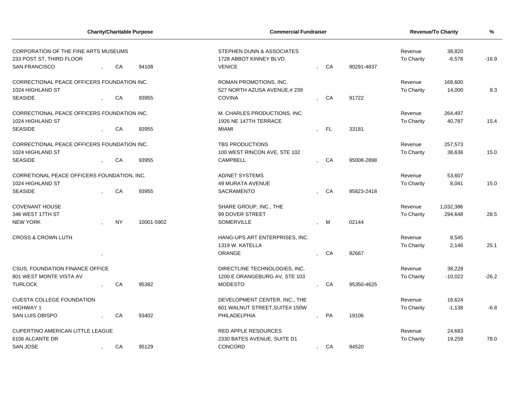|                                                                                          | <b>Charity/Charitable Purpose</b> |           |            | <b>Commercial Fundraiser</b>                                          |                    |            | <b>Revenue/To Charity</b> | $\frac{9}{6}$      |         |
|------------------------------------------------------------------------------------------|-----------------------------------|-----------|------------|-----------------------------------------------------------------------|--------------------|------------|---------------------------|--------------------|---------|
| CORPORATION OF THE FINE ARTS MUSEUMS<br>233 POST ST, THIRD FLOOR<br><b>SAN FRANCISCO</b> |                                   | CA        | 94108      | STEPHEN DUNN & ASSOCIATES<br>1728 ABBOT KINNEY BLVD.<br><b>VENICE</b> | CA                 | 90291-4837 | Revenue<br>To Charity     | 38,820<br>$-6,578$ | $-16.9$ |
|                                                                                          |                                   |           |            |                                                                       |                    |            |                           |                    |         |
| CORRECTIONAL PEACE OFFICERS FOUNDATION INC.                                              |                                   |           |            | ROMAN PROMOTIONS, INC.                                                |                    |            | Revenue                   | 168,600            |         |
| 1024 HIGHLAND ST                                                                         |                                   |           |            | 527 NORTH AZUSA AVENUE,#239                                           |                    |            | To Charity                | 14,000             | 8.3     |
| <b>SEASIDE</b>                                                                           |                                   | CA        | 93955      | <b>COVINA</b>                                                         | CA                 | 91722      |                           |                    |         |
| CORRECTIONAL PEACE OFFICERS FOUNDATION INC.                                              |                                   |           |            | M. CHARLES PRODUCTIONS, INC.                                          |                    |            | Revenue                   | 264,497            |         |
| 1024 HIGHLAND ST                                                                         |                                   |           |            | 1926 NE 147TH TERRACE                                                 |                    |            | To Charity                | 40,787             | 15.4    |
| <b>SEASIDE</b>                                                                           |                                   | CA        | 93955      | <b>MIAMI</b>                                                          | FL.                | 33181      |                           |                    |         |
| CORRECTIONAL PEACE OFFICERS FOUNDATION INC.                                              |                                   |           |            | <b>TBS PRODUCTIONS</b>                                                |                    |            | Revenue                   | 257,573            |         |
| 1024 HIGHLAND ST                                                                         |                                   |           |            | 100 WEST RINCON AVE, STE 102                                          |                    |            | To Charity                | 38,636             | 15.0    |
| <b>SEASIDE</b>                                                                           |                                   | CA        | 93955      | <b>CAMPBELL</b>                                                       | CA                 | 95008-2898 |                           |                    |         |
| CORRETIONAL PEACE OFFICERS FOUNDATION, INC.                                              |                                   |           |            | <b>AD/NET SYSTEMS</b>                                                 |                    |            | Revenue                   | 53,607             |         |
| 1024 HIGHLAND ST                                                                         |                                   |           |            | <b>49 MURATA AVENUE</b>                                               |                    |            | To Charity                | 8,041              | 15.0    |
| <b>SEASIDE</b>                                                                           |                                   | CA        | 93955      | SACRAMENTO                                                            | CA                 | 95823-2418 |                           |                    |         |
| <b>COVENANT HOUSE</b>                                                                    |                                   |           |            | SHARE GROUP, INC., THE                                                |                    |            | Revenue                   | 1,032,386          |         |
| 346 WEST 17TH ST                                                                         |                                   |           |            | 99 DOVER STREET                                                       |                    |            | To Charity                | 294,648            | 28.5    |
| <b>NEW YORK</b>                                                                          |                                   | <b>NY</b> | 10001-5902 | SOMERVILLE                                                            | M                  | 02144      |                           |                    |         |
| <b>CROSS &amp; CROWN LUTH</b>                                                            |                                   |           |            | HANG-UPS ART ENTERPRISES, INC.                                        |                    |            | Revenue                   | 8,545              |         |
|                                                                                          |                                   |           |            | 1319 W. KATELLA                                                       |                    |            | To Charity                | 2,146              | 25.1    |
|                                                                                          |                                   |           |            | <b>ORANGE</b>                                                         | CA                 | 92667      |                           |                    |         |
| <b>CSUS, FOUNDATION FINANCE OFFICE</b>                                                   |                                   |           |            | DIRECTLINE TECHNOLOGIES, INC.                                         |                    |            | Revenue                   | 38,228             |         |
| 801 WEST MONTE VISTA AV                                                                  |                                   |           |            | 1200 E ORANGEBURG AV, STE 103                                         |                    |            | To Charity                | $-10,022$          | $-26.2$ |
| <b>TURLOCK</b>                                                                           |                                   | CA        | 95382      | <b>MODESTO</b>                                                        | CA                 | 95350-4625 |                           |                    |         |
| <b>CUESTA COLLEGE FOUNDATION</b>                                                         |                                   |           |            | DEVELOPMENT CENTER, INC., THE                                         |                    |            | Revenue                   | 16,624             |         |
| <b>HIGHWAY 1</b>                                                                         |                                   |           |            | 601 WALNUT STREET, SUITE# 150W                                        |                    |            | To Charity                | $-1,138$           | $-6.8$  |
| <b>SAN LUIS OBISPO</b>                                                                   |                                   | CA        | 93402      | PHILADELPHIA                                                          | PA                 | 19106      |                           |                    |         |
| <b>CUPERTINO AMERICAN LITTLE LEAGUE</b>                                                  |                                   |           |            | RED APPLE RESOURCES                                                   |                    |            | Revenue                   | 24,683             |         |
| 6106 ALCANTE DR                                                                          |                                   |           |            | 2330 BATES AVENUE, SUITE D1                                           |                    |            | To Charity                | 19,259             | 78.0    |
| SAN JOSE                                                                                 | $\cdot$                           | CA        | 95129      | CONCORD                                                               | CA<br>$\mathbf{r}$ | 94520      |                           |                    |         |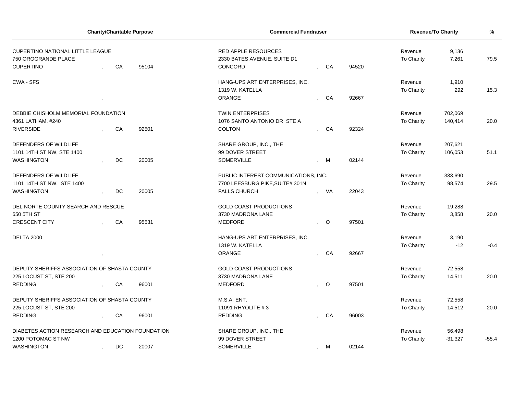| <b>Charity/Charitable Purpose</b>                                                  |      |    | <b>Commercial Fundraiser</b> | <b>Revenue/To Charity</b>                                            | %                         |                       |                   |           |         |
|------------------------------------------------------------------------------------|------|----|------------------------------|----------------------------------------------------------------------|---------------------------|-----------------------|-------------------|-----------|---------|
| <b>CUPERTINO NATIONAL LITTLE LEAGUE</b><br>750 OROGRANDE PLACE<br><b>CUPERTINO</b> |      | CA | 95104                        | <b>RED APPLE RESOURCES</b><br>2330 BATES AVENUE, SUITE D1<br>CONCORD | 94520                     | Revenue<br>To Charity | 9,136<br>7,261    | 79.5      |         |
| CWA - SFS                                                                          |      |    |                              | HANG-UPS ART ENTERPRISES, INC.                                       |                           |                       | Revenue           | 1,910     |         |
|                                                                                    |      |    |                              | 1319 W. KATELLA                                                      |                           |                       | <b>To Charity</b> | 292       | 15.3    |
|                                                                                    |      |    |                              | ORANGE                                                               | CA                        | 92667                 |                   |           |         |
| DEBBIE CHISHOLM MEMORIAL FOUNDATION                                                |      |    |                              | <b>TWIN ENTERPRISES</b>                                              |                           |                       | Revenue           | 702,069   |         |
| 4361 LATHAM, #240                                                                  |      |    |                              | 1076 SANTO ANTONIO DR STE A                                          |                           |                       | To Charity        | 140,414   | 20.0    |
| <b>RIVERSIDE</b>                                                                   |      | CA | 92501                        | <b>COLTON</b>                                                        | CA                        | 92324                 |                   |           |         |
| DEFENDERS OF WILDLIFE                                                              |      |    |                              | SHARE GROUP, INC., THE                                               |                           |                       | Revenue           | 207,621   |         |
| 1101 14TH ST NW, STE 1400                                                          |      |    |                              | 99 DOVER STREET                                                      |                           |                       | To Charity        | 106,053   | 51.1    |
| <b>WASHINGTON</b>                                                                  |      | DC | 20005                        | SOMERVILLE                                                           | M                         | 02144                 |                   |           |         |
| DEFENDERS OF WILDLIFE                                                              |      |    |                              | PUBLIC INTEREST COMMUNICATIONS, INC.                                 |                           |                       | Revenue           | 333,690   |         |
| 1101 14TH ST NW, STE 1400                                                          |      |    |                              | 7700 LEESBURG PIKE, SUITE# 301N                                      |                           |                       | To Charity        | 98,574    | 29.5    |
| <b>WASHINGTON</b>                                                                  |      | DC | 20005                        | <b>FALLS CHURCH</b>                                                  | <b>VA</b>                 | 22043                 |                   |           |         |
| DEL NORTE COUNTY SEARCH AND RESCUE                                                 |      |    |                              | <b>GOLD COAST PRODUCTIONS</b>                                        |                           |                       | Revenue           | 19,288    |         |
| 650 5TH ST                                                                         |      |    |                              | 3730 MADRONA LANE                                                    |                           |                       | To Charity        | 3,858     | 20.0    |
| <b>CRESCENT CITY</b>                                                               |      | CA | 95531                        | <b>MEDFORD</b>                                                       | $\circ$                   | 97501                 |                   |           |         |
| <b>DELTA 2000</b>                                                                  |      |    |                              | HANG-UPS ART ENTERPRISES, INC.                                       |                           |                       | Revenue           | 3,190     |         |
|                                                                                    |      |    |                              | 1319 W. KATELLA                                                      |                           |                       | To Charity        | $-12$     | $-0.4$  |
|                                                                                    | $\,$ |    |                              | <b>ORANGE</b>                                                        | CA                        | 92667                 |                   |           |         |
| DEPUTY SHERIFFS ASSOCIATION OF SHASTA COUNTY                                       |      |    |                              | <b>GOLD COAST PRODUCTIONS</b>                                        |                           |                       | Revenue           | 72,558    |         |
| 225 LOCUST ST, STE 200                                                             |      |    |                              | 3730 MADRONA LANE                                                    |                           |                       | To Charity        | 14,511    | 20.0    |
| <b>REDDING</b>                                                                     |      | CA | 96001                        | <b>MEDFORD</b>                                                       | $\circ$                   | 97501                 |                   |           |         |
| DEPUTY SHERIFFS ASSOCIATION OF SHASTA COUNTY                                       |      |    |                              | M.S.A. ENT.                                                          |                           |                       | Revenue           | 72,558    |         |
| 225 LOCUST ST, STE 200                                                             |      |    |                              | 11091 RHYOLITE #3                                                    |                           |                       | <b>To Charity</b> | 14,512    | 20.0    |
| <b>REDDING</b>                                                                     |      | CA | 96001                        | <b>REDDING</b>                                                       | CA                        | 96003                 |                   |           |         |
| DIABETES ACTION RESEARCH AND EDUCATION FOUNDATION                                  |      |    |                              | SHARE GROUP, INC., THE                                               |                           |                       | Revenue           | 56,498    |         |
| 1200 POTOMAC ST NW                                                                 |      |    |                              | 99 DOVER STREET                                                      |                           |                       | <b>To Charity</b> | $-31,327$ | $-55.4$ |
| <b>WASHINGTON</b><br>DC<br>20007                                                   |      |    |                              | <b>SOMERVILLE</b>                                                    | M<br>$\ddot{\phantom{a}}$ | 02144                 |                   |           |         |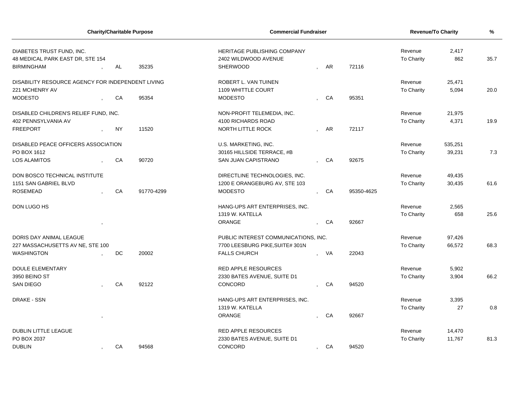| <b>Charity/Charitable Purpose</b>                 |           |            | <b>Commercial Fundraiser</b>         |              |      |            | Revenue/To Charity | %       |      |
|---------------------------------------------------|-----------|------------|--------------------------------------|--------------|------|------------|--------------------|---------|------|
| DIABETES TRUST FUND, INC.                         |           |            | <b>HERITAGE PUBLISHING COMPANY</b>   |              |      |            | Revenue            | 2,417   |      |
| 48 MEDICAL PARK EAST DR, STE 154                  |           |            | 2402 WILDWOOD AVENUE                 |              |      |            | To Charity         | 862     | 35.7 |
| <b>BIRMINGHAM</b>                                 | AL        | 35235      | SHERWOOD                             |              | AR   | 72116      |                    |         |      |
| DISABILITY RESOURCE AGENCY FOR INDEPENDENT LIVING |           |            | ROBERT L. VAN TUINEN                 |              |      |            | Revenue            | 25,471  |      |
| 221 MCHENRY AV                                    |           |            | 1109 WHITTLE COURT                   |              |      |            | To Charity         | 5,094   | 20.0 |
| <b>MODESTO</b>                                    | CA        | 95354      | MODESTO                              |              | CA   | 95351      |                    |         |      |
| DISABLED CHILDREN'S RELIEF FUND, INC.             |           |            | NON-PROFIT TELEMEDIA, INC.           |              |      |            | Revenue            | 21,975  |      |
| 402 PENNSYLVANIA AV                               |           |            | 4100 RICHARDS ROAD                   |              |      |            | To Charity         | 4,371   | 19.9 |
| <b>FREEPORT</b>                                   | <b>NY</b> | 11520      | NORTH LITTLE ROCK                    |              | AR   | 72117      |                    |         |      |
| DISABLED PEACE OFFICERS ASSOCIATION               |           |            | U.S. MARKETING, INC.                 |              |      |            | Revenue            | 535,251 |      |
| PO BOX 1612                                       |           |            | 30165 HILLSIDE TERRACE, #B           |              |      |            | To Charity         | 39,231  | 7.3  |
| <b>LOS ALAMITOS</b>                               | CA        | 90720      | SAN JUAN CAPISTRANO                  |              | CA   | 92675      |                    |         |      |
| DON BOSCO TECHNICAL INSTITUTE                     |           |            | DIRECTLINE TECHNOLOGIES, INC.        |              |      |            | Revenue            | 49,435  |      |
| 1151 SAN GABRIEL BLVD                             |           |            | 1200 E ORANGEBURG AV, STE 103        |              |      |            | To Charity         | 30,435  | 61.6 |
| <b>ROSEMEAD</b>                                   | CA        | 91770-4299 | <b>MODESTO</b>                       |              | CA   | 95350-4625 |                    |         |      |
| DON LUGO HS                                       |           |            | HANG-UPS ART ENTERPRISES, INC.       |              |      |            | Revenue            | 2,565   |      |
|                                                   |           |            | 1319 W. KATELLA                      |              |      |            | To Charity         | 658     | 25.6 |
|                                                   |           |            | <b>ORANGE</b>                        |              | - CA | 92667      |                    |         |      |
| DORIS DAY ANIMAL LEAGUE                           |           |            | PUBLIC INTEREST COMMUNICATIONS, INC. |              |      |            | Revenue            | 97,426  |      |
| 227 MASSACHUSETTS AV NE, STE 100                  |           |            | 7700 LEESBURG PIKE, SUITE# 301N      |              |      |            | To Charity         | 66,572  | 68.3 |
| <b>WASHINGTON</b>                                 | <b>DC</b> | 20002      | <b>FALLS CHURCH</b>                  |              | VA   | 22043      |                    |         |      |
| <b>DOULE ELEMENTARY</b>                           |           |            | <b>RED APPLE RESOURCES</b>           |              |      |            | Revenue            | 5,902   |      |
| 3950 BEINO ST                                     |           |            | 2330 BATES AVENUE, SUITE D1          |              |      |            | To Charity         | 3,904   | 66.2 |
| <b>SAN DIEGO</b>                                  | CA        | 92122      | CONCORD                              |              | CA   | 94520      |                    |         |      |
| <b>DRAKE - SSN</b>                                |           |            | HANG-UPS ART ENTERPRISES, INC.       |              |      |            | Revenue            | 3,395   |      |
|                                                   |           |            | 1319 W. KATELLA                      |              |      |            | To Charity         | 27      | 0.8  |
|                                                   |           |            | ORANGE                               |              | CA   | 92667      |                    |         |      |
| <b>DUBLIN LITTLE LEAGUE</b>                       |           |            | <b>RED APPLE RESOURCES</b>           |              |      |            | Revenue            | 14,470  |      |
| PO BOX 2037                                       |           |            | 2330 BATES AVENUE, SUITE D1          |              |      |            | To Charity         | 11,767  | 81.3 |
| <b>DUBLIN</b>                                     | CA        | 94568      | CONCORD                              | $\mathbf{r}$ | CA   | 94520      |                    |         |      |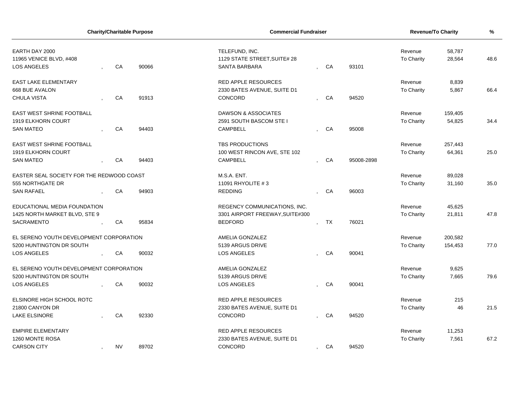| <b>Charity/Charitable Purpose</b>         |  |           |       | <b>Commercial Fundraiser</b>    |              |    |            | Revenue/To Charity | $\%$    |      |
|-------------------------------------------|--|-----------|-------|---------------------------------|--------------|----|------------|--------------------|---------|------|
| EARTH DAY 2000                            |  |           |       | TELEFUND, INC.                  |              |    |            | Revenue            | 58,787  |      |
| 11965 VENICE BLVD, #408                   |  |           |       | 1129 STATE STREET, SUITE# 28    |              |    |            | To Charity         | 28,564  | 48.6 |
| <b>LOS ANGELES</b>                        |  | CA        | 90066 | <b>SANTA BARBARA</b>            |              | CA | 93101      |                    |         |      |
| <b>EAST LAKE ELEMENTARY</b>               |  |           |       | <b>RED APPLE RESOURCES</b>      |              |    |            | Revenue            | 8,839   |      |
| 668 BUE AVALON                            |  |           |       | 2330 BATES AVENUE, SUITE D1     |              |    |            | <b>To Charity</b>  | 5,867   | 66.4 |
| <b>CHULA VISTA</b>                        |  | CA        | 91913 | CONCORD                         |              | CA | 94520      |                    |         |      |
| EAST WEST SHRINE FOOTBALL                 |  |           |       | DAWSON & ASSOCIATES             |              |    |            | Revenue            | 159,405 |      |
| 1919 ELKHORN COURT                        |  |           |       | 2591 SOUTH BASCOM STE I         |              |    |            | To Charity         | 54,825  | 34.4 |
| <b>SAN MATEO</b>                          |  | CA        | 94403 | <b>CAMPBELL</b>                 |              | CA | 95008      |                    |         |      |
| EAST WEST SHRINE FOOTBALL                 |  |           |       | <b>TBS PRODUCTIONS</b>          |              |    |            | Revenue            | 257,443 |      |
| 1919 ELKHORN COURT                        |  |           |       | 100 WEST RINCON AVE, STE 102    |              |    |            | To Charity         | 64,361  | 25.0 |
| <b>SAN MATEO</b>                          |  | CA        | 94403 | <b>CAMPBELL</b>                 |              | CA | 95008-2898 |                    |         |      |
| EASTER SEAL SOCIETY FOR THE REDWOOD COAST |  |           |       | M.S.A. ENT.                     |              |    |            | Revenue            | 89,028  |      |
| 555 NORTHGATE DR                          |  |           |       | 11091 RHYOLITE #3               |              |    |            | To Charity         | 31,160  | 35.0 |
| <b>SAN RAFAEL</b>                         |  | CA        | 94903 | <b>REDDING</b>                  |              | CA | 96003      |                    |         |      |
| EDUCATIONAL MEDIA FOUNDATION              |  |           |       | REGENCY COMMUNICATIONS, INC.    |              |    |            | Revenue            | 45,625  |      |
| 1425 NORTH MARKET BLVD, STE 9             |  |           |       | 3301 AIRPORT FREEWAY, SUITE#300 |              |    |            | To Charity         | 21,811  | 47.8 |
| <b>SACRAMENTO</b>                         |  | CA        | 95834 | <b>BEDFORD</b>                  |              | TX | 76021      |                    |         |      |
| EL SERENO YOUTH DEVELOPMENT CORPORATION   |  |           |       | AMELIA GONZALEZ                 |              |    |            | Revenue            | 200,582 |      |
| 5200 HUNTINGTON DR SOUTH                  |  |           |       | 5139 ARGUS DRIVE                |              |    |            | To Charity         | 154,453 | 77.0 |
| LOS ANGELES                               |  | CA        | 90032 | <b>LOS ANGELES</b>              |              | CA | 90041      |                    |         |      |
| EL SERENO YOUTH DEVELOPMENT CORPORATION   |  |           |       | AMELIA GONZALEZ                 |              |    |            | Revenue            | 9,625   |      |
| 5200 HUNTINGTON DR SOUTH                  |  |           |       | 5139 ARGUS DRIVE                |              |    |            | To Charity         | 7,665   | 79.6 |
| LOS ANGELES                               |  | CA        | 90032 | <b>LOS ANGELES</b>              |              | CA | 90041      |                    |         |      |
| ELSINORE HIGH SCHOOL ROTC                 |  |           |       | <b>RED APPLE RESOURCES</b>      |              |    |            | Revenue            | 215     |      |
| 21800 CANYON DR                           |  |           |       | 2330 BATES AVENUE, SUITE D1     |              |    |            | To Charity         | 46      | 21.5 |
| <b>LAKE ELSINORE</b>                      |  | CA        | 92330 | CONCORD                         |              | CA | 94520      |                    |         |      |
| <b>EMPIRE ELEMENTARY</b>                  |  |           |       | RED APPLE RESOURCES             |              |    |            | Revenue            | 11,253  |      |
| 1260 MONTE ROSA                           |  |           |       | 2330 BATES AVENUE, SUITE D1     |              |    |            | To Charity         | 7,561   | 67.2 |
| <b>CARSON CITY</b>                        |  | <b>NV</b> | 89702 | CONCORD                         | $\mathbf{r}$ | CA | 94520      |                    |         |      |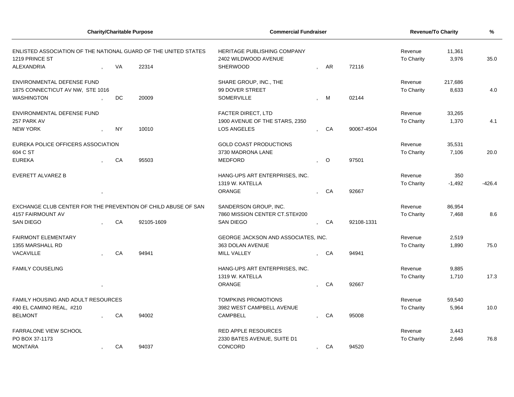| <b>Charity/Charitable Purpose</b>                             |                                                                                                                                |           |            | <b>Commercial Fundraiser</b>                        |              |         |            | Revenue/To Charity    | $\frac{9}{6}$   |          |
|---------------------------------------------------------------|--------------------------------------------------------------------------------------------------------------------------------|-----------|------------|-----------------------------------------------------|--------------|---------|------------|-----------------------|-----------------|----------|
|                                                               | ENLISTED ASSOCIATION OF THE NATIONAL GUARD OF THE UNITED STATES<br>1219 PRINCE ST<br>22314<br>VA<br>ENVIRONMENTAL DEFENSE FUND |           |            | HERITAGE PUBLISHING COMPANY<br>2402 WILDWOOD AVENUE |              |         |            | Revenue<br>To Charity | 11,361<br>3,976 | 35.0     |
| ALEXANDRIA                                                    |                                                                                                                                |           |            | <b>SHERWOOD</b>                                     |              | AR      | 72116      |                       |                 |          |
|                                                               |                                                                                                                                |           |            | SHARE GROUP, INC., THE                              |              |         |            | Revenue               | 217,686         |          |
| 1875 CONNECTICUT AV NW, STE 1016                              |                                                                                                                                |           |            | 99 DOVER STREET                                     |              |         |            | To Charity            | 8,633           | 4.0      |
| <b>WASHINGTON</b>                                             |                                                                                                                                | DC.       | 20009      | SOMERVILLE                                          |              | M       | 02144      |                       |                 |          |
| ENVIRONMENTAL DEFENSE FUND                                    |                                                                                                                                |           |            | <b>FACTER DIRECT, LTD</b>                           |              |         |            | Revenue               | 33,265          |          |
| 257 PARK AV                                                   |                                                                                                                                |           |            | 1900 AVENUE OF THE STARS, 2350                      |              |         |            | To Charity            | 1,370           | 4.1      |
| <b>NEW YORK</b>                                               |                                                                                                                                | <b>NY</b> | 10010      | LOS ANGELES                                         |              | CA      | 90067-4504 |                       |                 |          |
| EUREKA POLICE OFFICERS ASSOCIATION                            |                                                                                                                                |           |            | <b>GOLD COAST PRODUCTIONS</b>                       |              |         |            | Revenue               | 35,531          |          |
| 604 C ST                                                      |                                                                                                                                |           |            | 3730 MADRONA LANE                                   |              |         |            | To Charity            | 7,106           | 20.0     |
| <b>EUREKA</b>                                                 |                                                                                                                                | CA        | 95503      | <b>MEDFORD</b>                                      |              | $\circ$ | 97501      |                       |                 |          |
| <b>EVERETT ALVAREZ B</b>                                      |                                                                                                                                |           |            | HANG-UPS ART ENTERPRISES, INC.                      |              |         |            | Revenue               | 350             |          |
|                                                               |                                                                                                                                |           |            | 1319 W. KATELLA                                     |              |         |            | <b>To Charity</b>     | $-1,492$        | $-426.4$ |
|                                                               |                                                                                                                                |           |            | ORANGE                                              |              | CA      | 92667      |                       |                 |          |
| EXCHANGE CLUB CENTER FOR THE PREVENTION OF CHILD ABUSE OF SAN |                                                                                                                                |           |            | SANDERSON GROUP, INC.                               |              |         |            | Revenue               | 86,954          |          |
| <b>4157 FAIRMOUNT AV</b>                                      |                                                                                                                                |           |            | 7860 MISSION CENTER CT.STE#200                      |              |         |            | To Charity            | 7,468           | 8.6      |
| <b>SAN DIEGO</b>                                              |                                                                                                                                | CA        | 92105-1609 | <b>SAN DIEGO</b>                                    |              | CA      | 92108-1331 |                       |                 |          |
| <b>FAIRMONT ELEMENTARY</b>                                    |                                                                                                                                |           |            | <b>GEORGE JACKSON AND ASSOCIATES. INC.</b>          |              |         |            | Revenue               | 2,519           |          |
| 1355 MARSHALL RD                                              |                                                                                                                                |           |            | 363 DOLAN AVENUE                                    |              |         |            | To Charity            | 1,890           | 75.0     |
| VACAVILLE                                                     |                                                                                                                                | CA        | 94941      | MILL VALLEY                                         |              | CA      | 94941      |                       |                 |          |
| <b>FAMILY COUSELING</b>                                       |                                                                                                                                |           |            | HANG-UPS ART ENTERPRISES, INC.                      |              |         |            | Revenue               | 9,885           |          |
|                                                               |                                                                                                                                |           |            | 1319 W. KATELLA                                     |              |         |            | To Charity            | 1,710           | 17.3     |
|                                                               |                                                                                                                                |           |            | <b>ORANGE</b>                                       |              | CA      | 92667      |                       |                 |          |
| FAMILY HOUSING AND ADULT RESOURCES                            |                                                                                                                                |           |            | <b>TOMPKINS PROMOTIONS</b>                          |              |         |            | Revenue               | 59,540          |          |
| 490 EL CAMINO REAL, #210                                      |                                                                                                                                |           |            | 3982 WEST CAMPBELL AVENUE                           |              |         |            | To Charity            | 5,964           | 10.0     |
| <b>BELMONT</b>                                                |                                                                                                                                | CA        | 94002      | <b>CAMPBELL</b>                                     |              | CA      | 95008      |                       |                 |          |
| <b>FARRALONE VIEW SCHOOL</b>                                  |                                                                                                                                |           |            | <b>RED APPLE RESOURCES</b>                          |              |         |            | Revenue               | 3,443           |          |
| PO BOX 37-1173                                                |                                                                                                                                |           |            | 2330 BATES AVENUE, SUITE D1                         |              |         |            | To Charity            | 2,646           | 76.8     |
| <b>MONTARA</b>                                                |                                                                                                                                | CA        | 94037      | CONCORD                                             | $\mathbf{r}$ | CA      | 94520      |                       |                 |          |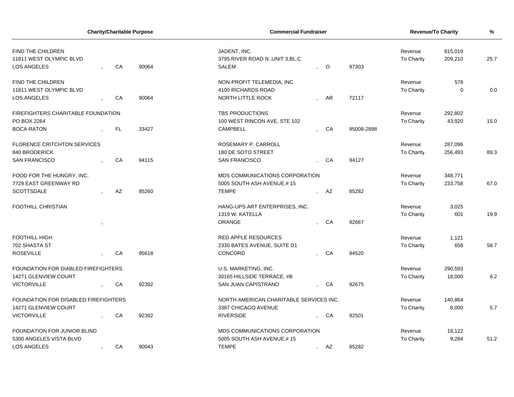| <b>Charity/Charitable Purpose</b>            |  |     |       | <b>Commercial Fundraiser</b>                     | Revenue/To Charity | %                     |                    |             |      |
|----------------------------------------------|--|-----|-------|--------------------------------------------------|--------------------|-----------------------|--------------------|-------------|------|
| FIND THE CHILDREN<br>11811 WEST OLYMPIC BLVD |  |     |       | JADENT, INC.<br>3795 RIVER ROAD N., UNIT 3, BL.C |                    | Revenue<br>To Charity | 815,019<br>209,210 | 25.7        |      |
| <b>LOS ANGELES</b>                           |  | CA  | 90064 | <b>SALEM</b>                                     | $\circ$            | 97303                 |                    |             |      |
| <b>FIND THE CHILDREN</b>                     |  |     |       | NON-PROFIT TELEMEDIA, INC.                       |                    |                       | Revenue            | 576         |      |
| 11811 WEST OLYMPIC BLVD                      |  |     |       | 4100 RICHARDS ROAD                               |                    |                       | To Charity         | $\mathbf 0$ | 0.0  |
| LOS ANGELES                                  |  | CA  | 90064 | <b>NORTH LITTLE ROCK</b>                         | AR                 | 72117                 |                    |             |      |
| FIREFIGHTERS CHARITABLE FOUNDATION           |  |     |       | TBS PRODUCTIONS                                  |                    |                       | Revenue            | 292,802     |      |
| PO BOX 2264                                  |  |     |       | 100 WEST RINCON AVE, STE 102                     |                    |                       | To Charity         | 43,920      | 15.0 |
| <b>BOCA RATON</b>                            |  | FL. | 33427 | <b>CAMPBELL</b>                                  | CA                 | 95008-2898            |                    |             |      |
| <b>FLORENCE CRITCHTON SERVICES</b>           |  |     |       | ROSEMARY P. CARROLL                              |                    |                       | Revenue            | 287,096     |      |
| 840 BRODERICK                                |  |     |       | 180 DE SOTO STREET                               |                    |                       | To Charity         | 256,493     | 89.3 |
| <b>SAN FRANCISCO</b>                         |  | CA  | 94115 | <b>SAN FRANCISCO</b>                             | CA                 | 94127                 |                    |             |      |
| FOOD FOR THE HUNGRY, INC.                    |  |     |       | MDS COMMUNICATIONS CORPORATION                   |                    |                       | Revenue            | 348,771     |      |
| 7729 EAST GREENWAY RD                        |  |     |       | 5005 SOUTH ASH AVENUE,#15                        |                    |                       | To Charity         | 233,758     | 67.0 |
| <b>SCOTTSDALE</b>                            |  | AZ  | 85260 | <b>TEMPE</b>                                     | AZ                 | 85282                 |                    |             |      |
| <b>FOOTHILL CHRISTIAN</b>                    |  |     |       | HANG-UPS ART ENTERPRISES, INC.                   |                    |                       | Revenue            | 3,025       |      |
|                                              |  |     |       | 1319 W. KATELLA                                  |                    |                       | To Charity         | 601         | 19.9 |
|                                              |  |     |       | ORANGE                                           | CA                 | 92667                 |                    |             |      |
| <b>FOOTHILL HIGH</b>                         |  |     |       | <b>RED APPLE RESOURCES</b>                       |                    |                       | Revenue            | 1,121       |      |
| 702 SHASTA ST                                |  |     |       | 2330 BATES AVENUE, SUITE D1                      |                    |                       | To Charity         | 658         | 58.7 |
| <b>ROSEVILLE</b>                             |  | CA  | 95618 | CONCORD                                          | CA                 | 94520                 |                    |             |      |
| FOUNDATION FOR DIABLED FIREFIGHTERS          |  |     |       | U.S. MARKETING, INC.                             |                    |                       | Revenue            | 290,593     |      |
| 14271 GLENVIEW COURT                         |  |     |       | 30165 HILLSIDE TERRACE, #B                       |                    |                       | To Charity         | 18,000      | 6.2  |
| <b>VICTORVILLE</b>                           |  | CA  | 92392 | SAN JUAN CAPISTRANO                              | CA                 | 92675                 |                    |             |      |
| FOUNDATION FOR DISABLED FIREFIGHTERS         |  |     |       | NORTH AMERICAN CHARITABLE SERVICES INC.          |                    |                       | Revenue            | 140,864     |      |
| 14271 GLENVIEW COURT                         |  |     |       | 3387 CHICAGO AVENUE                              |                    |                       | To Charity         | 8,000       | 5.7  |
| <b>VICTORVILLE</b>                           |  | CA  | 92392 | <b>RIVERSIDE</b>                                 | CA                 | 92501                 |                    |             |      |
| FOUNDATION FOR JUNIOR BLIND                  |  |     |       | MDS COMMUNICATIONS CORPORATION                   |                    |                       | Revenue            | 18,122      |      |
| 5300 ANGELES VISTA BLVD                      |  |     |       | 5005 SOUTH ASH AVENUE,#15                        |                    |                       | To Charity         | 9,284       | 51.2 |
| LOS ANGELES                                  |  | CA  | 90043 | <b>TEMPE</b>                                     | , AZ               | 85282                 |                    |             |      |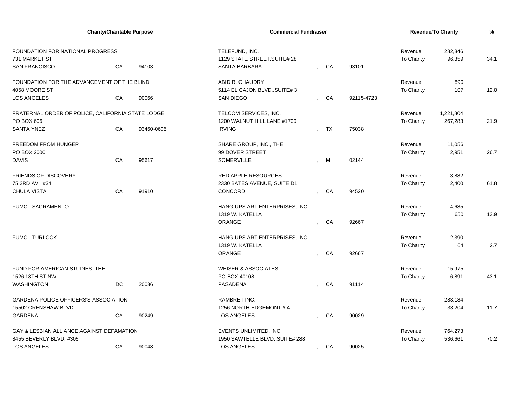| <b>Charity/Charitable Purpose</b>                 |  |    |            | <b>Commercial Fundraiser</b>                         |                          | <b>Revenue/To Charity</b> | %          |                   |           |      |
|---------------------------------------------------|--|----|------------|------------------------------------------------------|--------------------------|---------------------------|------------|-------------------|-----------|------|
| FOUNDATION FOR NATIONAL PROGRESS                  |  |    |            | TELEFUND, INC.                                       |                          |                           |            | Revenue           | 282,346   |      |
| 731 MARKET ST<br><b>SAN FRANCISCO</b>             |  | CA | 94103      | 1129 STATE STREET, SUITE# 28<br><b>SANTA BARBARA</b> |                          | CA                        | 93101      | To Charity        | 96,359    | 34.1 |
|                                                   |  |    |            |                                                      |                          |                           |            |                   |           |      |
| FOUNDATION FOR THE ADVANCEMENT OF THE BLIND       |  |    |            | ABID R. CHAUDRY                                      |                          |                           |            | Revenue           | 890       |      |
| 4058 MOORE ST                                     |  |    |            | 5114 EL CAJON BLVD., SUITE# 3                        |                          |                           |            | <b>To Charity</b> | 107       | 12.0 |
| <b>LOS ANGELES</b>                                |  | CA | 90066      | <b>SAN DIEGO</b>                                     |                          | CA                        | 92115-4723 |                   |           |      |
| FRATERNAL ORDER OF POLICE, CALIFORNIA STATE LODGE |  |    |            | TELCOM SERVICES, INC.                                |                          |                           |            | Revenue           | 1,221,804 |      |
| PO BOX 606                                        |  |    |            | 1200 WALNUT HILL LANE #1700                          |                          |                           |            | To Charity        | 267,283   | 21.9 |
| <b>SANTA YNEZ</b>                                 |  | CA | 93460-0606 | <b>IRVING</b>                                        |                          | <b>TX</b>                 | 75038      |                   |           |      |
| <b>FREEDOM FROM HUNGER</b>                        |  |    |            | SHARE GROUP, INC., THE                               |                          |                           |            | Revenue           | 11,056    |      |
| PO BOX 2000                                       |  |    |            | 99 DOVER STREET                                      |                          |                           |            | To Charity        | 2,951     | 26.7 |
| <b>DAVIS</b>                                      |  | CA | 95617      | SOMERVILLE                                           |                          | M                         | 02144      |                   |           |      |
| <b>FRIENDS OF DISCOVERY</b>                       |  |    |            | <b>RED APPLE RESOURCES</b>                           |                          |                           |            | Revenue           | 3,882     |      |
| 75 3RD AV, #34                                    |  |    |            | 2330 BATES AVENUE, SUITE D1                          |                          |                           |            | <b>To Charity</b> | 2,400     | 61.8 |
| CHULA VISTA                                       |  | CA | 91910      | CONCORD                                              | $\cdot$                  | CA                        | 94520      |                   |           |      |
| <b>FUMC - SACRAMENTO</b>                          |  |    |            | HANG-UPS ART ENTERPRISES, INC.                       |                          |                           |            | Revenue           | 4,685     |      |
|                                                   |  |    |            | 1319 W. KATELLA                                      |                          |                           |            | To Charity        | 650       | 13.9 |
|                                                   |  |    |            | <b>ORANGE</b>                                        |                          | CA                        | 92667      |                   |           |      |
| <b>FUMC - TURLOCK</b>                             |  |    |            | HANG-UPS ART ENTERPRISES, INC.                       |                          |                           |            | Revenue           | 2,390     |      |
|                                                   |  |    |            | 1319 W. KATELLA                                      |                          |                           |            | To Charity        | 64        | 2.7  |
|                                                   |  |    |            | ORANGE                                               |                          | CA                        | 92667      |                   |           |      |
| FUND FOR AMERICAN STUDIES, THE                    |  |    |            | <b>WEISER &amp; ASSOCIATES</b>                       |                          |                           |            | Revenue           | 15,975    |      |
| 1526 18TH ST NW                                   |  |    |            | PO BOX 40108                                         |                          |                           |            | <b>To Charity</b> | 6,891     | 43.1 |
| WASHINGTON                                        |  | DC | 20036      | <b>PASADENA</b>                                      |                          | <b>CA</b>                 | 91114      |                   |           |      |
| <b>GARDENA POLICE OFFICERS'S ASSOCIATION</b>      |  |    |            | RAMBRET INC.                                         |                          |                           |            | Revenue           | 283,184   |      |
| 15502 CRENSHAW BLVD                               |  |    |            | 1256 NORTH EDGEMONT #4                               |                          |                           |            | <b>To Charity</b> | 33,204    | 11.7 |
| <b>GARDENA</b>                                    |  | CA | 90249      | <b>LOS ANGELES</b>                                   |                          | CA                        | 90029      |                   |           |      |
| GAY & LESBIAN ALLIANCE AGAINST DEFAMATION         |  |    |            | EVENTS UNLIMITED, INC.                               |                          |                           |            | Revenue           | 764,273   |      |
| 8455 BEVERLY BLVD, #305                           |  |    |            | 1950 SAWTELLE BLVD., SUITE# 288                      |                          |                           |            | <b>To Charity</b> | 536,661   | 70.2 |
| <b>LOS ANGELES</b>                                |  | CA | 90048      | <b>LOS ANGELES</b>                                   | $\overline{\phantom{a}}$ | CA                        | 90025      |                   |           |      |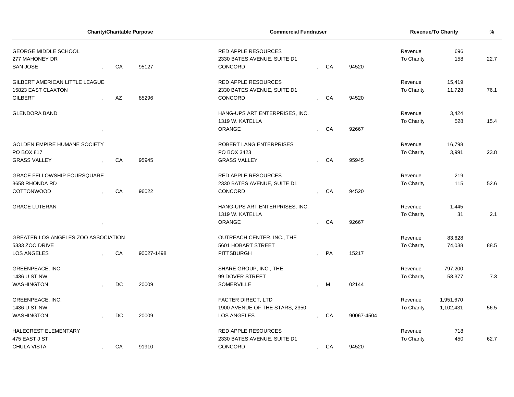| <b>Charity/Charitable Purpose</b>     |  |                        |            | <b>Commercial Fundraiser</b>   |  | <b>Revenue/To Charity</b> | %          |                |           |      |
|---------------------------------------|--|------------------------|------------|--------------------------------|--|---------------------------|------------|----------------|-----------|------|
| <b>GEORGE MIDDLE SCHOOL</b>           |  |                        |            | RED APPLE RESOURCES            |  |                           |            | 696<br>Revenue |           |      |
| 277 MAHONEY DR                        |  |                        |            | 2330 BATES AVENUE, SUITE D1    |  |                           |            | To Charity     | 158       | 22.7 |
| SAN JOSE                              |  | CA                     | 95127      | CONCORD                        |  | CA                        | 94520      |                |           |      |
| <b>GILBERT AMERICAN LITTLE LEAGUE</b> |  |                        |            | <b>RED APPLE RESOURCES</b>     |  |                           |            | Revenue        | 15,419    |      |
| 15823 EAST CLAXTON                    |  |                        |            | 2330 BATES AVENUE, SUITE D1    |  |                           |            | To Charity     | 11,728    | 76.1 |
| <b>GILBERT</b>                        |  | $\mathsf{A}\mathsf{Z}$ | 85296      | CONCORD                        |  | CA                        | 94520      |                |           |      |
| <b>GLENDORA BAND</b>                  |  |                        |            | HANG-UPS ART ENTERPRISES, INC. |  |                           |            | Revenue        | 3,424     |      |
|                                       |  |                        |            | 1319 W. KATELLA                |  |                           |            | To Charity     | 528       | 15.4 |
|                                       |  |                        |            | <b>ORANGE</b>                  |  | CA                        | 92667      |                |           |      |
| <b>GOLDEN EMPIRE HUMANE SOCIETY</b>   |  |                        |            | ROBERT LANG ENTERPRISES        |  |                           |            | Revenue        | 16,798    |      |
| PO BOX 817                            |  |                        |            | PO BOX 3423                    |  |                           |            | To Charity     | 3,991     | 23.8 |
| <b>GRASS VALLEY</b>                   |  | CA                     | 95945      | <b>GRASS VALLEY</b>            |  | CA                        | 95945      |                |           |      |
| <b>GRACE FELLOWSHIP FOURSQUARE</b>    |  |                        |            | <b>RED APPLE RESOURCES</b>     |  |                           |            | Revenue        | 219       |      |
| 3658 RHONDA RD                        |  |                        |            | 2330 BATES AVENUE, SUITE D1    |  |                           |            | To Charity     | 115       | 52.6 |
| <b>COTTONWOOD</b>                     |  | CA                     | 96022      | CONCORD                        |  | CA                        | 94520      |                |           |      |
| <b>GRACE LUTERAN</b>                  |  |                        |            | HANG-UPS ART ENTERPRISES, INC. |  |                           |            | Revenue        | 1,445     |      |
|                                       |  |                        |            | 1319 W. KATELLA                |  |                           |            | To Charity     | 31        | 2.1  |
|                                       |  |                        |            | ORANGE                         |  | CA                        | 92667      |                |           |      |
| GREATER LOS ANGELES ZOO ASSOCIATION   |  |                        |            | OUTREACH CENTER, INC., THE     |  |                           |            | Revenue        | 83,628    |      |
| 5333 ZOO DRIVE                        |  |                        |            | 5601 HOBART STREET             |  |                           |            | To Charity     | 74,038    | 88.5 |
| <b>LOS ANGELES</b>                    |  | CA                     | 90027-1498 | <b>PITTSBURGH</b>              |  | PA                        | 15217      |                |           |      |
| <b>GREENPEACE, INC.</b>               |  |                        |            | SHARE GROUP, INC., THE         |  |                           |            | Revenue        | 797,200   |      |
| 1436 U ST NW                          |  |                        |            | 99 DOVER STREET                |  |                           |            | To Charity     | 58,377    | 7.3  |
| <b>WASHINGTON</b>                     |  | DC                     | 20009      | <b>SOMERVILLE</b>              |  | M                         | 02144      |                |           |      |
| GREENPEACE, INC.                      |  |                        |            | FACTER DIRECT, LTD             |  |                           |            | Revenue        | 1,951,670 |      |
| 1436 U ST NW                          |  |                        |            | 1900 AVENUE OF THE STARS, 2350 |  |                           |            | To Charity     | 1,102,431 | 56.5 |
| <b>WASHINGTON</b>                     |  | DC                     | 20009      | <b>LOS ANGELES</b>             |  | CA                        | 90067-4504 |                |           |      |
| HALECREST ELEMENTARY                  |  |                        |            | <b>RED APPLE RESOURCES</b>     |  |                           |            | Revenue        | 718       |      |
| 475 EAST J ST                         |  |                        |            | 2330 BATES AVENUE, SUITE D1    |  |                           |            | To Charity     | 450       | 62.7 |
| <b>CHULA VISTA</b>                    |  | CA                     | 91910      | <b>CONCORD</b>                 |  | , CA                      | 94520      |                |           |      |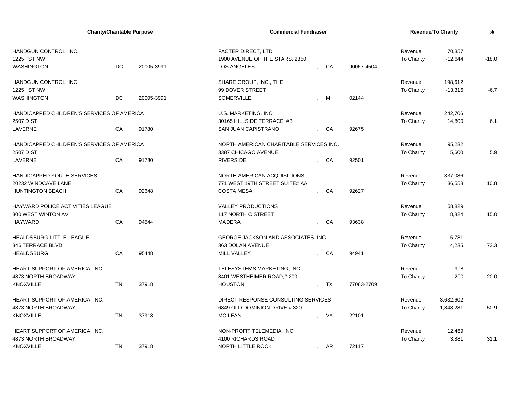| <b>Charity/Charitable Purpose</b>          |  |           |            | <b>Commercial Fundraiser</b>            |                          |           |            | Revenue/To Charity | $\frac{9}{6}$ |         |
|--------------------------------------------|--|-----------|------------|-----------------------------------------|--------------------------|-----------|------------|--------------------|---------------|---------|
| HANDGUN CONTROL, INC.                      |  |           |            | <b>FACTER DIRECT, LTD</b>               |                          |           |            | Revenue            | 70,357        |         |
| 1225 I ST NW                               |  |           |            | 1900 AVENUE OF THE STARS, 2350          |                          |           |            | To Charity         | $-12,644$     | $-18.0$ |
| <b>WASHINGTON</b>                          |  | <b>DC</b> | 20005-3991 | <b>LOS ANGELES</b>                      |                          | CA        | 90067-4504 |                    |               |         |
| HANDGUN CONTROL, INC.                      |  |           |            | SHARE GROUP, INC., THE                  |                          |           |            | Revenue            | 198,612       |         |
| 1225 I ST NW                               |  |           |            | 99 DOVER STREET                         |                          |           |            | To Charity         | $-13,316$     | $-6.7$  |
| <b>WASHINGTON</b>                          |  | DC        | 20005-3991 | SOMERVILLE                              |                          | M         | 02144      |                    |               |         |
| HANDICAPPED CHILDREN'S SERVICES OF AMERICA |  |           |            | U.S. MARKETING, INC.                    |                          |           |            | Revenue            | 242,706       |         |
| 2507 D ST                                  |  |           |            | 30165 HILLSIDE TERRACE, #B              |                          |           |            | To Charity         | 14,800        | 6.1     |
| LAVERNE                                    |  | CA        | 91780      | SAN JUAN CAPISTRANO                     |                          | CA        | 92675      |                    |               |         |
| HANDICAPPED CHILDREN'S SERVICES OF AMERICA |  |           |            | NORTH AMERICAN CHARITABLE SERVICES INC. |                          |           |            | Revenue            | 95,232        |         |
| 2507 D ST                                  |  |           |            | 3387 CHICAGO AVENUE                     |                          |           |            | To Charity         | 5,600         | 5.9     |
| LAVERNE                                    |  | CA        | 91780      | <b>RIVERSIDE</b>                        |                          | CA        | 92501      |                    |               |         |
| HANDICAPPED YOUTH SERVICES                 |  |           |            | NORTH AMERICAN ACQUISITIONS             |                          |           |            | Revenue            | 337,086       |         |
| 20232 WINDCAVE LANE                        |  |           |            | 771 WEST 19TH STREET, SUITE# AA         |                          |           |            | To Charity         | 36,558        | 10.8    |
| <b>HUNTINGTON BEACH</b>                    |  | CA        | 92648      | <b>COSTA MESA</b>                       |                          | CA        | 92627      |                    |               |         |
| HAYWARD POLICE ACTIVITIES LEAGUE           |  |           |            | <b>VALLEY PRODUCTIONS</b>               |                          |           |            | Revenue            | 58,829        |         |
| 300 WEST WINTON AV                         |  |           |            | 117 NORTH C STREET                      |                          |           |            | To Charity         | 8,824         | 15.0    |
| <b>HAYWARD</b>                             |  | CA        | 94544      | <b>MADERA</b>                           |                          | CA        | 93638      |                    |               |         |
| <b>HEALDSBURG LITTLE LEAGUE</b>            |  |           |            | GEORGE JACKSON AND ASSOCIATES, INC.     |                          |           |            | Revenue            | 5,781         |         |
| 346 TERRACE BLVD                           |  |           |            | 363 DOLAN AVENUE                        |                          |           |            | To Charity         | 4,235         | 73.3    |
| <b>HEALDSBURG</b>                          |  | CA        | 95448      | <b>MILL VALLEY</b>                      |                          | CA        | 94941      |                    |               |         |
| HEART SUPPORT OF AMERICA, INC.             |  |           |            | TELESYSTEMS MARKETING, INC.             |                          |           |            | Revenue            | 998           |         |
| 4873 NORTH BROADWAY                        |  |           |            | 8401 WESTHEIMER ROAD,#200               |                          |           |            | To Charity         | 200           | 20.0    |
| <b>KNOXVILLE</b>                           |  | <b>TN</b> | 37918      | <b>HOUSTON</b>                          |                          | <b>TX</b> | 77063-2709 |                    |               |         |
| HEART SUPPORT OF AMERICA, INC.             |  |           |            | DIRECT RESPONSE CONSULTING SERVICES     |                          |           |            | Revenue            | 3,632,602     |         |
| 4873 NORTH BROADWAY                        |  |           |            | 6849 OLD DOMINION DRIVE,#320            |                          |           |            | To Charity         | 1,848,281     | 50.9    |
| <b>KNOXVILLE</b>                           |  | <b>TN</b> | 37918      | <b>MC LEAN</b>                          |                          | VA        | 22101      |                    |               |         |
| HEART SUPPORT OF AMERICA, INC.             |  |           |            | NON-PROFIT TELEMEDIA, INC.              |                          |           |            | Revenue            | 12,469        |         |
| 4873 NORTH BROADWAY                        |  |           |            | 4100 RICHARDS ROAD                      |                          |           |            | To Charity         | 3,881         | 31.1    |
| <b>KNOXVILLE</b>                           |  | <b>TN</b> | 37918      | NORTH LITTLE ROCK                       | $\overline{\phantom{a}}$ | AR        | 72117      |                    |               |         |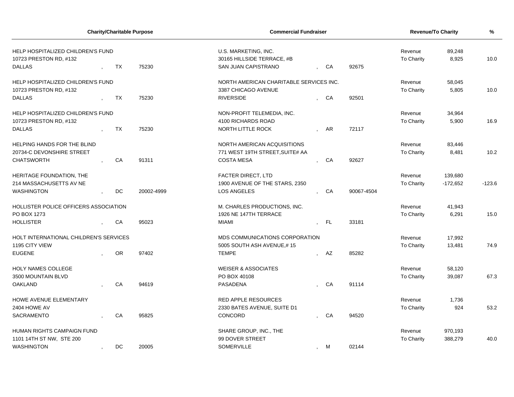| <b>Charity/Charitable Purpose</b>                                            |  |           | <b>Commercial Fundraiser</b> | <b>Revenue/To Charity</b>                                                 | %                     |                 |                              |                 |          |
|------------------------------------------------------------------------------|--|-----------|------------------------------|---------------------------------------------------------------------------|-----------------------|-----------------|------------------------------|-----------------|----------|
| HELP HOSPITALIZED CHILDREN'S FUND<br>10723 PRESTON RD, #132<br><b>DALLAS</b> |  | TX        | 75230                        | U.S. MARKETING, INC.<br>30165 HILLSIDE TERRACE, #B<br>SAN JUAN CAPISTRANO | Revenue<br>To Charity | 89,248<br>8,925 | 10.0                         |                 |          |
|                                                                              |  |           |                              |                                                                           |                       |                 |                              |                 |          |
| HELP HOSPITALIZED CHILDREN'S FUND<br>10723 PRESTON RD, #132                  |  |           |                              | NORTH AMERICAN CHARITABLE SERVICES INC.<br>3387 CHICAGO AVENUE            |                       |                 | Revenue<br><b>To Charity</b> | 58,045<br>5,805 | 10.0     |
| <b>DALLAS</b>                                                                |  | <b>TX</b> | 75230                        | <b>RIVERSIDE</b>                                                          | CA                    | 92501           |                              |                 |          |
|                                                                              |  |           |                              |                                                                           |                       |                 |                              |                 |          |
| HELP HOSPITALIZED CHILDREN'S FUND                                            |  |           |                              | NON-PROFIT TELEMEDIA, INC.                                                |                       |                 | Revenue                      | 34,964          |          |
| 10723 PRESTON RD, #132                                                       |  |           |                              | 4100 RICHARDS ROAD                                                        |                       |                 | To Charity                   | 5,900           | 16.9     |
| <b>DALLAS</b>                                                                |  | <b>TX</b> | 75230                        | NORTH LITTLE ROCK                                                         | AR                    | 72117           |                              |                 |          |
| HELPING HANDS FOR THE BLIND                                                  |  |           |                              | NORTH AMERICAN ACQUISITIONS                                               |                       |                 | Revenue                      | 83,446          |          |
| 20734-C DEVONSHIRE STREET                                                    |  |           |                              | 771 WEST 19TH STREET, SUITE# AA                                           |                       |                 | To Charity                   | 8,481           | 10.2     |
| <b>CHATSWORTH</b>                                                            |  | CA        | 91311                        | <b>COSTA MESA</b>                                                         | CA                    | 92627           |                              |                 |          |
| HERITAGE FOUNDATION, THE                                                     |  |           |                              | <b>FACTER DIRECT, LTD</b>                                                 |                       |                 | Revenue                      | 139,680         |          |
| 214 MASSACHUSETTS AV NE                                                      |  |           |                              | 1900 AVENUE OF THE STARS, 2350                                            |                       |                 | To Charity                   | $-172,652$      | $-123.6$ |
| <b>WASHINGTON</b>                                                            |  | DC        | 20002-4999                   | <b>LOS ANGELES</b>                                                        | CA                    | 90067-4504      |                              |                 |          |
|                                                                              |  |           |                              |                                                                           |                       |                 |                              |                 |          |
| HOLLISTER POLICE OFFICERS ASSOCIATION                                        |  |           |                              | M. CHARLES PRODUCTIONS, INC.                                              |                       |                 | Revenue                      | 41,943          |          |
| PO BOX 1273                                                                  |  |           |                              | 1926 NE 147TH TERRACE                                                     |                       |                 | To Charity                   | 6,291           | 15.0     |
| <b>HOLLISTER</b>                                                             |  | CA        | 95023                        | MIAMI                                                                     | , FL                  | 33181           |                              |                 |          |
| HOLT INTERNATIONAL CHILDREN'S SERVICES                                       |  |           |                              | MDS COMMUNICATIONS CORPORATION                                            |                       |                 | Revenue                      | 17,992          |          |
| 1195 CITY VIEW                                                               |  |           |                              | 5005 SOUTH ASH AVENUE,#15                                                 |                       |                 | To Charity                   | 13,481          | 74.9     |
| <b>EUGENE</b>                                                                |  | <b>OR</b> | 97402                        | <b>TEMPE</b>                                                              | AZ                    | 85282           |                              |                 |          |
| <b>HOLY NAMES COLLEGE</b>                                                    |  |           |                              | <b>WEISER &amp; ASSOCIATES</b>                                            |                       |                 | Revenue                      | 58,120          |          |
| 3500 MOUNTAIN BLVD                                                           |  |           |                              | PO BOX 40108                                                              |                       |                 | <b>To Charity</b>            | 39,087          | 67.3     |
| <b>OAKLAND</b>                                                               |  | CA        | 94619                        | PASADENA                                                                  | - CA                  | 91114           |                              |                 |          |
| <b>HOWE AVENUE ELEMENTARY</b>                                                |  |           |                              | <b>RED APPLE RESOURCES</b>                                                |                       |                 | Revenue                      | 1,736           |          |
| 2404 HOWE AV                                                                 |  |           |                              | 2330 BATES AVENUE, SUITE D1                                               |                       |                 | To Charity                   | 924             | 53.2     |
| SACRAMENTO                                                                   |  | CA        | 95825                        | CONCORD                                                                   | CA                    | 94520           |                              |                 |          |
|                                                                              |  |           |                              |                                                                           |                       |                 |                              |                 |          |
| HUMAN RIGHTS CAMPAIGN FUND                                                   |  |           |                              | SHARE GROUP, INC., THE                                                    |                       |                 | Revenue                      | 970,193         |          |
| 1101 14TH ST NW, STE 200                                                     |  |           |                              | 99 DOVER STREET                                                           |                       |                 | <b>To Charity</b>            | 388,279         | 40.0     |
| <b>WASHINGTON</b>                                                            |  | <b>DC</b> | 20005                        | <b>SOMERVILLE</b>                                                         | , M                   | 02144           |                              |                 |          |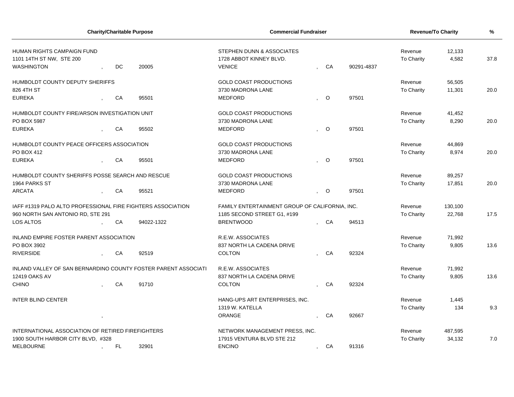|                                                                             |  | <b>Charity/Charitable Purpose</b> | <b>Commercial Fundraiser</b>   | <b>Revenue/To Charity</b>                                             | %                     |                   |                   |                   |         |      |
|-----------------------------------------------------------------------------|--|-----------------------------------|--------------------------------|-----------------------------------------------------------------------|-----------------------|-------------------|-------------------|-------------------|---------|------|
| HUMAN RIGHTS CAMPAIGN FUND<br>1101 14TH ST NW, STE 200<br><b>WASHINGTON</b> |  | DC                                | 20005                          | STEPHEN DUNN & ASSOCIATES<br>1728 ABBOT KINNEY BLVD.<br><b>VENICE</b> | Revenue<br>To Charity | 12,133<br>4.582   | 37.8              |                   |         |      |
| HUMBOLDT COUNTY DEPUTY SHERIFFS                                             |  |                                   |                                | <b>GOLD COAST PRODUCTIONS</b>                                         |                       |                   |                   | Revenue           | 56,505  |      |
| 826 4TH ST                                                                  |  |                                   |                                | 3730 MADRONA LANE                                                     |                       |                   |                   | <b>To Charity</b> | 11,301  | 20.0 |
| <b>EUREKA</b>                                                               |  | CA                                | 95501                          | <b>MEDFORD</b>                                                        |                       | $\circ$           | 97501             |                   |         |      |
| HUMBOLDT COUNTY FIRE/ARSON INVESTIGATION UNIT                               |  |                                   |                                | <b>GOLD COAST PRODUCTIONS</b>                                         |                       |                   |                   | Revenue           | 41,452  |      |
| PO BOX 5987                                                                 |  |                                   |                                | 3730 MADRONA LANE                                                     |                       |                   |                   | To Charity        | 8,290   | 20.0 |
| <b>EUREKA</b>                                                               |  | CA                                | 95502                          | <b>MEDFORD</b>                                                        |                       | $\circ$           | 97501             |                   |         |      |
| HUMBOLDT COUNTY PEACE OFFICERS ASSOCIATION                                  |  |                                   |                                | <b>GOLD COAST PRODUCTIONS</b>                                         |                       |                   |                   | Revenue           | 44,869  |      |
| PO BOX 412                                                                  |  |                                   |                                | 3730 MADRONA LANE                                                     |                       |                   |                   | To Charity        | 8,974   | 20.0 |
| <b>EUREKA</b>                                                               |  | CA                                | 95501                          | <b>MEDFORD</b>                                                        |                       | $\circ$           | 97501             |                   |         |      |
| HUMBOLDT COUNTY SHERIFFS POSSE SEARCH AND RESCUE                            |  |                                   |                                | <b>GOLD COAST PRODUCTIONS</b>                                         |                       |                   |                   | Revenue           | 89,257  |      |
| 1964 PARKS ST                                                               |  |                                   |                                | 3730 MADRONA LANE                                                     |                       |                   |                   | <b>To Charity</b> | 17,851  | 20.0 |
| <b>ARCATA</b>                                                               |  | CA                                | 95521                          | <b>MEDFORD</b>                                                        | $\bullet$             | $\overline{O}$    | 97501             |                   |         |      |
| IAFF #1319 PALO ALTO PROFESSIONAL FIRE FIGHTERS ASSOCIATION                 |  |                                   |                                | FAMILY ENTERTAINMENT GROUP OF CALIFORNIA, INC.                        |                       |                   |                   | Revenue           | 130,100 |      |
| 960 NORTH SAN ANTONIO RD, STE 291                                           |  |                                   |                                | 1185 SECOND STREET G1, #199                                           |                       | <b>To Charity</b> | 22,768            | 17.5              |         |      |
| LOS ALTOS                                                                   |  | CA                                | 94022-1322                     | <b>BRENTWOOD</b>                                                      |                       | CA                | 94513             |                   |         |      |
| INLAND EMPIRE FOSTER PARENT ASSOCIATION                                     |  |                                   |                                | R.E.W. ASSOCIATES                                                     |                       |                   |                   | Revenue           | 71,992  |      |
| PO BOX 3902                                                                 |  |                                   |                                | 837 NORTH LA CADENA DRIVE                                             |                       |                   |                   | <b>To Charity</b> | 9,805   | 13.6 |
| <b>RIVERSIDE</b>                                                            |  | CA                                | 92519                          | <b>COLTON</b>                                                         |                       | CA                | 92324             |                   |         |      |
| INLAND VALLEY OF SAN BERNARDINO COUNTY FOSTER PARENT ASSOCIATI              |  |                                   |                                | R.E.W. ASSOCIATES                                                     |                       |                   |                   | Revenue           | 71,992  |      |
| 12419 OAKS AV                                                               |  |                                   |                                | 837 NORTH LA CADENA DRIVE                                             |                       |                   |                   | <b>To Charity</b> | 9,805   | 13.6 |
| <b>CHINO</b>                                                                |  | CA                                | 91710                          | <b>COLTON</b>                                                         |                       | CA                | 92324             |                   |         |      |
| <b>INTER BLIND CENTER</b>                                                   |  |                                   |                                | HANG-UPS ART ENTERPRISES, INC.                                        |                       |                   |                   | Revenue           | 1,445   |      |
|                                                                             |  |                                   |                                | 1319 W. KATELLA                                                       |                       |                   |                   | To Charity        | 134     | 9.3  |
|                                                                             |  |                                   |                                | <b>ORANGE</b>                                                         |                       | CA                | 92667             |                   |         |      |
| INTERNATIONAL ASSOCIATION OF RETIRED FIREFIGHTERS                           |  |                                   | NETWORK MANAGEMENT PRESS, INC. |                                                                       |                       |                   | Revenue           | 487,595           |         |      |
| 1900 SOUTH HARBOR CITY BLVD, #328                                           |  |                                   | 17915 VENTURA BLVD STE 212     |                                                                       |                       |                   | <b>To Charity</b> | 34,132            | 7.0     |      |
| <b>MELBOURNE</b><br>FL.<br>32901                                            |  |                                   |                                | <b>ENCINO</b>                                                         | $\mathbf{r}$          | CA                | 91316             |                   |         |      |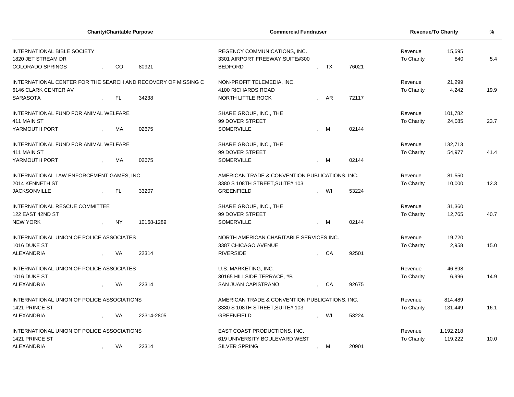| <b>Charity/Charitable Purpose</b>                             |            | <b>Commercial Fundraiser</b>                   | <b>Revenue/To Charity</b> | %     |                   |           |      |  |
|---------------------------------------------------------------|------------|------------------------------------------------|---------------------------|-------|-------------------|-----------|------|--|
| <b>INTERNATIONAL BIBLE SOCIETY</b>                            |            | REGENCY COMMUNICATIONS, INC.                   |                           |       | 15,695<br>Revenue |           |      |  |
| 1820 JET STREAM DR                                            |            | 3301 AIRPORT FREEWAY, SUITE#300                |                           |       | To Charity        | 840       | 5.4  |  |
| <b>COLORADO SPRINGS</b><br>CO                                 | 80921      | <b>BEDFORD</b>                                 | TX                        | 76021 |                   |           |      |  |
| INTERNATIONAL CENTER FOR THE SEARCH AND RECOVERY OF MISSING C |            | NON-PROFIT TELEMEDIA, INC.                     |                           |       | Revenue           | 21,299    |      |  |
| 6146 CLARK CENTER AV                                          |            | 4100 RICHARDS ROAD                             |                           |       | To Charity        | 4,242     | 19.9 |  |
| <b>SARASOTA</b><br>$\mathsf{FL}$                              | 34238      | NORTH LITTLE ROCK                              | AR                        | 72117 |                   |           |      |  |
| INTERNATIONAL FUND FOR ANIMAL WELFARE                         |            | SHARE GROUP, INC., THE                         |                           |       | Revenue           | 101,782   |      |  |
| 411 MAIN ST                                                   |            | 99 DOVER STREET                                |                           |       | To Charity        | 24,085    | 23.7 |  |
| YARMOUTH PORT<br><b>MA</b>                                    | 02675      | <b>SOMERVILLE</b>                              | M                         | 02144 |                   |           |      |  |
| INTERNATIONAL FUND FOR ANIMAL WELFARE                         |            | SHARE GROUP, INC., THE                         |                           |       | Revenue           | 132,713   |      |  |
| 411 MAIN ST                                                   |            | 99 DOVER STREET                                |                           |       | To Charity        | 54,977    | 41.4 |  |
| МA<br>YARMOUTH PORT                                           | 02675      | <b>SOMERVILLE</b>                              | M                         | 02144 |                   |           |      |  |
| INTERNATIONAL LAW ENFORCEMENT GAMES, INC.                     |            | AMERICAN TRADE & CONVENTION PUBLICATIONS, INC. |                           |       | Revenue           | 81,550    |      |  |
| 2014 KENNETH ST                                               |            | 3380 S 108TH STREET, SUITE# 103                |                           |       | To Charity        | 10,000    | 12.3 |  |
| <b>JACKSONVILLE</b><br>FL.                                    | 33207      | <b>GREENFIELD</b>                              | WI                        | 53224 |                   |           |      |  |
| <b>INTERNATIONAL RESCUE COMMITTEE</b>                         |            | SHARE GROUP, INC., THE                         |                           |       | Revenue           | 31,360    |      |  |
| 122 EAST 42ND ST                                              |            | 99 DOVER STREET                                |                           |       | To Charity        | 12,765    | 40.7 |  |
| <b>NEW YORK</b><br><b>NY</b>                                  | 10168-1289 | <b>SOMERVILLE</b>                              | M                         | 02144 |                   |           |      |  |
| INTERNATIONAL UNION OF POLICE ASSOCIATES                      |            | NORTH AMERICAN CHARITABLE SERVICES INC.        |                           |       | Revenue           | 19,720    |      |  |
| 1016 DUKE ST                                                  |            | 3387 CHICAGO AVENUE                            |                           |       | To Charity        | 2,958     | 15.0 |  |
| ALEXANDRIA<br>VA                                              | 22314      | <b>RIVERSIDE</b>                               | CA                        | 92501 |                   |           |      |  |
| INTERNATIONAL UNION OF POLICE ASSOCIATES                      |            | U.S. MARKETING, INC.                           |                           |       | Revenue           | 46,898    |      |  |
| 1016 DUKE ST                                                  |            | 30165 HILLSIDE TERRACE, #B                     |                           |       | To Charity        | 6,996     | 14.9 |  |
| ALEXANDRIA<br>VA                                              | 22314      | SAN JUAN CAPISTRANO                            | , CA                      | 92675 |                   |           |      |  |
| INTERNATIONAL UNION OF POLICE ASSOCIATIONS                    |            | AMERICAN TRADE & CONVENTION PUBLICATIONS, INC. |                           |       | Revenue           | 814,489   |      |  |
| 1421 PRINCE ST                                                |            | 3380 S 108TH STREET, SUITE# 103                |                           |       | To Charity        | 131,449   | 16.1 |  |
| ALEXANDRIA<br>VA                                              | 22314-2805 | <b>GREENFIELD</b>                              | WI                        | 53224 |                   |           |      |  |
| INTERNATIONAL UNION OF POLICE ASSOCIATIONS                    |            | EAST COAST PRODUCTIONS, INC.                   |                           |       | Revenue           | 1,192,218 |      |  |
| 1421 PRINCE ST                                                |            | 619 UNIVERSITY BOULEVARD WEST                  |                           |       | To Charity        | 119,222   | 10.0 |  |
| <b>ALEXANDRIA</b><br>VA                                       | 22314      | <b>SILVER SPRING</b>                           | М<br>$\cdot$              | 20901 |                   |           |      |  |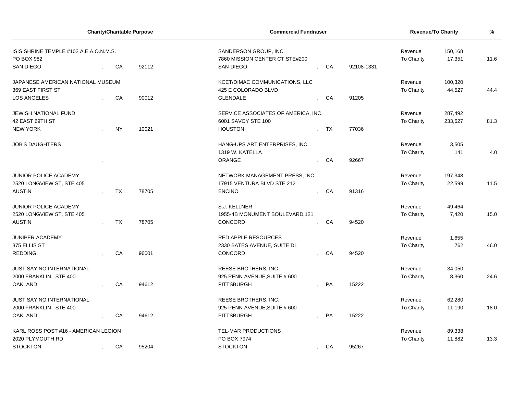| <b>Charity/Charitable Purpose</b>      |           |       | <b>Commercial Fundraiser</b>        |                      | Revenue/To Charity | %                 |         |      |  |
|----------------------------------------|-----------|-------|-------------------------------------|----------------------|--------------------|-------------------|---------|------|--|
| ISIS SHRINE TEMPLE #102 A.E.A.O.N.M.S. |           |       | SANDERSON GROUP, INC.               |                      |                    | Revenue           | 150,168 |      |  |
| PO BOX 982                             |           |       | 7860 MISSION CENTER CT.STE#200      |                      |                    | <b>To Charity</b> | 17,351  | 11.6 |  |
| <b>SAN DIEGO</b>                       | CA        | 92112 | <b>SAN DIEGO</b>                    | CA                   | 92108-1331         |                   |         |      |  |
| JAPANESE AMERICAN NATIONAL MUSEUM      |           |       | KCET/DIMAC COMMUNICATIONS, LLC      |                      |                    | Revenue           | 100,320 |      |  |
| 369 EAST FIRST ST                      |           |       | 425 E COLORADO BLVD                 |                      |                    | <b>To Charity</b> | 44,527  | 44.4 |  |
| <b>LOS ANGELES</b>                     | CA        | 90012 | <b>GLENDALE</b>                     | CA                   | 91205              |                   |         |      |  |
| JEWISH NATIONAL FUND                   |           |       | SERVICE ASSOCIATES OF AMERICA, INC. |                      |                    | Revenue           | 287,492 |      |  |
| 42 EAST 69TH ST                        |           |       | 6001 SAVOY STE 100                  |                      |                    | To Charity        | 233,627 | 81.3 |  |
| NEW YORK                               | <b>NY</b> | 10021 | <b>HOUSTON</b>                      | TX                   | 77036              |                   |         |      |  |
| <b>JOB'S DAUGHTERS</b>                 |           |       | HANG-UPS ART ENTERPRISES, INC.      |                      |                    | Revenue           | 3,505   |      |  |
|                                        |           |       | 1319 W. KATELLA                     |                      |                    | To Charity        | 141     | 4.0  |  |
|                                        |           |       | <b>ORANGE</b>                       | CA                   | 92667              |                   |         |      |  |
| <b>JUNIOR POLICE ACADEMY</b>           |           |       | NETWORK MANAGEMENT PRESS, INC.      |                      |                    | Revenue           | 197,348 |      |  |
| 2520 LONGVIEW ST, STE 405              |           |       | 17915 VENTURA BLVD STE 212          |                      |                    | To Charity        | 22,599  | 11.5 |  |
| <b>AUSTIN</b>                          | TX        | 78705 | <b>ENCINO</b>                       | CA                   | 91316              |                   |         |      |  |
| JUNIOR POLICE ACADEMY                  |           |       | S.J. KELLNER                        |                      |                    | Revenue           | 49,464  |      |  |
| 2520 LONGVIEW ST, STE 405              |           |       | 1955-4B MONUMENT BOULEVARD, 121     |                      |                    | To Charity        | 7,420   | 15.0 |  |
| <b>AUSTIN</b>                          | <b>TX</b> | 78705 | CONCORD                             | CA                   | 94520              |                   |         |      |  |
| JUNIPER ACADEMY                        |           |       | <b>RED APPLE RESOURCES</b>          |                      |                    | Revenue           | 1,655   |      |  |
| 375 ELLIS ST                           |           |       | 2330 BATES AVENUE, SUITE D1         |                      |                    | To Charity        | 762     | 46.0 |  |
| <b>REDDING</b>                         | CA        | 96001 | CONCORD                             | CA                   | 94520              |                   |         |      |  |
| JUST SAY NO INTERNATIONAL              |           |       | REESE BROTHERS, INC.                |                      |                    | Revenue           | 34,050  |      |  |
| 2000 FRANKLIN, STE 400                 |           |       | 925 PENN AVENUE, SUITE # 600        |                      |                    | To Charity        | 8,360   | 24.6 |  |
| <b>OAKLAND</b>                         | CA        | 94612 | <b>PITTSBURGH</b>                   | PA                   | 15222              |                   |         |      |  |
| <b>JUST SAY NO INTERNATIONAL</b>       |           |       | REESE BROTHERS, INC.                |                      |                    | Revenue           | 62,280  |      |  |
| 2000 FRANKLIN, STE 400                 |           |       | 925 PENN AVENUE, SUITE # 600        |                      |                    | <b>To Charity</b> | 11,190  | 18.0 |  |
| <b>OAKLAND</b>                         | CA        | 94612 | PITTSBURGH                          | PA                   | 15222              |                   |         |      |  |
| KARL ROSS POST #16 - AMERICAN LEGION   |           |       | TEL-MAR PRODUCTIONS                 |                      |                    | Revenue           | 89,338  |      |  |
| 2020 PLYMOUTH RD                       |           |       | PO BOX 7974                         |                      |                    | <b>To Charity</b> | 11,882  | 13.3 |  |
| <b>STOCKTON</b>                        | CA        | 95204 | <b>STOCKTON</b>                     | CA<br>$\overline{ }$ | 95267              |                   |         |      |  |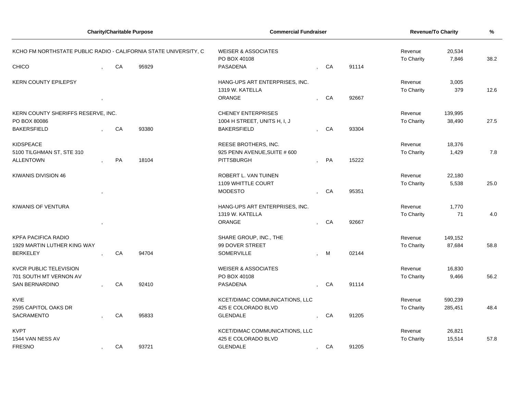|                                    | <b>Charity/Charitable Purpose</b>                                | <b>Commercial Fundraiser</b> | Revenue/To Charity | %                              |                                                |    |       |                   |         |      |
|------------------------------------|------------------------------------------------------------------|------------------------------|--------------------|--------------------------------|------------------------------------------------|----|-------|-------------------|---------|------|
|                                    | KCHO FM NORTHSTATE PUBLIC RADIO - CALIFORNIA STATE UNIVERSITY, C |                              |                    |                                | <b>WEISER &amp; ASSOCIATES</b><br>PO BOX 40108 |    |       |                   |         | 38.2 |
| <b>CHICO</b>                       |                                                                  | CA                           | 95929              | <b>PASADENA</b>                |                                                | CA | 91114 | <b>To Charity</b> | 7,846   |      |
| <b>KERN COUNTY EPILEPSY</b>        |                                                                  |                              |                    | HANG-UPS ART ENTERPRISES, INC. |                                                |    |       | Revenue           | 3,005   |      |
|                                    |                                                                  |                              |                    | 1319 W. KATELLA                |                                                |    |       | To Charity        | 379     | 12.6 |
|                                    |                                                                  |                              |                    | ORANGE                         |                                                | CA | 92667 |                   |         |      |
| KERN COUNTY SHERIFFS RESERVE, INC. |                                                                  |                              |                    | <b>CHENEY ENTERPRISES</b>      |                                                |    |       | Revenue           | 139,995 |      |
| PO BOX 80086                       |                                                                  |                              |                    | 1004 H STREET, UNITS H, I, J   |                                                |    |       | To Charity        | 38,490  | 27.5 |
| <b>BAKERSFIELD</b>                 |                                                                  | CA                           | 93380              | <b>BAKERSFIELD</b>             |                                                | CA | 93304 |                   |         |      |
| <b>KIDSPEACE</b>                   |                                                                  |                              |                    | REESE BROTHERS, INC.           |                                                |    |       | Revenue           | 18,376  |      |
| 5100 TILGHMAN ST, STE 310          |                                                                  |                              |                    | 925 PENN AVENUE, SUITE # 600   |                                                |    |       | To Charity        | 1,429   | 7.8  |
| <b>ALLENTOWN</b>                   |                                                                  | PA                           | 18104              | <b>PITTSBURGH</b>              |                                                | PA | 15222 |                   |         |      |
| KIWANIS DIVISION 46                |                                                                  |                              |                    | ROBERT L. VAN TUINEN           |                                                |    |       | Revenue           | 22,180  |      |
|                                    |                                                                  |                              |                    | 1109 WHITTLE COURT             |                                                |    |       | To Charity        | 5,538   | 25.0 |
|                                    |                                                                  |                              |                    | <b>MODESTO</b>                 |                                                | CA | 95351 |                   |         |      |
| KIWANIS OF VENTURA                 |                                                                  |                              |                    | HANG-UPS ART ENTERPRISES, INC. |                                                |    |       | Revenue           | 1,770   |      |
|                                    |                                                                  |                              |                    | 1319 W. KATELLA                |                                                |    |       | To Charity        | 71      | 4.0  |
|                                    |                                                                  |                              |                    | <b>ORANGE</b>                  |                                                | CA | 92667 |                   |         |      |
| <b>KPFA PACIFICA RADIO</b>         |                                                                  |                              |                    | SHARE GROUP, INC., THE         |                                                |    |       | Revenue           | 149,152 |      |
| 1929 MARTIN LUTHER KING WAY        |                                                                  |                              |                    | 99 DOVER STREET                |                                                |    |       | To Charity        | 87,684  | 58.8 |
| <b>BERKELEY</b>                    |                                                                  | CA                           | 94704              | <b>SOMERVILLE</b>              |                                                | M  | 02144 |                   |         |      |
| <b>KVCR PUBLIC TELEVISION</b>      |                                                                  |                              |                    | <b>WEISER &amp; ASSOCIATES</b> |                                                |    |       | Revenue           | 16,830  |      |
| 701 SOUTH MT VERNON AV             |                                                                  |                              |                    | PO BOX 40108                   |                                                |    |       | <b>To Charity</b> | 9,466   | 56.2 |
| <b>SAN BERNARDINO</b>              |                                                                  | ${\sf CA}$                   | 92410              | PASADENA                       |                                                | CA | 91114 |                   |         |      |
| <b>KVIE</b>                        |                                                                  |                              |                    | KCET/DIMAC COMMUNICATIONS, LLC |                                                |    |       | Revenue           | 590,239 |      |
| 2595 CAPITOL OAKS DR               |                                                                  |                              |                    | 425 E COLORADO BLVD            |                                                |    |       | To Charity        | 285,451 | 48.4 |
| <b>SACRAMENTO</b>                  |                                                                  | CA                           | 95833              | <b>GLENDALE</b>                |                                                | CA | 91205 |                   |         |      |
| <b>KVPT</b>                        |                                                                  |                              |                    | KCET/DIMAC COMMUNICATIONS, LLC |                                                |    |       | Revenue           | 26,821  |      |
| 1544 VAN NESS AV                   |                                                                  |                              |                    | 425 E COLORADO BLVD            |                                                |    |       | To Charity        | 15,514  | 57.8 |
| <b>FRESNO</b>                      |                                                                  | CA                           | 93721              | <b>GLENDALE</b>                | $\overline{ }$                                 | CA | 91205 |                   |         |      |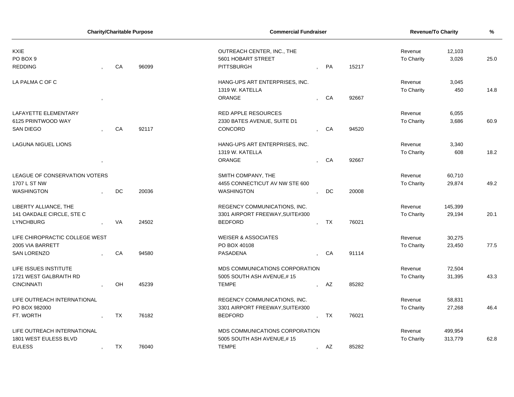| <b>Charity/Charitable Purpose</b>    |  |           | <b>Commercial Fundraiser</b> |                                       |                            |    | <b>Revenue/To Charity</b> | %                     |         |      |
|--------------------------------------|--|-----------|------------------------------|---------------------------------------|----------------------------|----|---------------------------|-----------------------|---------|------|
| <b>KXIE</b>                          |  |           |                              |                                       | OUTREACH CENTER, INC., THE |    |                           |                       | 12,103  |      |
| PO BOX 9                             |  |           |                              | 5601 HOBART STREET                    |                            |    |                           | Revenue<br>To Charity | 3,026   | 25.0 |
| <b>REDDING</b>                       |  | CA        | 96099                        | <b>PITTSBURGH</b>                     |                            | PA | 15217                     |                       |         |      |
| LA PALMA C OF C                      |  |           |                              | HANG-UPS ART ENTERPRISES, INC.        |                            |    |                           | Revenue               | 3,045   |      |
|                                      |  |           |                              | 1319 W. KATELLA                       |                            |    |                           | To Charity            | 450     | 14.8 |
|                                      |  |           |                              | ORANGE                                |                            | CA | 92667                     |                       |         |      |
| LAFAYETTE ELEMENTARY                 |  |           |                              | <b>RED APPLE RESOURCES</b>            |                            |    |                           | Revenue               | 6,055   |      |
| 6125 PRINTWOOD WAY                   |  |           |                              | 2330 BATES AVENUE, SUITE D1           |                            |    |                           | To Charity            | 3,686   | 60.9 |
| <b>SAN DIEGO</b>                     |  | CA        | 92117                        | CONCORD                               |                            | CA | 94520                     |                       |         |      |
| LAGUNA NIGUEL LIONS                  |  |           |                              | HANG-UPS ART ENTERPRISES, INC.        |                            |    |                           | Revenue               | 3,340   |      |
|                                      |  |           |                              | 1319 W. KATELLA                       |                            |    |                           | To Charity            | 608     | 18.2 |
|                                      |  |           |                              | <b>ORANGE</b>                         |                            | CA | 92667                     |                       |         |      |
| <b>LEAGUE OF CONSERVATION VOTERS</b> |  |           |                              | SMITH COMPANY, THE                    |                            |    |                           | Revenue               | 60,710  |      |
| 1707 L ST NW                         |  |           |                              | 4455 CONNECTICUT AV NW STE 600        |                            |    |                           | To Charity            | 29,874  | 49.2 |
| <b>WASHINGTON</b>                    |  | DC        | 20036                        | <b>WASHINGTON</b>                     |                            | DC | 20008                     |                       |         |      |
| LIBERTY ALLIANCE, THE                |  |           |                              | REGENCY COMMUNICATIONS, INC.          |                            |    |                           | Revenue               | 145,399 |      |
| 141 OAKDALE CIRCLE, STE C            |  |           |                              | 3301 AIRPORT FREEWAY, SUITE#300       |                            |    |                           | To Charity            | 29,194  | 20.1 |
| <b>LYNCHBURG</b>                     |  | VA        | 24502                        | <b>BEDFORD</b>                        |                            | TX | 76021                     |                       |         |      |
| LIFE CHIROPRACTIC COLLEGE WEST       |  |           |                              | <b>WEISER &amp; ASSOCIATES</b>        |                            |    |                           | Revenue               | 30,275  |      |
| 2005 VIA BARRETT                     |  |           |                              | PO BOX 40108                          |                            |    |                           | <b>To Charity</b>     | 23,450  | 77.5 |
| <b>SAN LORENZO</b>                   |  | CA        | 94580                        | PASADENA                              |                            | CA | 91114                     |                       |         |      |
| LIFE ISSUES INSTITUTE                |  |           |                              | MDS COMMUNICATIONS CORPORATION        |                            |    |                           | Revenue               | 72,504  |      |
| 1721 WEST GALBRAITH RD               |  |           |                              | 5005 SOUTH ASH AVENUE,#15             |                            |    |                           | To Charity            | 31,395  | 43.3 |
| <b>CINCINNATI</b>                    |  | OH        | 45239                        | <b>TEMPE</b>                          |                            | AZ | 85282                     |                       |         |      |
| LIFE OUTREACH INTERNATIONAL          |  |           |                              | REGENCY COMMUNICATIONS, INC.          |                            |    |                           | Revenue               | 58,831  |      |
| PO BOX 982000                        |  |           |                              | 3301 AIRPORT FREEWAY, SUITE#300       |                            |    |                           | To Charity            | 27,268  | 46.4 |
| FT. WORTH                            |  | <b>TX</b> | 76182                        | <b>BEDFORD</b>                        |                            | TX | 76021                     |                       |         |      |
| LIFE OUTREACH INTERNATIONAL          |  |           |                              | <b>MDS COMMUNICATIONS CORPORATION</b> |                            |    |                           | Revenue               | 499,954 |      |
| 1801 WEST EULESS BLVD                |  |           |                              | 5005 SOUTH ASH AVENUE,#15             |                            |    |                           | <b>To Charity</b>     | 313,779 | 62.8 |
| <b>EULESS</b>                        |  | TX        | 76040                        | <b>TEMPE</b>                          | $\sim$                     | AZ | 85282                     |                       |         |      |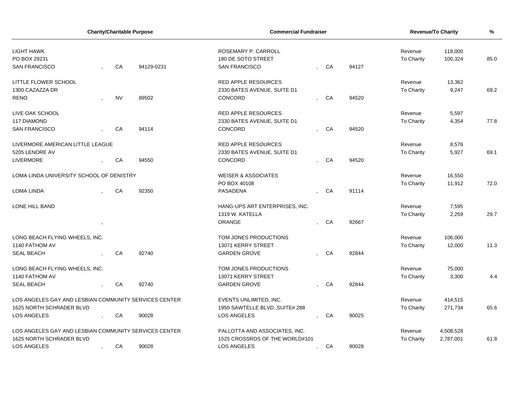| <b>Charity/Charitable Purpose</b>                     |  |           |                     | <b>Commercial Fundraiser</b>    |  |    |       | Revenue/To Charity | %         |      |
|-------------------------------------------------------|--|-----------|---------------------|---------------------------------|--|----|-------|--------------------|-----------|------|
| <b>LIGHT HAWK</b>                                     |  |           | ROSEMARY P. CARROLL |                                 |  |    |       | Revenue            | 118,000   |      |
| PO BOX 29231                                          |  |           |                     | 180 DE SOTO STREET              |  |    |       | To Charity         | 100,324   | 85.0 |
| <b>SAN FRANCISCO</b>                                  |  | CA        | 94129-0231          | <b>SAN FRANCISCO</b>            |  | CA | 94127 |                    |           |      |
| <b>LITTLE FLOWER SCHOOL</b>                           |  |           |                     | <b>RED APPLE RESOURCES</b>      |  |    |       | Revenue            | 13,362    |      |
| 1300 CAZAZZA DR                                       |  |           |                     | 2330 BATES AVENUE, SUITE D1     |  |    |       | To Charity         | 9,247     | 69.2 |
| <b>RENO</b>                                           |  | <b>NV</b> | 89502               | CONCORD                         |  | CA | 94520 |                    |           |      |
| LIVE OAK SCHOOL                                       |  |           |                     | <b>RED APPLE RESOURCES</b>      |  |    |       | Revenue            | 5,597     |      |
| <b>117 DIAMOND</b>                                    |  |           |                     | 2330 BATES AVENUE, SUITE D1     |  |    |       | To Charity         | 4,354     | 77.8 |
| <b>SAN FRANCISCO</b>                                  |  | CA        | 94114               | <b>CONCORD</b>                  |  | CA | 94520 |                    |           |      |
| LIVERMORE AMERICAN LITTLE LEAGUE                      |  |           |                     | <b>RED APPLE RESOURCES</b>      |  |    |       | Revenue            | 8,576     |      |
| 5205 LENORE AV                                        |  |           |                     | 2330 BATES AVENUE, SUITE D1     |  |    |       | To Charity         | 5,927     | 69.1 |
| <b>LIVERMORE</b>                                      |  | CA        | 94550               | CONCORD                         |  | CA | 94520 |                    |           |      |
| LOMA LINDA UNIVERSITY SCHOOL OF DENISTRY              |  |           |                     | <b>WEISER &amp; ASSOCIATES</b>  |  |    |       | Revenue            | 16,550    |      |
|                                                       |  |           |                     | PO BOX 40108                    |  |    |       | To Charity         | 11,912    | 72.0 |
| <b>LOMA LINDA</b>                                     |  | CA        | 92350               | <b>PASADENA</b>                 |  | CA | 91114 |                    |           |      |
| LONE HILL BAND                                        |  |           |                     | HANG-UPS ART ENTERPRISES, INC.  |  |    |       | Revenue            | 7,595     |      |
|                                                       |  |           |                     | 1319 W. KATELLA                 |  |    |       | <b>To Charity</b>  | 2,259     | 29.7 |
|                                                       |  |           |                     | ORANGE                          |  | CA | 92667 |                    |           |      |
| LONG BEACH FLYING WHEELS, INC.                        |  |           |                     | TOM JONES PRODUCTIONS           |  |    |       | Revenue            | 106,000   |      |
| 1140 FATHOM AV                                        |  |           |                     | 13071 KERRY STREET              |  |    |       | To Charity         | 12,000    | 11.3 |
| <b>SEAL BEACH</b>                                     |  | CA        | 92740               | <b>GARDEN GROVE</b>             |  | CA | 92844 |                    |           |      |
| LONG BEACH FLYING WHEELS, INC.                        |  |           |                     | TOM JONES PRODUCTIONS           |  |    |       | Revenue            | 75,000    |      |
| 1140 FATHOM AV                                        |  |           |                     | 13071 KERRY STREET              |  |    |       | To Charity         | 3,300     | 4.4  |
| <b>SEAL BEACH</b>                                     |  | CA        | 92740               | <b>GARDEN GROVE</b>             |  | CA | 92844 |                    |           |      |
| LOS ANGELES GAY AND LESBIAN COMMUNITY SERVICES CENTER |  |           |                     | EVENTS UNLIMITED, INC.          |  |    |       | Revenue            | 414,515   |      |
| 1625 NORTH SCHRADER BLVD                              |  |           |                     | 1950 SAWTELLE BLVD., SUITE# 288 |  |    |       | To Charity         | 271,734   | 65.6 |
| LOS ANGELES                                           |  | CA        | 90028               | <b>LOS ANGELES</b>              |  | CA | 90025 |                    |           |      |
| LOS ANGELES GAY AND LESBIAN COMMUNITY SERVICES CENTER |  |           |                     | PALLOTTA AND ASSOCIATES, INC.   |  |    |       | Revenue            | 4,508,528 |      |
| 1625 NORTH SCHRADER BLVD                              |  |           |                     | 1525 CROSSRDS OF THE WORLD#101  |  |    |       | To Charity         | 2,787,001 | 61.8 |
| <b>LOS ANGELES</b>                                    |  | CA        | 90028               | <b>LOS ANGELES</b>              |  | CA | 90028 |                    |           |      |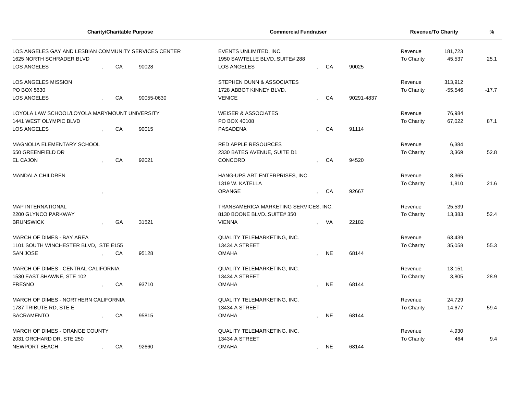|                                                                                   |    | <b>Charity/Charitable Purpose</b> | <b>Commercial Fundraiser</b>                              |  |                              |            | <b>Revenue/To Charity</b> | %         |         |
|-----------------------------------------------------------------------------------|----|-----------------------------------|-----------------------------------------------------------|--|------------------------------|------------|---------------------------|-----------|---------|
| LOS ANGELES GAY AND LESBIAN COMMUNITY SERVICES CENTER<br>1625 NORTH SCHRADER BLVD |    |                                   | EVENTS UNLIMITED, INC.<br>1950 SAWTELLE BLVD., SUITE# 288 |  | Revenue<br><b>To Charity</b> | 25.1       |                           |           |         |
| LOS ANGELES                                                                       | CA | 90028                             | <b>LOS ANGELES</b>                                        |  | CA                           | 90025      |                           | 45,537    |         |
| LOS ANGELES MISSION                                                               |    |                                   | STEPHEN DUNN & ASSOCIATES                                 |  |                              |            | Revenue                   | 313,912   |         |
| PO BOX 5630                                                                       |    |                                   | 1728 ABBOT KINNEY BLVD.                                   |  |                              |            | To Charity                | $-55,546$ | $-17.7$ |
| LOS ANGELES                                                                       | CA | 90055-0630                        | <b>VENICE</b>                                             |  | CA                           | 90291-4837 |                           |           |         |
| LOYOLA LAW SCHOOL/LOYOLA MARYMOUNT UNIVERSITY                                     |    |                                   | <b>WEISER &amp; ASSOCIATES</b>                            |  |                              |            | Revenue                   | 76,984    |         |
| 1441 WEST OLYMPIC BLVD                                                            |    |                                   | PO BOX 40108                                              |  |                              |            | <b>To Charity</b>         | 67,022    | 87.1    |
| LOS ANGELES                                                                       | CA | 90015                             | PASADENA                                                  |  | CA                           | 91114      |                           |           |         |
| MAGNOLIA ELEMENTARY SCHOOL                                                        |    |                                   | <b>RED APPLE RESOURCES</b>                                |  |                              |            | Revenue                   | 6,384     |         |
| 650 GREENFIELD DR                                                                 |    |                                   | 2330 BATES AVENUE, SUITE D1                               |  |                              |            | To Charity                | 3,369     | 52.8    |
| EL CAJON                                                                          | CA | 92021                             | CONCORD                                                   |  | CA                           | 94520      |                           |           |         |
| MANDALA CHILDREN                                                                  |    |                                   | HANG-UPS ART ENTERPRISES, INC.                            |  |                              |            | Revenue                   | 8,365     |         |
|                                                                                   |    |                                   | 1319 W. KATELLA                                           |  |                              |            | <b>To Charity</b>         | 1,810     | 21.6    |
|                                                                                   |    |                                   | ORANGE                                                    |  | CA                           | 92667      |                           |           |         |
| <b>MAP INTERNATIONAL</b>                                                          |    |                                   | TRANSAMERICA MARKETING SERVICES, INC.                     |  |                              |            | Revenue                   | 25,539    |         |
| 2200 GLYNCO PARKWAY                                                               |    |                                   | 8130 BOONE BLVD., SUITE# 350                              |  |                              |            | <b>To Charity</b>         | 13,383    | 52.4    |
| <b>BRUNSWICK</b>                                                                  | GA | 31521                             | <b>VIENNA</b>                                             |  | , VA                         | 22182      |                           |           |         |
| MARCH OF DIMES - BAY AREA                                                         |    |                                   | QUALITY TELEMARKETING, INC.                               |  |                              |            | Revenue                   | 63,439    |         |
| 1101 SOUTH WINCHESTER BLVD, STE E155                                              |    |                                   | 13434 A STREET                                            |  |                              |            | <b>To Charity</b>         | 35,058    | 55.3    |
| <b>SAN JOSE</b>                                                                   | CA | 95128                             | <b>OMAHA</b>                                              |  | <b>NE</b>                    | 68144      |                           |           |         |
| MARCH OF DIMES - CENTRAL CALIFORNIA                                               |    |                                   | <b>QUALITY TELEMARKETING, INC.</b>                        |  |                              |            | Revenue                   | 13,151    |         |
| 1530 EAST SHAWNE, STE 102                                                         |    |                                   | <b>13434 A STREET</b>                                     |  |                              |            | <b>To Charity</b>         | 3,805     | 28.9    |
| <b>FRESNO</b>                                                                     | CA | 93710                             | <b>OMAHA</b>                                              |  | <b>NE</b>                    | 68144      |                           |           |         |
| MARCH OF DIMES - NORTHERN CALIFORNIA                                              |    |                                   | QUALITY TELEMARKETING, INC.                               |  |                              |            | Revenue                   | 24,729    |         |
| 1787 TRIBUTE RD, STE E                                                            |    |                                   | 13434 A STREET                                            |  |                              |            | <b>To Charity</b>         | 14,677    | 59.4    |
| SACRAMENTO                                                                        | CA | 95815                             | <b>OMAHA</b>                                              |  | <b>NE</b>                    | 68144      |                           |           |         |
| MARCH OF DIMES - ORANGE COUNTY                                                    |    |                                   | QUALITY TELEMARKETING, INC.                               |  |                              |            | Revenue                   | 4,930     |         |
| 2031 ORCHARD DR, STE 250                                                          |    |                                   | 13434 A STREET                                            |  |                              |            | <b>To Charity</b>         | 464       | 9.4     |
| <b>NEWPORT BEACH</b>                                                              | CA | 92660                             | <b>OMAHA</b>                                              |  | <b>NE</b>                    | 68144      |                           |           |         |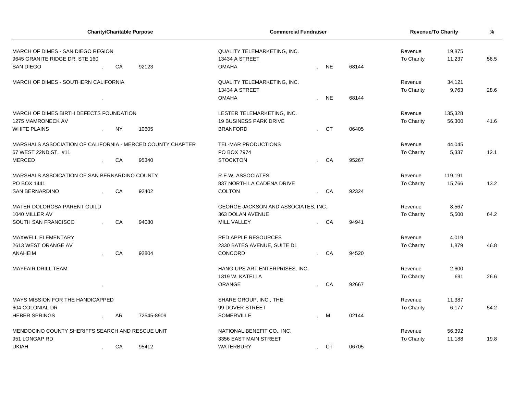|                                                            |                                               |                            | <b>Charity/Charitable Purpose</b> | <b>Commercial Fundraiser</b>        |                |            |            | <b>Revenue/To Charity</b> | $\frac{9}{6}$ |      |
|------------------------------------------------------------|-----------------------------------------------|----------------------------|-----------------------------------|-------------------------------------|----------------|------------|------------|---------------------------|---------------|------|
| MARCH OF DIMES - SAN DIEGO REGION                          |                                               |                            |                                   | <b>QUALITY TELEMARKETING, INC.</b>  |                |            |            | Revenue                   | 19,875        |      |
| 9645 GRANITE RIDGE DR, STE 160                             |                                               |                            |                                   | 13434 A STREET                      |                | To Charity | 11,237     | 56.5                      |               |      |
| SAN DIEGO                                                  |                                               | CA                         | 92123                             | <b>OMAHA</b>                        |                | <b>NE</b>  | 68144      |                           |               |      |
| MARCH OF DIMES - SOUTHERN CALIFORNIA                       |                                               |                            |                                   | QUALITY TELEMARKETING, INC.         |                |            |            | Revenue                   | 34,121        |      |
|                                                            |                                               |                            |                                   | 13434 A STREET                      |                |            |            | To Charity                | 9,763         | 28.6 |
|                                                            |                                               |                            |                                   | <b>OMAHA</b>                        |                | <b>NE</b>  | 68144      |                           |               |      |
| MARCH OF DIMES BIRTH DEFECTS FOUNDATION                    |                                               |                            |                                   | LESTER TELEMARKETING, INC.          |                |            |            | Revenue                   | 135,328       |      |
| 1275 MAMRONECK AV                                          |                                               |                            |                                   | <b>19 BUSINESS PARK DRIVE</b>       |                |            |            | To Charity                | 56,300        | 41.6 |
| <b>WHITE PLAINS</b>                                        | $\overline{ }$                                | NY                         | 10605                             | <b>BRANFORD</b>                     |                | CT         | 06405      |                           |               |      |
| MARSHALS ASSOCIATION OF CALIFORNIA - MERCED COUNTY CHAPTER |                                               |                            | TEL-MAR PRODUCTIONS               |                                     |                |            | Revenue    | 44,045                    |               |      |
| 67 WEST 22ND ST, #11                                       |                                               |                            |                                   | PO BOX 7974                         |                |            |            | To Charity                | 5,337         | 12.1 |
| <b>MERCED</b>                                              |                                               | CA                         | 95340                             | <b>STOCKTON</b>                     |                | CA         | 95267      |                           |               |      |
|                                                            | MARSHALS ASSOICATION OF SAN BERNARDINO COUNTY |                            |                                   | R.E.W. ASSOCIATES                   |                |            |            | Revenue                   | 119,191       |      |
| PO BOX 1441                                                |                                               |                            |                                   | 837 NORTH LA CADENA DRIVE           |                |            |            | To Charity                | 15,766        | 13.2 |
| <b>SAN BERNARDINO</b>                                      |                                               | CA                         | 92402                             | <b>COLTON</b>                       | $\overline{ }$ | CA         | 92324      |                           |               |      |
| MATER DOLOROSA PARENT GUILD                                |                                               |                            |                                   | GEORGE JACKSON AND ASSOCIATES, INC. |                |            |            | Revenue                   | 8,567         |      |
| 1040 MILLER AV                                             |                                               |                            |                                   | 363 DOLAN AVENUE                    |                |            |            | To Charity                | 5,500         | 64.2 |
| SOUTH SAN FRANCISCO                                        |                                               | CA                         | 94080                             | MILL VALLEY                         |                | CA         | 94941      |                           |               |      |
| MAXWELL ELEMENTARY                                         |                                               |                            |                                   | <b>RED APPLE RESOURCES</b>          |                |            |            | Revenue                   | 4,019         |      |
| 2613 WEST ORANGE AV                                        |                                               |                            |                                   | 2330 BATES AVENUE, SUITE D1         |                |            |            | To Charity                | 1,879         | 46.8 |
| ANAHEIM                                                    |                                               | CA                         | 92804                             | <b>CONCORD</b>                      | $\overline{ }$ | CA         | 94520      |                           |               |      |
| <b>MAYFAIR DRILL TEAM</b>                                  |                                               |                            |                                   | HANG-UPS ART ENTERPRISES, INC.      |                |            |            | Revenue                   | 2,600         |      |
|                                                            |                                               |                            |                                   | 1319 W. KATELLA                     |                |            |            | To Charity                | 691           | 26.6 |
|                                                            |                                               |                            |                                   | ORANGE                              |                | CA         | 92667      |                           |               |      |
| MAYS MISSION FOR THE HANDICAPPED                           |                                               |                            |                                   | SHARE GROUP, INC., THE              |                |            |            | Revenue                   | 11,387        |      |
| 604 COLONIAL DR                                            |                                               |                            |                                   | 99 DOVER STREET                     |                |            |            | To Charity                | 6,177         | 54.2 |
| <b>HEBER SPRINGS</b>                                       |                                               | AR                         | 72545-8909                        | <b>SOMERVILLE</b>                   |                | M          | 02144      |                           |               |      |
| MENDOCINO COUNTY SHERIFFS SEARCH AND RESCUE UNIT           |                                               | NATIONAL BENEFIT CO., INC. |                                   |                                     |                | Revenue    | 56,392     |                           |               |      |
| 951 LONGAP RD                                              |                                               |                            | 3356 EAST MAIN STREET             |                                     |                |            | To Charity | 11,188                    | 19.8          |      |
| UKIAH                                                      | $\cdot$                                       | CA                         | 95412                             | <b>WATERBURY</b>                    |                | <b>CT</b>  | 06705      |                           |               |      |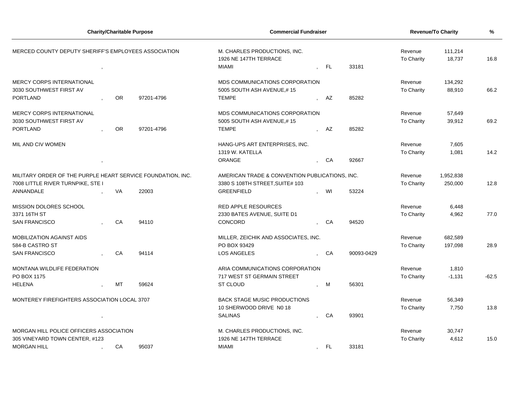|                                                             |      | <b>Charity/Charitable Purpose</b> | <b>Commercial Fundraiser</b> |                                                                                                   |                |           | <b>Revenue/To Charity</b> | %                            |                   |         |
|-------------------------------------------------------------|------|-----------------------------------|------------------------------|---------------------------------------------------------------------------------------------------|----------------|-----------|---------------------------|------------------------------|-------------------|---------|
| MERCED COUNTY DEPUTY SHERIFF'S EMPLOYEES ASSOCIATION        |      |                                   |                              | M. CHARLES PRODUCTIONS, INC.<br>1926 NE 147TH TERRACE<br>MIAMI<br>- FL<br>33181<br>$\overline{ }$ |                |           |                           | Revenue<br><b>To Charity</b> | 111,214<br>18,737 | 16.8    |
| <b>MERCY CORPS INTERNATIONAL</b>                            |      |                                   |                              | MDS COMMUNICATIONS CORPORATION                                                                    |                |           |                           | Revenue                      | 134,292           |         |
| 3030 SOUTHWEST FIRST AV                                     |      |                                   |                              | 5005 SOUTH ASH AVENUE,#15                                                                         |                |           |                           | <b>To Charity</b>            | 88,910            | 66.2    |
| PORTLAND                                                    |      | <b>OR</b>                         | 97201-4796                   | <b>TEMPE</b>                                                                                      |                | AZ        | 85282                     |                              |                   |         |
| <b>MERCY CORPS INTERNATIONAL</b>                            |      |                                   |                              | MDS COMMUNICATIONS CORPORATION                                                                    |                |           |                           | Revenue                      | 57,649            |         |
| 3030 SOUTHWEST FIRST AV                                     |      |                                   |                              | 5005 SOUTH ASH AVENUE,#15                                                                         |                |           |                           | To Charity                   | 39,912            | 69.2    |
| <b>PORTLAND</b>                                             |      | <b>OR</b>                         | 97201-4796                   | <b>TEMPE</b>                                                                                      |                | AZ        | 85282                     |                              |                   |         |
| MIL AND CIV WOMEN                                           |      |                                   |                              | HANG-UPS ART ENTERPRISES, INC.                                                                    |                |           |                           | Revenue                      | 7,605             |         |
|                                                             |      |                                   |                              | 1319 W. KATELLA                                                                                   |                |           |                           | To Charity                   | 1,081             | 14.2    |
|                                                             |      |                                   |                              | ORANGE                                                                                            |                | CA        | 92667                     |                              |                   |         |
| MILITARY ORDER OF THE PURPLE HEART SERVICE FOUNDATION, INC. |      |                                   |                              | AMERICAN TRADE & CONVENTION PUBLICATIONS, INC.                                                    |                |           |                           | Revenue                      | 1,952,838         |         |
| 7008 LITTLE RIVER TURNPIKE, STE I                           |      |                                   |                              | 3380 S 108TH STREET, SUITE# 103                                                                   |                |           |                           | <b>To Charity</b>            | 250,000           | 12.8    |
| ANNANDALE                                                   |      | VA                                | 22003                        | <b>GREENFIELD</b>                                                                                 |                | WI        | 53224                     |                              |                   |         |
| MISSION DOLORES SCHOOL                                      |      |                                   |                              | <b>RED APPLE RESOURCES</b>                                                                        |                |           |                           | Revenue                      | 6,448             |         |
| 3371 16TH ST                                                |      |                                   |                              | 2330 BATES AVENUE, SUITE D1                                                                       |                |           |                           | <b>To Charity</b>            | 4,962             | 77.0    |
| <b>SAN FRANCISCO</b>                                        |      | CA                                | 94110                        | CONCORD                                                                                           |                | CA        | 94520                     |                              |                   |         |
| <b>MOBILIZATION AGAINST AIDS</b>                            |      |                                   |                              | MILLER, ZEICHIK AND ASSOCIATES, INC.                                                              |                |           |                           | Revenue                      | 682,589           |         |
| 584-B CASTRO ST                                             |      |                                   |                              | PO BOX 93429                                                                                      |                |           |                           | To Charity                   | 197,098           | 28.9    |
| <b>SAN FRANCISCO</b>                                        |      | CA                                | 94114                        | LOS ANGELES                                                                                       |                | CA        | 90093-0429                |                              |                   |         |
| MONTANA WILDLIFE FEDERATION                                 |      |                                   |                              | ARIA COMMUNICATIONS CORPORATION                                                                   |                |           |                           | Revenue                      | 1,810             |         |
| PO BOX 1175                                                 |      |                                   |                              | 717 WEST ST GERMAIN STREET                                                                        |                |           |                           | To Charity                   | $-1,131$          | $-62.5$ |
| <b>HELENA</b>                                               |      | MT                                | 59624                        | ST CLOUD                                                                                          |                | M         | 56301                     |                              |                   |         |
| MONTEREY FIREFIGHTERS ASSOCIATION LOCAL 3707                |      |                                   |                              | <b>BACK STAGE MUSIC PRODUCTIONS</b>                                                               |                |           |                           | Revenue                      | 56,349            |         |
|                                                             |      |                                   |                              | 10 SHERWOOD DRIVE NO 18                                                                           |                |           |                           | <b>To Charity</b>            | 7,750             | 13.8    |
|                                                             | $\,$ |                                   |                              | <b>SALINAS</b>                                                                                    |                | CA        | 93901                     |                              |                   |         |
| MORGAN HILL POLICE OFFICERS ASSOCIATION                     |      |                                   | M. CHARLES PRODUCTIONS, INC. |                                                                                                   |                |           | Revenue                   | 30,747                       |                   |         |
| 305 VINEYARD TOWN CENTER, #123                              |      |                                   |                              | 1926 NE 147TH TERRACE                                                                             |                |           |                           | <b>To Charity</b>            | 4,612             | 15.0    |
| <b>MORGAN HILL</b><br>95037<br>СA                           |      |                                   |                              | <b>MIAMI</b>                                                                                      | $\overline{ }$ | <b>FL</b> | 33181                     |                              |                   |         |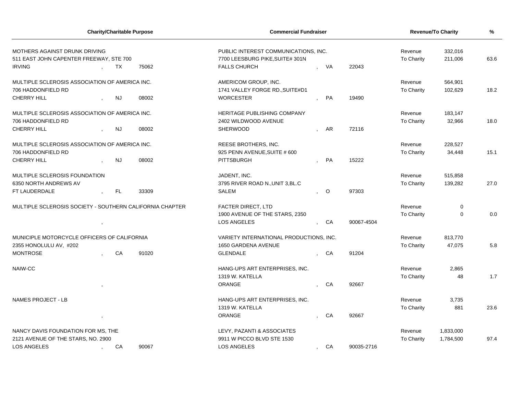|                                                          |                                    |           | <b>Charity/Charitable Purpose</b> | <b>Commercial Fundraiser</b>            |                |         |            | <b>Revenue/To Charity</b> | %           |      |
|----------------------------------------------------------|------------------------------------|-----------|-----------------------------------|-----------------------------------------|----------------|---------|------------|---------------------------|-------------|------|
| MOTHERS AGAINST DRUNK DRIVING                            |                                    |           |                                   | PUBLIC INTEREST COMMUNICATIONS, INC.    |                |         |            | Revenue                   | 332,016     |      |
| 511 EAST JOHN CAPENTER FREEWAY, STE 700                  |                                    |           |                                   | 7700 LEESBURG PIKE, SUITE# 301N         |                |         |            | To Charity                | 211,006     | 63.6 |
| <b>IRVING</b>                                            |                                    | ТX        | 75062                             | <b>FALLS CHURCH</b>                     |                | , VA    | 22043      |                           |             |      |
| MULTIPLE SCLEROSIS ASSOCIATION OF AMERICA INC.           |                                    |           |                                   | AMERICOM GROUP, INC.                    |                |         |            | Revenue                   | 564,901     |      |
| 706 HADDONFIELD RD                                       |                                    |           |                                   | 1741 VALLEY FORGE RD., SUITE#D1         |                |         |            | To Charity                | 102,629     | 18.2 |
| <b>CHERRY HILL</b>                                       |                                    | <b>NJ</b> | 08002                             | <b>WORCESTER</b>                        |                | PA      | 19490      |                           |             |      |
| MULTIPLE SCLEROSIS ASSOCIATION OF AMERICA INC.           |                                    |           |                                   | <b>HERITAGE PUBLISHING COMPANY</b>      |                |         |            | Revenue                   | 183,147     |      |
| 706 HADDONFIELD RD                                       |                                    |           |                                   | 2402 WILDWOOD AVENUE                    |                |         |            | To Charity                | 32,966      | 18.0 |
| <b>CHERRY HILL</b>                                       |                                    | <b>NJ</b> | 08002                             | SHERWOOD                                |                | AR      | 72116      |                           |             |      |
| MULTIPLE SCLEROSIS ASSOCIATION OF AMERICA INC.           |                                    |           |                                   | REESE BROTHERS, INC.                    |                |         |            | Revenue                   | 228,527     |      |
| 706 HADDONFIELD RD                                       |                                    |           |                                   | 925 PENN AVENUE, SUITE # 600            |                |         |            | To Charity                | 34,448      | 15.1 |
| <b>CHERRY HILL</b>                                       |                                    | <b>NJ</b> | 08002                             | <b>PITTSBURGH</b>                       |                | PA      | 15222      |                           |             |      |
| MULTIPLE SCLEROSIS FOUNDATION                            |                                    |           |                                   | JADENT, INC.                            |                |         |            | Revenue                   | 515,858     |      |
| 6350 NORTH ANDREWS AV                                    |                                    |           |                                   | 3795 RIVER ROAD N., UNIT 3, BL.C        |                |         |            | To Charity                | 139,282     | 27.0 |
| FT LAUDERDALE                                            |                                    | FL        | 33309                             | SALEM                                   |                | $\circ$ | 97303      |                           |             |      |
| MULTIPLE SCLEROSIS SOCIETY - SOUTHERN CALIFORNIA CHAPTER |                                    |           |                                   | <b>FACTER DIRECT, LTD</b>               |                |         |            | Revenue                   | $\mathbf 0$ |      |
|                                                          |                                    |           |                                   | 1900 AVENUE OF THE STARS, 2350          |                |         |            | To Charity                | $\mathbf 0$ | 0.0  |
|                                                          | $\,$                               |           |                                   | <b>LOS ANGELES</b>                      |                | CA      | 90067-4504 |                           |             |      |
| MUNICIPLE MOTORCYCLE OFFICERS OF CALIFORNIA              |                                    |           |                                   | VARIETY INTERNATIONAL PRODUCTIONS, INC. |                |         |            | Revenue                   | 813,770     |      |
| 2355 HONOLULU AV, #202                                   |                                    |           |                                   | <b>1650 GARDENA AVENUE</b>              |                |         |            | <b>To Charity</b>         | 47,075      | 5.8  |
| <b>MONTROSE</b>                                          |                                    | CA        | 91020                             | <b>GLENDALE</b>                         | $\overline{ }$ | CA      | 91204      |                           |             |      |
| NAIW-CC                                                  |                                    |           |                                   | HANG-UPS ART ENTERPRISES, INC.          |                |         |            | Revenue                   | 2,865       |      |
|                                                          |                                    |           |                                   | 1319 W. KATELLA                         |                |         |            | To Charity                | 48          | 1.7  |
|                                                          |                                    |           |                                   | ORANGE                                  |                | CA      | 92667      |                           |             |      |
| <b>NAMES PROJECT - LB</b>                                |                                    |           |                                   | HANG-UPS ART ENTERPRISES, INC.          |                |         |            | Revenue                   | 3,735       |      |
|                                                          |                                    |           |                                   | 1319 W. KATELLA                         |                |         |            | To Charity                | 881         | 23.6 |
|                                                          |                                    |           |                                   | <b>ORANGE</b>                           |                | CA      | 92667      |                           |             |      |
|                                                          | NANCY DAVIS FOUNDATION FOR MS, THE |           | LEVY, PAZANTI & ASSOCIATES        |                                         |                |         | Revenue    | 1,833,000                 |             |      |
| 2121 AVENUE OF THE STARS, NO. 2900                       |                                    |           | 9911 W PICCO BLVD STE 1530        |                                         |                |         | To Charity | 1,784,500                 | 97.4        |      |
| <b>LOS ANGELES</b>                                       | 90067<br>CA                        |           |                                   | <b>LOS ANGELES</b>                      | $\overline{ }$ | CA      | 90035-2716 |                           |             |      |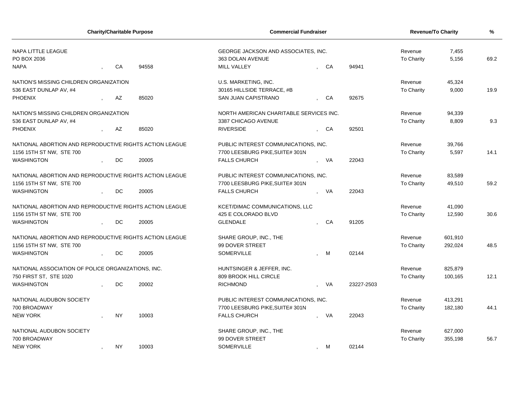|                                                         | <b>Charity/Charitable Purpose</b> |       | <b>Commercial Fundraiser</b>            | <b>Revenue/To Charity</b>            | %          |            |         |      |
|---------------------------------------------------------|-----------------------------------|-------|-----------------------------------------|--------------------------------------|------------|------------|---------|------|
| <b>NAPA LITTLE LEAGUE</b>                               |                                   |       | GEORGE JACKSON AND ASSOCIATES, INC.     |                                      |            | Revenue    | 7,455   |      |
| PO BOX 2036                                             |                                   |       | 363 DOLAN AVENUE                        |                                      |            | To Charity | 5,156   | 69.2 |
| <b>NAPA</b>                                             | CA                                | 94558 | MILL VALLEY                             | CA                                   | 94941      |            |         |      |
| NATION'S MISSING CHILDREN ORGANIZATION                  |                                   |       | U.S. MARKETING, INC.                    | Revenue                              | 45,324     |            |         |      |
| 536 EAST DUNLAP AV, #4                                  |                                   |       | 30165 HILLSIDE TERRACE, #B              |                                      |            | To Charity | 9,000   | 19.9 |
| <b>PHOENIX</b>                                          | AZ                                | 85020 | <b>SAN JUAN CAPISTRANO</b>              | CA                                   | 92675      |            |         |      |
| NATION'S MISSING CHILDREN ORGANIZATION                  |                                   |       | NORTH AMERICAN CHARITABLE SERVICES INC. |                                      |            | Revenue    | 94,339  |      |
| 536 EAST DUNLAP AV, #4                                  |                                   |       | 3387 CHICAGO AVENUE                     |                                      | To Charity | 8,809      | 9.3     |      |
| <b>PHOENIX</b>                                          | AZ                                | 85020 | <b>RIVERSIDE</b>                        | CA                                   | 92501      |            |         |      |
| NATIONAL ABORTION AND REPRODUCTIVE RIGHTS ACTION LEAGUE |                                   |       | PUBLIC INTEREST COMMUNICATIONS, INC.    |                                      |            | Revenue    | 39,766  |      |
| 1156 15TH ST NW, STE 700                                |                                   |       | 7700 LEESBURG PIKE, SUITE# 301N         |                                      |            | To Charity | 5,597   | 14.1 |
| <b>WASHINGTON</b>                                       | DC.                               | 20005 | <b>FALLS CHURCH</b>                     | - VA                                 | 22043      |            |         |      |
| NATIONAL ABORTION AND REPRODUCTIVE RIGHTS ACTION LEAGUE |                                   |       | PUBLIC INTEREST COMMUNICATIONS, INC.    |                                      |            | Revenue    | 83,589  |      |
| 1156 15TH ST NW, STE 700                                |                                   |       | 7700 LEESBURG PIKE, SUITE# 301N         |                                      |            | To Charity | 49,510  | 59.2 |
| <b>WASHINGTON</b>                                       | DC                                | 20005 | <b>FALLS CHURCH</b>                     | VA                                   | 22043      |            |         |      |
| NATIONAL ABORTION AND REPRODUCTIVE RIGHTS ACTION LEAGUE |                                   |       | KCET/DIMAC COMMUNICATIONS, LLC          |                                      |            | Revenue    | 41,090  |      |
| 1156 15TH ST NW, STE 700                                |                                   |       | 425 E COLORADO BLVD                     |                                      |            | To Charity | 12,590  | 30.6 |
| <b>WASHINGTON</b>                                       | DC                                | 20005 | <b>GLENDALE</b>                         | CA                                   | 91205      |            |         |      |
| NATIONAL ABORTION AND REPRODUCTIVE RIGHTS ACTION LEAGUE |                                   |       | SHARE GROUP, INC., THE                  |                                      |            | Revenue    | 601,910 |      |
| 1156 15TH ST NW, STE 700                                |                                   |       | 99 DOVER STREET                         |                                      |            | To Charity | 292,024 | 48.5 |
| <b>WASHINGTON</b>                                       | DC                                | 20005 | <b>SOMERVILLE</b>                       | M                                    | 02144      |            |         |      |
| NATIONAL ASSOCIATION OF POLICE ORGANIZATIONS, INC.      |                                   |       | HUNTSINGER & JEFFER, INC.               |                                      |            | Revenue    | 825,879 |      |
| 750 FIRST ST, STE 1020                                  |                                   |       | 809 BROOK HILL CIRCLE                   |                                      |            | To Charity | 100,165 | 12.1 |
| <b>WASHINGTON</b>                                       | <b>DC</b>                         | 20002 | <b>RICHMOND</b>                         | - VA                                 | 23227-2503 |            |         |      |
| NATIONAL AUDUBON SOCIETY                                |                                   |       | PUBLIC INTEREST COMMUNICATIONS, INC.    |                                      |            | Revenue    | 413,291 |      |
| 700 BROADWAY                                            |                                   |       | 7700 LEESBURG PIKE, SUITE# 301N         |                                      |            | To Charity | 182,180 | 44.1 |
| <b>NEW YORK</b>                                         | <b>NY</b>                         | 10003 | <b>FALLS CHURCH</b>                     | - VA                                 | 22043      |            |         |      |
| NATIONAL AUDUBON SOCIETY                                |                                   |       | SHARE GROUP, INC., THE                  |                                      |            | Revenue    | 627,000 |      |
| 700 BROADWAY                                            |                                   |       | 99 DOVER STREET                         |                                      |            | To Charity | 355,198 | 56.7 |
| <b>NEW YORK</b>                                         | <b>NY</b>                         | 10003 | <b>SOMERVILLE</b>                       | <b>M</b><br>$\overline{\phantom{a}}$ | 02144      |            |         |      |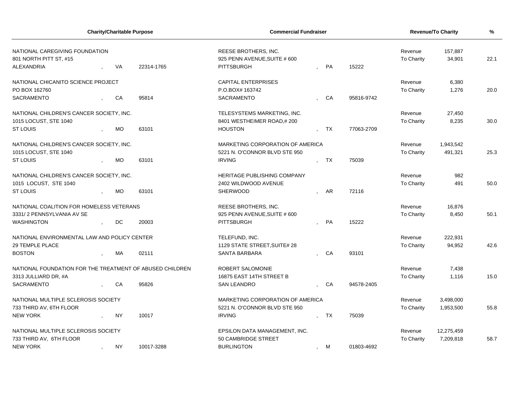|                                                                        |         | <b>Charity/Charitable Purpose</b> |            | <b>Commercial Fundraiser</b>                                                             |  |                   |                              | <b>Revenue/To Charity</b> | %          |      |
|------------------------------------------------------------------------|---------|-----------------------------------|------------|------------------------------------------------------------------------------------------|--|-------------------|------------------------------|---------------------------|------------|------|
| NATIONAL CAREGIVING FOUNDATION<br>801 NORTH PITT ST, #15<br>ALEXANDRIA |         | VA                                | 22314-1765 | REESE BROTHERS, INC.<br>925 PENN AVENUE, SUITE # 600<br>15222<br><b>PITTSBURGH</b><br>PA |  |                   | Revenue<br><b>To Charity</b> | 157,887<br>34,901         | 22.1       |      |
|                                                                        |         |                                   |            |                                                                                          |  |                   |                              |                           |            |      |
| NATIONAL CHICANITO SCIENCE PROJECT                                     |         |                                   |            | <b>CAPITAL ENTERPRISES</b>                                                               |  |                   |                              | Revenue                   | 6,380      |      |
| PO BOX 162760                                                          |         |                                   |            | P.O.BOX# 163742                                                                          |  |                   |                              | <b>To Charity</b>         | 1,276      | 20.0 |
| <b>SACRAMENTO</b>                                                      |         | CA                                | 95814      | <b>SACRAMENTO</b>                                                                        |  | CA                | 95816-9742                   |                           |            |      |
| NATIONAL CHILDREN'S CANCER SOCIETY, INC.                               |         |                                   |            | TELESYSTEMS MARKETING, INC.                                                              |  |                   |                              | Revenue                   | 27,450     |      |
| 1015 LOCUST, STE 1040                                                  |         |                                   |            | 8401 WESTHEIMER ROAD,#200                                                                |  |                   |                              | To Charity                | 8,235      | 30.0 |
| <b>ST LOUIS</b>                                                        |         | <b>MO</b>                         | 63101      | <b>HOUSTON</b>                                                                           |  | TX                | 77063-2709                   |                           |            |      |
| NATIONAL CHILDREN'S CANCER SOCIETY, INC.                               |         |                                   |            | MARKETING CORPORATION OF AMERICA                                                         |  |                   |                              | Revenue                   | 1,943,542  |      |
| 1015 LOCUST, STE 1040                                                  |         |                                   |            | 5221 N. O'CONNOR BLVD STE 950                                                            |  |                   |                              | <b>To Charity</b>         | 491,321    | 25.3 |
| <b>ST LOUIS</b>                                                        |         | <b>MO</b>                         | 63101      | <b>IRVING</b>                                                                            |  | <b>TX</b>         | 75039                        |                           |            |      |
| NATIONAL CHILDREN'S CANCER SOCIETY, INC.                               |         |                                   |            | <b>HERITAGE PUBLISHING COMPANY</b>                                                       |  |                   |                              | Revenue                   | 982        |      |
| 1015 LOCUST, STE 1040                                                  |         |                                   |            | 2402 WILDWOOD AVENUE                                                                     |  |                   |                              | <b>To Charity</b>         | 491        | 50.0 |
| <b>ST LOUIS</b>                                                        |         | <b>MO</b>                         | 63101      | <b>SHERWOOD</b>                                                                          |  | AR                | 72116                        |                           |            |      |
| NATIONAL COALITION FOR HOMELESS VETERANS                               |         |                                   |            | REESE BROTHERS, INC.                                                                     |  |                   |                              | Revenue                   | 16,876     |      |
| 3331/2 PENNSYLVANIA AV SE                                              |         |                                   |            | 925 PENN AVENUE, SUITE # 600                                                             |  |                   |                              | <b>To Charity</b>         | 8,450      | 50.1 |
| <b>WASHINGTON</b>                                                      |         | DC.                               | 20003      | <b>PITTSBURGH</b>                                                                        |  | PA                | 15222                        |                           |            |      |
| NATIONAL ENVIRONMENTAL LAW AND POLICY CENTER                           |         |                                   |            | TELEFUND, INC.                                                                           |  |                   |                              | Revenue                   | 222,931    |      |
| 29 TEMPLE PLACE                                                        |         |                                   |            | 1129 STATE STREET, SUITE# 28                                                             |  |                   |                              | <b>To Charity</b>         | 94,952     | 42.6 |
| <b>BOSTON</b>                                                          |         | MA                                | 02111      | <b>SANTA BARBARA</b>                                                                     |  | CA                | 93101                        |                           |            |      |
| NATIONAL FOUNDATION FOR THE TREATMENT OF ABUSED CHILDREN               |         |                                   |            | ROBERT SALOMONIE                                                                         |  |                   |                              | Revenue                   | 7,438      |      |
| 3313 JULLIARD DR, #A                                                   |         |                                   |            | 16875 EAST 14TH STREET B                                                                 |  |                   |                              | <b>To Charity</b>         | 1,116      | 15.0 |
| <b>SACRAMENTO</b>                                                      |         | CA                                | 95826      | <b>SAN LEANDRO</b>                                                                       |  | , CA              | 94578-2405                   |                           |            |      |
| NATIONAL MULTIPLE SCLEROSIS SOCIETY                                    |         |                                   |            | MARKETING CORPORATION OF AMERICA                                                         |  |                   |                              | Revenue                   | 3,498,000  |      |
| 733 THIRD AV, 6TH FLOOR                                                |         |                                   |            | 5221 N. O'CONNOR BLVD STE 950                                                            |  |                   |                              | To Charity                | 1,953,500  | 55.8 |
| <b>NEW YORK</b>                                                        |         | <b>NY</b>                         | 10017      | <b>IRVING</b>                                                                            |  | <b>TX</b>         | 75039                        |                           |            |      |
| NATIONAL MULTIPLE SCLEROSIS SOCIETY                                    |         |                                   |            | EPSILON DATA MANAGEMENT, INC.                                                            |  |                   |                              | Revenue                   | 12,275,459 |      |
| 733 THIRD AV, 6TH FLOOR                                                |         | 50 CAMBRIDGE STREET               |            |                                                                                          |  | <b>To Charity</b> | 7,209,818                    | 58.7                      |            |      |
| <b>NEW YORK</b>                                                        | $\cdot$ | <b>NY</b>                         | 10017-3288 | <b>BURLINGTON</b>                                                                        |  | , M               | 01803-4692                   |                           |            |      |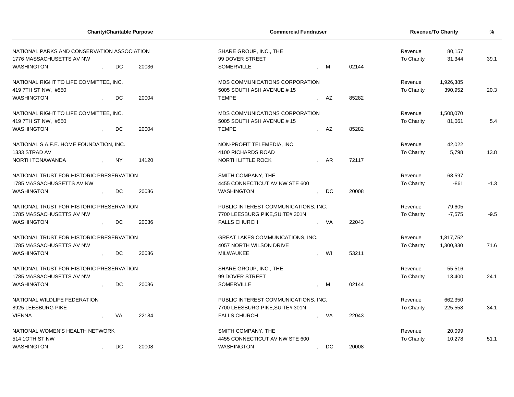| <b>Charity/Charitable Purpose</b><br><b>Commercial Fundraiser</b>                                                            | <b>Revenue/To Charity</b>    | %                    |        |
|------------------------------------------------------------------------------------------------------------------------------|------------------------------|----------------------|--------|
| NATIONAL PARKS AND CONSERVATION ASSOCIATION<br>SHARE GROUP, INC., THE<br>1776 MASSACHUSETTS AV NW<br>99 DOVER STREET         | Revenue<br>To Charity        | 80,157<br>31,344     | 39.1   |
| <b>WASHINGTON</b><br>DC<br>20036<br><b>SOMERVILLE</b><br>02144<br><b>M</b>                                                   |                              |                      |        |
| NATIONAL RIGHT TO LIFE COMMITTEE, INC.<br>MDS COMMUNICATIONS CORPORATION<br>5005 SOUTH ASH AVENUE,#15<br>419 7TH ST NW, #550 | Revenue<br><b>To Charity</b> | 1,926,385<br>390,952 | 20.3   |
| <b>DC</b><br>20004<br><b>TEMPE</b><br>85282<br><b>WASHINGTON</b><br>AZ                                                       |                              |                      |        |
| NATIONAL RIGHT TO LIFE COMMITTEE, INC.<br>MDS COMMUNICATIONS CORPORATION                                                     | Revenue                      | 1,508,070            |        |
| 419 7TH ST NW, #550<br>5005 SOUTH ASH AVENUE,#15                                                                             | To Charity                   | 81,061               | 5.4    |
| <b>WASHINGTON</b><br>DC<br>20004<br><b>TEMPE</b><br>85282<br>AZ                                                              |                              |                      |        |
| NATIONAL S.A.F.E. HOME FOUNDATION, INC.<br>NON-PROFIT TELEMEDIA, INC.                                                        | Revenue                      | 42,022               |        |
| 1333 STRAD AV<br>4100 RICHARDS ROAD                                                                                          | To Charity                   | 5,798                | 13.8   |
| NORTH TONAWANDA<br><b>NY</b><br>14120<br>NORTH LITTLE ROCK<br>72117<br>AR                                                    |                              |                      |        |
| NATIONAL TRUST FOR HISTORIC PRESERVATION<br>SMITH COMPANY, THE                                                               | Revenue                      | 68,597               |        |
| 1785 MASSACHUSSETTS AV NW<br>4455 CONNECTICUT AV NW STE 600                                                                  | To Charity                   | $-861$               | $-1.3$ |
| 20008<br><b>WASHINGTON</b><br>DC<br>20036<br><b>WASHINGTON</b><br>DC<br>$\cdot$                                              |                              |                      |        |
| NATIONAL TRUST FOR HISTORIC PRESERVATION<br>PUBLIC INTEREST COMMUNICATIONS, INC.                                             | Revenue                      | 79,605               |        |
| 1785 MASSACHUSETTS AV NW<br>7700 LEESBURG PIKE, SUITE# 301N                                                                  | To Charity                   | $-7,575$             | $-9.5$ |
| 20036<br>22043<br><b>WASHINGTON</b><br>DC<br><b>FALLS CHURCH</b><br><b>VA</b>                                                |                              |                      |        |
| NATIONAL TRUST FOR HISTORIC PRESERVATION<br><b>GREAT LAKES COMMUNICATIONS. INC.</b>                                          | Revenue                      | 1,817,752            |        |
| 4057 NORTH WILSON DRIVE<br>1785 MASSACHUSETTS AV NW                                                                          | <b>To Charity</b>            | 1,300,830            | 71.6   |
| DC<br>53211<br><b>WASHINGTON</b><br>20036<br><b>MILWAUKEE</b><br>WI                                                          |                              |                      |        |
| NATIONAL TRUST FOR HISTORIC PRESERVATION<br>SHARE GROUP, INC., THE                                                           | Revenue                      | 55,516               |        |
| 1785 MASSACHUSETTS AV NW<br>99 DOVER STREET                                                                                  | <b>To Charity</b>            | 13,400               | 24.1   |
| <b>WASHINGTON</b><br><b>DC</b><br>20036<br><b>SOMERVILLE</b><br>02144<br>, M                                                 |                              |                      |        |
| NATIONAL WILDLIFE FEDERATION<br>PUBLIC INTEREST COMMUNICATIONS, INC.                                                         | Revenue                      | 662,350              |        |
| 8925 LEESBURG PIKE<br>7700 LEESBURG PIKE, SUITE# 301N                                                                        | <b>To Charity</b>            | 225,558              | 34.1   |
| <b>VIENNA</b><br>VA<br>22184<br><b>FALLS CHURCH</b><br>VA<br>22043                                                           |                              |                      |        |
| NATIONAL WOMEN'S HEALTH NETWORK<br>SMITH COMPANY, THE                                                                        | Revenue                      | 20,099               |        |
| 514 1OTH ST NW<br>4455 CONNECTICUT AV NW STE 600                                                                             | <b>To Charity</b>            | 10,278               | 51.1   |
| DC<br>20008<br><b>WASHINGTON</b><br>DC<br><b>WASHINGTON</b><br>20008<br>$\cdot$<br>$\cdot$                                   |                              |                      |        |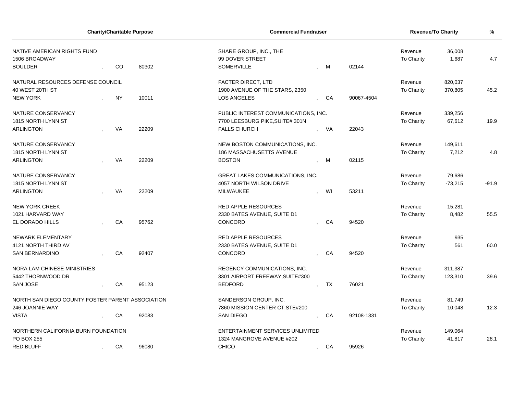| NATIVE AMERICAN RIGHTS FUND<br>SHARE GROUP, INC., THE<br>36,008<br>Revenue<br>99 DOVER STREET<br>1506 BROADWAY<br>To Charity<br>1,687 | 4.7     |
|---------------------------------------------------------------------------------------------------------------------------------------|---------|
| <b>BOULDER</b><br>CO<br>80302<br>SOMERVILLE<br>02144<br>- M                                                                           |         |
|                                                                                                                                       |         |
| NATURAL RESOURCES DEFENSE COUNCIL<br>820,037<br>FACTER DIRECT, LTD<br>Revenue                                                         |         |
| 40 WEST 20TH ST<br>1900 AVENUE OF THE STARS, 2350<br>To Charity<br>370,805                                                            | 45.2    |
| <b>NEW YORK</b><br><b>NY</b><br>10011<br>CA<br>90067-4504<br>LOS ANGELES                                                              |         |
| NATURE CONSERVANCY<br>PUBLIC INTEREST COMMUNICATIONS, INC.<br>339,256<br>Revenue                                                      |         |
| 1815 NORTH LYNN ST<br>7700 LEESBURG PIKE, SUITE# 301N<br>To Charity<br>67,612                                                         | 19.9    |
| <b>ARLINGTON</b><br>VA<br>22209<br>22043<br><b>FALLS CHURCH</b><br>VA                                                                 |         |
| 149,611<br>NATURE CONSERVANCY<br>NEW BOSTON COMMUNICATIONS, INC.<br>Revenue                                                           |         |
| 7,212<br>1815 NORTH LYNN ST<br>186 MASSACHUSETTS AVENUE<br>To Charity                                                                 | 4.8     |
| <b>ARLINGTON</b><br><b>BOSTON</b><br>VA<br>22209<br>02115<br>M                                                                        |         |
|                                                                                                                                       |         |
| 79,686<br>NATURE CONSERVANCY<br><b>GREAT LAKES COMMUNICATIONS, INC.</b><br>Revenue                                                    |         |
| 1815 NORTH LYNN ST<br>4057 NORTH WILSON DRIVE<br>To Charity<br>$-73,215$                                                              | $-91.9$ |
| <b>VA</b><br>22209<br>53211<br><b>ARLINGTON</b><br>MILWAUKEE<br>WI                                                                    |         |
| <b>NEW YORK CREEK</b><br><b>RED APPLE RESOURCES</b><br>15,281<br>Revenue                                                              |         |
| 2330 BATES AVENUE, SUITE D1<br>8,482<br>1021 HARVARD WAY<br>To Charity                                                                | 55.5    |
| 95762<br>94520<br>EL DORADO HILLS<br>CA<br><b>CONCORD</b><br>CA                                                                       |         |
|                                                                                                                                       |         |
| NEWARK ELEMENTARY<br><b>RED APPLE RESOURCES</b><br>Revenue<br>935                                                                     |         |
| 4121 NORTH THIRD AV<br>2330 BATES AVENUE, SUITE D1<br>To Charity<br>561                                                               | 60.0    |
| CA<br><b>SAN BERNARDINO</b><br>92407<br>CONCORD<br>CA<br>94520                                                                        |         |
| NORA LAM CHINESE MINISTRIES<br>REGENCY COMMUNICATIONS, INC.<br>Revenue<br>311,387                                                     |         |
| 5442 THORNWOOD DR<br>3301 AIRPORT FREEWAY, SUITE#300<br>To Charity<br>123,310                                                         | 39.6    |
| <b>SAN JOSE</b><br>95123<br>76021<br>CA<br><b>BEDFORD</b><br>TX                                                                       |         |
|                                                                                                                                       |         |
| NORTH SAN DIEGO COUNTY FOSTER PARENT ASSOCIATION<br>81,749<br>SANDERSON GROUP, INC.<br>Revenue                                        |         |
| 246 JOANNIE WAY<br>7860 MISSION CENTER CT.STE#200<br>To Charity<br>10,048                                                             | 12.3    |
| <b>VISTA</b><br>CA<br>92083<br>SAN DIEGO<br>CA<br>92108-1331                                                                          |         |
| NORTHERN CALIFORNIA BURN FOUNDATION<br>ENTERTAINMENT SERVICES UNLIMITED<br>Revenue<br>149,064                                         |         |
| 1324 MANGROVE AVENUE #202<br>PO BOX 255<br>To Charity<br>41,817                                                                       | 28.1    |
| <b>RED BLUFF</b><br>CA<br>96080<br><b>CHICO</b><br>95926<br>, CA                                                                      |         |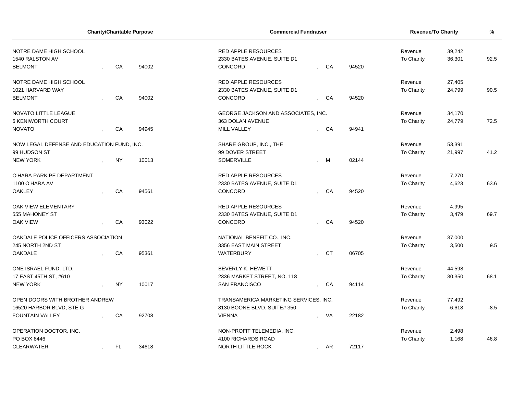| <b>Charity/Charitable Purpose</b>          |  |           | <b>Commercial Fundraiser</b> |                                       |                |           | <b>Revenue/To Charity</b> | %                 |          |        |
|--------------------------------------------|--|-----------|------------------------------|---------------------------------------|----------------|-----------|---------------------------|-------------------|----------|--------|
| NOTRE DAME HIGH SCHOOL                     |  |           |                              | <b>RED APPLE RESOURCES</b>            |                |           |                           | 39,242<br>Revenue |          |        |
| 1540 RALSTON AV                            |  |           |                              | 2330 BATES AVENUE, SUITE D1           |                |           |                           | To Charity        | 36,301   | 92.5   |
| <b>BELMONT</b>                             |  | CA        | 94002                        | CONCORD                               |                | CA        | 94520                     |                   |          |        |
| NOTRE DAME HIGH SCHOOL                     |  |           |                              | <b>RED APPLE RESOURCES</b>            |                |           |                           | Revenue           | 27,405   |        |
| 1021 HARVARD WAY                           |  |           |                              | 2330 BATES AVENUE, SUITE D1           |                |           |                           | To Charity        | 24,799   | 90.5   |
| <b>BELMONT</b>                             |  | CA        | 94002                        | CONCORD                               |                | CA        | 94520                     |                   |          |        |
| NOVATO LITTLE LEAGUE                       |  |           |                              | GEORGE JACKSON AND ASSOCIATES, INC.   |                |           |                           | Revenue           | 34,170   |        |
| <b>6 KENIWORTH COURT</b>                   |  |           |                              | 363 DOLAN AVENUE                      |                |           |                           | To Charity        | 24,779   | 72.5   |
| <b>NOVATO</b>                              |  | CA        | 94945                        | MILL VALLEY                           |                | CA        | 94941                     |                   |          |        |
| NOW LEGAL DEFENSE AND EDUCATION FUND, INC. |  |           |                              | SHARE GROUP, INC., THE                |                |           |                           | Revenue           | 53,391   |        |
| 99 HUDSON ST                               |  |           |                              | 99 DOVER STREET                       |                |           |                           | To Charity        | 21,997   | 41.2   |
| <b>NEW YORK</b>                            |  | <b>NY</b> | 10013                        | <b>SOMERVILLE</b>                     |                | M         | 02144                     |                   |          |        |
| O'HARA PARK PE DEPARTMENT                  |  |           |                              | <b>RED APPLE RESOURCES</b>            |                |           |                           | Revenue           | 7,270    |        |
| 1100 O'HARA AV                             |  |           |                              | 2330 BATES AVENUE, SUITE D1           |                |           |                           | To Charity        | 4,623    | 63.6   |
| <b>OAKLEY</b>                              |  | CA        | 94561                        | CONCORD                               |                | CA        | 94520                     |                   |          |        |
| OAK VIEW ELEMENTARY                        |  |           |                              | <b>RED APPLE RESOURCES</b>            |                |           |                           | Revenue           | 4,995    |        |
| 555 MAHONEY ST                             |  |           |                              | 2330 BATES AVENUE, SUITE D1           |                |           |                           | To Charity        | 3,479    | 69.7   |
| <b>OAK VIEW</b>                            |  | CA        | 93022                        | CONCORD                               |                | CA        | 94520                     |                   |          |        |
| OAKDALE POLICE OFFICERS ASSOCIATION        |  |           |                              | NATIONAL BENEFIT CO., INC.            |                |           |                           | Revenue           | 37,000   |        |
| 245 NORTH 2ND ST                           |  |           |                              | 3356 EAST MAIN STREET                 |                |           |                           | To Charity        | 3,500    | 9.5    |
| <b>OAKDALE</b>                             |  | CA        | 95361                        | WATERBURY                             |                | <b>CT</b> | 06705                     |                   |          |        |
| ONE ISRAEL FUND, LTD.                      |  |           |                              | BEVERLY K. HEWETT                     |                |           |                           | Revenue           | 44,598   |        |
| 17 EAST 45TH ST, #610                      |  |           |                              | 2336 MARKET STREET, NO. 118           |                |           |                           | To Charity        | 30,350   | 68.1   |
| <b>NEW YORK</b>                            |  | <b>NY</b> | 10017                        | <b>SAN FRANCISCO</b>                  |                | CA        | 94114                     |                   |          |        |
| OPEN DOORS WITH BROTHER ANDREW             |  |           |                              | TRANSAMERICA MARKETING SERVICES, INC. |                |           |                           | Revenue           | 77,492   |        |
| 16520 HARBOR BLVD, STE G                   |  |           |                              | 8130 BOONE BLVD., SUITE# 350          |                |           |                           | To Charity        | $-6,618$ | $-8.5$ |
| <b>FOUNTAIN VALLEY</b>                     |  | CA        | 92708                        | <b>VIENNA</b>                         |                | VA        | 22182                     |                   |          |        |
| OPERATION DOCTOR, INC.                     |  |           |                              | NON-PROFIT TELEMEDIA, INC.            |                |           |                           | Revenue           | 2,498    |        |
| PO BOX 8446                                |  |           |                              | 4100 RICHARDS ROAD                    |                |           |                           | <b>To Charity</b> | 1,168    | 46.8   |
| <b>CLEARWATER</b>                          |  | FL.       | 34618                        | NORTH LITTLE ROCK                     | $\overline{ }$ | AR        | 72117                     |                   |          |        |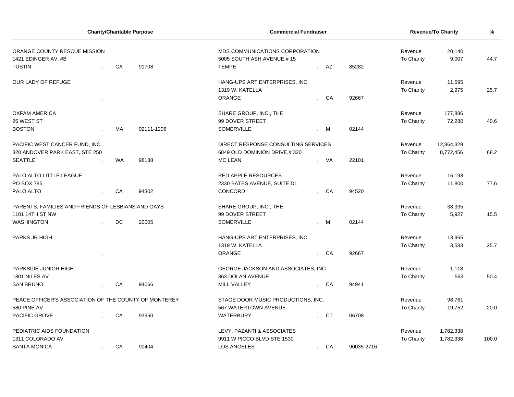| <b>Charity/Charitable Purpose</b>                     |  |           |            | <b>Commercial Fundraiser</b>        |  |           |            | <b>Revenue/To Charity</b> | %          |       |
|-------------------------------------------------------|--|-----------|------------|-------------------------------------|--|-----------|------------|---------------------------|------------|-------|
| ORANGE COUNTY RESCUE MISSION                          |  |           |            | MDS COMMUNICATIONS CORPORATION      |  |           |            | Revenue                   | 20,140     |       |
| 1421 EDINGER AV, #B                                   |  |           |            | 5005 SOUTH ASH AVENUE,#15           |  |           |            | <b>To Charity</b>         | 9,007      | 44.7  |
| <b>TUSTIN</b>                                         |  | CA        | 91708      | <b>TEMPE</b>                        |  | AZ        | 85282      |                           |            |       |
| <b>OUR LADY OF REFUGE</b>                             |  |           |            | HANG-UPS ART ENTERPRISES, INC.      |  |           |            | Revenue                   | 11,595     |       |
|                                                       |  |           |            | 1319 W. KATELLA                     |  |           |            | <b>To Charity</b>         | 2,975      | 25.7  |
|                                                       |  |           |            | ORANGE                              |  | CA        | 92667      |                           |            |       |
| <b>OXFAM AMERICA</b>                                  |  |           |            | SHARE GROUP, INC., THE              |  |           |            | Revenue                   | 177,886    |       |
| 26 WEST ST                                            |  |           |            | 99 DOVER STREET                     |  |           |            | To Charity                | 72,280     | 40.6  |
| <b>BOSTON</b>                                         |  | <b>MA</b> | 02111-1206 | <b>SOMERVILLE</b>                   |  | <b>M</b>  | 02144      |                           |            |       |
| PACIFIC WEST CANCER FUND, INC.                        |  |           |            | DIRECT RESPONSE CONSULTING SERVICES |  |           |            | Revenue                   | 12,864,329 |       |
| 320 ANDOVER PARK EAST, STE 250                        |  |           |            | 6849 OLD DOMINION DRIVE,#320        |  |           |            | To Charity                | 8,772,456  | 68.2  |
| <b>SEATTLE</b>                                        |  | <b>WA</b> | 98188      | <b>MC LEAN</b>                      |  | VA        | 22101      |                           |            |       |
| PALO ALTO LITTLE LEAGUE                               |  |           |            | <b>RED APPLE RESOURCES</b>          |  |           |            | Revenue                   | 15,198     |       |
| PO BOX 785                                            |  |           |            | 2330 BATES AVENUE, SUITE D1         |  |           |            | To Charity                | 11,800     | 77.6  |
| PALO ALTO                                             |  | CA        | 94302      | CONCORD                             |  | CA        | 94520      |                           |            |       |
| PARENTS, FAMILIES AND FRIENDS OF LESBIANS AND GAYS    |  |           |            | SHARE GROUP, INC., THE              |  |           |            | Revenue                   | 38,335     |       |
| 1101 14TH ST NW                                       |  |           |            | 99 DOVER STREET                     |  |           |            | <b>To Charity</b>         | 5,927      | 15.5  |
| <b>WASHINGTON</b>                                     |  | DC        | 20005      | <b>SOMERVILLE</b>                   |  | M         | 02144      |                           |            |       |
| PARKS JR HIGH                                         |  |           |            | HANG-UPS ART ENTERPRISES, INC.      |  |           |            | Revenue                   | 13,965     |       |
|                                                       |  |           |            | 1319 W. KATELLA                     |  |           |            | <b>To Charity</b>         | 3,583      | 25.7  |
|                                                       |  |           |            | ORANGE                              |  | CA        | 92667      |                           |            |       |
| PARKSIDE JUNIOR HIGH                                  |  |           |            | GEORGE JACKSON AND ASSOCIATES, INC. |  |           |            | Revenue                   | 1,118      |       |
| 1801 NILES AV                                         |  |           |            | 363 DOLAN AVENUE                    |  |           |            | <b>To Charity</b>         | 563        | 50.4  |
| <b>SAN BRUNO</b>                                      |  | CA        | 94066      | MILL VALLEY                         |  | CA        | 94941      |                           |            |       |
| PEACE OFFICER'S ASSOCIATION OF THE COUNTY OF MONTEREY |  |           |            | STAGE DOOR MUSIC PRODUCTIONS, INC.  |  |           |            | Revenue                   | 98,761     |       |
| 580 PINE AV                                           |  |           |            | 567 WATERTOWN AVENUE                |  |           |            | <b>To Charity</b>         | 19,752     | 20.0  |
| PACIFIC GROVE                                         |  | CA        | 93950      | <b>WATERBURY</b>                    |  | <b>CT</b> | 06708      |                           |            |       |
| PEDIATRIC AIDS FOUNDATION                             |  |           |            | LEVY, PAZANTI & ASSOCIATES          |  |           |            | Revenue                   | 1,782,338  |       |
| 1311 COLORADO AV                                      |  |           |            | 9911 W PICCO BLVD STE 1530          |  |           |            | To Charity                | 1,782,338  | 100.0 |
| <b>SANTA MONICA</b>                                   |  | CA        | 90404      | <b>LOS ANGELES</b>                  |  | CA        | 90035-2716 |                           |            |       |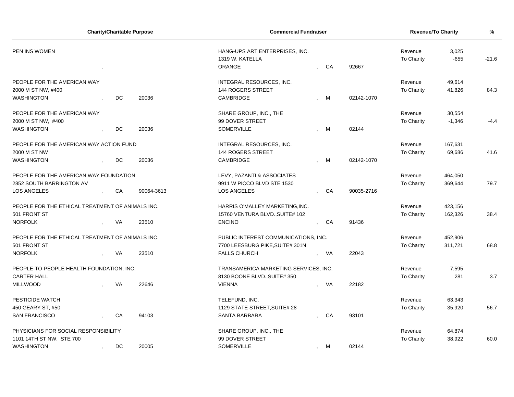| <b>Charity/Charitable Purpose</b>                |           |                        | <b>Commercial Fundraiser</b>                                |                       |                 |            | Revenue/To Charity |          | %      |
|--------------------------------------------------|-----------|------------------------|-------------------------------------------------------------|-----------------------|-----------------|------------|--------------------|----------|--------|
| PEN INS WOMEN                                    |           |                        | HANG-UPS ART ENTERPRISES, INC.<br>1319 W. KATELLA<br>ORANGE | Revenue<br>To Charity | 3,025<br>$-655$ | $-21.6$    |                    |          |        |
| PEOPLE FOR THE AMERICAN WAY                      |           |                        | INTEGRAL RESOURCES, INC.                                    |                       |                 |            | Revenue            | 49,614   |        |
| 2000 M ST NW, #400<br><b>WASHINGTON</b>          | <b>DC</b> | 20036                  | 144 ROGERS STREET<br>CAMBRIDGE                              |                       | M               | 02142-1070 | To Charity         | 41,826   | 84.3   |
| PEOPLE FOR THE AMERICAN WAY                      |           |                        | SHARE GROUP, INC., THE                                      |                       |                 |            | Revenue            | 30,554   |        |
| 2000 M ST NW, #400                               |           |                        | 99 DOVER STREET                                             |                       |                 |            | To Charity         | $-1,346$ | $-4.4$ |
| <b>WASHINGTON</b>                                | <b>DC</b> | 20036                  | SOMERVILLE                                                  |                       | M               | 02144      |                    |          |        |
| PEOPLE FOR THE AMERICAN WAY ACTION FUND          |           |                        | INTEGRAL RESOURCES, INC.                                    |                       |                 |            | Revenue            | 167,631  |        |
| 2000 M ST NW                                     |           |                        | <b>144 ROGERS STREET</b>                                    |                       |                 |            | To Charity         | 69,686   | 41.6   |
| <b>WASHINGTON</b>                                | <b>DC</b> | 20036                  | CAMBRIDGE                                                   |                       | M               | 02142-1070 |                    |          |        |
| PEOPLE FOR THE AMERICAN WAY FOUNDATION           |           |                        | LEVY, PAZANTI & ASSOCIATES                                  |                       |                 |            | Revenue            | 464,050  |        |
| 2852 SOUTH BARRINGTON AV                         |           |                        | 9911 W PICCO BLVD STE 1530                                  |                       |                 |            | To Charity         | 369,644  | 79.7   |
| LOS ANGELES<br>$\mathbf{r}$                      | CA        | 90064-3613             | LOS ANGELES                                                 |                       | CA              | 90035-2716 |                    |          |        |
| PEOPLE FOR THE ETHICAL TREATMENT OF ANIMALS INC. |           |                        | HARRIS O'MALLEY MARKETING, INC.                             |                       |                 |            | Revenue            | 423,156  |        |
| 501 FRONT ST                                     |           |                        | 15760 VENTURA BLVD., SUITE# 102                             |                       |                 |            | To Charity         | 162,326  | 38.4   |
| <b>NORFOLK</b>                                   | VA        | 23510                  | <b>ENCINO</b>                                               |                       | CA              | 91436      |                    |          |        |
| PEOPLE FOR THE ETHICAL TREATMENT OF ANIMALS INC. |           |                        | PUBLIC INTEREST COMMUNICATIONS, INC.                        |                       |                 |            | Revenue            | 452,906  |        |
| 501 FRONT ST                                     |           |                        | 7700 LEESBURG PIKE, SUITE# 301N                             |                       |                 |            | To Charity         | 311,721  | 68.8   |
| <b>NORFOLK</b>                                   | VA        | 23510                  | <b>FALLS CHURCH</b>                                         |                       | , VA            | 22043      |                    |          |        |
| PEOPLE-TO-PEOPLE HEALTH FOUNDATION, INC.         |           |                        | TRANSAMERICA MARKETING SERVICES, INC.                       |                       |                 |            | Revenue            | 7,595    |        |
| <b>CARTER HALL</b>                               |           |                        | 8130 BOONE BLVD., SUITE# 350                                |                       |                 |            | To Charity         | 281      | 3.7    |
| <b>MILLWOOD</b>                                  | VA        | 22646                  | <b>VIENNA</b>                                               |                       | - VA            | 22182      |                    |          |        |
| PESTICIDE WATCH                                  |           |                        | TELEFUND, INC.                                              |                       |                 |            | Revenue            | 63,343   |        |
| 450 GEARY ST, #50                                |           |                        | 1129 STATE STREET, SUITE# 28                                |                       |                 |            | To Charity         | 35,920   | 56.7   |
| <b>SAN FRANCISCO</b>                             | CA        | 94103                  | <b>SANTA BARBARA</b>                                        |                       | CA              | 93101      |                    |          |        |
| PHYSICIANS FOR SOCIAL RESPONSIBILITY             |           | SHARE GROUP, INC., THE |                                                             |                       |                 | Revenue    | 64,874             |          |        |
| 1101 14TH ST NW, STE 700                         |           |                        | 99 DOVER STREET                                             |                       |                 |            | <b>To Charity</b>  | 38,922   | 60.0   |
| <b>WASHINGTON</b><br>$\bullet$                   | DC        | 20005                  | <b>SOMERVILLE</b>                                           | $\mathbf{r}$          | <b>M</b>        | 02144      |                    |          |        |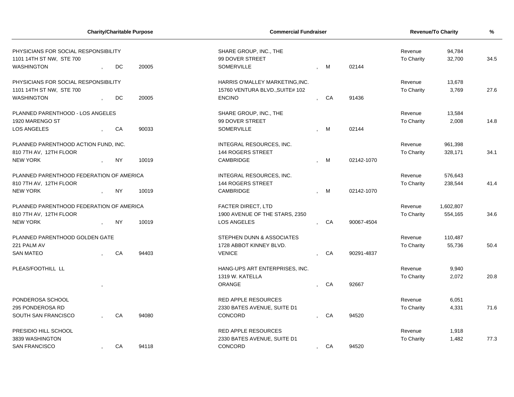|                                          |           | <b>Charity/Charitable Purpose</b> | <b>Commercial Fundraiser</b>    | Revenue/To Charity | %          |                   |           |      |
|------------------------------------------|-----------|-----------------------------------|---------------------------------|--------------------|------------|-------------------|-----------|------|
| PHYSICIANS FOR SOCIAL RESPONSIBILITY     |           |                                   | SHARE GROUP, INC., THE          |                    |            | Revenue           | 94,784    |      |
| 1101 14TH ST NW, STE 700                 |           |                                   | 99 DOVER STREET                 |                    |            | To Charity        | 32,700    | 34.5 |
| WASHINGTON                               | DC        | 20005                             | <b>SOMERVILLE</b>               | M                  | 02144      |                   |           |      |
| PHYSICIANS FOR SOCIAL RESPONSIBILITY     |           |                                   | HARRIS O'MALLEY MARKETING, INC. |                    |            | Revenue           | 13,678    |      |
| 1101 14TH ST NW, STE 700                 |           |                                   | 15760 VENTURA BLVD., SUITE# 102 |                    |            | <b>To Charity</b> | 3,769     | 27.6 |
| WASHINGTON                               | DC        | 20005                             | <b>ENCINO</b>                   | CA                 | 91436      |                   |           |      |
| PLANNED PARENTHOOD - LOS ANGELES         |           |                                   | SHARE GROUP, INC., THE          |                    |            | Revenue           | 13,584    |      |
| 1920 MARENGO ST                          |           |                                   | 99 DOVER STREET                 |                    |            | To Charity        | 2,008     | 14.8 |
| <b>LOS ANGELES</b>                       | CA        | 90033                             | <b>SOMERVILLE</b>               | M                  | 02144      |                   |           |      |
| PLANNED PARENTHOOD ACTION FUND, INC.     |           |                                   | INTEGRAL RESOURCES, INC.        |                    |            | Revenue           | 961,398   |      |
| 810 7TH AV, 12TH FLOOR                   |           |                                   | 144 ROGERS STREET               |                    |            | To Charity        | 328,171   | 34.1 |
| <b>NEW YORK</b>                          | <b>NY</b> | 10019                             | <b>CAMBRIDGE</b>                | M                  | 02142-1070 |                   |           |      |
| PLANNED PARENTHOOD FEDERATION OF AMERICA |           |                                   | INTEGRAL RESOURCES, INC.        |                    |            | Revenue           | 576,643   |      |
| 810 7TH AV, 12TH FLOOR                   |           |                                   | 144 ROGERS STREET               |                    |            | To Charity        | 238,544   | 41.4 |
| <b>NEW YORK</b>                          | <b>NY</b> | 10019                             | CAMBRIDGE                       | M                  | 02142-1070 |                   |           |      |
| PLANNED PARENTHOOD FEDERATION OF AMERICA |           |                                   | <b>FACTER DIRECT, LTD</b>       |                    |            | Revenue           | 1,602,807 |      |
| 810 7TH AV, 12TH FLOOR                   |           |                                   | 1900 AVENUE OF THE STARS, 2350  |                    |            | To Charity        | 554,165   | 34.6 |
| <b>NEW YORK</b>                          | <b>NY</b> | 10019                             | <b>LOS ANGELES</b>              | CA                 | 90067-4504 |                   |           |      |
| PLANNED PARENTHOOD GOLDEN GATE           |           |                                   | STEPHEN DUNN & ASSOCIATES       |                    |            | Revenue           | 110,487   |      |
| 221 PALM AV                              |           |                                   | 1728 ABBOT KINNEY BLVD.         |                    |            | To Charity        | 55,736    | 50.4 |
| <b>SAN MATEO</b>                         | CA        | 94403                             | <b>VENICE</b>                   | CA                 | 90291-4837 |                   |           |      |
| PLEAS/FOOTHILL LL                        |           |                                   | HANG-UPS ART ENTERPRISES, INC.  |                    |            | Revenue           | 9,940     |      |
|                                          |           |                                   | 1319 W. KATELLA                 |                    |            | <b>To Charity</b> | 2,072     | 20.8 |
|                                          |           |                                   | <b>ORANGE</b>                   | CA                 | 92667      |                   |           |      |
| PONDEROSA SCHOOL                         |           |                                   | <b>RED APPLE RESOURCES</b>      |                    |            | Revenue           | 6,051     |      |
| 295 PONDEROSA RD                         |           |                                   | 2330 BATES AVENUE, SUITE D1     |                    |            | To Charity        | 4,331     | 71.6 |
| SOUTH SAN FRANCISCO                      | CA        | 94080                             | CONCORD                         | CA                 | 94520      |                   |           |      |
| PRESIDIO HILL SCHOOL                     |           |                                   | <b>RED APPLE RESOURCES</b>      |                    |            | Revenue           | 1,918     |      |
| 3839 WASHINGTON                          |           |                                   | 2330 BATES AVENUE, SUITE D1     |                    |            | To Charity        | 1,482     | 77.3 |
| <b>SAN FRANCISCO</b>                     | CA        | 94118                             | CONCORD                         | CA                 | 94520      |                   |           |      |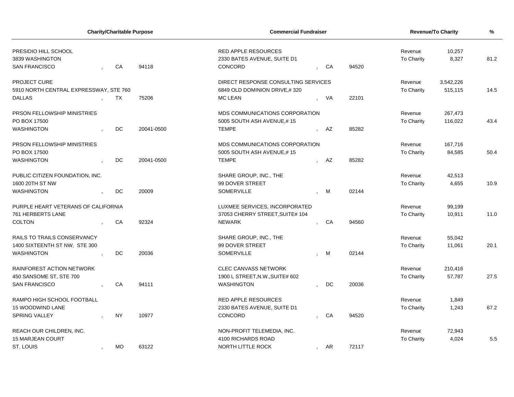| <b>Charity/Charitable Purpose</b>      |           |            |                                     | <b>Commercial Fundraiser</b> |      |       |                   | <b>Revenue/To Charity</b> |      |  |
|----------------------------------------|-----------|------------|-------------------------------------|------------------------------|------|-------|-------------------|---------------------------|------|--|
| PRESIDIO HILL SCHOOL                   |           |            | <b>RED APPLE RESOURCES</b>          |                              |      |       | Revenue           | 10,257                    |      |  |
| 3839 WASHINGTON                        |           |            | 2330 BATES AVENUE, SUITE D1         |                              |      |       | To Charity        | 8,327                     | 81.2 |  |
| <b>SAN FRANCISCO</b>                   | CA        | 94118      | CONCORD                             | , CA                         |      | 94520 |                   |                           |      |  |
| PROJECT CURE                           |           |            | DIRECT RESPONSE CONSULTING SERVICES |                              |      |       | Revenue           | 3,542,226                 |      |  |
| 5910 NORTH CENTRAL EXPRESSWAY, STE 760 |           |            | 6849 OLD DOMINION DRIVE,#320        |                              |      |       | <b>To Charity</b> | 515,115                   | 14.5 |  |
| <b>DALLAS</b>                          | TX        | 75206      | <b>MC LEAN</b>                      |                              | - VA | 22101 |                   |                           |      |  |
| <b>PRSON FELLOWSHIP MINISTRIES</b>     |           |            | MDS COMMUNICATIONS CORPORATION      |                              |      |       | Revenue           | 267,473                   |      |  |
| PO BOX 17500                           |           |            | 5005 SOUTH ASH AVENUE,#15           |                              |      |       | <b>To Charity</b> | 116,022                   | 43.4 |  |
| <b>WASHINGTON</b>                      | DC        | 20041-0500 | <b>TEMPE</b>                        |                              | AZ   | 85282 |                   |                           |      |  |
| PRSON FELLOWSHIP MINISTRIES            |           |            | MDS COMMUNICATIONS CORPORATION      |                              |      |       | Revenue           | 167,716                   |      |  |
| PO BOX 17500                           |           |            | 5005 SOUTH ASH AVENUE,#15           |                              |      |       | <b>To Charity</b> | 84,585                    | 50.4 |  |
| <b>WASHINGTON</b>                      | DC        | 20041-0500 | <b>TEMPE</b>                        |                              | AZ   | 85282 |                   |                           |      |  |
| PUBLIC CITIZEN FOUNDATION, INC.        |           |            | SHARE GROUP, INC., THE              |                              |      |       | Revenue           | 42,513                    |      |  |
| 1600 20TH ST NW                        |           |            | 99 DOVER STREET                     |                              |      |       | <b>To Charity</b> | 4,655                     | 10.9 |  |
| <b>WASHINGTON</b>                      | DC.       | 20009      | SOMERVILLE                          |                              | M    | 02144 |                   |                           |      |  |
| PURPLE HEART VETERANS OF CALIFORNIA    |           |            | LUXMEE SERVICES, INCORPORATED       |                              |      |       | Revenue           | 99,199                    |      |  |
| 761 HERBERTS LANE                      |           |            | 37053 CHERRY STREET, SUITE# 104     |                              |      |       | To Charity        | 10,911                    | 11.0 |  |
| <b>COLTON</b>                          | CA        | 92324      | <b>NEWARK</b>                       |                              | CA   | 94560 |                   |                           |      |  |
| RAILS TO TRAILS CONSERVANCY            |           |            | SHARE GROUP, INC., THE              |                              |      |       | Revenue           | 55,042                    |      |  |
| 1400 SIXTEENTH ST NW, STE 300          |           |            | 99 DOVER STREET                     |                              |      |       | To Charity        | 11,061                    | 20.1 |  |
| <b>WASHINGTON</b>                      | DC        | 20036      | SOMERVILLE                          |                              | M    | 02144 |                   |                           |      |  |
| <b>RAINFOREST ACTION NETWORK</b>       |           |            | <b>CLEC CANVASS NETWORK</b>         |                              |      |       | Revenue           | 210,416                   |      |  |
| 450 SANSOME ST, STE 700                |           |            | 1900 L STREET, N.W., SUITE# 602     |                              |      |       | To Charity        | 57,787                    | 27.5 |  |
| <b>SAN FRANCISCO</b>                   | CA        | 94111      | <b>WASHINGTON</b>                   |                              | DC   | 20036 |                   |                           |      |  |
| RAMPO HIGH SCHOOL FOOTBALL             |           |            | <b>RED APPLE RESOURCES</b>          |                              |      |       | Revenue           | 1,849                     |      |  |
| 15 WOODWIND LANE                       |           |            | 2330 BATES AVENUE, SUITE D1         |                              |      |       | To Charity        | 1,243                     | 67.2 |  |
| <b>SPRING VALLEY</b>                   | <b>NY</b> | 10977      | CONCORD                             |                              | CA   | 94520 |                   |                           |      |  |
| REACH OUR CHILDREN, INC.               |           |            | NON-PROFIT TELEMEDIA, INC.          |                              |      |       | Revenue           | 72,943                    |      |  |
| <b>15 MARJEAN COURT</b>                |           |            | 4100 RICHARDS ROAD                  |                              |      |       | To Charity        | 4,024                     | 5.5  |  |
| ST. LOUIS                              | <b>MO</b> | 63122      | NORTH LITTLE ROCK                   | $\overline{1}$               | AR   | 72117 |                   |                           |      |  |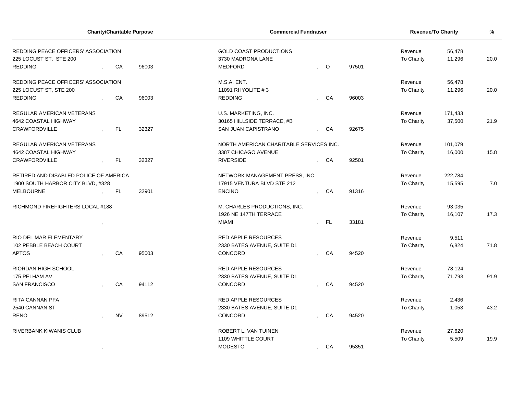| <b>Charity/Charitable Purpose</b>                                               |  |           | <b>Commercial Fundraiser</b> | <b>Revenue/To Charity</b>                                            | %       |       |                       |         |      |
|---------------------------------------------------------------------------------|--|-----------|------------------------------|----------------------------------------------------------------------|---------|-------|-----------------------|---------|------|
| REDDING PEACE OFFICERS' ASSOCIATION<br>225 LOCUST ST, STE 200<br><b>REDDING</b> |  | CA        | 96003                        | <b>GOLD COAST PRODUCTIONS</b><br>3730 MADRONA LANE<br><b>MEDFORD</b> | $\circ$ | 97501 | Revenue<br>To Charity | 20.0    |      |
| REDDING PEACE OFFICERS' ASSOCIATION                                             |  |           |                              | M.S.A. ENT.                                                          |         |       | Revenue               | 56,478  |      |
| 225 LOCUST ST, STE 200                                                          |  |           |                              | 11091 RHYOLITE #3                                                    |         |       | To Charity            | 11,296  | 20.0 |
| <b>REDDING</b>                                                                  |  | CA        | 96003                        | <b>REDDING</b>                                                       | CA      | 96003 |                       |         |      |
| REGULAR AMERICAN VETERANS                                                       |  |           |                              | U.S. MARKETING, INC.                                                 |         |       | Revenue               | 171,433 |      |
| 4642 COASTAL HIGHWAY                                                            |  |           |                              | 30165 HILLSIDE TERRACE, #B                                           |         |       | To Charity            | 37,500  | 21.9 |
| <b>CRAWFORDVILLE</b>                                                            |  | FL.       | 32327                        | SAN JUAN CAPISTRANO                                                  | CA      | 92675 |                       |         |      |
| REGULAR AMERICAN VETERANS                                                       |  |           |                              | NORTH AMERICAN CHARITABLE SERVICES INC.                              |         |       | Revenue               | 101,079 |      |
| 4642 COASTAL HIGHWAY                                                            |  |           |                              | 3387 CHICAGO AVENUE                                                  |         |       | To Charity            | 16,000  | 15.8 |
| <b>CRAWFORDVILLE</b>                                                            |  | FL.       | 32327                        | <b>RIVERSIDE</b>                                                     | CA      | 92501 |                       |         |      |
| RETIRED AND DISABLED POLICE OF AMERICA                                          |  |           |                              | NETWORK MANAGEMENT PRESS, INC.                                       |         |       | Revenue               | 222,784 |      |
| 1900 SOUTH HARBOR CITY BLVD, #328                                               |  |           |                              | 17915 VENTURA BLVD STE 212                                           |         |       | To Charity            | 15,595  | 7.0  |
| <b>MELBOURNE</b>                                                                |  | FL.       | 32901                        | <b>ENCINO</b>                                                        | CA      | 91316 |                       |         |      |
| RICHMOND FIREFIGHTERS LOCAL #188                                                |  |           |                              | M. CHARLES PRODUCTIONS, INC.                                         |         |       | Revenue               | 93,035  |      |
|                                                                                 |  |           |                              | 1926 NE 147TH TERRACE                                                |         |       | To Charity            | 16,107  | 17.3 |
|                                                                                 |  |           |                              | <b>MIAMI</b>                                                         | - FL    | 33181 |                       |         |      |
| RIO DEL MAR ELEMENTARY                                                          |  |           |                              | <b>RED APPLE RESOURCES</b>                                           |         |       | Revenue               | 9,511   |      |
| 102 PEBBLE BEACH COURT                                                          |  |           |                              | 2330 BATES AVENUE, SUITE D1                                          |         |       | To Charity            | 6,824   | 71.8 |
| <b>APTOS</b>                                                                    |  | CA        | 95003                        | CONCORD                                                              | CA      | 94520 |                       |         |      |
| RIORDAN HIGH SCHOOL                                                             |  |           |                              | <b>RED APPLE RESOURCES</b>                                           |         |       | Revenue               | 78,124  |      |
| 175 PELHAM AV                                                                   |  |           |                              | 2330 BATES AVENUE, SUITE D1                                          |         |       | To Charity            | 71,793  | 91.9 |
| <b>SAN FRANCISCO</b>                                                            |  | CA        | 94112                        | CONCORD                                                              | CA      | 94520 |                       |         |      |
| RITA CANNAN PFA                                                                 |  |           |                              | <b>RED APPLE RESOURCES</b>                                           |         |       | Revenue               | 2,436   |      |
| 2540 CANNAN ST                                                                  |  |           |                              | 2330 BATES AVENUE, SUITE D1                                          |         |       | To Charity            | 1,053   | 43.2 |
| <b>RENO</b>                                                                     |  | <b>NV</b> | 89512                        | CONCORD                                                              | CA      | 94520 |                       |         |      |
| RIVERBANK KIWANIS CLUB                                                          |  |           |                              | ROBERT L. VAN TUINEN                                                 |         |       | Revenue               | 27,620  |      |
|                                                                                 |  |           |                              | 1109 WHITTLE COURT                                                   |         |       | <b>To Charity</b>     | 5,509   | 19.9 |
|                                                                                 |  |           |                              | <b>MODESTO</b>                                                       | CA      | 95351 |                       |         |      |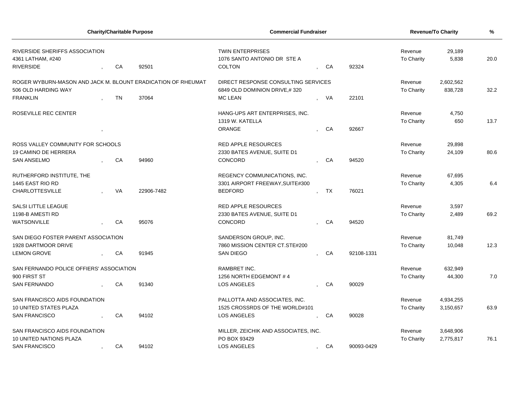| <b>Charity/Charitable Purpose</b>                            |  |           |            | <b>Commercial Fundraiser</b>         | <b>Revenue/To Charity</b> | %          |                   |           |      |
|--------------------------------------------------------------|--|-----------|------------|--------------------------------------|---------------------------|------------|-------------------|-----------|------|
| RIVERSIDE SHERIFFS ASSOCIATION                               |  |           |            | <b>TWIN ENTERPRISES</b>              |                           |            | Revenue           | 29,189    |      |
| 4361 LATHAM, #240                                            |  |           |            | 1076 SANTO ANTONIO DR STE A          |                           |            | To Charity        | 5,838     | 20.0 |
| <b>RIVERSIDE</b>                                             |  | CA        | 92501      | <b>COLTON</b>                        | , CA                      | 92324      |                   |           |      |
| ROGER WYBURN-MASON AND JACK M. BLOUNT ERADICATION OF RHEUMAT |  |           |            | DIRECT RESPONSE CONSULTING SERVICES  |                           |            | Revenue           | 2,602,562 |      |
| 506 OLD HARDING WAY                                          |  |           |            | 6849 OLD DOMINION DRIVE,#320         |                           |            | To Charity        | 838,728   | 32.2 |
| <b>FRANKLIN</b>                                              |  | <b>TN</b> | 37064      | <b>MC LEAN</b>                       | VA                        | 22101      |                   |           |      |
| ROSEVILLE REC CENTER                                         |  |           |            | HANG-UPS ART ENTERPRISES, INC.       |                           |            | Revenue           | 4,750     |      |
|                                                              |  |           |            | 1319 W. KATELLA                      |                           |            | <b>To Charity</b> | 650       | 13.7 |
|                                                              |  |           |            | <b>ORANGE</b>                        | CA                        | 92667      |                   |           |      |
| ROSS VALLEY COMMUNITY FOR SCHOOLS                            |  |           |            | <b>RED APPLE RESOURCES</b>           |                           |            | Revenue           | 29,898    |      |
| 19 CAMINO DE HERRERA                                         |  |           |            | 2330 BATES AVENUE, SUITE D1          |                           |            | <b>To Charity</b> | 24,109    | 80.6 |
| <b>SAN ANSELMO</b>                                           |  | CA        | 94960      | CONCORD                              | CA                        | 94520      |                   |           |      |
| RUTHERFORD INSTITUTE, THE                                    |  |           |            | REGENCY COMMUNICATIONS, INC.         |                           |            | Revenue           | 67,695    |      |
| 1445 EAST RIO RD                                             |  |           |            | 3301 AIRPORT FREEWAY, SUITE#300      |                           |            | <b>To Charity</b> | 4,305     | 6.4  |
| <b>CHARLOTTESVILLE</b>                                       |  | VA        | 22906-7482 | <b>BEDFORD</b>                       | TX                        | 76021      |                   |           |      |
| <b>SALSI LITTLE LEAGUE</b>                                   |  |           |            | <b>RED APPLE RESOURCES</b>           |                           |            | Revenue           | 3,597     |      |
| 1198-B AMESTI RD                                             |  |           |            | 2330 BATES AVENUE, SUITE D1          |                           |            | <b>To Charity</b> | 2,489     | 69.2 |
| WATSONVILLE                                                  |  | CA        | 95076      | CONCORD                              | CA                        | 94520      |                   |           |      |
| SAN DIEGO FOSTER PARENT ASSOCIATION                          |  |           |            | SANDERSON GROUP, INC.                |                           |            | Revenue           | 81,749    |      |
| 1928 DARTMOOR DRIVE                                          |  |           |            | 7860 MISSION CENTER CT.STE#200       |                           |            | To Charity        | 10,048    | 12.3 |
| <b>LEMON GROVE</b>                                           |  | CA        | 91945      | <b>SAN DIEGO</b>                     | CA                        | 92108-1331 |                   |           |      |
| SAN FERNANDO POLICE OFFIERS' ASSOCIATION                     |  |           |            | <b>RAMBRET INC.</b>                  |                           |            | Revenue           | 632,949   |      |
| 900 FIRST ST                                                 |  |           |            | 1256 NORTH EDGEMONT #4               |                           |            | <b>To Charity</b> | 44,300    | 7.0  |
| <b>SAN FERNANDO</b>                                          |  | CA        | 91340      | <b>LOS ANGELES</b>                   | <b>CA</b>                 | 90029      |                   |           |      |
| SAN FRANCISCO AIDS FOUNDATION                                |  |           |            | PALLOTTA AND ASSOCIATES, INC.        |                           |            | Revenue           | 4,934,255 |      |
| 10 UNITED STATES PLAZA                                       |  |           |            | 1525 CROSSRDS OF THE WORLD#101       |                           |            | To Charity        | 3,150,657 | 63.9 |
| <b>SAN FRANCISCO</b>                                         |  | CA        | 94102      | <b>LOS ANGELES</b>                   | CA                        | 90028      |                   |           |      |
| SAN FRANCISCO AIDS FOUNDATION                                |  |           |            | MILLER, ZEICHIK AND ASSOCIATES, INC. |                           |            | Revenue           | 3,648,906 |      |
| 10 UNITED NATIONS PLAZA                                      |  |           |            | PO BOX 93429                         |                           |            | To Charity        | 2,775,817 | 76.1 |
| <b>SAN FRANCISCO</b>                                         |  | CA        | 94102      | <b>LOS ANGELES</b>                   | CA                        | 90093-0429 |                   |           |      |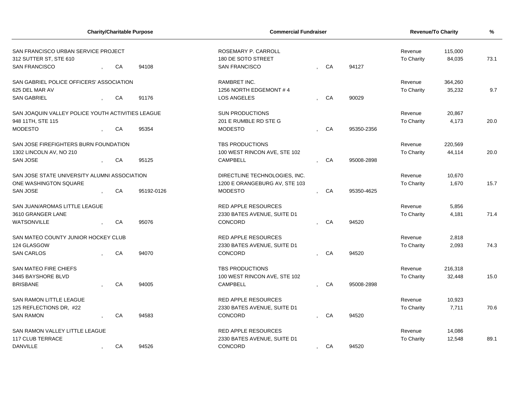| <b>Charity/Charitable Purpose</b><br>SAN FRANCISCO URBAN SERVICE PROJECT |  |    |            | <b>Commercial Fundraiser</b>                                      |         | Revenue/To Charity |            |                       |                   |      |
|--------------------------------------------------------------------------|--|----|------------|-------------------------------------------------------------------|---------|--------------------|------------|-----------------------|-------------------|------|
| 312 SUTTER ST, STE 610<br><b>SAN FRANCISCO</b>                           |  | CA | 94108      | ROSEMARY P. CARROLL<br>180 DE SOTO STREET<br><b>SAN FRANCISCO</b> |         | CA                 | 94127      | Revenue<br>To Charity | 115,000<br>84,035 | 73.1 |
|                                                                          |  |    |            |                                                                   |         |                    |            |                       |                   |      |
| SAN GABRIEL POLICE OFFICERS' ASSOCIATION                                 |  |    |            | RAMBRET INC.                                                      |         |                    |            | Revenue               | 364,260           |      |
| 625 DEL MAR AV                                                           |  |    |            | 1256 NORTH EDGEMONT #4                                            |         |                    |            | To Charity            | 35,232            | 9.7  |
| <b>SAN GABRIEL</b>                                                       |  | CA | 91176      | <b>LOS ANGELES</b>                                                |         | CA                 | 90029      |                       |                   |      |
| SAN JOAQUIN VALLEY POLICE YOUTH ACTIVITIES LEAGUE                        |  |    |            | <b>SUN PRODUCTIONS</b>                                            |         |                    |            | Revenue               | 20,867            |      |
| 948 11TH, STE 115                                                        |  |    |            | 201 E RUMBLE RD STE G                                             |         |                    |            | To Charity            | 4,173             | 20.0 |
| <b>MODESTO</b>                                                           |  | CA | 95354      | <b>MODESTO</b>                                                    |         | CA                 | 95350-2356 |                       |                   |      |
| SAN JOSE FIREFIGHTERS BURN FOUNDATION                                    |  |    |            | TBS PRODUCTIONS                                                   |         |                    |            | Revenue               | 220,569           |      |
| 1302 LINCOLN AV, NO 210                                                  |  |    |            | 100 WEST RINCON AVE, STE 102                                      |         |                    |            | To Charity            | 44,114            | 20.0 |
| <b>SAN JOSE</b>                                                          |  | CA | 95125      | <b>CAMPBELL</b>                                                   |         | CA                 | 95008-2898 |                       |                   |      |
| SAN JOSE STATE UNIVERSITY ALUMNI ASSOCIATION                             |  |    |            | DIRECTLINE TECHNOLOGIES, INC.                                     |         |                    |            | Revenue               | 10,670            |      |
| ONE WASHINGTON SQUARE                                                    |  |    |            | 1200 E ORANGEBURG AV, STE 103                                     |         |                    |            | To Charity            | 1,670             | 15.7 |
| <b>SAN JOSE</b>                                                          |  | CA | 95192-0126 | <b>MODESTO</b>                                                    |         | CA                 | 95350-4625 |                       |                   |      |
| SAN JUAN/AROMAS LITTLE LEAGUE                                            |  |    |            | <b>RED APPLE RESOURCES</b>                                        |         |                    |            | Revenue               | 5,856             |      |
| 3610 GRANGER LANE                                                        |  |    |            | 2330 BATES AVENUE, SUITE D1                                       |         |                    |            | To Charity            | 4,181             | 71.4 |
| <b>WATSONVILLE</b>                                                       |  | CA | 95076      | CONCORD                                                           |         | CA                 | 94520      |                       |                   |      |
| SAN MATEO COUNTY JUNIOR HOCKEY CLUB                                      |  |    |            | <b>RED APPLE RESOURCES</b>                                        |         |                    |            | Revenue               | 2,818             |      |
| 124 GLASGOW                                                              |  |    |            | 2330 BATES AVENUE, SUITE D1                                       |         |                    |            | To Charity            | 2,093             | 74.3 |
| <b>SAN CARLOS</b>                                                        |  | CA | 94070      | CONCORD                                                           |         | CA                 | 94520      |                       |                   |      |
| <b>SAN MATEO FIRE CHIEFS</b>                                             |  |    |            | <b>TBS PRODUCTIONS</b>                                            |         |                    |            | Revenue               | 216,318           |      |
| 3445 BAYSHORE BLVD                                                       |  |    |            | 100 WEST RINCON AVE, STE 102                                      |         |                    |            | To Charity            | 32,448            | 15.0 |
| <b>BRISBANE</b>                                                          |  | CA | 94005      | <b>CAMPBELL</b>                                                   |         | CA                 | 95008-2898 |                       |                   |      |
| SAN RAMON LITTLE LEAGUE                                                  |  |    |            | <b>RED APPLE RESOURCES</b>                                        |         |                    |            | Revenue               | 10,923            |      |
| 125 REFLECTIONS DR, #22                                                  |  |    |            | 2330 BATES AVENUE, SUITE D1                                       |         |                    |            | To Charity            | 7,711             | 70.6 |
| <b>SAN RAMON</b>                                                         |  | CA | 94583      | CONCORD                                                           |         | CA                 | 94520      |                       |                   |      |
| SAN RAMON VALLEY LITTLE LEAGUE                                           |  |    |            | <b>RED APPLE RESOURCES</b>                                        |         |                    |            | Revenue               | 14,086            |      |
| 117 CLUB TERRACE                                                         |  |    |            | 2330 BATES AVENUE, SUITE D1                                       |         |                    |            | To Charity            | 12,548            | 89.1 |
| <b>DANVILLE</b>                                                          |  | CA | 94526      | CONCORD                                                           | $\cdot$ | CA                 | 94520      |                       |                   |      |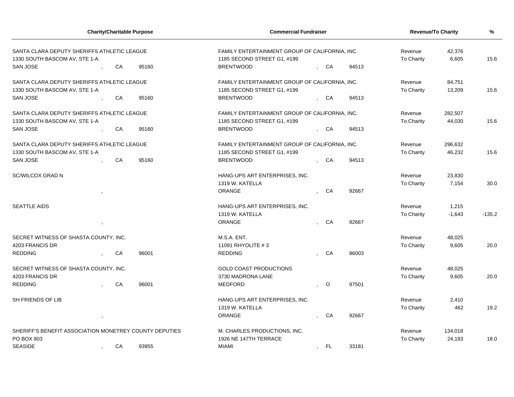|                                                                              | <b>Charity/Charitable Purpose</b> |       |                                                                               | <b>Commercial Fundraiser</b> |         | <b>Revenue/To Charity</b> |                 | $\frac{9}{6}$ |
|------------------------------------------------------------------------------|-----------------------------------|-------|-------------------------------------------------------------------------------|------------------------------|---------|---------------------------|-----------------|---------------|
| SANTA CLARA DEPUTY SHERIFFS ATHLETIC LEAGUE<br>1330 SOUTH BASCOM AV, STE 1-A |                                   |       | FAMILY ENTERTAINMENT GROUP OF CALIFORNIA, INC.<br>1185 SECOND STREET G1, #199 |                              |         | Revenue<br>To Charity     | 42,376<br>6,605 | 15.6          |
| SAN JOSE                                                                     | CA                                | 95160 | <b>BRENTWOOD</b>                                                              | , CA                         | 94513   |                           |                 |               |
| SANTA CLARA DEPUTY SHERIFFS ATHLETIC LEAGUE                                  |                                   |       | FAMILY ENTERTAINMENT GROUP OF CALIFORNIA, INC.                                |                              |         | Revenue                   | 84,751          |               |
| 1330 SOUTH BASCOM AV, STE 1-A                                                |                                   |       | 1185 SECOND STREET G1, #199                                                   |                              |         | To Charity                | 13,209          | 15.6          |
| <b>SAN JOSE</b>                                                              | CA                                | 95160 | <b>BRENTWOOD</b>                                                              | CA                           | 94513   |                           |                 |               |
| SANTA CLARA DEPUTY SHERIFFS ATHLETIC LEAGUE                                  |                                   |       | FAMILY ENTERTAINMENT GROUP OF CALIFORNIA, INC.                                |                              |         | Revenue                   | 282,507         | 15.6          |
| 1330 SOUTH BASCOM AV, STE 1-A<br>SAN JOSE                                    | CA                                | 95160 | 1185 SECOND STREET G1, #199<br><b>BRENTWOOD</b>                               | CA                           | 94513   | To Charity                | 44,030          |               |
|                                                                              |                                   |       |                                                                               |                              |         |                           |                 |               |
| SANTA CLARA DEPUTY SHERIFFS ATHLETIC LEAGUE                                  |                                   |       | FAMILY ENTERTAINMENT GROUP OF CALIFORNIA, INC.                                |                              |         | Revenue                   | 296,632         |               |
| 1330 SOUTH BASCOM AV, STE 1-A                                                |                                   |       | 1185 SECOND STREET G1, #199                                                   |                              |         | To Charity                | 46,232          | 15.6          |
| SAN JOSE                                                                     | CA                                | 95160 | <b>BRENTWOOD</b>                                                              | CA                           | 94513   |                           |                 |               |
| <b>SC/WILCOX GRAD N</b>                                                      |                                   |       | HANG-UPS ART ENTERPRISES, INC.                                                |                              |         | Revenue                   | 23,830          |               |
|                                                                              |                                   |       | 1319 W. KATELLA                                                               |                              |         | To Charity                | 7,154           | 30.0          |
|                                                                              |                                   |       | ORANGE                                                                        | CA                           | 92667   |                           |                 |               |
| <b>SEATTLE AIDS</b>                                                          |                                   |       | HANG-UPS ART ENTERPRISES, INC.                                                |                              |         | Revenue                   | 1,215           |               |
|                                                                              |                                   |       | 1319 W. KATELLA                                                               |                              |         | To Charity                | $-1,643$        | $-135.2$      |
|                                                                              |                                   |       | ORANGE                                                                        | CA                           | 92667   |                           |                 |               |
|                                                                              |                                   |       |                                                                               |                              |         |                           |                 |               |
| SECRET WITNESS OF SHASTA COUNTY, INC.                                        |                                   |       | M.S.A. ENT.                                                                   |                              |         | Revenue                   | 48,025          |               |
| 4203 FRANCIS DR                                                              |                                   |       | 11091 RHYOLITE #3                                                             |                              |         | To Charity                | 9,605           | 20.0          |
| <b>REDDING</b>                                                               | CA                                | 96001 | <b>REDDING</b>                                                                | CA                           | 96003   |                           |                 |               |
| SECRET WITNESS OF SHASTA COUNTY, INC.                                        |                                   |       | <b>GOLD COAST PRODUCTIONS</b>                                                 |                              |         | Revenue                   | 48,025          |               |
| 4203 FRANCIS DR                                                              |                                   |       | 3730 MADRONA LANE                                                             |                              |         | To Charity                | 9.605           | 20.0          |
| <b>REDDING</b>                                                               | CA                                | 96001 | MEDFORD                                                                       | $\circ$                      | 97501   |                           |                 |               |
| SH FRIENDS OF LIB                                                            |                                   |       | HANG-UPS ART ENTERPRISES, INC.                                                |                              |         | Revenue                   | 2,410           |               |
|                                                                              |                                   |       | 1319 W. KATELLA                                                               |                              |         | To Charity                | 462             | 19.2          |
|                                                                              |                                   |       | <b>ORANGE</b>                                                                 | CA                           | 92667   |                           |                 |               |
|                                                                              |                                   |       | M. CHARLES PRODUCTIONS, INC.                                                  |                              | Revenue |                           |                 |               |
| SHERIFF'S BENEFIT ASSOCIATION MONETREY COUNTY DEPUTIES<br>PO BOX 803         |                                   |       | 1926 NE 147TH TERRACE                                                         |                              |         |                           | 134,018         | 18.0          |
| <b>SEASIDE</b>                                                               | <b>MIAMI</b>                      | FL.   | 33181                                                                         | To Charity                   | 24,183  |                           |                 |               |
|                                                                              | ${\sf CA}$                        | 93955 |                                                                               | $\cdot$                      |         |                           |                 |               |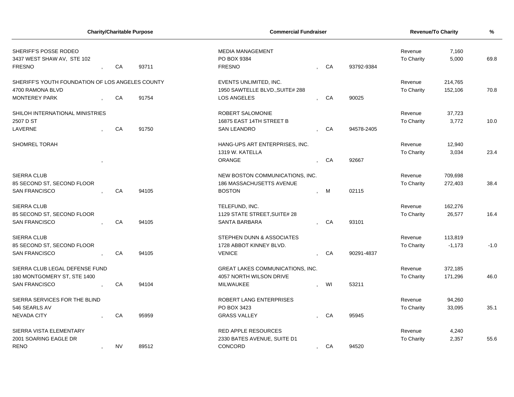| <b>Charity/Charitable Purpose</b>                   |  |           | <b>Commercial Fundraiser</b> |                                                       | Revenue/To Charity       | $\frac{9}{6}$ |            |                       |                |        |
|-----------------------------------------------------|--|-----------|------------------------------|-------------------------------------------------------|--------------------------|---------------|------------|-----------------------|----------------|--------|
| SHERIFF'S POSSE RODEO<br>3437 WEST SHAW AV, STE 102 |  |           |                              | <b>MEDIA MANAGEMENT</b><br>PO BOX 9384                |                          |               |            | Revenue<br>To Charity | 7,160<br>5,000 | 69.8   |
| <b>FRESNO</b>                                       |  | CA        | 93711                        | <b>FRESNO</b>                                         |                          | CA            | 93792-9384 |                       |                |        |
| SHERIFF'S YOUTH FOUNDATION OF LOS ANGELES COUNTY    |  |           |                              | EVENTS UNLIMITED, INC.                                |                          |               |            | Revenue               | 214,765        |        |
| 4700 RAMONA BLVD<br><b>MONTEREY PARK</b>            |  | CA        | 91754                        | 1950 SAWTELLE BLVD., SUITE# 288<br><b>LOS ANGELES</b> |                          | CA            | 90025      | To Charity            | 152,106        | 70.8   |
| SHILOH INTERNATIONAL MINISTRIES                     |  |           |                              | ROBERT SALOMONIE                                      |                          |               |            | Revenue               | 37,723         |        |
| 2507 D ST<br>LAVERNE                                |  | CA        | 91750                        | 16875 EAST 14TH STREET B<br><b>SAN LEANDRO</b>        |                          | CA            | 94578-2405 | To Charity            | 3,772          | 10.0   |
| <b>SHOMREL TORAH</b>                                |  |           |                              | HANG-UPS ART ENTERPRISES, INC.                        |                          |               |            | Revenue               | 12,940         |        |
|                                                     |  |           |                              | 1319 W. KATELLA<br><b>ORANGE</b>                      |                          | CA            | 92667      | To Charity            | 3,034          | 23.4   |
|                                                     |  |           |                              |                                                       |                          |               |            |                       |                |        |
| <b>SIERRA CLUB</b>                                  |  |           |                              | NEW BOSTON COMMUNICATIONS, INC.                       |                          |               |            | Revenue               | 709,698        |        |
| 85 SECOND ST, SECOND FLOOR<br><b>SAN FRANCISCO</b>  |  | CA        | 94105                        | 186 MASSACHUSETTS AVENUE<br><b>BOSTON</b>             |                          | M             | 02115      | To Charity            | 272,403        | 38.4   |
| <b>SIERRA CLUB</b>                                  |  |           |                              | TELEFUND, INC.                                        |                          |               |            | Revenue               | 162,276        |        |
| 85 SECOND ST, SECOND FLOOR<br><b>SAN FRANCISCO</b>  |  | CA        | 94105                        | 1129 STATE STREET, SUITE# 28<br><b>SANTA BARBARA</b>  |                          | CA            | 93101      | To Charity            | 26,577         | 16.4   |
| <b>SIERRA CLUB</b>                                  |  |           |                              | STEPHEN DUNN & ASSOCIATES                             |                          |               |            | Revenue               | 113,819        |        |
| 85 SECOND ST, SECOND FLOOR                          |  |           |                              | 1728 ABBOT KINNEY BLVD.                               |                          |               |            | To Charity            | $-1,173$       | $-1.0$ |
| <b>SAN FRANCISCO</b>                                |  | CA        | 94105                        | <b>VENICE</b>                                         |                          | CA            | 90291-4837 |                       |                |        |
| SIERRA CLUB LEGAL DEFENSE FUND                      |  |           |                              | <b>GREAT LAKES COMMUNICATIONS, INC.</b>               |                          |               |            | Revenue               | 372,185        |        |
| 180 MONTGOMERY ST, STE 1400<br><b>SAN FRANCISCO</b> |  | CA        | 94104                        | 4057 NORTH WILSON DRIVE<br>MILWAUKEE                  |                          | WI            | 53211      | To Charity            | 171,296        | 46.0   |
| SIERRA SERVICES FOR THE BLIND                       |  |           |                              | ROBERT LANG ENTERPRISES                               |                          |               |            | Revenue               | 94,260         |        |
| 546 SEARLS AV                                       |  |           |                              | PO BOX 3423                                           |                          |               |            | <b>To Charity</b>     | 33,095         | 35.1   |
| <b>NEVADA CITY</b>                                  |  | CA        | 95959                        | <b>GRASS VALLEY</b>                                   |                          | CA            | 95945      |                       |                |        |
| SIERRA VISTA ELEMENTARY                             |  |           |                              | <b>RED APPLE RESOURCES</b>                            |                          |               |            | Revenue               | 4,240          |        |
| 2001 SOARING EAGLE DR                               |  |           |                              | 2330 BATES AVENUE, SUITE D1                           |                          |               |            | To Charity            | 2,357          | 55.6   |
| <b>RENO</b>                                         |  | <b>NV</b> | 89512                        | CONCORD                                               | $\overline{\phantom{a}}$ | CA            | 94520      |                       |                |        |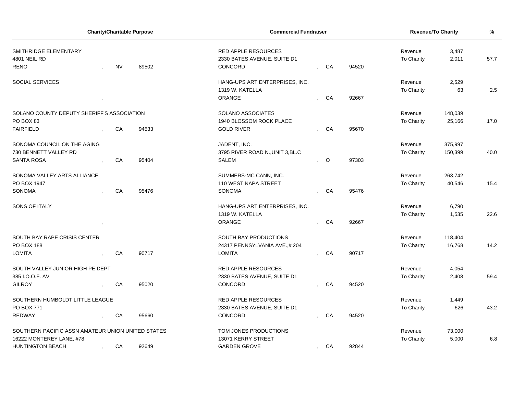| <b>Charity/Charitable Purpose</b>                 |  |           | <b>Commercial Fundraiser</b> |                                  |  |         | <b>Revenue/To Charity</b> | $\%$              |         |      |
|---------------------------------------------------|--|-----------|------------------------------|----------------------------------|--|---------|---------------------------|-------------------|---------|------|
| SMITHRIDGE ELEMENTARY                             |  |           |                              | <b>RED APPLE RESOURCES</b>       |  |         |                           | Revenue           | 3,487   |      |
| 4801 NEIL RD                                      |  |           |                              | 2330 BATES AVENUE, SUITE D1      |  |         |                           | To Charity        | 2,011   | 57.7 |
| <b>RENO</b>                                       |  | <b>NV</b> | 89502                        | CONCORD                          |  | CA      | 94520                     |                   |         |      |
| <b>SOCIAL SERVICES</b>                            |  |           |                              | HANG-UPS ART ENTERPRISES, INC.   |  |         |                           | Revenue           | 2,529   |      |
|                                                   |  |           |                              | 1319 W. KATELLA                  |  |         |                           | To Charity        | 63      | 2.5  |
|                                                   |  |           |                              | <b>ORANGE</b>                    |  | CA      | 92667                     |                   |         |      |
| SOLANO COUNTY DEPUTY SHERIFF'S ASSOCIATION        |  |           |                              | SOLANO ASSOCIATES                |  |         |                           | Revenue           | 148,039 |      |
| PO BOX 83                                         |  |           |                              | 1940 BLOSSOM ROCK PLACE          |  |         |                           | To Charity        | 25,166  | 17.0 |
| <b>FAIRFIELD</b>                                  |  | CA        | 94533                        | <b>GOLD RIVER</b>                |  | CA      | 95670                     |                   |         |      |
| SONOMA COUNCIL ON THE AGING                       |  |           |                              | JADENT, INC.                     |  |         |                           | Revenue           | 375,997 |      |
| 730 BENNETT VALLEY RD                             |  |           |                              | 3795 RIVER ROAD N., UNIT 3, BL.C |  |         |                           | To Charity        | 150,399 | 40.0 |
| <b>SANTA ROSA</b>                                 |  | CA        | 95404                        | <b>SALEM</b>                     |  | $\circ$ | 97303                     |                   |         |      |
| SONOMA VALLEY ARTS ALLIANCE                       |  |           |                              | SUMMERS-MC CANN, INC.            |  |         |                           | Revenue           | 263,742 |      |
| PO BOX 1947                                       |  |           |                              | 110 WEST NAPA STREET             |  |         |                           | To Charity        | 40,546  | 15.4 |
| <b>SONOMA</b>                                     |  | CA        | 95476                        | <b>SONOMA</b>                    |  | CA      | 95476                     |                   |         |      |
| <b>SONS OF ITALY</b>                              |  |           |                              | HANG-UPS ART ENTERPRISES, INC.   |  |         |                           | Revenue           | 6,790   |      |
|                                                   |  |           |                              | 1319 W. KATELLA                  |  |         |                           | <b>To Charity</b> | 1,535   | 22.6 |
|                                                   |  |           |                              | <b>ORANGE</b>                    |  | CA      | 92667                     |                   |         |      |
| SOUTH BAY RAPE CRISIS CENTER                      |  |           |                              | SOUTH BAY PRODUCTIONS            |  |         |                           | Revenue           | 118,404 |      |
| PO BOX 188                                        |  |           |                              | 24317 PENNSYLVANIA AVE.,#204     |  |         |                           | To Charity        | 16,768  | 14.2 |
| <b>LOMITA</b>                                     |  | CA        | 90717                        | <b>LOMITA</b>                    |  | CA      | 90717                     |                   |         |      |
| SOUTH VALLEY JUNIOR HIGH PE DEPT                  |  |           |                              | <b>RED APPLE RESOURCES</b>       |  |         |                           | Revenue           | 4,054   |      |
| 385 I.O.O.F. AV                                   |  |           |                              | 2330 BATES AVENUE, SUITE D1      |  |         |                           | To Charity        | 2,408   | 59.4 |
| <b>GILROY</b>                                     |  | CA        | 95020                        | CONCORD                          |  | CA      | 94520                     |                   |         |      |
| SOUTHERN HUMBOLDT LITTLE LEAGUE                   |  |           |                              | <b>RED APPLE RESOURCES</b>       |  |         |                           | Revenue           | 1,449   |      |
| PO BOX 771                                        |  |           |                              | 2330 BATES AVENUE, SUITE D1      |  |         |                           | <b>To Charity</b> | 626     | 43.2 |
| <b>REDWAY</b>                                     |  | CA        | 95660                        | CONCORD                          |  | CA      | 94520                     |                   |         |      |
| SOUTHERN PACIFIC ASSN AMATEUR UNION UNITED STATES |  |           |                              | TOM JONES PRODUCTIONS            |  |         |                           | Revenue           | 73,000  |      |
| 16222 MONTEREY LANE, #78                          |  |           |                              | 13071 KERRY STREET               |  |         |                           | <b>To Charity</b> | 5,000   | 6.8  |
| <b>HUNTINGTON BEACH</b>                           |  | CA        | 92649                        | <b>GARDEN GROVE</b>              |  | CA      | 92844                     |                   |         |      |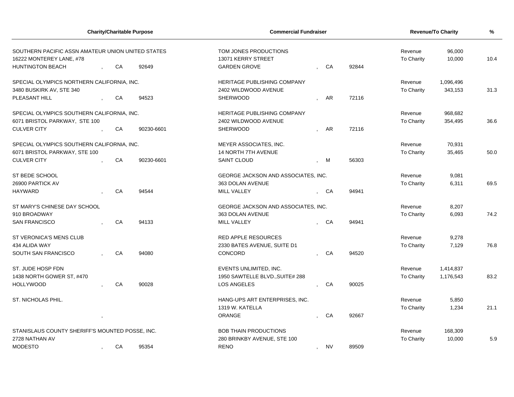| <b>Charity/Charitable Purpose</b>                                             |  |    | <b>Commercial Fundraiser</b> |                                             | <b>Revenue/To Charity</b> | $\frac{9}{6}$ |            |                       |                  |      |
|-------------------------------------------------------------------------------|--|----|------------------------------|---------------------------------------------|---------------------------|---------------|------------|-----------------------|------------------|------|
| SOUTHERN PACIFIC ASSN AMATEUR UNION UNITED STATES<br>16222 MONTEREY LANE, #78 |  |    |                              | TOM JONES PRODUCTIONS<br>13071 KERRY STREET |                           |               |            | Revenue<br>To Charity | 96,000<br>10,000 | 10.4 |
| <b>HUNTINGTON BEACH</b>                                                       |  | CA | 92649                        | <b>GARDEN GROVE</b>                         |                           | CA            | 92844      |                       |                  |      |
| SPECIAL OLYMPICS NORTHERN CALIFORNIA, INC.                                    |  |    |                              | HERITAGE PUBLISHING COMPANY                 |                           |               |            | Revenue               | 1,096,496        |      |
| 3480 BUSKIRK AV, STE 340                                                      |  |    |                              | 2402 WILDWOOD AVENUE                        |                           |               |            | To Charity            | 343,153          | 31.3 |
| PLEASANT HILL                                                                 |  | CA | 94523                        | SHERWOOD                                    |                           | AR            | 72116      |                       |                  |      |
| SPECIAL OLYMPICS SOUTHERN CALIFORNIA, INC.                                    |  |    |                              | HERITAGE PUBLISHING COMPANY                 |                           |               |            | Revenue               | 968,682          |      |
| 6071 BRISTOL PARKWAY, STE 100                                                 |  |    |                              | 2402 WILDWOOD AVENUE                        |                           |               |            | To Charity            | 354,495          | 36.6 |
| <b>CULVER CITY</b>                                                            |  | CA | 90230-6601                   | <b>SHERWOOD</b>                             |                           | AR            | 72116      |                       |                  |      |
| SPECIAL OLYMPICS SOUTHERN CALIFORNIA, INC.                                    |  |    |                              | MEYER ASSOCIATES, INC.                      |                           |               |            | Revenue               | 70,931           |      |
| 6071 BRISTOL PARKWAY, STE 100                                                 |  |    |                              | 14 NORTH 7TH AVENUE                         |                           |               |            | To Charity            | 35,465           | 50.0 |
| <b>CULVER CITY</b>                                                            |  | CA | 90230-6601                   | <b>SAINT CLOUD</b>                          |                           | M             | 56303      |                       |                  |      |
| ST BEDE SCHOOL                                                                |  |    |                              | GEORGE JACKSON AND ASSOCIATES, INC.         |                           |               |            | Revenue               | 9,081            |      |
| 26900 PARTICK AV                                                              |  |    |                              | 363 DOLAN AVENUE                            |                           |               |            | To Charity            | 6,311            | 69.5 |
| <b>HAYWARD</b>                                                                |  | CA | 94544                        | MILL VALLEY                                 |                           | CA            | 94941      |                       |                  |      |
| ST MARY'S CHINESE DAY SCHOOL                                                  |  |    |                              | GEORGE JACKSON AND ASSOCIATES, INC.         |                           |               |            | Revenue               | 8,207            |      |
| 910 BROADWAY                                                                  |  |    |                              | 363 DOLAN AVENUE                            |                           |               |            | To Charity            | 6,093            | 74.2 |
| <b>SAN FRANCISCO</b>                                                          |  | CA | 94133                        | MILL VALLEY                                 |                           | CA            | 94941      |                       |                  |      |
| ST VERONICA'S MENS CLUB                                                       |  |    |                              | <b>RED APPLE RESOURCES</b>                  |                           |               |            | Revenue               | 9,278            |      |
| 434 ALIDA WAY                                                                 |  |    |                              | 2330 BATES AVENUE, SUITE D1                 |                           |               |            | To Charity            | 7,129            | 76.8 |
| SOUTH SAN FRANCISCO                                                           |  | CA | 94080                        | CONCORD                                     |                           | CA            | 94520      |                       |                  |      |
| ST. JUDE HOSP FDN                                                             |  |    |                              | EVENTS UNLIMITED, INC.                      |                           |               |            | Revenue               | 1,414,837        |      |
| 1438 NORTH GOWER ST, #470                                                     |  |    |                              | 1950 SAWTELLE BLVD., SUITE# 288             |                           |               |            | To Charity            | 1,176,543        | 83.2 |
| <b>HOLLYWOOD</b>                                                              |  | CA | 90028                        | LOS ANGELES                                 |                           | CA            | 90025      |                       |                  |      |
| ST. NICHOLAS PHIL.                                                            |  |    |                              | HANG-UPS ART ENTERPRISES, INC.              |                           |               |            | Revenue               | 5,850            |      |
|                                                                               |  |    |                              | 1319 W. KATELLA                             |                           |               |            | To Charity            | 1,234            | 21.1 |
|                                                                               |  |    |                              | ORANGE                                      |                           | CA            | 92667      |                       |                  |      |
| STANISLAUS COUNTY SHERIFF'S MOUNTED POSSE, INC.                               |  |    |                              | <b>BOB THAIN PRODUCTIONS</b>                |                           |               |            | Revenue               | 168,309          |      |
| 2728 NATHAN AV                                                                |  |    | 280 BRINKBY AVENUE, STE 100  |                                             |                           |               | To Charity | 10,000                | 5.9              |      |
| <b>MODESTO</b>                                                                |  | CA | 95354                        | <b>RENO</b>                                 | $\mathbf{r}$              | <b>NV</b>     | 89509      |                       |                  |      |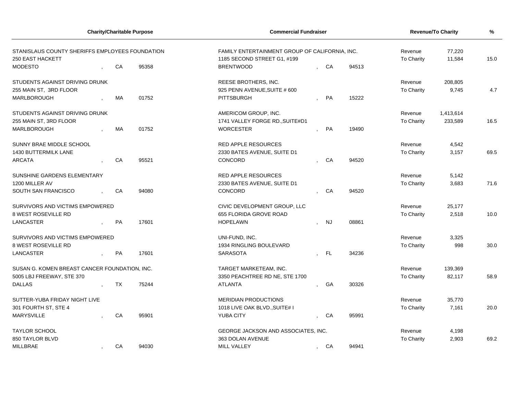| <b>Charity/Charitable Purpose</b>                                          |  |           |       | <b>Commercial Fundraiser</b>                                                  |         | <b>Revenue/To Charity</b> |       |                       |                  |      |
|----------------------------------------------------------------------------|--|-----------|-------|-------------------------------------------------------------------------------|---------|---------------------------|-------|-----------------------|------------------|------|
| STANISLAUS COUNTY SHERIFFS EMPLOYEES FOUNDATION<br><b>250 EAST HACKETT</b> |  |           |       | FAMILY ENTERTAINMENT GROUP OF CALIFORNIA, INC.<br>1185 SECOND STREET G1, #199 |         |                           |       | Revenue<br>To Charity | 77,220<br>11,584 | 15.0 |
| <b>MODESTO</b>                                                             |  | CA        | 95358 | <b>BRENTWOOD</b>                                                              |         | , CA                      | 94513 |                       |                  |      |
| STUDENTS AGAINST DRIVING DRUNK                                             |  |           |       | REESE BROTHERS, INC.                                                          |         |                           |       | Revenue               | 208,805          |      |
| 255 MAIN ST, 3RD FLOOR                                                     |  |           |       | 925 PENN AVENUE, SUITE # 600                                                  |         |                           |       | To Charity            | 9,745            | 4.7  |
| <b>MARLBOROUGH</b>                                                         |  | <b>MA</b> | 01752 | PITTSBURGH                                                                    |         | PA                        | 15222 |                       |                  |      |
| STUDENTS AGAINST DRIVING DRUNK                                             |  |           |       | AMERICOM GROUP, INC.                                                          |         |                           |       | Revenue               | 1,413,614        |      |
| 255 MAIN ST, 3RD FLOOR                                                     |  |           |       | 1741 VALLEY FORGE RD., SUITE#D1                                               |         |                           |       | To Charity            | 233,589          | 16.5 |
| MARLBOROUGH                                                                |  | <b>MA</b> | 01752 | <b>WORCESTER</b>                                                              | $\cdot$ | PA                        | 19490 |                       |                  |      |
| SUNNY BRAE MIDDLE SCHOOL                                                   |  |           |       | <b>RED APPLE RESOURCES</b>                                                    |         |                           |       | Revenue               | 4,542            |      |
| <b>1430 BUTTERMILK LANE</b>                                                |  |           |       | 2330 BATES AVENUE, SUITE D1                                                   |         |                           |       | To Charity            | 3,157            | 69.5 |
| <b>ARCATA</b>                                                              |  | CA        | 95521 | CONCORD                                                                       |         | CA                        | 94520 |                       |                  |      |
| SUNSHINE GARDENS ELEMENTARY                                                |  |           |       | <b>RED APPLE RESOURCES</b>                                                    |         |                           |       | Revenue               | 5,142            |      |
| 1200 MILLER AV                                                             |  |           |       | 2330 BATES AVENUE, SUITE D1                                                   |         |                           |       | <b>To Charity</b>     | 3,683            | 71.6 |
| SOUTH SAN FRANCISCO                                                        |  | CA        | 94080 | CONCORD                                                                       |         | CA                        | 94520 |                       |                  |      |
| SURVIVORS AND VICTIMS EMPOWERED                                            |  |           |       | CIVIC DEVELOPMENT GROUP, LLC                                                  |         |                           |       | Revenue               | 25,177           |      |
| <b>8 WEST ROSEVILLE RD</b>                                                 |  |           |       | 655 FLORIDA GROVE ROAD                                                        |         |                           |       | To Charity            | 2,518            | 10.0 |
| LANCASTER                                                                  |  | PA        | 17601 | <b>HOPELAWN</b>                                                               |         | <b>NJ</b>                 | 08861 |                       |                  |      |
| SURVIVORS AND VICTIMS EMPOWERED                                            |  |           |       | UNI-FUND, INC.                                                                |         |                           |       | Revenue               | 3,325            |      |
| <b>8 WEST ROSEVILLE RD</b>                                                 |  |           |       | 1934 RINGLING BOULEVARD                                                       |         |                           |       | To Charity            | 998              | 30.0 |
| LANCASTER                                                                  |  | PA        | 17601 | <b>SARASOTA</b>                                                               |         | FL                        | 34236 |                       |                  |      |
| SUSAN G. KOMEN BREAST CANCER FOUNDATION, INC.                              |  |           |       | TARGET MARKETEAM, INC.                                                        |         |                           |       | Revenue               | 139,369          |      |
| 5005 LBJ FREEWAY, STE 370                                                  |  |           |       | 3350 PEACHTREE RD NE, STE 1700                                                |         |                           |       | To Charity            | 82,117           | 58.9 |
| <b>DALLAS</b>                                                              |  | TX        | 75244 | <b>ATLANTA</b>                                                                |         | GA                        | 30326 |                       |                  |      |
| SUTTER-YUBA FRIDAY NIGHT LIVE                                              |  |           |       | <b>MERIDIAN PRODUCTIONS</b>                                                   |         |                           |       | Revenue               | 35,770           |      |
| 301 FOURTH ST, STE 4                                                       |  |           |       | 1018 LIVE OAK BLVD., SUITE# I                                                 |         |                           |       | To Charity            | 7,161            | 20.0 |
| <b>MARYSVILLE</b>                                                          |  | CA        | 95901 | <b>YUBA CITY</b>                                                              |         | CA                        | 95991 |                       |                  |      |
| <b>TAYLOR SCHOOL</b>                                                       |  |           |       | GEORGE JACKSON AND ASSOCIATES, INC.                                           |         |                           |       | Revenue               | 4,198            |      |
| 850 TAYLOR BLVD                                                            |  |           |       | 363 DOLAN AVENUE                                                              |         |                           |       | To Charity            | 2,903            | 69.2 |
| <b>MILLBRAE</b>                                                            |  | CA        | 94030 | <b>MILL VALLEY</b>                                                            |         | , CA                      | 94941 |                       |                  |      |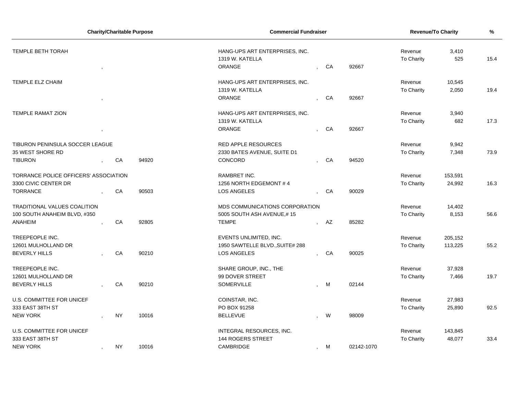| HANG-UPS ART ENTERPRISES, INC.<br>Revenue<br>3,410<br>1319 W. KATELLA<br>To Charity<br>525<br>15.4<br>ORANGE<br>CA<br>92667<br>TEMPLE ELZ CHAIM<br>HANG-UPS ART ENTERPRISES, INC.<br>10,545<br>Revenue<br>1319 W. KATELLA<br>2,050<br>19.4<br>To Charity<br><b>ORANGE</b><br>CA<br>92667<br><b>TEMPLE RAMAT ZION</b><br>HANG-UPS ART ENTERPRISES, INC.<br>Revenue<br>3,940<br>1319 W. KATELLA<br>To Charity<br>682<br>17.3<br>CA<br>ORANGE<br>92667<br>TIBURON PENINSULA SOCCER LEAGUE<br>9,942<br><b>RED APPLE RESOURCES</b><br>Revenue<br>2330 BATES AVENUE, SUITE D1<br>To Charity<br>7,348<br>73.9<br>CONCORD<br>CA<br>94920<br>CA<br>94520<br>TORRANCE POLICE OFFICERS' ASSOCIATION<br>RAMBRET INC.<br>Revenue<br>153,591<br>1256 NORTH EDGEMONT #4<br>24,992<br>To Charity<br>16.3<br>CA<br>90503<br><b>LOS ANGELES</b><br>CA<br>90029<br><b>TRADITIONAL VALUES COALITION</b><br>MDS COMMUNICATIONS CORPORATION<br>Revenue<br>14,402<br>5005 SOUTH ASH AVENUE,#15<br>To Charity<br>8,153<br>56.6<br>92805<br><b>TEMPE</b><br>CA<br>AZ<br>85282<br>TREEPEOPLE INC.<br>EVENTS UNLIMITED, INC.<br>205,152<br>Revenue<br>1950 SAWTELLE BLVD., SUITE# 288<br>To Charity<br>113,225<br>55.2<br>CA<br>90210<br><b>LOS ANGELES</b><br>CA<br>90025<br>$\mathbf{r}$<br>TREEPEOPLE INC.<br>SHARE GROUP, INC., THE<br>37,928<br>Revenue<br>12601 MULHOLLAND DR<br>99 DOVER STREET<br>19.7<br>To Charity<br>7,466<br>CA<br>90210<br>SOMERVILLE<br>M<br>02144<br>U.S. COMMITTEE FOR UNICEF<br>COINSTAR, INC.<br>Revenue<br>27,983<br>333 EAST 38TH ST<br>PO BOX 91258<br>To Charity<br>25,890<br>92.5<br><b>NY</b><br>10016<br><b>BELLEVUE</b><br>W<br>98009 |                              |  | <b>Charity/Charitable Purpose</b> |  | <b>Commercial Fundraiser</b> |  |  | <b>Revenue/To Charity</b> | % |
|------------------------------------------------------------------------------------------------------------------------------------------------------------------------------------------------------------------------------------------------------------------------------------------------------------------------------------------------------------------------------------------------------------------------------------------------------------------------------------------------------------------------------------------------------------------------------------------------------------------------------------------------------------------------------------------------------------------------------------------------------------------------------------------------------------------------------------------------------------------------------------------------------------------------------------------------------------------------------------------------------------------------------------------------------------------------------------------------------------------------------------------------------------------------------------------------------------------------------------------------------------------------------------------------------------------------------------------------------------------------------------------------------------------------------------------------------------------------------------------------------------------------------------------------------------------------------------------------------------------------------------------------------|------------------------------|--|-----------------------------------|--|------------------------------|--|--|---------------------------|---|
|                                                                                                                                                                                                                                                                                                                                                                                                                                                                                                                                                                                                                                                                                                                                                                                                                                                                                                                                                                                                                                                                                                                                                                                                                                                                                                                                                                                                                                                                                                                                                                                                                                                      | TEMPLE BETH TORAH            |  |                                   |  |                              |  |  |                           |   |
|                                                                                                                                                                                                                                                                                                                                                                                                                                                                                                                                                                                                                                                                                                                                                                                                                                                                                                                                                                                                                                                                                                                                                                                                                                                                                                                                                                                                                                                                                                                                                                                                                                                      |                              |  |                                   |  |                              |  |  |                           |   |
|                                                                                                                                                                                                                                                                                                                                                                                                                                                                                                                                                                                                                                                                                                                                                                                                                                                                                                                                                                                                                                                                                                                                                                                                                                                                                                                                                                                                                                                                                                                                                                                                                                                      |                              |  |                                   |  |                              |  |  |                           |   |
|                                                                                                                                                                                                                                                                                                                                                                                                                                                                                                                                                                                                                                                                                                                                                                                                                                                                                                                                                                                                                                                                                                                                                                                                                                                                                                                                                                                                                                                                                                                                                                                                                                                      |                              |  |                                   |  |                              |  |  |                           |   |
|                                                                                                                                                                                                                                                                                                                                                                                                                                                                                                                                                                                                                                                                                                                                                                                                                                                                                                                                                                                                                                                                                                                                                                                                                                                                                                                                                                                                                                                                                                                                                                                                                                                      |                              |  |                                   |  |                              |  |  |                           |   |
|                                                                                                                                                                                                                                                                                                                                                                                                                                                                                                                                                                                                                                                                                                                                                                                                                                                                                                                                                                                                                                                                                                                                                                                                                                                                                                                                                                                                                                                                                                                                                                                                                                                      |                              |  |                                   |  |                              |  |  |                           |   |
|                                                                                                                                                                                                                                                                                                                                                                                                                                                                                                                                                                                                                                                                                                                                                                                                                                                                                                                                                                                                                                                                                                                                                                                                                                                                                                                                                                                                                                                                                                                                                                                                                                                      |                              |  |                                   |  |                              |  |  |                           |   |
|                                                                                                                                                                                                                                                                                                                                                                                                                                                                                                                                                                                                                                                                                                                                                                                                                                                                                                                                                                                                                                                                                                                                                                                                                                                                                                                                                                                                                                                                                                                                                                                                                                                      |                              |  |                                   |  |                              |  |  |                           |   |
|                                                                                                                                                                                                                                                                                                                                                                                                                                                                                                                                                                                                                                                                                                                                                                                                                                                                                                                                                                                                                                                                                                                                                                                                                                                                                                                                                                                                                                                                                                                                                                                                                                                      |                              |  |                                   |  |                              |  |  |                           |   |
|                                                                                                                                                                                                                                                                                                                                                                                                                                                                                                                                                                                                                                                                                                                                                                                                                                                                                                                                                                                                                                                                                                                                                                                                                                                                                                                                                                                                                                                                                                                                                                                                                                                      |                              |  |                                   |  |                              |  |  |                           |   |
|                                                                                                                                                                                                                                                                                                                                                                                                                                                                                                                                                                                                                                                                                                                                                                                                                                                                                                                                                                                                                                                                                                                                                                                                                                                                                                                                                                                                                                                                                                                                                                                                                                                      |                              |  |                                   |  |                              |  |  |                           |   |
|                                                                                                                                                                                                                                                                                                                                                                                                                                                                                                                                                                                                                                                                                                                                                                                                                                                                                                                                                                                                                                                                                                                                                                                                                                                                                                                                                                                                                                                                                                                                                                                                                                                      | 35 WEST SHORE RD             |  |                                   |  |                              |  |  |                           |   |
|                                                                                                                                                                                                                                                                                                                                                                                                                                                                                                                                                                                                                                                                                                                                                                                                                                                                                                                                                                                                                                                                                                                                                                                                                                                                                                                                                                                                                                                                                                                                                                                                                                                      | <b>TIBURON</b>               |  |                                   |  |                              |  |  |                           |   |
|                                                                                                                                                                                                                                                                                                                                                                                                                                                                                                                                                                                                                                                                                                                                                                                                                                                                                                                                                                                                                                                                                                                                                                                                                                                                                                                                                                                                                                                                                                                                                                                                                                                      |                              |  |                                   |  |                              |  |  |                           |   |
|                                                                                                                                                                                                                                                                                                                                                                                                                                                                                                                                                                                                                                                                                                                                                                                                                                                                                                                                                                                                                                                                                                                                                                                                                                                                                                                                                                                                                                                                                                                                                                                                                                                      | 3300 CIVIC CENTER DR         |  |                                   |  |                              |  |  |                           |   |
|                                                                                                                                                                                                                                                                                                                                                                                                                                                                                                                                                                                                                                                                                                                                                                                                                                                                                                                                                                                                                                                                                                                                                                                                                                                                                                                                                                                                                                                                                                                                                                                                                                                      | <b>TORRANCE</b>              |  |                                   |  |                              |  |  |                           |   |
|                                                                                                                                                                                                                                                                                                                                                                                                                                                                                                                                                                                                                                                                                                                                                                                                                                                                                                                                                                                                                                                                                                                                                                                                                                                                                                                                                                                                                                                                                                                                                                                                                                                      |                              |  |                                   |  |                              |  |  |                           |   |
|                                                                                                                                                                                                                                                                                                                                                                                                                                                                                                                                                                                                                                                                                                                                                                                                                                                                                                                                                                                                                                                                                                                                                                                                                                                                                                                                                                                                                                                                                                                                                                                                                                                      | 100 SOUTH ANAHEIM BLVD, #350 |  |                                   |  |                              |  |  |                           |   |
|                                                                                                                                                                                                                                                                                                                                                                                                                                                                                                                                                                                                                                                                                                                                                                                                                                                                                                                                                                                                                                                                                                                                                                                                                                                                                                                                                                                                                                                                                                                                                                                                                                                      | <b>ANAHEIM</b>               |  |                                   |  |                              |  |  |                           |   |
|                                                                                                                                                                                                                                                                                                                                                                                                                                                                                                                                                                                                                                                                                                                                                                                                                                                                                                                                                                                                                                                                                                                                                                                                                                                                                                                                                                                                                                                                                                                                                                                                                                                      |                              |  |                                   |  |                              |  |  |                           |   |
|                                                                                                                                                                                                                                                                                                                                                                                                                                                                                                                                                                                                                                                                                                                                                                                                                                                                                                                                                                                                                                                                                                                                                                                                                                                                                                                                                                                                                                                                                                                                                                                                                                                      | 12601 MULHOLLAND DR          |  |                                   |  |                              |  |  |                           |   |
|                                                                                                                                                                                                                                                                                                                                                                                                                                                                                                                                                                                                                                                                                                                                                                                                                                                                                                                                                                                                                                                                                                                                                                                                                                                                                                                                                                                                                                                                                                                                                                                                                                                      | <b>BEVERLY HILLS</b>         |  |                                   |  |                              |  |  |                           |   |
|                                                                                                                                                                                                                                                                                                                                                                                                                                                                                                                                                                                                                                                                                                                                                                                                                                                                                                                                                                                                                                                                                                                                                                                                                                                                                                                                                                                                                                                                                                                                                                                                                                                      |                              |  |                                   |  |                              |  |  |                           |   |
|                                                                                                                                                                                                                                                                                                                                                                                                                                                                                                                                                                                                                                                                                                                                                                                                                                                                                                                                                                                                                                                                                                                                                                                                                                                                                                                                                                                                                                                                                                                                                                                                                                                      |                              |  |                                   |  |                              |  |  |                           |   |
|                                                                                                                                                                                                                                                                                                                                                                                                                                                                                                                                                                                                                                                                                                                                                                                                                                                                                                                                                                                                                                                                                                                                                                                                                                                                                                                                                                                                                                                                                                                                                                                                                                                      | <b>BEVERLY HILLS</b>         |  |                                   |  |                              |  |  |                           |   |
|                                                                                                                                                                                                                                                                                                                                                                                                                                                                                                                                                                                                                                                                                                                                                                                                                                                                                                                                                                                                                                                                                                                                                                                                                                                                                                                                                                                                                                                                                                                                                                                                                                                      |                              |  |                                   |  |                              |  |  |                           |   |
|                                                                                                                                                                                                                                                                                                                                                                                                                                                                                                                                                                                                                                                                                                                                                                                                                                                                                                                                                                                                                                                                                                                                                                                                                                                                                                                                                                                                                                                                                                                                                                                                                                                      |                              |  |                                   |  |                              |  |  |                           |   |
|                                                                                                                                                                                                                                                                                                                                                                                                                                                                                                                                                                                                                                                                                                                                                                                                                                                                                                                                                                                                                                                                                                                                                                                                                                                                                                                                                                                                                                                                                                                                                                                                                                                      | <b>NEW YORK</b>              |  |                                   |  |                              |  |  |                           |   |
| INTEGRAL RESOURCES, INC.<br>Revenue<br>143,845                                                                                                                                                                                                                                                                                                                                                                                                                                                                                                                                                                                                                                                                                                                                                                                                                                                                                                                                                                                                                                                                                                                                                                                                                                                                                                                                                                                                                                                                                                                                                                                                       | U.S. COMMITTEE FOR UNICEF    |  |                                   |  |                              |  |  |                           |   |
| <b>144 ROGERS STREET</b><br>48,077<br>33.4<br>To Charity                                                                                                                                                                                                                                                                                                                                                                                                                                                                                                                                                                                                                                                                                                                                                                                                                                                                                                                                                                                                                                                                                                                                                                                                                                                                                                                                                                                                                                                                                                                                                                                             | 333 EAST 38TH ST             |  |                                   |  |                              |  |  |                           |   |
| <b>NY</b><br>10016<br>CAMBRIDGE<br>M<br>02142-1070<br>$\mathbf{r}$                                                                                                                                                                                                                                                                                                                                                                                                                                                                                                                                                                                                                                                                                                                                                                                                                                                                                                                                                                                                                                                                                                                                                                                                                                                                                                                                                                                                                                                                                                                                                                                   | <b>NEW YORK</b>              |  |                                   |  |                              |  |  |                           |   |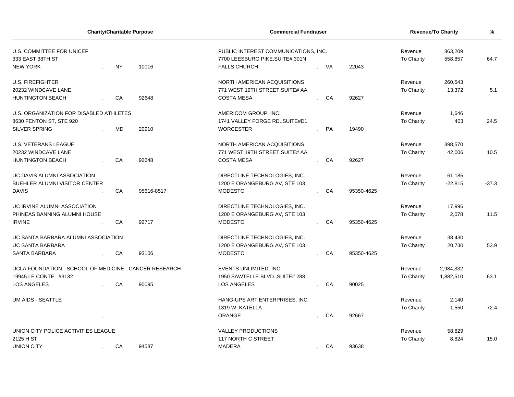| <b>Charity/Charitable Purpose</b>                      |                    |           |            | <b>Commercial Fundraiser</b>                                            |                  | <b>Revenue/To Charity</b> | %          |                       |                    |         |
|--------------------------------------------------------|--------------------|-----------|------------|-------------------------------------------------------------------------|------------------|---------------------------|------------|-----------------------|--------------------|---------|
| U.S. COMMITTEE FOR UNICEF<br>333 EAST 38TH ST          | <b>NY</b><br>10016 |           |            | PUBLIC INTEREST COMMUNICATIONS, INC.<br>7700 LEESBURG PIKE, SUITE# 301N |                  |                           |            | Revenue<br>To Charity | 863,209<br>558,857 | 64.7    |
| <b>NEW YORK</b>                                        |                    |           |            | <b>FALLS CHURCH</b>                                                     |                  | VA                        | 22043      |                       |                    |         |
| <b>U.S. FIREFIGHTER</b>                                |                    |           |            | NORTH AMERICAN ACQUISITIONS                                             |                  |                           |            | Revenue               | 260,543            |         |
| 20232 WINDCAVE LANE                                    |                    |           |            | 771 WEST 19TH STREET, SUITE# AA                                         |                  |                           |            | To Charity            | 13,372             | 5.1     |
| <b>HUNTINGTON BEACH</b>                                |                    | CA        | 92648      | <b>COSTA MESA</b>                                                       |                  | CA                        | 92627      |                       |                    |         |
| U.S. ORGANIZATION FOR DISABLED ATHLETES                |                    |           |            | AMERICOM GROUP, INC.                                                    |                  |                           |            | Revenue               | 1,646              |         |
| 8630 FENTON ST, STE 920                                |                    |           |            | 1741 VALLEY FORGE RD., SUITE#D1                                         |                  |                           |            | To Charity            | 403                | 24.5    |
| SILVER SPRING                                          |                    | <b>MD</b> | 20910      | <b>WORCESTER</b>                                                        |                  | <b>PA</b>                 | 19490      |                       |                    |         |
| <b>U.S. VETERANS LEAGUE</b>                            |                    |           |            | NORTH AMERICAN ACQUISITIONS                                             |                  |                           |            | Revenue               | 398,570            |         |
| 20232 WINDCAVE LANE                                    |                    |           |            | 771 WEST 19TH STREET, SUITE# AA                                         |                  |                           |            | <b>To Charity</b>     | 42,006             | 10.5    |
| <b>HUNTINGTON BEACH</b>                                |                    | CA        | 92648      | <b>COSTA MESA</b>                                                       |                  | CA                        | 92627      |                       |                    |         |
| UC DAVIS ALUMNI ASSOCIATION                            |                    |           |            | DIRECTLINE TECHNOLOGIES, INC.                                           |                  |                           |            | Revenue               | 61,185             |         |
| BUEHLER ALUMNI VISITOR CENTER                          |                    |           |            | 1200 E ORANGEBURG AV, STE 103                                           |                  |                           |            | <b>To Charity</b>     | $-22,815$          | $-37.3$ |
| <b>DAVIS</b>                                           |                    | CA        | 95616-8517 | <b>MODESTO</b>                                                          |                  | CA                        | 95350-4625 |                       |                    |         |
| UC IRVINE ALUMNI ASSOCIATION                           |                    |           |            | DIRECTLINE TECHNOLOGIES, INC.                                           |                  |                           |            | Revenue               | 17,996             |         |
| PHINEAS BANNING ALUMNI HOUSE                           |                    |           |            | 1200 E ORANGEBURG AV, STE 103                                           |                  |                           |            | <b>To Charity</b>     | 2,078              | 11.5    |
| <b>IRVINE</b>                                          |                    | CA        | 92717      | <b>MODESTO</b>                                                          |                  | CA                        | 95350-4625 |                       |                    |         |
| UC SANTA BARBARA ALUMNI ASSOCIATION                    |                    |           |            | DIRECTLINE TECHNOLOGIES, INC.                                           |                  |                           |            | Revenue               | 38,430             |         |
| <b>UC SANTA BARBARA</b>                                |                    |           |            | 1200 E ORANGEBURG AV, STE 103                                           |                  |                           |            | To Charity            | 20,730             | 53.9    |
| SANTA BARBARA                                          |                    | CA        | 93106      | <b>MODESTO</b>                                                          |                  | CA                        | 95350-4625 |                       |                    |         |
| UCLA FOUNDATION - SCHOOL OF MEDICINE - CANCER RESEARCH |                    |           |            | EVENTS UNLIMITED, INC.                                                  |                  |                           |            | Revenue               | 2,984,332          |         |
| 19945 LE CONTE, #3132                                  |                    |           |            | 1950 SAWTELLE BLVD., SUITE# 288                                         |                  |                           |            | To Charity            | 1,882,510          | 63.1    |
| <b>LOS ANGELES</b>                                     |                    | CA        | 90095      | <b>LOS ANGELES</b>                                                      |                  | CA                        | 90025      |                       |                    |         |
| UM AIDS - SEATTLE                                      |                    |           |            | HANG-UPS ART ENTERPRISES, INC.                                          |                  |                           |            | Revenue               | 2,140              |         |
|                                                        |                    |           |            | 1319 W. KATELLA                                                         |                  |                           |            | To Charity            | $-1,550$           | $-72.4$ |
|                                                        |                    |           |            | ORANGE                                                                  |                  | CA                        | 92667      |                       |                    |         |
| UNION CITY POLICE ACTIVITIES LEAGUE                    |                    |           |            | <b>VALLEY PRODUCTIONS</b>                                               |                  |                           |            | Revenue               | 58,829             |         |
| 2125 H ST                                              |                    |           |            | 117 NORTH C STREET                                                      |                  |                           |            | <b>To Charity</b>     | 8,824              | 15.0    |
| <b>UNION CITY</b>                                      |                    | CA        | 94587      | <b>MADERA</b>                                                           | $\overline{ }$ , | CA                        | 93638      |                       |                    |         |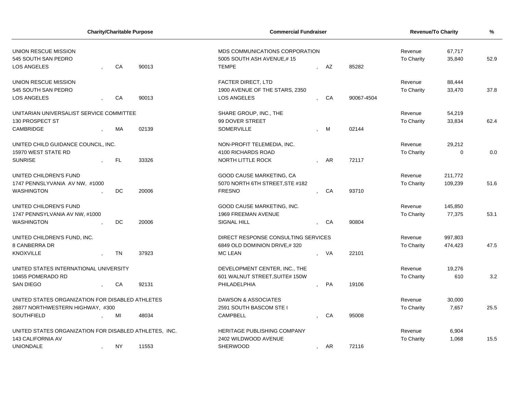| <b>Charity/Charitable Purpose</b>                      |  |           |       | <b>Commercial Fundraiser</b>        |    | Revenue/To Charity | $\frac{9}{6}$ |             |      |
|--------------------------------------------------------|--|-----------|-------|-------------------------------------|----|--------------------|---------------|-------------|------|
| UNION RESCUE MISSION                                   |  |           |       | MDS COMMUNICATIONS CORPORATION      |    |                    | Revenue       | 67,717      |      |
| 545 SOUTH SAN PEDRO                                    |  |           |       | 5005 SOUTH ASH AVENUE,#15           |    |                    | To Charity    | 35,840      | 52.9 |
| LOS ANGELES                                            |  | CA        | 90013 | <b>TEMPE</b>                        | AZ | 85282              |               |             |      |
| <b>UNION RESCUE MISSION</b>                            |  |           |       | <b>FACTER DIRECT, LTD</b>           |    |                    | Revenue       | 88,444      |      |
| 545 SOUTH SAN PEDRO                                    |  |           |       | 1900 AVENUE OF THE STARS, 2350      |    |                    | To Charity    | 33,470      | 37.8 |
| LOS ANGELES                                            |  | CA        | 90013 | LOS ANGELES                         | CA | 90067-4504         |               |             |      |
| UNITARIAN UNIVERSALIST SERVICE COMMITTEE               |  |           |       | SHARE GROUP, INC., THE              |    |                    | Revenue       | 54,219      |      |
| 130 PROSPECT ST                                        |  |           |       | 99 DOVER STREET                     |    |                    | To Charity    | 33,834      | 62.4 |
| CAMBRIDGE                                              |  | МA        | 02139 | SOMERVILLE                          | M  | 02144              |               |             |      |
| UNITED CHILD GUIDANCE COUNCIL, INC.                    |  |           |       | NON-PROFIT TELEMEDIA, INC.          |    |                    | Revenue       | 29,212      |      |
| 15970 WEST STATE RD                                    |  |           |       | 4100 RICHARDS ROAD                  |    |                    | To Charity    | $\mathbf 0$ | 0.0  |
| <b>SUNRISE</b>                                         |  | FL.       | 33326 | NORTH LITTLE ROCK                   | AR | 72117              |               |             |      |
| UNITED CHILDREN'S FUND                                 |  |           |       | GOOD CAUSE MARKETING, CA            |    |                    | Revenue       | 211,772     |      |
| 1747 PENNSLYVANIA AV NW, #1000                         |  |           |       | 5070 NORTH 6TH STREET.STE #182      |    |                    | To Charity    | 109,239     | 51.6 |
| <b>WASHINGTON</b>                                      |  | <b>DC</b> | 20006 | <b>FRESNO</b>                       | CA | 93710              |               |             |      |
| UNITED CHILDREN'S FUND                                 |  |           |       | GOOD CAUSE MARKETING, INC.          |    |                    | Revenue       | 145,850     |      |
| 1747 PENNSYLVANIA AV NW, #1000                         |  |           |       | <b>1969 FREEMAN AVENUE</b>          |    |                    | To Charity    | 77,375      | 53.1 |
| <b>WASHINGTON</b>                                      |  | DC        | 20006 | <b>SIGNAL HILL</b>                  | CA | 90804              |               |             |      |
| UNITED CHILDREN'S FUND, INC.                           |  |           |       | DIRECT RESPONSE CONSULTING SERVICES |    |                    | Revenue       | 997,803     |      |
| 8 CANBERRA DR                                          |  |           |       | 6849 OLD DOMINION DRIVE,#320        |    |                    | To Charity    | 474,423     | 47.5 |
| <b>KNOXVILLE</b>                                       |  | <b>TN</b> | 37923 | <b>MC LEAN</b>                      | VA | 22101              |               |             |      |
| UNITED STATES INTERNATIONAL UNIVERSITY                 |  |           |       | DEVELOPMENT CENTER, INC., THE       |    |                    | Revenue       | 19,276      |      |
| 10455 POMERADO RD                                      |  |           |       | 601 WALNUT STREET, SUITE# 150W      |    |                    | To Charity    | 610         | 3.2  |
| <b>SAN DIEGO</b>                                       |  | CA        | 92131 | PHILADELPHIA                        | PA | 19106              |               |             |      |
| UNITED STATES ORGANIZATION FOR DISABLED ATHLETES       |  |           |       | DAWSON & ASSOCIATES                 |    |                    | Revenue       | 30,000      |      |
| 26877 NORTHWESTERN HIGHWAY, #300                       |  |           |       | 2591 SOUTH BASCOM STE I             |    |                    | To Charity    | 7,657       | 25.5 |
| <b>SOUTHFIELD</b>                                      |  | MI        | 48034 | <b>CAMPBELL</b>                     | CA | 95008              |               |             |      |
| UNITED STATES ORGANIZATION FOR DISABLED ATHLETES, INC. |  |           |       | HERITAGE PUBLISHING COMPANY         |    |                    | Revenue       | 6,904       |      |
| 143 CALIFORNIA AV                                      |  |           |       | 2402 WILDWOOD AVENUE                |    |                    | To Charity    | 1.068       | 15.5 |
| <b>UNIONDALE</b>                                       |  | <b>NY</b> | 11553 | <b>SHERWOOD</b>                     | AR | 72116              |               |             |      |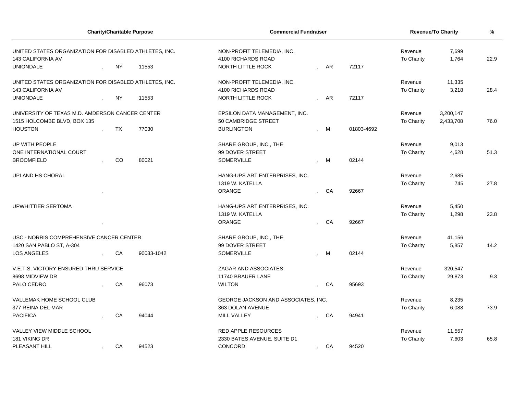| <b>Charity/Charitable Purpose</b>                      |  |           | <b>Commercial Fundraiser</b> |                                     | Revenue/To Charity | $\%$ |            |                   |           |      |
|--------------------------------------------------------|--|-----------|------------------------------|-------------------------------------|--------------------|------|------------|-------------------|-----------|------|
| UNITED STATES ORGANIZATION FOR DISABLED ATHLETES, INC. |  |           |                              | NON-PROFIT TELEMEDIA, INC.          |                    |      |            | Revenue           | 7,699     |      |
| 143 CALIFORNIA AV                                      |  |           |                              | 4100 RICHARDS ROAD                  |                    |      |            | To Charity        | 1,764     | 22.9 |
| <b>UNIONDALE</b>                                       |  | <b>NY</b> | 11553                        | NORTH LITTLE ROCK                   |                    | AR   | 72117      |                   |           |      |
| UNITED STATES ORGANIZATION FOR DISABLED ATHLETES, INC. |  |           |                              | NON-PROFIT TELEMEDIA, INC.          |                    |      |            | Revenue           | 11,335    |      |
| 143 CALIFORNIA AV                                      |  |           |                              | 4100 RICHARDS ROAD                  |                    |      |            | To Charity        | 3,218     | 28.4 |
| <b>UNIONDALE</b>                                       |  | <b>NY</b> | 11553                        | <b>NORTH LITTLE ROCK</b>            |                    | AR   | 72117      |                   |           |      |
| UNIVERSITY OF TEXAS M.D. AMDERSON CANCER CENTER        |  |           |                              | EPSILON DATA MANAGEMENT, INC.       |                    |      |            | Revenue           | 3,200,147 |      |
| 1515 HOLCOMBE BLVD, BOX 135                            |  |           |                              | 50 CAMBRIDGE STREET                 |                    |      |            | To Charity        | 2,433,708 | 76.0 |
| <b>HOUSTON</b>                                         |  | TX        | 77030                        | <b>BURLINGTON</b>                   |                    | M    | 01803-4692 |                   |           |      |
| UP WITH PEOPLE                                         |  |           |                              | SHARE GROUP, INC., THE              |                    |      |            | Revenue           | 9,013     |      |
| ONE INTERNATIONAL COURT                                |  |           |                              | 99 DOVER STREET                     |                    |      |            | To Charity        | 4,628     | 51.3 |
| <b>BROOMFIELD</b>                                      |  | <b>CO</b> | 80021                        | <b>SOMERVILLE</b>                   |                    | M    | 02144      |                   |           |      |
| UPLAND HS CHORAL                                       |  |           |                              | HANG-UPS ART ENTERPRISES, INC.      |                    |      |            | Revenue           | 2,685     |      |
|                                                        |  |           |                              | 1319 W. KATELLA                     |                    |      |            | To Charity        | 745       | 27.8 |
|                                                        |  |           |                              | <b>ORANGE</b>                       |                    | CA   | 92667      |                   |           |      |
| UPWHITTIER SERTOMA                                     |  |           |                              | HANG-UPS ART ENTERPRISES, INC.      |                    |      |            | Revenue           | 5,450     |      |
|                                                        |  |           |                              | 1319 W. KATELLA                     |                    |      |            | <b>To Charity</b> | 1,298     | 23.8 |
|                                                        |  |           |                              | <b>ORANGE</b>                       |                    | CA   | 92667      |                   |           |      |
| USC - NORRIS COMPREHENSIVE CANCER CENTER               |  |           |                              | SHARE GROUP, INC., THE              |                    |      |            | Revenue           | 41,156    |      |
| 1420 SAN PABLO ST, A-304                               |  |           |                              | 99 DOVER STREET                     |                    |      |            | To Charity        | 5,857     | 14.2 |
| LOS ANGELES                                            |  | CA        | 90033-1042                   | SOMERVILLE                          |                    | M    | 02144      |                   |           |      |
| V.E.T.S. VICTORY ENSURED THRU SERVICE                  |  |           |                              | ZAGAR AND ASSOCIATES                |                    |      |            | Revenue           | 320,547   |      |
| 8698 MIDVIEW DR                                        |  |           |                              | 11740 BRAUER LANE                   |                    |      |            | To Charity        | 29,873    | 9.3  |
| PALO CEDRO                                             |  | CA        | 96073                        | <b>WILTON</b>                       |                    | CA   | 95693      |                   |           |      |
| VALLEMAK HOME SCHOOL CLUB                              |  |           |                              | GEORGE JACKSON AND ASSOCIATES, INC. |                    |      |            | Revenue           | 8,235     |      |
| 377 REINA DEL MAR                                      |  |           |                              | 363 DOLAN AVENUE                    |                    |      |            | To Charity        | 6,088     | 73.9 |
| <b>PACIFICA</b>                                        |  | CA        | 94044                        | MILL VALLEY                         |                    | CA   | 94941      |                   |           |      |
| VALLEY VIEW MIDDLE SCHOOL                              |  |           |                              | RED APPLE RESOURCES                 |                    |      |            | Revenue           | 11,557    |      |
| 181 VIKING DR                                          |  |           |                              | 2330 BATES AVENUE, SUITE D1         |                    |      |            | To Charity        | 7,603     | 65.8 |
| PLEASANT HILL                                          |  | CA        | 94523                        | CONCORD                             | $\overline{ }$     | CA   | 94520      |                   |           |      |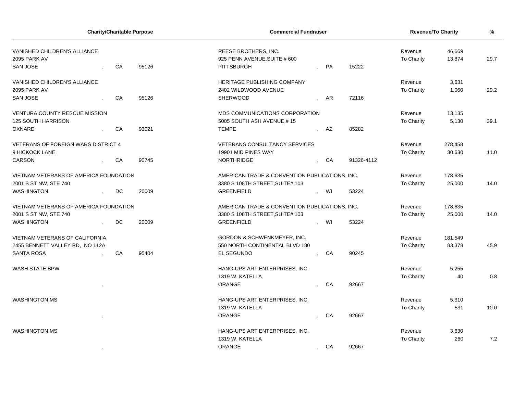|                                                                 |           | <b>Charity/Charitable Purpose</b> | <b>Commercial Fundraiser</b>                                              |                |    |            |                       | Revenue/To Charity | $\frac{9}{6}$ |
|-----------------------------------------------------------------|-----------|-----------------------------------|---------------------------------------------------------------------------|----------------|----|------------|-----------------------|--------------------|---------------|
| VANISHED CHILDREN'S ALLIANCE<br>2095 PARK AV<br><b>SAN JOSE</b> | CA        | 95126                             | REESE BROTHERS, INC.<br>925 PENN AVENUE, SUITE # 600<br><b>PITTSBURGH</b> |                | PA | 15222      | Revenue<br>To Charity | 46,669<br>13,874   | 29.7          |
|                                                                 |           |                                   |                                                                           |                |    |            |                       |                    |               |
| VANISHED CHILDREN'S ALLIANCE                                    |           |                                   | HERITAGE PUBLISHING COMPANY                                               |                |    |            | Revenue               | 3,631              |               |
| 2095 PARK AV                                                    |           |                                   | 2402 WILDWOOD AVENUE                                                      |                |    |            | To Charity            | 1,060              | 29.2          |
| SAN JOSE                                                        | CA        | 95126                             | <b>SHERWOOD</b>                                                           |                | AR | 72116      |                       |                    |               |
| <b>VENTURA COUNTY RESCUE MISSION</b>                            |           |                                   | MDS COMMUNICATIONS CORPORATION                                            |                |    |            | Revenue               | 13,135             |               |
| <b>125 SOUTH HARRISON</b>                                       |           |                                   | 5005 SOUTH ASH AVENUE,#15                                                 |                |    |            | To Charity            | 5,130              | 39.1          |
| <b>OXNARD</b>                                                   | CA        | 93021                             | <b>TEMPE</b>                                                              |                | AZ | 85282      |                       |                    |               |
| <b>VETERANS OF FOREIGN WARS DISTRICT 4</b>                      |           |                                   | <b>VETERANS CONSULTANCY SERVICES</b>                                      |                |    |            | Revenue               | 278,458            |               |
| 9 HICKOCK LANE                                                  |           |                                   | 19901 MID PINES WAY                                                       |                |    |            | To Charity            | 30,630             | 11.0          |
| <b>CARSON</b>                                                   | CA        | 90745                             | <b>NORTHRIDGE</b>                                                         |                | CA | 91326-4112 |                       |                    |               |
| VIETNAM VETERANS OF AMERICA FOUNDATION                          |           |                                   | AMERICAN TRADE & CONVENTION PUBLICATIONS, INC.                            |                |    |            | Revenue               | 178,635            |               |
| 2001 S ST NW, STE 740                                           |           |                                   | 3380 S 108TH STREET, SUITE# 103                                           |                |    |            | To Charity            | 25,000             | 14.0          |
| <b>WASHINGTON</b>                                               | <b>DC</b> | 20009                             | <b>GREENFIELD</b>                                                         |                | WI | 53224      |                       |                    |               |
| VIETNAM VETERANS OF AMERICA FOUNDATION                          |           |                                   | AMERICAN TRADE & CONVENTION PUBLICATIONS, INC.                            |                |    |            | Revenue               | 178,635            |               |
| 2001 S ST NW, STE 740                                           |           |                                   | 3380 S 108TH STREET, SUITE# 103                                           |                |    |            | To Charity            | 25,000             | 14.0          |
| <b>WASHINGTON</b>                                               | DC.       | 20009                             | <b>GREENFIELD</b>                                                         |                | WI | 53224      |                       |                    |               |
| VIETNAM VETERANS OF CALIFORNIA                                  |           |                                   | <b>GORDON &amp; SCHWENKMEYER, INC.</b>                                    |                |    |            | Revenue               | 181,549            |               |
| 2455 BENNETT VALLEY RD, NO 112A                                 |           |                                   | 550 NORTH CONTINENTAL BLVD 180                                            |                |    |            | To Charity            | 83,378             | 45.9          |
| <b>SANTA ROSA</b>                                               | CA        | 95404                             | EL SEGUNDO                                                                |                | CA | 90245      |                       |                    |               |
| <b>WASH STATE BPW</b>                                           |           |                                   | HANG-UPS ART ENTERPRISES, INC.                                            |                |    |            | Revenue               | 5,255              |               |
|                                                                 |           |                                   | 1319 W. KATELLA                                                           |                |    |            | To Charity            | 40                 | 0.8           |
|                                                                 |           |                                   | <b>ORANGE</b>                                                             |                | CA | 92667      |                       |                    |               |
| <b>WASHINGTON MS</b>                                            |           |                                   | HANG-UPS ART ENTERPRISES, INC.                                            |                |    |            | Revenue               | 5,310              |               |
|                                                                 |           |                                   | 1319 W. KATELLA                                                           |                |    |            | To Charity            | 531                | 10.0          |
|                                                                 |           |                                   | <b>ORANGE</b>                                                             |                | CA | 92667      |                       |                    |               |
| <b>WASHINGTON MS</b>                                            |           |                                   | HANG-UPS ART ENTERPRISES, INC.                                            |                |    |            | Revenue               | 3,630              |               |
|                                                                 |           |                                   | 1319 W. KATELLA                                                           |                |    |            | To Charity            | 260                | 7.2           |
|                                                                 |           |                                   | <b>ORANGE</b>                                                             | $\overline{ }$ | CA | 92667      |                       |                    |               |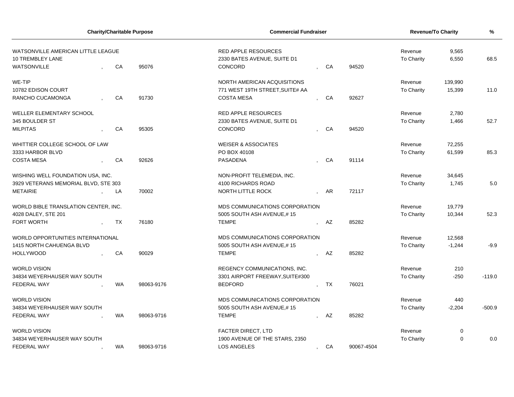|                                      |           | <b>Charity/Charitable Purpose</b> | <b>Commercial Fundraiser</b>    |           |    |            | <b>Revenue/To Charity</b> |             | %        |
|--------------------------------------|-----------|-----------------------------------|---------------------------------|-----------|----|------------|---------------------------|-------------|----------|
| WATSONVILLE AMERICAN LITTLE LEAGUE   |           |                                   | <b>RED APPLE RESOURCES</b>      |           |    |            | Revenue                   | 9,565       |          |
| 10 TREMBLEY LANE                     |           |                                   | 2330 BATES AVENUE, SUITE D1     |           |    |            | <b>To Charity</b>         | 6,550       | 68.5     |
| <b>WATSONVILLE</b>                   | CA        | 95076                             | CONCORD                         |           | CA | 94520      |                           |             |          |
| WE-TIP                               |           |                                   | NORTH AMERICAN ACQUISITIONS     |           |    |            | Revenue                   | 139,990     |          |
| 10782 EDISON COURT                   |           |                                   | 771 WEST 19TH STREET, SUITE# AA |           |    |            | <b>To Charity</b>         | 15,399      | 11.0     |
| RANCHO CUCAMONGA                     | CA        | 91730                             | <b>COSTA MESA</b>               |           | CA | 92627      |                           |             |          |
| WELLER ELEMENTARY SCHOOL             |           |                                   | <b>RED APPLE RESOURCES</b>      |           |    |            | Revenue                   | 2,780       |          |
| 345 BOULDER ST                       |           |                                   | 2330 BATES AVENUE, SUITE D1     |           |    |            | To Charity                | 1,466       | 52.7     |
| <b>MILPITAS</b>                      | CA        | 95305                             | CONCORD                         |           | CA | 94520      |                           |             |          |
| WHITTIER COLLEGE SCHOOL OF LAW       |           |                                   | <b>WEISER &amp; ASSOCIATES</b>  |           |    |            | Revenue                   | 72,255      |          |
| 3333 HARBOR BLVD                     |           |                                   | PO BOX 40108                    |           |    |            | <b>To Charity</b>         | 61,599      | 85.3     |
| <b>COSTA MESA</b>                    | CA        | 92626                             | PASADENA                        |           | CA | 91114      |                           |             |          |
| WISHING WELL FOUNDATION USA, INC.    |           |                                   | NON-PROFIT TELEMEDIA, INC.      |           |    |            | Revenue                   | 34,645      |          |
| 3929 VETERANS MEMORIAL BLVD, STE 303 |           |                                   | 4100 RICHARDS ROAD              |           |    |            | <b>To Charity</b>         | 1,745       | 5.0      |
| <b>METAIRIE</b>                      | LA        | 70002                             | <b>NORTH LITTLE ROCK</b>        |           | AR | 72117      |                           |             |          |
| WORLD BIBLE TRANSLATION CENTER, INC. |           |                                   | MDS COMMUNICATIONS CORPORATION  |           |    |            | Revenue                   | 19,779      |          |
| 4028 DALEY, STE 201                  |           |                                   | 5005 SOUTH ASH AVENUE,#15       |           |    |            | To Charity                | 10,344      | 52.3     |
| <b>FORT WORTH</b>                    | TX        | 76180                             | <b>TEMPE</b>                    |           | AZ | 85282      |                           |             |          |
| WORLD OPPORTUNITIES INTERNATIONAL    |           |                                   | MDS COMMUNICATIONS CORPORATION  |           |    |            | Revenue                   | 12,568      |          |
| 1415 NORTH CAHUENGA BLVD             |           |                                   | 5005 SOUTH ASH AVENUE,#15       |           |    |            | <b>To Charity</b>         | $-1,244$    | $-9.9$   |
| <b>HOLLYWOOD</b>                     | CA        | 90029                             | <b>TEMPE</b>                    |           | AZ | 85282      |                           |             |          |
| <b>WORLD VISION</b>                  |           |                                   | REGENCY COMMUNICATIONS, INC.    |           |    |            | Revenue                   | 210         |          |
| 34834 WEYERHAUSER WAY SOUTH          |           |                                   | 3301 AIRPORT FREEWAY, SUITE#300 |           |    |            | <b>To Charity</b>         | $-250$      | $-119.0$ |
| <b>FEDERAL WAY</b>                   | <b>WA</b> | 98063-9176                        | <b>BEDFORD</b>                  |           | TX | 76021      |                           |             |          |
| <b>WORLD VISION</b>                  |           |                                   | MDS COMMUNICATIONS CORPORATION  |           |    |            | Revenue                   | 440         |          |
| 34834 WEYERHAUSER WAY SOUTH          |           |                                   | 5005 SOUTH ASH AVENUE,#15       |           |    |            | To Charity                | $-2,204$    | $-500.9$ |
| <b>FEDERAL WAY</b>                   | WA        | 98063-9716                        | <b>TEMPE</b>                    |           | AZ | 85282      |                           |             |          |
| <b>WORLD VISION</b>                  |           |                                   | <b>FACTER DIRECT, LTD</b>       |           |    |            | Revenue                   | 0           |          |
| 34834 WEYERHAUSER WAY SOUTH          |           |                                   | 1900 AVENUE OF THE STARS, 2350  |           |    |            | <b>To Charity</b>         | $\mathbf 0$ | 0.0      |
| <b>FEDERAL WAY</b>                   | WA        | 98063-9716                        | <b>LOS ANGELES</b>              | $\bullet$ | CA | 90067-4504 |                           |             |          |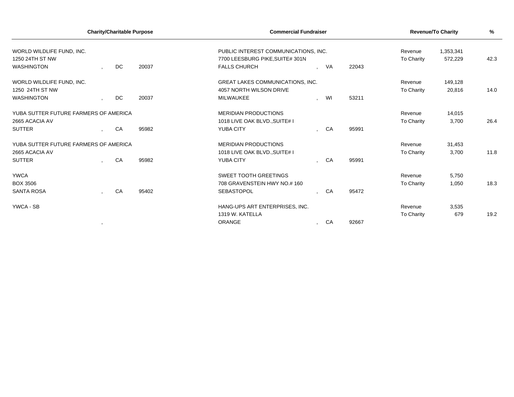|                                                                          |                | <b>Charity/Charitable Purpose</b> |       | <b>Commercial Fundraiser</b>                                                                   |              |           |       |                       | <b>Revenue/To Charity</b> | %    |
|--------------------------------------------------------------------------|----------------|-----------------------------------|-------|------------------------------------------------------------------------------------------------|--------------|-----------|-------|-----------------------|---------------------------|------|
| WORLD WILDLIFE FUND, INC.<br>1250 24TH ST NW<br><b>WASHINGTON</b>        |                | DC                                | 20037 | PUBLIC INTEREST COMMUNICATIONS, INC.<br>7700 LEESBURG PIKE, SUITE# 301N<br><b>FALLS CHURCH</b> |              | <b>VA</b> | 22043 | Revenue<br>To Charity | 1,353,341<br>572,229      | 42.3 |
| WORLD WILDLIFE FUND. INC.<br>1250 24TH ST NW<br><b>WASHINGTON</b>        |                | DC                                | 20037 | <b>GREAT LAKES COMMUNICATIONS, INC.</b><br>4057 NORTH WILSON DRIVE<br><b>MILWAUKEE</b>         |              | WI        | 53211 | Revenue<br>To Charity | 149,128<br>20,816         | 14.0 |
| YUBA SUTTER FUTURE FARMERS OF AMERICA<br>2665 ACACIA AV<br><b>SUTTER</b> | $\mathbf{r}$   | CA                                | 95982 | <b>MERIDIAN PRODUCTIONS</b><br>1018 LIVE OAK BLVD., SUITE# I<br><b>YUBA CITY</b>               |              | CA        | 95991 | Revenue<br>To Charity | 14,015<br>3,700           | 26.4 |
| YUBA SUTTER FUTURE FARMERS OF AMERICA<br>2665 ACACIA AV<br><b>SUTTER</b> |                | CA                                | 95982 | <b>MERIDIAN PRODUCTIONS</b><br>1018 LIVE OAK BLVD., SUITE# I<br><b>YUBA CITY</b>               |              | CA        | 95991 | Revenue<br>To Charity | 31,453<br>3,700           | 11.8 |
| <b>YWCA</b><br><b>BOX 3506</b><br><b>SANTA ROSA</b>                      |                | CA                                | 95402 | <b>SWEET TOOTH GREETINGS</b><br>708 GRAVENSTEIN HWY NO.# 160<br><b>SEBASTOPOL</b>              |              | CA        | 95472 | Revenue<br>To Charity | 5,750<br>1,050            | 18.3 |
| YWCA - SB                                                                | $\overline{ }$ |                                   |       | HANG-UPS ART ENTERPRISES, INC.<br>1319 W. KATELLA<br><b>ORANGE</b>                             | $\mathbf{r}$ | CA        | 92667 | Revenue<br>To Charity | 3,535<br>679              | 19.2 |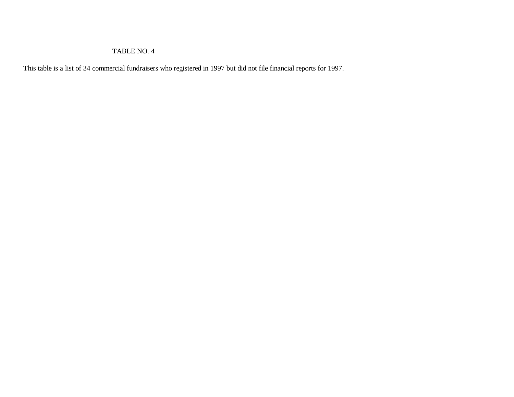#### TABLE NO. 4

This table is a list of 34 commercial fundraisers who registered in 1997 but did not file financial reports for 1997.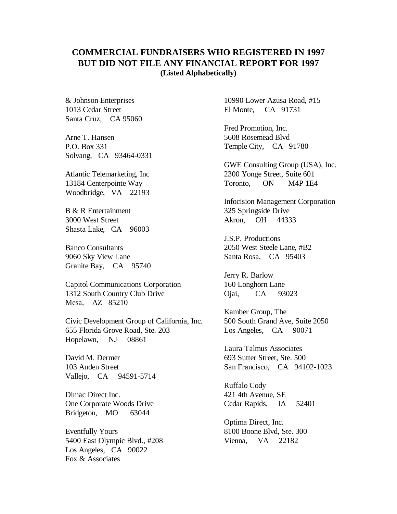## **COMMERCIAL FUNDRAISERS WHO REGISTERED IN 1997 BUT DID NOT FILE ANY FINANCIAL REPORT FOR 1997 (Listed Alphabetically)**

 Santa Cruz, CA 95060 & Johnson Enterprises 1013 Cedar Street

Arne T. Hansen P.O. Box 331 Solvang, CA 93464-0331

 Woodbridge, VA 22193 Atlantic Telemarketing, Inc 13184 Centerpointe Way

 Shasta Lake, CA 96003 B & R Entertainment 3000 West Street

 Granite Bay, CA 95740 Banco Consultants 9060 Sky View Lane

 Mesa, AZ 85210 Capitol Communications Corporation 1312 South Country Club Drive

 Hopelawn, NJ 08861 Civic Development Group of California, Inc. 655 Florida Grove Road, Ste. 203

 Vallejo, CA 94591-5714 David M. Dermer 103 Auden Street

 Bridgeton, MO 63044 Dimac Direct Inc. One Corporate Woods Drive

 Los Angeles, CA 90022 Eventfully Yours 5400 East Olympic Blvd., #208 Fox & Associates

 El Monte, CA 91731 10990 Lower Azusa Road, #15

 Temple City, CA 91780 Fred Promotion, Inc. 5608 Rosemead Blvd

 Toronto, ON M4P 1E4 GWE Consulting Group (USA), Inc. 2300 Yonge Street, Suite 601

 Akron, OH 44333 Infocision Management Corporation 325 Springside Drive

 Santa Rosa, CA 95403 J.S.P. Productions 2050 West Steele Lane, #B2

Jerry R. Barlow 160 Longhorn Lane Ojai, CA 93023

 Los Angeles, CA 90071 Kamber Group, The 500 South Grand Ave, Suite 2050

 San Francisco, CA 94102-1023 Laura Talmus Associates 693 Sutter Street, Ste. 500

IA Ruffalo Cody 421 4th Avenue, SE Cedar Rapids, IA 52401

 Vienna, VA 22182 Optima Direct, Inc. 8100 Boone Blvd, Ste. 300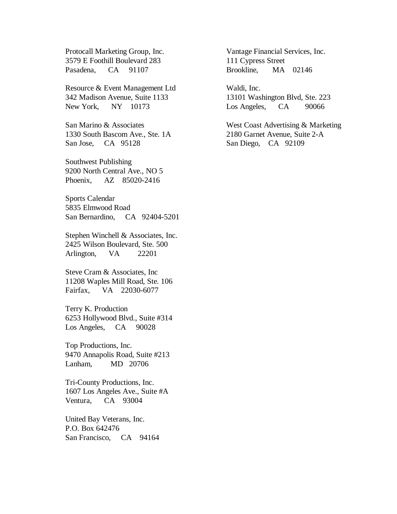Protocall Marketing Group, Inc. 3579 E Foothill Boulevard 283 Pasadena, CA 91107

Resource & Event Management Ltd 342 Madison Avenue, Suite 1133 New York, NY 10173

 San Jose, CA 95128 San Marino & Associates 1330 South Bascom Ave., Ste. 1A

 Phoenix, AZ 85020-2416 Southwest Publishing 9200 North Central Ave., NO 5

 San Bernardino, CA 92404-5201 Sports Calendar 5835 Elmwood Road

 Arlington, VA 22201 Stephen Winchell & Associates, Inc. 2425 Wilson Boulevard, Ste. 500

 Fairfax, VA 22030-6077 Steve Cram & Associates, Inc 11208 Waples Mill Road, Ste. 106

 Los Angeles, CA 90028 Terry K. Production 6253 Hollywood Blvd., Suite #314

Top Productions, Inc. 9470 Annapolis Road, Suite #213 Lanham, MD 20706

 Ventura, CA 93004 Tri-County Productions, Inc. 1607 Los Angeles Ave., Suite #A

United Bay Veterans, Inc. P.O. Box 642476 San Francisco, CA 94164 Vantage Financial Services, Inc. 111 Cypress Street Brookline, MA 02146

Waldi, Inc. 13101 Washington Blvd, Ste. 223 Los Angeles, CA 90066

 San Diego, CA 92109 West Coast Advertising & Marketing 2180 Garnet Avenue, Suite 2-A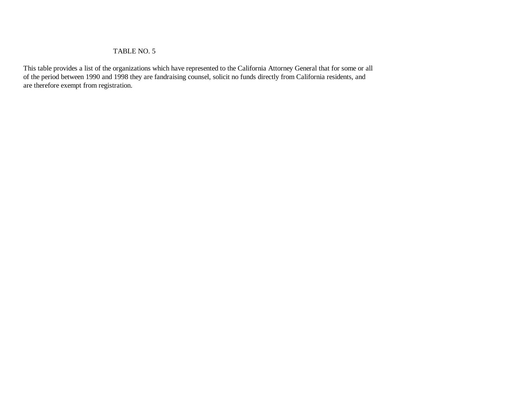### TABLE NO. 5

This table provides a list of the organizations which have represented to the California Attorney General that for some or all of the period between 1990 and 1998 they are fandraising counsel, solicit no funds directly from California residents, and are therefore exempt from registration.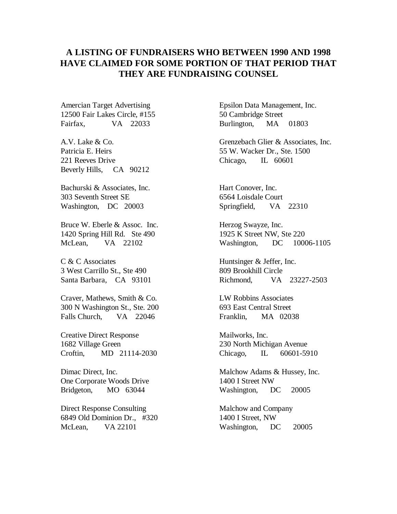# **A LISTING OF FUNDRAISERS WHO BETWEEN 1990 AND 1998 HAVE CLAIMED FOR SOME PORTION OF THAT PERIOD THAT THEY ARE FUNDRAISING COUNSEL**

Amercian Target Advertising 12500 Fair Lakes Circle, #155 Fairfax, VA 22033

 Beverly Hills, CA 90212 A.V. Lake & Co. Patricia E. Heirs 221 Reeves Drive

 Washington, DC 20003 Bachurski & Associates, Inc. 303 Seventh Street SE

Bruce W. Eberle & Assoc. Inc. 1420 Spring Hill Rd. Ste 490 McLean, VA 22102

 Santa Barbara, CA 93101 C & C Associates 3 West Carrillo St., Ste 490

Craver, Mathews, Smith & Co. 300 N Washington St., Ste. 200 Falls Church, VA 22046

Creative Direct Response 1682 Village Green Croftin, MD 21114-2030

Dimac Direct, Inc. One Corporate Woods Drive Bridgeton, MO 63044

Direct Response Consulting 6849 Old Dominion Dr., #320 McLean, VA 22101

Epsilon Data Management, Inc. 50 Cambridge Street Burlington, MA 01803

Grenzebach Glier & Associates, Inc. 55 W. Wacker Dr., Ste. 1500 Chicago, IL 60601

Hart Conover, Inc. 6564 Loisdale Court Springfield, VA 22310

Herzog Swayze, Inc. 1925 K Street NW, Ste 220 Washington, DC 10006-1105

Huntsinger & Jeffer, Inc. 809 Brookhill Circle Richmond, VA 23227-2503

LW Robbins Associates 693 East Central Street Franklin, MA 02038

Mailworks, Inc. 230 North Michigan Avenue Chicago, IL 60601-5910

Malchow Adams & Hussey, Inc. 1400 I Street NW Washington, DC 20005

Malchow and Company 1400 I Street, NW Washington, DC 20005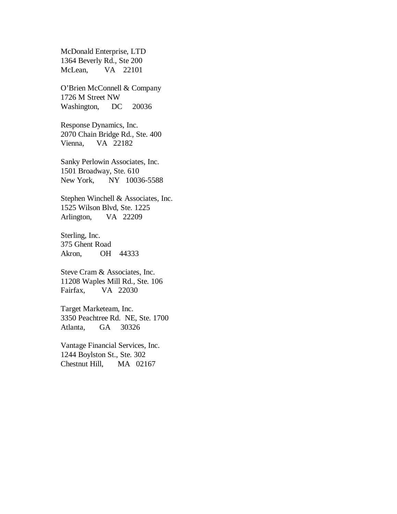McDonald Enterprise, LTD 1364 Beverly Rd., Ste 200 McLean, VA 22101

O'Brien McConnell & Company 1726 M Street NW Washington, DC 20036

Response Dynamics, Inc. 2070 Chain Bridge Rd., Ste. 400 Vienna, VA 22182

Sanky Perlowin Associates, Inc. 1501 Broadway, Ste. 610 New York, NY 10036-5588

Stephen Winchell & Associates, Inc. 1525 Wilson Blvd, Ste. 1225 Arlington, VA 22209

Sterling, Inc. 375 Ghent Road Akron, OH 44333

Steve Cram & Associates, Inc. 11208 Waples Mill Rd., Ste. 106 Fairfax, VA 22030

Target Marketeam, Inc. 3350 Peachtree Rd. NE, Ste. 1700 Atlanta, GA 30326

Vantage Financial Services, Inc. 1244 Boylston St., Ste. 302 Chestnut Hill, MA 02167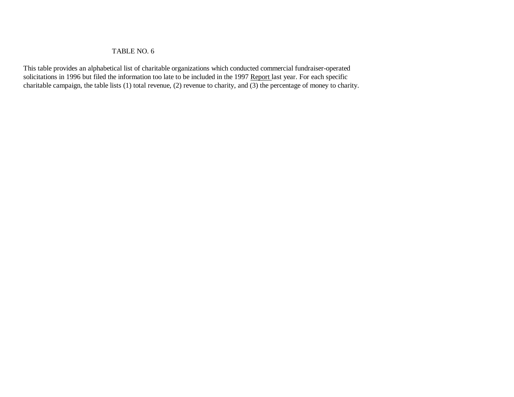### TABLE NO. 6

This table provides an alphabetical list of charitable organizations which conducted commercial fundraiser-operated solicitations in 1996 but filed the information too late to be included in the 1997 Report last year. For each specific charitable campaign, the table lists (1) total revenue, (2) revenue to charity, and (3) the percentage of money to charity.